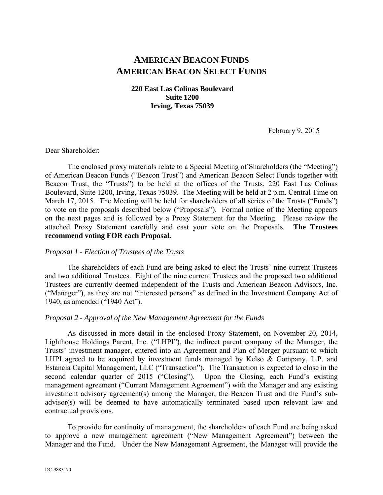# **AMERICAN BEACON FUNDS AMERICAN BEACON SELECT FUNDS**

## **220 East Las Colinas Boulevard Suite 1200 Irving, Texas 75039**

February 9, 2015

#### Dear Shareholder:

The enclosed proxy materials relate to a Special Meeting of Shareholders (the "Meeting") of American Beacon Funds ("Beacon Trust") and American Beacon Select Funds together with Beacon Trust, the "Trusts") to be held at the offices of the Trusts, 220 East Las Colinas Boulevard, Suite 1200, Irving, Texas 75039. The Meeting will be held at 2 p.m. Central Time on March 17, 2015. The Meeting will be held for shareholders of all series of the Trusts ("Funds") to vote on the proposals described below ("Proposals"). Formal notice of the Meeting appears on the next pages and is followed by a Proxy Statement for the Meeting. Please review the attached Proxy Statement carefully and cast your vote on the Proposals. **The Trustees recommend voting FOR each Proposal.**

## *Proposal 1 - Election of Trustees of the Trusts*

The shareholders of each Fund are being asked to elect the Trusts' nine current Trustees and two additional Trustees. Eight of the nine current Trustees and the proposed two additional Trustees are currently deemed independent of the Trusts and American Beacon Advisors, Inc. ("Manager"), as they are not "interested persons" as defined in the Investment Company Act of 1940, as amended ("1940 Act").

## *Proposal 2 - Approval of the New Management Agreement for the Funds*

As discussed in more detail in the enclosed Proxy Statement, on November 20, 2014, Lighthouse Holdings Parent, Inc. ("LHPI"), the indirect parent company of the Manager, the Trusts' investment manager, entered into an Agreement and Plan of Merger pursuant to which LHPI agreed to be acquired by investment funds managed by Kelso & Company, L.P. and Estancia Capital Management, LLC ("Transaction"). The Transaction is expected to close in the second calendar quarter of 2015 ("Closing"). Upon the Closing, each Fund's existing management agreement ("Current Management Agreement") with the Manager and any existing investment advisory agreement(s) among the Manager, the Beacon Trust and the Fund's subadvisor(s) will be deemed to have automatically terminated based upon relevant law and contractual provisions.

To provide for continuity of management, the shareholders of each Fund are being asked to approve a new management agreement ("New Management Agreement") between the Manager and the Fund. Under the New Management Agreement, the Manager will provide the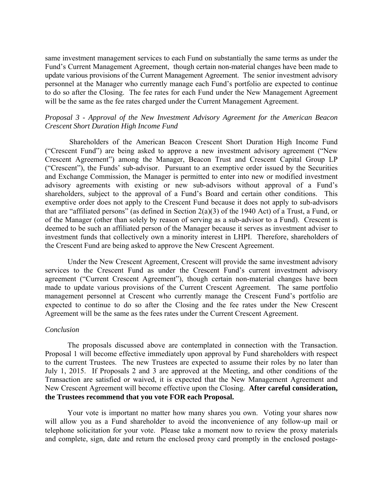same investment management services to each Fund on substantially the same terms as under the Fund's Current Management Agreement, though certain non-material changes have been made to update various provisions of the Current Management Agreement. The senior investment advisory personnel at the Manager who currently manage each Fund's portfolio are expected to continue to do so after the Closing. The fee rates for each Fund under the New Management Agreement will be the same as the fee rates charged under the Current Management Agreement.

## *Proposal 3 - Approval of the New Investment Advisory Agreement for the American Beacon Crescent Short Duration High Income Fund*

 Shareholders of the American Beacon Crescent Short Duration High Income Fund ("Crescent Fund") are being asked to approve a new investment advisory agreement ("New Crescent Agreement") among the Manager, Beacon Trust and Crescent Capital Group LP ("Crescent"), the Funds' sub-advisor. Pursuant to an exemptive order issued by the Securities and Exchange Commission, the Manager is permitted to enter into new or modified investment advisory agreements with existing or new sub-advisors without approval of a Fund's shareholders, subject to the approval of a Fund's Board and certain other conditions. This exemptive order does not apply to the Crescent Fund because it does not apply to sub-advisors that are "affiliated persons" (as defined in Section 2(a)(3) of the 1940 Act) of a Trust, a Fund, or of the Manager (other than solely by reason of serving as a sub-advisor to a Fund). Crescent is deemed to be such an affiliated person of the Manager because it serves as investment adviser to investment funds that collectively own a minority interest in LHPI. Therefore, shareholders of the Crescent Fund are being asked to approve the New Crescent Agreement.

Under the New Crescent Agreement, Crescent will provide the same investment advisory services to the Crescent Fund as under the Crescent Fund's current investment advisory agreement ("Current Crescent Agreement"), though certain non-material changes have been made to update various provisions of the Current Crescent Agreement. The same portfolio management personnel at Crescent who currently manage the Crescent Fund's portfolio are expected to continue to do so after the Closing and the fee rates under the New Crescent Agreement will be the same as the fees rates under the Current Crescent Agreement.

#### *Conclusion*

The proposals discussed above are contemplated in connection with the Transaction. Proposal 1 will become effective immediately upon approval by Fund shareholders with respect to the current Trustees. The new Trustees are expected to assume their roles by no later than July 1, 2015. If Proposals 2 and 3 are approved at the Meeting, and other conditions of the Transaction are satisfied or waived, it is expected that the New Management Agreement and New Crescent Agreement will become effective upon the Closing. **After careful consideration, the Trustees recommend that you vote FOR each Proposal.**

Your vote is important no matter how many shares you own. Voting your shares now will allow you as a Fund shareholder to avoid the inconvenience of any follow-up mail or telephone solicitation for your vote. Please take a moment now to review the proxy materials and complete, sign, date and return the enclosed proxy card promptly in the enclosed postage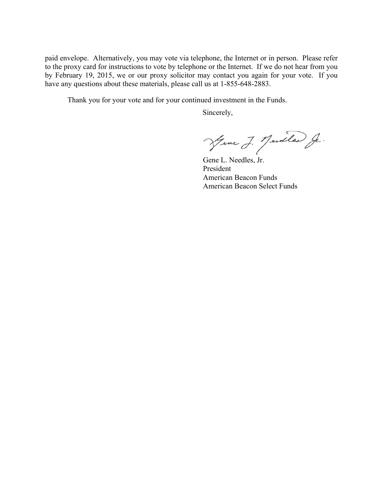paid envelope. Alternatively, you may vote via telephone, the Internet or in person. Please refer to the proxy card for instructions to vote by telephone or the Internet. If we do not hear from you by February 19, 2015, we or our proxy solicitor may contact you again for your vote. If you have any questions about these materials, please call us at  $1-855-648-2883$ .

Thank you for your vote and for your continued investment in the Funds.

Sincerely,

Jeme J. Jedle J.

Gene L. Needles, Jr. President American Beacon Funds American Beacon Select Funds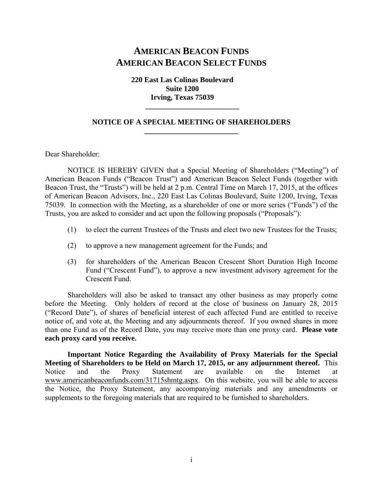# **AMERICAN BEACON FUNDS AMERICAN BEACON SELECT FUNDS**

**220 East Las Colinas Boulevard Suite 1200 Irving, Texas 75039** 

## **NOTICE OF A SPECIAL MEETING OF SHAREHOLDERS \_\_\_\_\_\_\_\_\_\_\_\_\_\_\_\_\_\_\_\_\_\_\_\_\_**

 **\_\_\_\_\_\_\_\_\_\_\_\_\_\_\_\_\_\_\_\_\_\_\_\_\_** 

Dear Shareholder:

NOTICE IS HEREBY GIVEN that a Special Meeting of Shareholders ("Meeting") of American Beacon Funds ("Beacon Trust") and American Beacon Select Funds (together with Beacon Trust, the "Trusts") will be held at 2 p.m. Central Time on March 17, 2015, at the offices of American Beacon Advisors, Inc., 220 East Las Colinas Boulevard, Suite 1200, Irving, Texas 75039. In connection with the Meeting, as a shareholder of one or more series ("Funds") of the Trusts, you are asked to consider and act upon the following proposals ("Proposals"):

- (1) to elect the current Trustees of the Trusts and elect two new Trustees for the Trusts;
- (2) to approve a new management agreement for the Funds; and
- (3) for shareholders of the American Beacon Crescent Short Duration High Income Fund ("Crescent Fund"), to approve a new investment advisory agreement for the Crescent Fund.

Shareholders will also be asked to transact any other business as may properly come before the Meeting. Only holders of record at the close of business on January 28, 2015 ("Record Date"), of shares of beneficial interest of each affected Fund are entitled to receive notice of, and vote at, the Meeting and any adjournments thereof. If you owned shares in more than one Fund as of the Record Date, you may receive more than one proxy card. **Please vote each proxy card you receive.** 

**Important Notice Regarding the Availability of Proxy Materials for the Special Meeting of Shareholders to be Held on March 17, 2015, or any adjournment thereof.** This Notice and the Proxy Statement are available on the Internet at www.americanbeaconfunds.com/31715shmtg.aspx.On this website, you will be able to access the Notice, the Proxy Statement, any accompanying materials and any amendments or supplements to the foregoing materials that are required to be furnished to shareholders.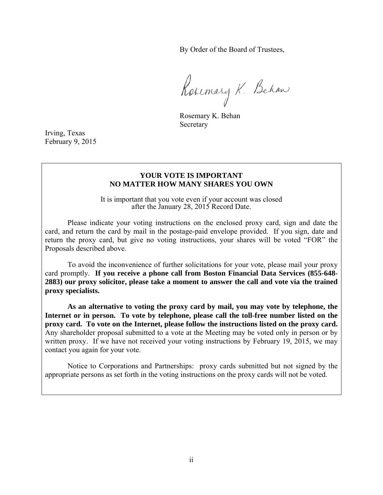By Order of the Board of Trustees,

Rosemary K. Behan

Rosemary K. Behan **Secretary** 

Irving, Texas February 9, 2015

## **YOUR VOTE IS IMPORTANT NO MATTER HOW MANY SHARES YOU OWN**

It is important that you vote even if your account was closed after the January 28, 2015 Record Date.

Please indicate your voting instructions on the enclosed proxy card, sign and date the card, and return the card by mail in the postage-paid envelope provided. If you sign, date and return the proxy card, but give no voting instructions, your shares will be voted "FOR" the Proposals described above.

To avoid the inconvenience of further solicitations for your vote, please mail your proxy card promptly. **If you receive a phone call from Boston Financial Data Services (855-648- 2883) our proxy solicitor, please take a moment to answer the call and vote via the trained proxy specialists.** 

**As an alternative to voting the proxy card by mail, you may vote by telephone, the Internet or in person. To vote by telephone, please call the toll-free number listed on the proxy card. To vote on the Internet, please follow the instructions listed on the proxy card.** Any shareholder proposal submitted to a vote at the Meeting may be voted only in person or by written proxy. If we have not received your voting instructions by February 19, 2015, we may contact you again for your vote.

Notice to Corporations and Partnerships: proxy cards submitted but not signed by the appropriate persons as set forth in the voting instructions on the proxy cards will not be voted.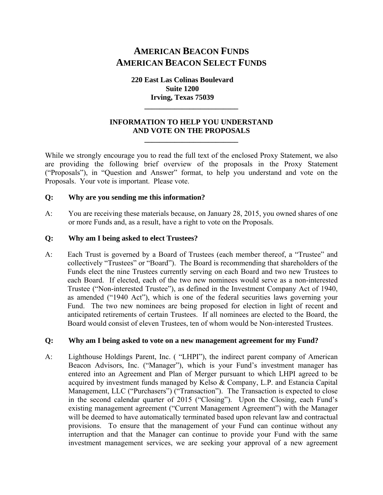# **AMERICAN BEACON FUNDS AMERICAN BEACON SELECT FUNDS**

**220 East Las Colinas Boulevard Suite 1200 Irving, Texas 75039** 

## **INFORMATION TO HELP YOU UNDERSTAND AND VOTE ON THE PROPOSALS**

**\_\_\_\_\_\_\_\_\_\_\_\_\_\_\_\_\_\_\_\_\_\_\_\_\_** 

**\_\_\_\_\_\_\_\_\_\_\_\_\_\_\_\_\_\_\_\_\_\_\_\_\_** 

While we strongly encourage you to read the full text of the enclosed Proxy Statement, we also are providing the following brief overview of the proposals in the Proxy Statement ("Proposals"), in "Question and Answer" format, to help you understand and vote on the Proposals. Your vote is important. Please vote.

## **Q: Why are you sending me this information?**

A: You are receiving these materials because, on January 28, 2015, you owned shares of one or more Funds and, as a result, have a right to vote on the Proposals.

## **Q: Why am I being asked to elect Trustees?**

A: Each Trust is governed by a Board of Trustees (each member thereof, a "Trustee" and collectively "Trustees" or "Board"). The Board is recommending that shareholders of the Funds elect the nine Trustees currently serving on each Board and two new Trustees to each Board. If elected, each of the two new nominees would serve as a non-interested Trustee ("Non-interested Trustee"), as defined in the Investment Company Act of 1940, as amended ("1940 Act"), which is one of the federal securities laws governing your Fund. The two new nominees are being proposed for election in light of recent and anticipated retirements of certain Trustees. If all nominees are elected to the Board, the Board would consist of eleven Trustees, ten of whom would be Non-interested Trustees.

### **Q: Why am I being asked to vote on a new management agreement for my Fund?**

A: Lighthouse Holdings Parent, Inc. ( "LHPI"), the indirect parent company of American Beacon Advisors, Inc. ("Manager"), which is your Fund's investment manager has entered into an Agreement and Plan of Merger pursuant to which LHPI agreed to be acquired by investment funds managed by Kelso & Company, L.P. and Estancia Capital Management, LLC ("Purchasers") ("Transaction"). The Transaction is expected to close in the second calendar quarter of 2015 ("Closing"). Upon the Closing, each Fund's existing management agreement ("Current Management Agreement") with the Manager will be deemed to have automatically terminated based upon relevant law and contractual provisions. To ensure that the management of your Fund can continue without any interruption and that the Manager can continue to provide your Fund with the same investment management services, we are seeking your approval of a new agreement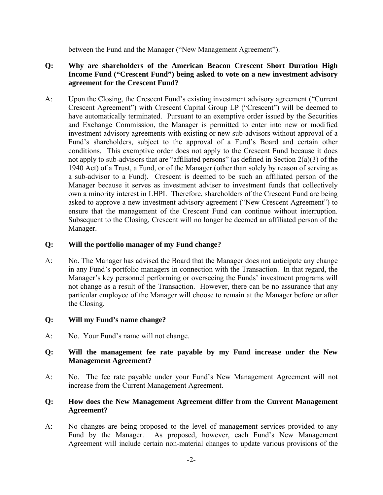between the Fund and the Manager ("New Management Agreement").

# **Q: Why are shareholders of the American Beacon Crescent Short Duration High Income Fund ("Crescent Fund") being asked to vote on a new investment advisory agreement for the Crescent Fund?**

A: Upon the Closing, the Crescent Fund's existing investment advisory agreement ("Current Crescent Agreement") with Crescent Capital Group LP ("Crescent") will be deemed to have automatically terminated. Pursuant to an exemptive order issued by the Securities and Exchange Commission, the Manager is permitted to enter into new or modified investment advisory agreements with existing or new sub-advisors without approval of a Fund's shareholders, subject to the approval of a Fund's Board and certain other conditions. This exemptive order does not apply to the Crescent Fund because it does not apply to sub-advisors that are "affiliated persons" (as defined in Section 2(a)(3) of the 1940 Act) of a Trust, a Fund, or of the Manager (other than solely by reason of serving as a sub-advisor to a Fund). Crescent is deemed to be such an affiliated person of the Manager because it serves as investment adviser to investment funds that collectively own a minority interest in LHPI. Therefore, shareholders of the Crescent Fund are being asked to approve a new investment advisory agreement ("New Crescent Agreement") to ensure that the management of the Crescent Fund can continue without interruption. Subsequent to the Closing, Crescent will no longer be deemed an affiliated person of the Manager.

# **Q: Will the portfolio manager of my Fund change?**

A: No. The Manager has advised the Board that the Manager does not anticipate any change in any Fund's portfolio managers in connection with the Transaction. In that regard, the Manager's key personnel performing or overseeing the Funds' investment programs will not change as a result of the Transaction. However, there can be no assurance that any particular employee of the Manager will choose to remain at the Manager before or after the Closing.

# **Q: Will my Fund's name change?**

A: No. Your Fund's name will not change.

# **Q: Will the management fee rate payable by my Fund increase under the New Management Agreement?**

A: No. The fee rate payable under your Fund's New Management Agreement will not increase from the Current Management Agreement.

## **Q: How does the New Management Agreement differ from the Current Management Agreement?**

A: No changes are being proposed to the level of management services provided to any Fund by the Manager. As proposed, however, each Fund's New Management Agreement will include certain non-material changes to update various provisions of the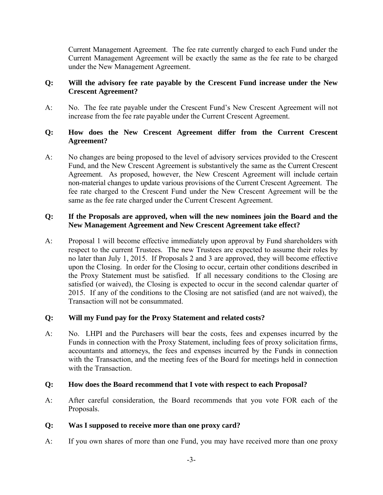Current Management Agreement. The fee rate currently charged to each Fund under the Current Management Agreement will be exactly the same as the fee rate to be charged under the New Management Agreement.

# **Q: Will the advisory fee rate payable by the Crescent Fund increase under the New Crescent Agreement?**

A: No. The fee rate payable under the Crescent Fund's New Crescent Agreement will not increase from the fee rate payable under the Current Crescent Agreement.

# **Q: How does the New Crescent Agreement differ from the Current Crescent Agreement?**

A: No changes are being proposed to the level of advisory services provided to the Crescent Fund, and the New Crescent Agreement is substantively the same as the Current Crescent Agreement. As proposed, however, the New Crescent Agreement will include certain non-material changes to update various provisions of the Current Crescent Agreement. The fee rate charged to the Crescent Fund under the New Crescent Agreement will be the same as the fee rate charged under the Current Crescent Agreement.

## **Q: If the Proposals are approved, when will the new nominees join the Board and the New Management Agreement and New Crescent Agreement take effect?**

A: Proposal 1 will become effective immediately upon approval by Fund shareholders with respect to the current Trustees. The new Trustees are expected to assume their roles by no later than July 1, 2015. If Proposals 2 and 3 are approved, they will become effective upon the Closing. In order for the Closing to occur, certain other conditions described in the Proxy Statement must be satisfied. If all necessary conditions to the Closing are satisfied (or waived), the Closing is expected to occur in the second calendar quarter of 2015. If any of the conditions to the Closing are not satisfied (and are not waived), the Transaction will not be consummated.

# **Q: Will my Fund pay for the Proxy Statement and related costs?**

A: No. LHPI and the Purchasers will bear the costs, fees and expenses incurred by the Funds in connection with the Proxy Statement, including fees of proxy solicitation firms, accountants and attorneys, the fees and expenses incurred by the Funds in connection with the Transaction, and the meeting fees of the Board for meetings held in connection with the Transaction.

## **Q: How does the Board recommend that I vote with respect to each Proposal?**

A: After careful consideration, the Board recommends that you vote FOR each of the Proposals.

# **Q: Was I supposed to receive more than one proxy card?**

A: If you own shares of more than one Fund, you may have received more than one proxy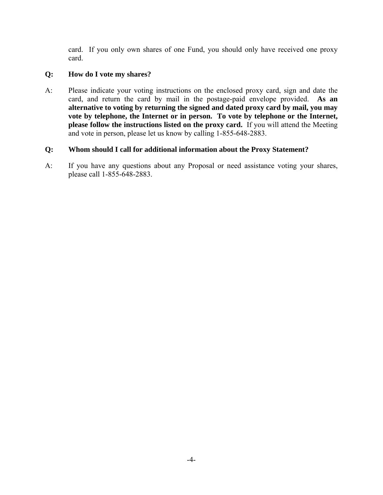card. If you only own shares of one Fund, you should only have received one proxy card.

## **Q: How do I vote my shares?**

A: Please indicate your voting instructions on the enclosed proxy card, sign and date the card, and return the card by mail in the postage-paid envelope provided. **As an alternative to voting by returning the signed and dated proxy card by mail, you may**  vote by telephone, the Internet or in person. To vote by telephone or the Internet, **please follow the instructions listed on the proxy card.** If you will attend the Meeting and vote in person, please let us know by calling 1-855-648-2883.

## **Q: Whom should I call for additional information about the Proxy Statement?**

A: If you have any questions about any Proposal or need assistance voting your shares, please call 1-855-648-2883.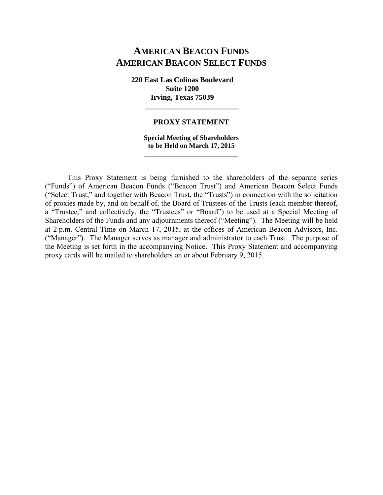# **AMERICAN BEACON FUNDS AMERICAN BEACON SELECT FUNDS**

**220 East Las Colinas Boulevard Suite 1200 Irving, Texas 75039** 

#### **PROXY STATEMENT**

 **\_\_\_\_\_\_\_\_\_\_\_\_\_\_\_\_\_\_\_\_\_\_\_\_\_** 

## **Special Meeting of Shareholders to be Held on March 17, 2015 \_\_\_\_\_\_\_\_\_\_\_\_\_\_\_\_\_\_\_\_\_\_\_\_\_**

This Proxy Statement is being furnished to the shareholders of the separate series ("Funds") of American Beacon Funds ("Beacon Trust") and American Beacon Select Funds ("Select Trust," and together with Beacon Trust, the "Trusts") in connection with the solicitation of proxies made by, and on behalf of, the Board of Trustees of the Trusts (each member thereof, a "Trustee," and collectively, the "Trustees" or "Board") to be used at a Special Meeting of Shareholders of the Funds and any adjournments thereof ("Meeting"). The Meeting will be held at 2 p.m. Central Time on March 17, 2015, at the offices of American Beacon Advisors, Inc. ("Manager"). The Manager serves as manager and administrator to each Trust. The purpose of the Meeting is set forth in the accompanying Notice. This Proxy Statement and accompanying proxy cards will be mailed to shareholders on or about February 9, 2015.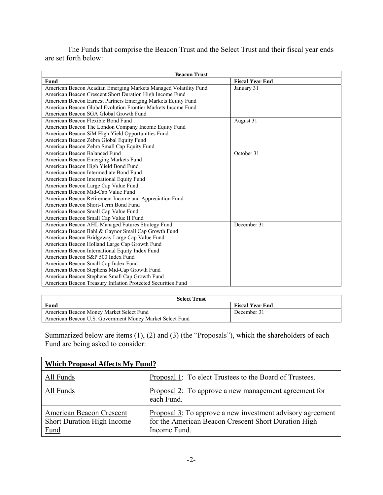The Funds that comprise the Beacon Trust and the Select Trust and their fiscal year ends are set forth below:

| <b>Beacon Trust</b>                                              |                        |  |  |  |  |  |
|------------------------------------------------------------------|------------------------|--|--|--|--|--|
| Fund                                                             | <b>Fiscal Year End</b> |  |  |  |  |  |
| American Beacon Acadian Emerging Markets Managed Volatility Fund | January 31             |  |  |  |  |  |
| American Beacon Crescent Short Duration High Income Fund         |                        |  |  |  |  |  |
| American Beacon Earnest Partners Emerging Markets Equity Fund    |                        |  |  |  |  |  |
| American Beacon Global Evolution Frontier Markets Income Fund    |                        |  |  |  |  |  |
| American Beacon SGA Global Growth Fund                           |                        |  |  |  |  |  |
| American Beacon Flexible Bond Fund                               | August 31              |  |  |  |  |  |
| American Beacon The London Company Income Equity Fund            |                        |  |  |  |  |  |
| American Beacon SiM High Yield Opportunities Fund                |                        |  |  |  |  |  |
| American Beacon Zebra Global Equity Fund                         |                        |  |  |  |  |  |
| American Beacon Zebra Small Cap Equity Fund                      |                        |  |  |  |  |  |
| American Beacon Balanced Fund                                    | October 31             |  |  |  |  |  |
| American Beacon Emerging Markets Fund                            |                        |  |  |  |  |  |
| American Beacon High Yield Bond Fund                             |                        |  |  |  |  |  |
| American Beacon Intermediate Bond Fund                           |                        |  |  |  |  |  |
| American Beacon International Equity Fund                        |                        |  |  |  |  |  |
| American Beacon Large Cap Value Fund                             |                        |  |  |  |  |  |
| American Beacon Mid-Cap Value Fund                               |                        |  |  |  |  |  |
| American Beacon Retirement Income and Appreciation Fund          |                        |  |  |  |  |  |
| American Beacon Short-Term Bond Fund                             |                        |  |  |  |  |  |
| American Beacon Small Cap Value Fund                             |                        |  |  |  |  |  |
| American Beacon Small Cap Value II Fund                          |                        |  |  |  |  |  |
| American Beacon AHL Managed Futures Strategy Fund                | December 31            |  |  |  |  |  |
| American Beacon Bahl & Gaynor Small Cap Growth Fund              |                        |  |  |  |  |  |
| American Beacon Bridgeway Large Cap Value Fund                   |                        |  |  |  |  |  |
| American Beacon Holland Large Cap Growth Fund                    |                        |  |  |  |  |  |
| American Beacon International Equity Index Fund                  |                        |  |  |  |  |  |
| American Beacon S&P 500 Index Fund                               |                        |  |  |  |  |  |
| American Beacon Small Cap Index Fund                             |                        |  |  |  |  |  |
| American Beacon Stephens Mid-Cap Growth Fund                     |                        |  |  |  |  |  |
| American Beacon Stephens Small Cap Growth Fund                   |                        |  |  |  |  |  |
| American Beacon Treasury Inflation Protected Securities Fund     |                        |  |  |  |  |  |

| <b>Select Trust</b>                                      |                        |  |  |  |  |  |  |
|----------------------------------------------------------|------------------------|--|--|--|--|--|--|
| Fund                                                     | <b>Fiscal Year End</b> |  |  |  |  |  |  |
| American Beacon Money Market Select Fund                 | December 31            |  |  |  |  |  |  |
| American Beacon U.S. Government Money Market Select Fund |                        |  |  |  |  |  |  |

Summarized below are items (1), (2) and (3) (the "Proposals"), which the shareholders of each Fund are being asked to consider:

| <b>Which Proposal Affects My Fund?</b>                                |                                                                                                                                    |  |  |  |  |  |
|-----------------------------------------------------------------------|------------------------------------------------------------------------------------------------------------------------------------|--|--|--|--|--|
| All Funds                                                             | Proposal 1: To elect Trustees to the Board of Trustees.                                                                            |  |  |  |  |  |
| All Funds                                                             | Proposal 2: To approve a new management agreement for<br>each Fund.                                                                |  |  |  |  |  |
| American Beacon Crescent<br>Short Duration High Income<br><b>Fund</b> | Proposal 3: To approve a new investment advisory agreement<br>for the American Beacon Crescent Short Duration High<br>Income Fund. |  |  |  |  |  |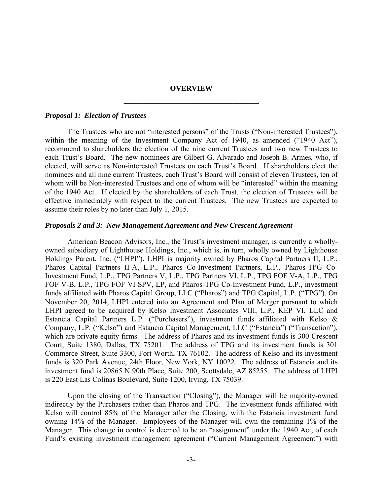# **OVERVIEW**  \_\_\_\_\_\_\_\_\_\_\_\_\_\_\_\_\_\_\_\_\_\_\_\_\_\_\_\_\_\_\_\_\_\_\_\_

\_\_\_\_\_\_\_\_\_\_\_\_\_\_\_\_\_\_\_\_\_\_\_\_\_\_\_\_\_\_\_\_\_\_\_\_

#### *Proposal 1: Election of Trustees*

The Trustees who are not "interested persons" of the Trusts ("Non-interested Trustees"), within the meaning of the Investment Company Act of 1940, as amended ("1940 Act"), recommend to shareholders the election of the nine current Trustees and two new Trustees to each Trust's Board. The new nominees are Gilbert G. Alvarado and Joseph B. Armes, who, if elected, will serve as Non-interested Trustees on each Trust's Board. If shareholders elect the nominees and all nine current Trustees, each Trust's Board will consist of eleven Trustees, ten of whom will be Non-interested Trustees and one of whom will be "interested" within the meaning of the 1940 Act. If elected by the shareholders of each Trust, the election of Trustees will be effective immediately with respect to the current Trustees. The new Trustees are expected to assume their roles by no later than July 1, 2015.

#### *Proposals 2 and 3: New Management Agreement and New Crescent Agreement*

American Beacon Advisors, Inc., the Trust's investment manager, is currently a whollyowned subsidiary of Lighthouse Holdings, Inc., which is, in turn, wholly owned by Lighthouse Holdings Parent, Inc. ("LHPI"). LHPI is majority owned by Pharos Capital Partners II, L.P., Pharos Capital Partners II-A, L.P., Pharos Co-Investment Partners, L.P., Pharos-TPG Co-Investment Fund, L.P., TPG Partners V, L.P., TPG Partners VI, L.P., TPG FOF V-A, L.P., TPG FOF V-B, L.P., TPG FOF VI SPV, LP, and Pharos-TPG Co-Investment Fund, L.P., investment funds affiliated with Pharos Capital Group, LLC ("Pharos") and TPG Capital, L.P. ("TPG"). On November 20, 2014, LHPI entered into an Agreement and Plan of Merger pursuant to which LHPI agreed to be acquired by Kelso Investment Associates VIII, L.P., KEP VI, LLC and Estancia Capital Partners L.P. ("Purchasers"), investment funds affiliated with Kelso & Company, L.P. ("Kelso") and Estancia Capital Management, LLC ("Estancia") ("Transaction"), which are private equity firms. The address of Pharos and its investment funds is 300 Crescent Court, Suite 1380, Dallas, TX 75201. The address of TPG and its investment funds is 301 Commerce Street, Suite 3300, Fort Worth, TX 76102. The address of Kelso and its investment funds is 320 Park Avenue, 24th Floor, New York, NY 10022. The address of Estancia and its investment fund is 20865 N 90th Place, Suite 200, Scottsdale, AZ 85255. The address of LHPI is 220 East Las Colinas Boulevard, Suite 1200, Irving, TX 75039.

Upon the closing of the Transaction ("Closing"), the Manager will be majority-owned indirectly by the Purchasers rather than Pharos and TPG. The investment funds affiliated with Kelso will control 85% of the Manager after the Closing, with the Estancia investment fund owning 14% of the Manager. Employees of the Manager will own the remaining 1% of the Manager. This change in control is deemed to be an "assignment" under the 1940 Act, of each Fund's existing investment management agreement ("Current Management Agreement") with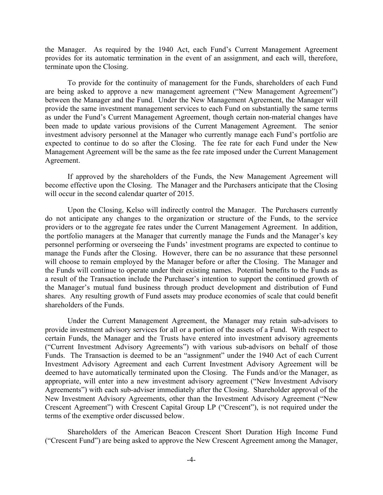the Manager. As required by the 1940 Act, each Fund's Current Management Agreement provides for its automatic termination in the event of an assignment, and each will, therefore, terminate upon the Closing.

To provide for the continuity of management for the Funds, shareholders of each Fund are being asked to approve a new management agreement ("New Management Agreement") between the Manager and the Fund. Under the New Management Agreement, the Manager will provide the same investment management services to each Fund on substantially the same terms as under the Fund's Current Management Agreement, though certain non-material changes have been made to update various provisions of the Current Management Agreement. The senior investment advisory personnel at the Manager who currently manage each Fund's portfolio are expected to continue to do so after the Closing. The fee rate for each Fund under the New Management Agreement will be the same as the fee rate imposed under the Current Management Agreement.

If approved by the shareholders of the Funds, the New Management Agreement will become effective upon the Closing. The Manager and the Purchasers anticipate that the Closing will occur in the second calendar quarter of 2015.

Upon the Closing, Kelso will indirectly control the Manager. The Purchasers currently do not anticipate any changes to the organization or structure of the Funds, to the service providers or to the aggregate fee rates under the Current Management Agreement. In addition, the portfolio managers at the Manager that currently manage the Funds and the Manager's key personnel performing or overseeing the Funds' investment programs are expected to continue to manage the Funds after the Closing. However, there can be no assurance that these personnel will choose to remain employed by the Manager before or after the Closing. The Manager and the Funds will continue to operate under their existing names. Potential benefits to the Funds as a result of the Transaction include the Purchaser's intention to support the continued growth of the Manager's mutual fund business through product development and distribution of Fund shares. Any resulting growth of Fund assets may produce economies of scale that could benefit shareholders of the Funds.

Under the Current Management Agreement, the Manager may retain sub-advisors to provide investment advisory services for all or a portion of the assets of a Fund. With respect to certain Funds, the Manager and the Trusts have entered into investment advisory agreements ("Current Investment Advisory Agreements") with various sub-advisors on behalf of those Funds. The Transaction is deemed to be an "assignment" under the 1940 Act of each Current Investment Advisory Agreement and each Current Investment Advisory Agreement will be deemed to have automatically terminated upon the Closing. The Funds and/or the Manager, as appropriate, will enter into a new investment advisory agreement ("New Investment Advisory Agreements") with each sub-adviser immediately after the Closing. Shareholder approval of the New Investment Advisory Agreements, other than the Investment Advisory Agreement ("New Crescent Agreement") with Crescent Capital Group LP ("Crescent"), is not required under the terms of the exemptive order discussed below.

Shareholders of the American Beacon Crescent Short Duration High Income Fund ("Crescent Fund") are being asked to approve the New Crescent Agreement among the Manager,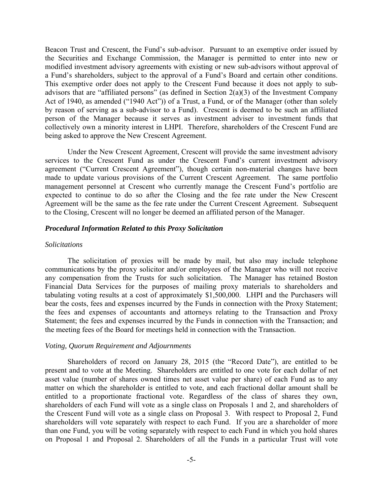Beacon Trust and Crescent, the Fund's sub-advisor. Pursuant to an exemptive order issued by the Securities and Exchange Commission, the Manager is permitted to enter into new or modified investment advisory agreements with existing or new sub-advisors without approval of a Fund's shareholders, subject to the approval of a Fund's Board and certain other conditions. This exemptive order does not apply to the Crescent Fund because it does not apply to subadvisors that are "affiliated persons" (as defined in Section  $2(a)(3)$  of the Investment Company Act of 1940, as amended ("1940 Act")) of a Trust, a Fund, or of the Manager (other than solely by reason of serving as a sub-advisor to a Fund). Crescent is deemed to be such an affiliated person of the Manager because it serves as investment adviser to investment funds that collectively own a minority interest in LHPI. Therefore, shareholders of the Crescent Fund are being asked to approve the New Crescent Agreement.

Under the New Crescent Agreement, Crescent will provide the same investment advisory services to the Crescent Fund as under the Crescent Fund's current investment advisory agreement ("Current Crescent Agreement"), though certain non-material changes have been made to update various provisions of the Current Crescent Agreement. The same portfolio management personnel at Crescent who currently manage the Crescent Fund's portfolio are expected to continue to do so after the Closing and the fee rate under the New Crescent Agreement will be the same as the fee rate under the Current Crescent Agreement. Subsequent to the Closing, Crescent will no longer be deemed an affiliated person of the Manager.

#### *Procedural Information Related to this Proxy Solicitation*

### *Solicitations*

The solicitation of proxies will be made by mail, but also may include telephone communications by the proxy solicitor and/or employees of the Manager who will not receive any compensation from the Trusts for such solicitation. The Manager has retained Boston Financial Data Services for the purposes of mailing proxy materials to shareholders and tabulating voting results at a cost of approximately \$1,500,000. LHPI and the Purchasers will bear the costs, fees and expenses incurred by the Funds in connection with the Proxy Statement; the fees and expenses of accountants and attorneys relating to the Transaction and Proxy Statement; the fees and expenses incurred by the Funds in connection with the Transaction; and the meeting fees of the Board for meetings held in connection with the Transaction.

#### *Voting, Quorum Requirement and Adjournments*

Shareholders of record on January 28, 2015 (the "Record Date"), are entitled to be present and to vote at the Meeting. Shareholders are entitled to one vote for each dollar of net asset value (number of shares owned times net asset value per share) of each Fund as to any matter on which the shareholder is entitled to vote, and each fractional dollar amount shall be entitled to a proportionate fractional vote. Regardless of the class of shares they own, shareholders of each Fund will vote as a single class on Proposals 1 and 2, and shareholders of the Crescent Fund will vote as a single class on Proposal 3. With respect to Proposal 2, Fund shareholders will vote separately with respect to each Fund. If you are a shareholder of more than one Fund, you will be voting separately with respect to each Fund in which you hold shares on Proposal 1 and Proposal 2. Shareholders of all the Funds in a particular Trust will vote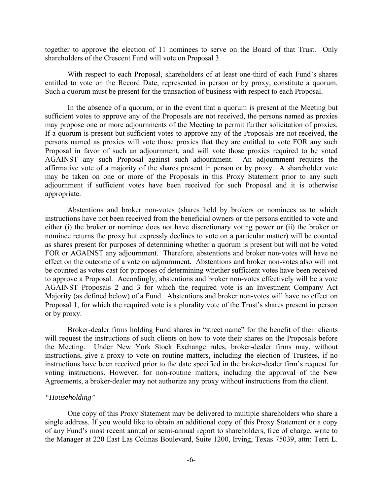together to approve the election of 11 nominees to serve on the Board of that Trust. Only shareholders of the Crescent Fund will vote on Proposal 3.

With respect to each Proposal, shareholders of at least one-third of each Fund's shares entitled to vote on the Record Date, represented in person or by proxy, constitute a quorum. Such a quorum must be present for the transaction of business with respect to each Proposal.

In the absence of a quorum, or in the event that a quorum is present at the Meeting but sufficient votes to approve any of the Proposals are not received, the persons named as proxies may propose one or more adjournments of the Meeting to permit further solicitation of proxies. If a quorum is present but sufficient votes to approve any of the Proposals are not received, the persons named as proxies will vote those proxies that they are entitled to vote FOR any such Proposal in favor of such an adjournment, and will vote those proxies required to be voted AGAINST any such Proposal against such adjournment. An adjournment requires the affirmative vote of a majority of the shares present in person or by proxy. A shareholder vote may be taken on one or more of the Proposals in this Proxy Statement prior to any such adjournment if sufficient votes have been received for such Proposal and it is otherwise appropriate.

Abstentions and broker non-votes (shares held by brokers or nominees as to which instructions have not been received from the beneficial owners or the persons entitled to vote and either (i) the broker or nominee does not have discretionary voting power or (ii) the broker or nominee returns the proxy but expressly declines to vote on a particular matter) will be counted as shares present for purposes of determining whether a quorum is present but will not be voted FOR or AGAINST any adjournment. Therefore, abstentions and broker non-votes will have no effect on the outcome of a vote on adjournment. Abstentions and broker non-votes also will not be counted as votes cast for purposes of determining whether sufficient votes have been received to approve a Proposal. Accordingly, abstentions and broker non-votes effectively will be a vote AGAINST Proposals 2 and 3 for which the required vote is an Investment Company Act Majority (as defined below) of a Fund. Abstentions and broker non-votes will have no effect on Proposal 1, for which the required vote is a plurality vote of the Trust's shares present in person or by proxy.

Broker-dealer firms holding Fund shares in "street name" for the benefit of their clients will request the instructions of such clients on how to vote their shares on the Proposals before the Meeting. Under New York Stock Exchange rules, broker-dealer firms may, without instructions, give a proxy to vote on routine matters, including the election of Trustees, if no instructions have been received prior to the date specified in the broker-dealer firm's request for voting instructions. However, for non-routine matters, including the approval of the New Agreements, a broker-dealer may not authorize any proxy without instructions from the client.

#### *"Householding"*

One copy of this Proxy Statement may be delivered to multiple shareholders who share a single address. If you would like to obtain an additional copy of this Proxy Statement or a copy of any Fund's most recent annual or semi-annual report to shareholders, free of charge, write to the Manager at 220 East Las Colinas Boulevard, Suite 1200, Irving, Texas 75039, attn: Terri L.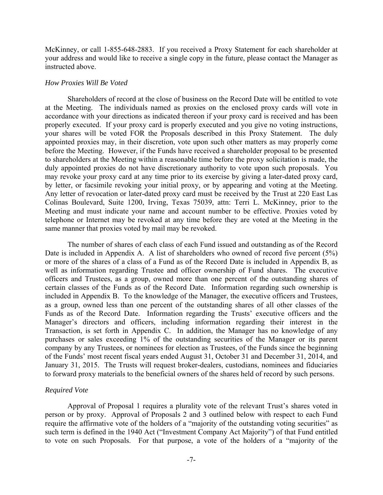McKinney, or call 1-855-648-2883. If you received a Proxy Statement for each shareholder at your address and would like to receive a single copy in the future, please contact the Manager as instructed above.

#### *How Proxies Will Be Voted*

Shareholders of record at the close of business on the Record Date will be entitled to vote at the Meeting. The individuals named as proxies on the enclosed proxy cards will vote in accordance with your directions as indicated thereon if your proxy card is received and has been properly executed. If your proxy card is properly executed and you give no voting instructions, your shares will be voted FOR the Proposals described in this Proxy Statement. The duly appointed proxies may, in their discretion, vote upon such other matters as may properly come before the Meeting. However, if the Funds have received a shareholder proposal to be presented to shareholders at the Meeting within a reasonable time before the proxy solicitation is made, the duly appointed proxies do not have discretionary authority to vote upon such proposals. You may revoke your proxy card at any time prior to its exercise by giving a later-dated proxy card, by letter, or facsimile revoking your initial proxy, or by appearing and voting at the Meeting. Any letter of revocation or later-dated proxy card must be received by the Trust at 220 East Las Colinas Boulevard, Suite 1200, Irving, Texas 75039, attn: Terri L. McKinney, prior to the Meeting and must indicate your name and account number to be effective. Proxies voted by telephone or Internet may be revoked at any time before they are voted at the Meeting in the same manner that proxies voted by mail may be revoked.

The number of shares of each class of each Fund issued and outstanding as of the Record Date is included in Appendix A. A list of shareholders who owned of record five percent (5%) or more of the shares of a class of a Fund as of the Record Date is included in Appendix B, as well as information regarding Trustee and officer ownership of Fund shares. The executive officers and Trustees, as a group, owned more than one percent of the outstanding shares of certain classes of the Funds as of the Record Date. Information regarding such ownership is included in Appendix B. To the knowledge of the Manager, the executive officers and Trustees, as a group, owned less than one percent of the outstanding shares of all other classes of the Funds as of the Record Date. Information regarding the Trusts' executive officers and the Manager's directors and officers, including information regarding their interest in the Transaction, is set forth in Appendix C. In addition, the Manager has no knowledge of any purchases or sales exceeding 1% of the outstanding securities of the Manager or its parent company by any Trustees, or nominees for election as Trustees, of the Funds since the beginning of the Funds' most recent fiscal years ended August 31, October 31 and December 31, 2014, and January 31, 2015. The Trusts will request broker-dealers, custodians, nominees and fiduciaries to forward proxy materials to the beneficial owners of the shares held of record by such persons.

#### *Required Vote*

Approval of Proposal 1 requires a plurality vote of the relevant Trust's shares voted in person or by proxy. Approval of Proposals 2 and 3 outlined below with respect to each Fund require the affirmative vote of the holders of a "majority of the outstanding voting securities" as such term is defined in the 1940 Act ("Investment Company Act Majority") of that Fund entitled to vote on such Proposals. For that purpose, a vote of the holders of a "majority of the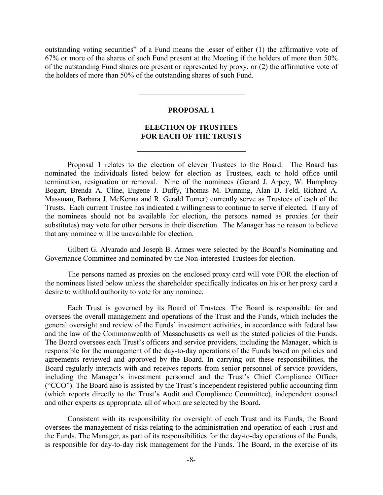outstanding voting securities" of a Fund means the lesser of either (1) the affirmative vote of 67% or more of the shares of such Fund present at the Meeting if the holders of more than 50% of the outstanding Fund shares are present or represented by proxy, or (2) the affirmative vote of the holders of more than 50% of the outstanding shares of such Fund.

### **PROPOSAL 1**

 $\overline{\phantom{a}}$  , where  $\overline{\phantom{a}}$  , where  $\overline{\phantom{a}}$  , where  $\overline{\phantom{a}}$ 

## **ELECTION OF TRUSTEES FOR EACH OF THE TRUSTS**

**\_\_\_\_\_\_\_\_\_\_\_\_\_\_\_\_\_\_\_\_\_\_\_\_\_\_\_\_\_** 

Proposal 1 relates to the election of eleven Trustees to the Board. The Board has nominated the individuals listed below for election as Trustees, each to hold office until termination, resignation or removal. Nine of the nominees (Gerard J. Arpey, W. Humphrey Bogart, Brenda A. Cline, Eugene J. Duffy, Thomas M. Dunning, Alan D. Feld, Richard A. Massman, Barbara J. McKenna and R. Gerald Turner) currently serve as Trustees of each of the Trusts. Each current Trustee has indicated a willingness to continue to serve if elected. If any of the nominees should not be available for election, the persons named as proxies (or their substitutes) may vote for other persons in their discretion. The Manager has no reason to believe that any nominee will be unavailable for election.

Gilbert G. Alvarado and Joseph B. Armes were selected by the Board's Nominating and Governance Committee and nominated by the Non-interested Trustees for election.

The persons named as proxies on the enclosed proxy card will vote FOR the election of the nominees listed below unless the shareholder specifically indicates on his or her proxy card a desire to withhold authority to vote for any nominee.

Each Trust is governed by its Board of Trustees. The Board is responsible for and oversees the overall management and operations of the Trust and the Funds, which includes the general oversight and review of the Funds' investment activities, in accordance with federal law and the law of the Commonwealth of Massachusetts as well as the stated policies of the Funds. The Board oversees each Trust's officers and service providers, including the Manager, which is responsible for the management of the day-to-day operations of the Funds based on policies and agreements reviewed and approved by the Board. In carrying out these responsibilities, the Board regularly interacts with and receives reports from senior personnel of service providers, including the Manager's investment personnel and the Trust's Chief Compliance Officer ("CCO"). The Board also is assisted by the Trust's independent registered public accounting firm (which reports directly to the Trust's Audit and Compliance Committee), independent counsel and other experts as appropriate, all of whom are selected by the Board.

Consistent with its responsibility for oversight of each Trust and its Funds, the Board oversees the management of risks relating to the administration and operation of each Trust and the Funds. The Manager, as part of its responsibilities for the day-to-day operations of the Funds, is responsible for day-to-day risk management for the Funds. The Board, in the exercise of its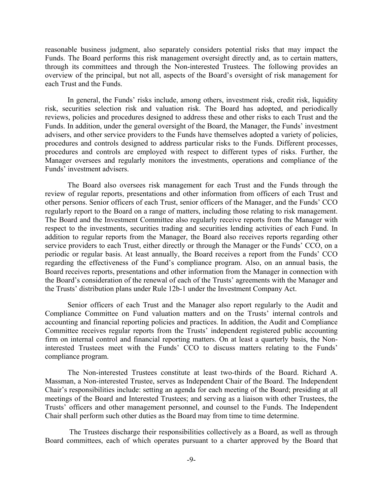reasonable business judgment, also separately considers potential risks that may impact the Funds. The Board performs this risk management oversight directly and, as to certain matters, through its committees and through the Non-interested Trustees. The following provides an overview of the principal, but not all, aspects of the Board's oversight of risk management for each Trust and the Funds.

In general, the Funds' risks include, among others, investment risk, credit risk, liquidity risk, securities selection risk and valuation risk. The Board has adopted, and periodically reviews, policies and procedures designed to address these and other risks to each Trust and the Funds. In addition, under the general oversight of the Board, the Manager, the Funds' investment advisers, and other service providers to the Funds have themselves adopted a variety of policies, procedures and controls designed to address particular risks to the Funds. Different processes, procedures and controls are employed with respect to different types of risks. Further, the Manager oversees and regularly monitors the investments, operations and compliance of the Funds' investment advisers.

The Board also oversees risk management for each Trust and the Funds through the review of regular reports, presentations and other information from officers of each Trust and other persons. Senior officers of each Trust, senior officers of the Manager, and the Funds' CCO regularly report to the Board on a range of matters, including those relating to risk management. The Board and the Investment Committee also regularly receive reports from the Manager with respect to the investments, securities trading and securities lending activities of each Fund. In addition to regular reports from the Manager, the Board also receives reports regarding other service providers to each Trust, either directly or through the Manager or the Funds' CCO, on a periodic or regular basis. At least annually, the Board receives a report from the Funds' CCO regarding the effectiveness of the Fund's compliance program. Also, on an annual basis, the Board receives reports, presentations and other information from the Manager in connection with the Board's consideration of the renewal of each of the Trusts' agreements with the Manager and the Trusts' distribution plans under Rule 12b-1 under the Investment Company Act.

Senior officers of each Trust and the Manager also report regularly to the Audit and Compliance Committee on Fund valuation matters and on the Trusts' internal controls and accounting and financial reporting policies and practices. In addition, the Audit and Compliance Committee receives regular reports from the Trusts' independent registered public accounting firm on internal control and financial reporting matters. On at least a quarterly basis, the Noninterested Trustees meet with the Funds' CCO to discuss matters relating to the Funds' compliance program.

The Non-interested Trustees constitute at least two-thirds of the Board. Richard A. Massman, a Non-interested Trustee, serves as Independent Chair of the Board. The Independent Chair's responsibilities include: setting an agenda for each meeting of the Board; presiding at all meetings of the Board and Interested Trustees; and serving as a liaison with other Trustees, the Trusts' officers and other management personnel, and counsel to the Funds. The Independent Chair shall perform such other duties as the Board may from time to time determine.

 The Trustees discharge their responsibilities collectively as a Board, as well as through Board committees, each of which operates pursuant to a charter approved by the Board that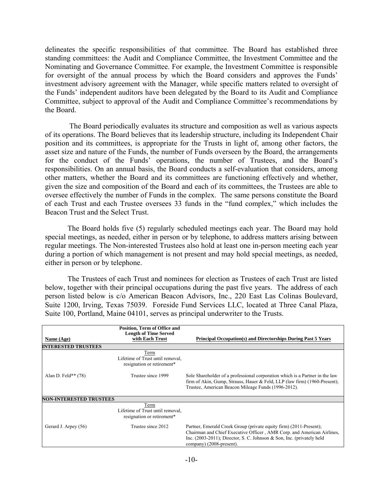delineates the specific responsibilities of that committee. The Board has established three standing committees: the Audit and Compliance Committee, the Investment Committee and the Nominating and Governance Committee. For example, the Investment Committee is responsible for oversight of the annual process by which the Board considers and approves the Funds' investment advisory agreement with the Manager, while specific matters related to oversight of the Funds' independent auditors have been delegated by the Board to its Audit and Compliance Committee, subject to approval of the Audit and Compliance Committee's recommendations by the Board.

 The Board periodically evaluates its structure and composition as well as various aspects of its operations. The Board believes that its leadership structure, including its Independent Chair position and its committees, is appropriate for the Trusts in light of, among other factors, the asset size and nature of the Funds, the number of Funds overseen by the Board, the arrangements for the conduct of the Funds' operations, the number of Trustees, and the Board's responsibilities. On an annual basis, the Board conducts a self-evaluation that considers, among other matters, whether the Board and its committees are functioning effectively and whether, given the size and composition of the Board and each of its committees, the Trustees are able to oversee effectively the number of Funds in the complex. The same persons constitute the Board of each Trust and each Trustee oversees 33 funds in the "fund complex," which includes the Beacon Trust and the Select Trust.

The Board holds five (5) regularly scheduled meetings each year. The Board may hold special meetings, as needed, either in person or by telephone, to address matters arising between regular meetings. The Non-interested Trustees also hold at least one in-person meeting each year during a portion of which management is not present and may hold special meetings, as needed, either in person or by telephone.

The Trustees of each Trust and nominees for election as Trustees of each Trust are listed below, together with their principal occupations during the past five years. The address of each person listed below is c/o American Beacon Advisors, Inc., 220 East Las Colinas Boulevard, Suite 1200, Irving, Texas 75039. Foreside Fund Services LLC, located at Three Canal Plaza, Suite 100, Portland, Maine 04101, serves as principal underwriter to the Trusts.

| Name (Age)                     | Position, Term of Office and<br><b>Length of Time Served</b><br>with Each Trust | <b>Principal Occupation(s) and Directorships During Past 5 Years</b>                                                                                                                                                                                 |
|--------------------------------|---------------------------------------------------------------------------------|------------------------------------------------------------------------------------------------------------------------------------------------------------------------------------------------------------------------------------------------------|
| <b>INTERESTED TRUSTEES</b>     |                                                                                 |                                                                                                                                                                                                                                                      |
|                                | Term<br>Lifetime of Trust until removal,<br>resignation or retirement*          |                                                                                                                                                                                                                                                      |
| Alan D. Feld** $(78)$          | Trustee since 1999                                                              | Sole Shareholder of a professional corporation which is a Partner in the law<br>firm of Akin, Gump, Strauss, Hauer & Feld, LLP (law firm) $(1960$ -Present);<br>Trustee, American Beacon Mileage Funds (1996-2012).                                  |
| <b>NON-INTERESTED TRUSTEES</b> |                                                                                 |                                                                                                                                                                                                                                                      |
|                                | Term<br>Lifetime of Trust until removal,<br>resignation or retirement*          |                                                                                                                                                                                                                                                      |
| Gerard J. Arpey (56)           | Trustee since 2012                                                              | Partner, Emerald Creek Group (private equity firm) (2011-Present);<br>Chairman and Chief Executive Officer, AMR Corp. and American Airlines,<br>Inc. $(2003-2011)$ ; Director, S. C. Johnson & Son, Inc. (privately held<br>company) (2008-present). |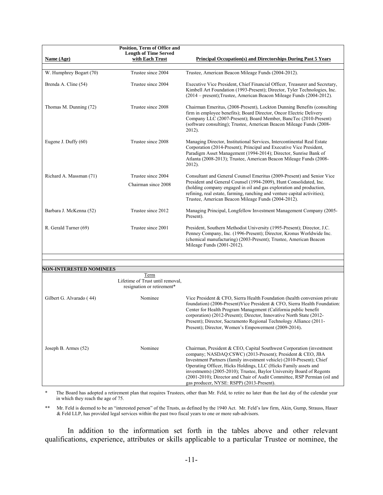| Name (Age)                     | Position, Term of Office and<br><b>Length of Time Served</b><br>with Each Trust | <b>Principal Occupation(s) and Directorships During Past 5 Years</b>                                                                                                                                                                                                                                                                                                                                                                                                             |
|--------------------------------|---------------------------------------------------------------------------------|----------------------------------------------------------------------------------------------------------------------------------------------------------------------------------------------------------------------------------------------------------------------------------------------------------------------------------------------------------------------------------------------------------------------------------------------------------------------------------|
| W. Humphrey Bogart (70)        | Trustee since 2004                                                              | Trustee, American Beacon Mileage Funds (2004-2012).                                                                                                                                                                                                                                                                                                                                                                                                                              |
| Brenda A. Cline (54)           | Trustee since 2004                                                              | Executive Vice President, Chief Financial Officer, Treasurer and Secretary,<br>Kimbell Art Foundation (1993-Present); Director, Tyler Technologies, Inc.<br>(2014 – present); Trustee, American Beacon Mileage Funds (2004-2012).                                                                                                                                                                                                                                                |
| Thomas M. Dunning (72)         | Trustee since 2008                                                              | Chairman Emeritus, (2008-Present), Lockton Dunning Benefits (consulting<br>firm in employee benefits); Board Director, Oncor Electric Delivery<br>Company LLC (2007-Present); Board Member, BancTec (2010-Present)<br>(software consulting); Trustee, American Beacon Mileage Funds (2008-<br>2012).                                                                                                                                                                             |
| Eugene J. Duffy (60)           | Trustee since 2008                                                              | Managing Director, Institutional Services, Intercontinental Real Estate<br>Corporation (2014-Present); Principal and Executive Vice President,<br>Paradigm Asset Management (1994-2014); Director, Sunrise Bank of<br>Atlanta (2008-2013); Trustee, American Beacon Mileage Funds (2008-<br>2012).                                                                                                                                                                               |
| Richard A. Massman (71)        | Trustee since 2004                                                              | Consultant and General Counsel Emeritus (2009-Present) and Senior Vice                                                                                                                                                                                                                                                                                                                                                                                                           |
|                                | Chairman since 2008                                                             | President and General Counsel (1994-2009), Hunt Consolidated, Inc.<br>(holding company engaged in oil and gas exploration and production,<br>refining, real estate, farming, ranching and venture capital activities);<br>Trustee, American Beacon Mileage Funds (2004-2012).                                                                                                                                                                                                    |
| Barbara J. McKenna (52)        | Trustee since 2012                                                              | Managing Principal, Longfellow Investment Management Company (2005-<br>Present).                                                                                                                                                                                                                                                                                                                                                                                                 |
| R. Gerald Turner (69)          | Trustee since 2001                                                              | President, Southern Methodist University (1995-Present); Director, J.C.<br>Penney Company, Inc. (1996-Present); Director, Kronus Worldwide Inc.<br>(chemical manufacturing) (2003-Present); Trustee, American Beacon<br>Mileage Funds (2001-2012).                                                                                                                                                                                                                               |
|                                |                                                                                 |                                                                                                                                                                                                                                                                                                                                                                                                                                                                                  |
| <b>NON-INTERESTED NOMINEES</b> |                                                                                 |                                                                                                                                                                                                                                                                                                                                                                                                                                                                                  |
|                                | Term<br>Lifetime of Trust until removal,<br>resignation or retirement*          |                                                                                                                                                                                                                                                                                                                                                                                                                                                                                  |
| Gilbert G. Alvarado (44)       | Nominee                                                                         | Vice President & CFO, Sierra Health Foundation (health conversion private<br>foundation) (2006-Present) Vice President & CFO, Sierra Health Foundation:<br>Center for Health Program Management (California public benefit<br>corporation) (2012-Present); Director, Innovative North State (2012-<br>Present); Director, Sacramento Regional Technology Alliance (2011-<br>Present); Director, Women's Empowerment (2009-2014).                                                 |
| Joseph B. Armes (52)           | Nominee                                                                         | Chairman, President & CEO, Capital Southwest Corporation (investment<br>company; NASDAQ:CSWC) (2013-Present); President & CEO, JBA<br>Investment Partners (family investment vehicle) (2010-Present); Chief<br>Operating Officer, Hicks Holdings, LLC (Hicks Family assets and<br>investments) (2005-2010); Trustee, Baylor University Board of Regents<br>(2001-2010); Director and Chair of Audit Committee, RSP Permian (oil and<br>gas producer, NYSE: RSPP) (2013-Present). |

The Board has adopted a retirement plan that requires Trustees, other than Mr. Feld, to retire no later than the last day of the calendar year in which they reach the age of 75.

\*\* Mr. Feld is deemed to be an "interested person" of the Trusts, as defined by the 1940 Act. Mr. Feld's law firm, Akin, Gump, Strauss, Hauer & Feld LLP, has provided legal services within the past two fiscal years to one or more sub-advisors.

In addition to the information set forth in the tables above and other relevant qualifications, experience, attributes or skills applicable to a particular Trustee or nominee, the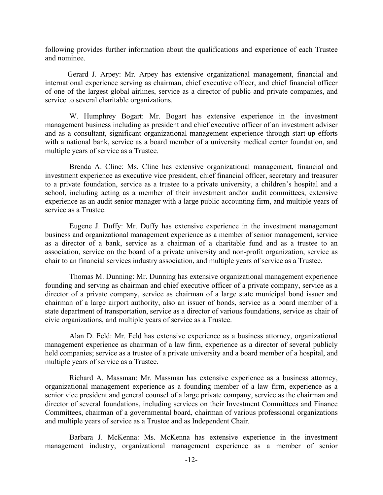following provides further information about the qualifications and experience of each Trustee and nominee.

Gerard J. Arpey: Mr. Arpey has extensive organizational management, financial and international experience serving as chairman, chief executive officer, and chief financial officer of one of the largest global airlines, service as a director of public and private companies, and service to several charitable organizations.

 W. Humphrey Bogart: Mr. Bogart has extensive experience in the investment management business including as president and chief executive officer of an investment adviser and as a consultant, significant organizational management experience through start-up efforts with a national bank, service as a board member of a university medical center foundation, and multiple years of service as a Trustee.

 Brenda A. Cline: Ms. Cline has extensive organizational management, financial and investment experience as executive vice president, chief financial officer, secretary and treasurer to a private foundation, service as a trustee to a private university, a children's hospital and a school, including acting as a member of their investment and\or audit committees, extensive experience as an audit senior manager with a large public accounting firm, and multiple years of service as a Trustee.

 Eugene J. Duffy: Mr. Duffy has extensive experience in the investment management business and organizational management experience as a member of senior management, service as a director of a bank, service as a chairman of a charitable fund and as a trustee to an association, service on the board of a private university and non-profit organization, service as chair to an financial services industry association, and multiple years of service as a Trustee.

 Thomas M. Dunning: Mr. Dunning has extensive organizational management experience founding and serving as chairman and chief executive officer of a private company, service as a director of a private company, service as chairman of a large state municipal bond issuer and chairman of a large airport authority, also an issuer of bonds, service as a board member of a state department of transportation, service as a director of various foundations, service as chair of civic organizations, and multiple years of service as a Trustee.

 Alan D. Feld: Mr. Feld has extensive experience as a business attorney, organizational management experience as chairman of a law firm, experience as a director of several publicly held companies; service as a trustee of a private university and a board member of a hospital, and multiple years of service as a Trustee.

 Richard A. Massman: Mr. Massman has extensive experience as a business attorney, organizational management experience as a founding member of a law firm, experience as a senior vice president and general counsel of a large private company, service as the chairman and director of several foundations, including services on their Investment Committees and Finance Committees, chairman of a governmental board, chairman of various professional organizations and multiple years of service as a Trustee and as Independent Chair.

 Barbara J. McKenna: Ms. McKenna has extensive experience in the investment management industry, organizational management experience as a member of senior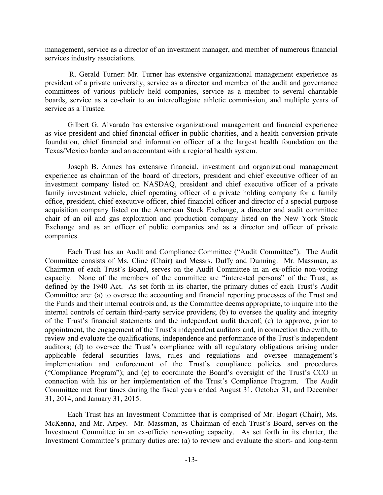management, service as a director of an investment manager, and member of numerous financial services industry associations.

 R. Gerald Turner: Mr. Turner has extensive organizational management experience as president of a private university, service as a director and member of the audit and governance committees of various publicly held companies, service as a member to several charitable boards, service as a co-chair to an intercollegiate athletic commission, and multiple years of service as a Trustee.

Gilbert G. Alvarado has extensive organizational management and financial experience as vice president and chief financial officer in public charities, and a health conversion private foundation, chief financial and information officer of a the largest health foundation on the Texas/Mexico border and an accountant with a regional health system.

Joseph B. Armes has extensive financial, investment and organizational management experience as chairman of the board of directors, president and chief executive officer of an investment company listed on NASDAQ, president and chief executive officer of a private family investment vehicle, chief operating officer of a private holding company for a family office, president, chief executive officer, chief financial officer and director of a special purpose acquisition company listed on the American Stock Exchange, a director and audit committee chair of an oil and gas exploration and production company listed on the New York Stock Exchange and as an officer of public companies and as a director and officer of private companies.

Each Trust has an Audit and Compliance Committee ("Audit Committee"). The Audit Committee consists of Ms. Cline (Chair) and Messrs. Duffy and Dunning. Mr. Massman, as Chairman of each Trust's Board, serves on the Audit Committee in an ex-officio non-voting capacity. None of the members of the committee are "interested persons" of the Trust, as defined by the 1940 Act. As set forth in its charter, the primary duties of each Trust's Audit Committee are: (a) to oversee the accounting and financial reporting processes of the Trust and the Funds and their internal controls and, as the Committee deems appropriate, to inquire into the internal controls of certain third-party service providers; (b) to oversee the quality and integrity of the Trust's financial statements and the independent audit thereof; (c) to approve, prior to appointment, the engagement of the Trust's independent auditors and, in connection therewith, to review and evaluate the qualifications, independence and performance of the Trust's independent auditors; (d) to oversee the Trust's compliance with all regulatory obligations arising under applicable federal securities laws, rules and regulations and oversee management's implementation and enforcement of the Trust's compliance policies and procedures ("Compliance Program"); and (e) to coordinate the Board's oversight of the Trust's CCO in connection with his or her implementation of the Trust's Compliance Program. The Audit Committee met four times during the fiscal years ended August 31, October 31, and December 31, 2014, and January 31, 2015.

Each Trust has an Investment Committee that is comprised of Mr. Bogart (Chair), Ms. McKenna, and Mr. Arpey. Mr. Massman, as Chairman of each Trust's Board, serves on the Investment Committee in an ex-officio non-voting capacity. As set forth in its charter, the Investment Committee's primary duties are: (a) to review and evaluate the short- and long-term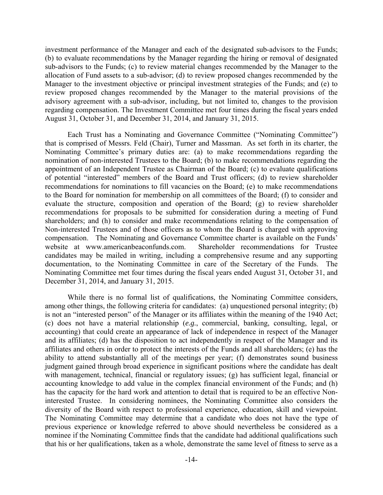investment performance of the Manager and each of the designated sub-advisors to the Funds; (b) to evaluate recommendations by the Manager regarding the hiring or removal of designated sub-advisors to the Funds; (c) to review material changes recommended by the Manager to the allocation of Fund assets to a sub-advisor; (d) to review proposed changes recommended by the Manager to the investment objective or principal investment strategies of the Funds; and (e) to review proposed changes recommended by the Manager to the material provisions of the advisory agreement with a sub-advisor, including, but not limited to, changes to the provision regarding compensation. The Investment Committee met four times during the fiscal years ended August 31, October 31, and December 31, 2014, and January 31, 2015.

Each Trust has a Nominating and Governance Committee ("Nominating Committee") that is comprised of Messrs. Feld (Chair), Turner and Massman. As set forth in its charter, the Nominating Committee's primary duties are: (a) to make recommendations regarding the nomination of non-interested Trustees to the Board; (b) to make recommendations regarding the appointment of an Independent Trustee as Chairman of the Board; (c) to evaluate qualifications of potential "interested" members of the Board and Trust officers; (d) to review shareholder recommendations for nominations to fill vacancies on the Board; (e) to make recommendations to the Board for nomination for membership on all committees of the Board; (f) to consider and evaluate the structure, composition and operation of the Board; (g) to review shareholder recommendations for proposals to be submitted for consideration during a meeting of Fund shareholders; and (h) to consider and make recommendations relating to the compensation of Non-interested Trustees and of those officers as to whom the Board is charged with approving compensation. The Nominating and Governance Committee charter is available on the Funds' website at www.americanbeaconfunds.com. Shareholder recommendations for Trustee candidates may be mailed in writing, including a comprehensive resume and any supporting documentation, to the Nominating Committee in care of the Secretary of the Funds. The Nominating Committee met four times during the fiscal years ended August 31, October 31, and December 31, 2014, and January 31, 2015.

While there is no formal list of qualifications, the Nominating Committee considers, among other things, the following criteria for candidates: (a) unquestioned personal integrity; (b) is not an "interested person" of the Manager or its affiliates within the meaning of the 1940 Act; (c) does not have a material relationship (*e.g.*, commercial, banking, consulting, legal, or accounting) that could create an appearance of lack of independence in respect of the Manager and its affiliates; (d) has the disposition to act independently in respect of the Manager and its affiliates and others in order to protect the interests of the Funds and all shareholders; (e) has the ability to attend substantially all of the meetings per year; (f) demonstrates sound business judgment gained through broad experience in significant positions where the candidate has dealt with management, technical, financial or regulatory issues; (g) has sufficient legal, financial or accounting knowledge to add value in the complex financial environment of the Funds; and (h) has the capacity for the hard work and attention to detail that is required to be an effective Noninterested Trustee. In considering nominees, the Nominating Committee also considers the diversity of the Board with respect to professional experience, education, skill and viewpoint. The Nominating Committee may determine that a candidate who does not have the type of previous experience or knowledge referred to above should nevertheless be considered as a nominee if the Nominating Committee finds that the candidate had additional qualifications such that his or her qualifications, taken as a whole, demonstrate the same level of fitness to serve as a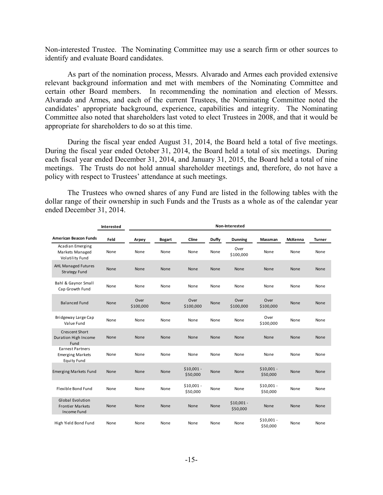Non-interested Trustee. The Nominating Committee may use a search firm or other sources to identify and evaluate Board candidates.

As part of the nomination process, Messrs. Alvarado and Armes each provided extensive relevant background information and met with members of the Nominating Committee and certain other Board members. In recommending the nomination and election of Messrs. Alvarado and Armes, and each of the current Trustees, the Nominating Committee noted the candidates' appropriate background, experience, capabilities and integrity. The Nominating Committee also noted that shareholders last voted to elect Trustees in 2008, and that it would be appropriate for shareholders to do so at this time.

During the fiscal year ended August 31, 2014, the Board held a total of five meetings. During the fiscal year ended October 31, 2014, the Board held a total of six meetings. During each fiscal year ended December 31, 2014, and January 31, 2015, the Board held a total of nine meetings. The Trusts do not hold annual shareholder meetings and, therefore, do not have a policy with respect to Trustees' attendance at such meetings.

The Trustees who owned shares of any Fund are listed in the following tables with the dollar range of their ownership in such Funds and the Trusts as a whole as of the calendar year ended December 31, 2014.

|                                                                          | Interested | Non-Interested    |               |                         |              |                         |                         |         |               |
|--------------------------------------------------------------------------|------------|-------------------|---------------|-------------------------|--------------|-------------------------|-------------------------|---------|---------------|
| <b>American Beacon Funds</b>                                             | Feld       | Arpey             | <b>Bogart</b> | Cline                   | <b>Duffy</b> | <b>Dunning</b>          | Massman                 | McKenna | <b>Turner</b> |
| Acadian Emerging<br>Markets Managed<br>Volatility Fund                   | None       | None              | None          | None                    | None         | Over<br>\$100,000       | None                    | None    | None          |
| <b>AHL Managed Futures</b><br><b>Strategy Fund</b>                       | None       | None              | None          | None                    | None         | <b>None</b>             | <b>None</b>             | None    | None          |
| Bahl & Gaynor Small<br>Cap Growth Fund                                   | None       | None              | None          | None                    | None         | None                    | None                    | None    | None          |
| <b>Balanced Fund</b>                                                     | None       | Over<br>\$100,000 | None          | Over<br>\$100,000       | None         | Over<br>\$100,000       | Over<br>\$100,000       | None    | None          |
| Bridgeway Large Cap<br>Value Fund                                        | None       | None              | None          | None                    | None         | None                    | Over<br>\$100,000       | None    | None          |
| <b>Crescent Short</b><br><b>Duration High Income</b><br>Fund             | None       | None              | None          | None                    | None         | None                    | None                    | None    | None          |
| <b>Earnest Partners</b><br><b>Emerging Markets</b><br><b>Equity Fund</b> | None       | None              | None          | None                    | None         | None                    | None                    | None    | None          |
| <b>Emerging Markets Fund</b>                                             | None       | None              | None          | $$10,001 -$<br>\$50,000 | None         | None                    | $$10,001 -$<br>\$50,000 | None    | None          |
| Flexible Bond Fund                                                       | None       | None              | None          | $$10,001 -$<br>\$50,000 | None         | None                    | $$10,001 -$<br>\$50,000 | None    | None          |
| Global Evolution<br><b>Frontier Markets</b><br><b>Income Fund</b>        | None       | None              | None          | None                    | None         | $$10,001 -$<br>\$50,000 | None                    | None    | None          |
| High Yield Bond Fund                                                     | None       | None              | None          | None                    | None         | None                    | $$10,001 -$<br>\$50,000 | None    | None          |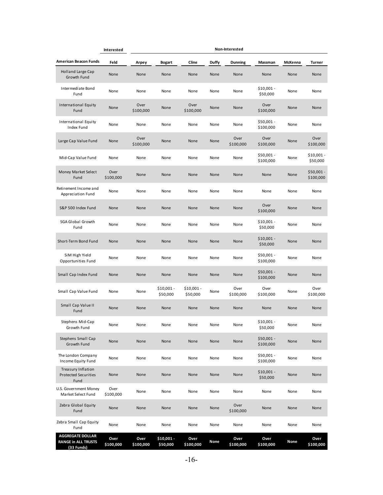|                                                                     | Interested        | Non-Interested    |                         |                        |       |                   |                          |         |                          |
|---------------------------------------------------------------------|-------------------|-------------------|-------------------------|------------------------|-------|-------------------|--------------------------|---------|--------------------------|
| American Beacon Funds                                               | Feld              | Arpey             | Bogart                  | Cline                  | Duffy | <b>Dunning</b>    | Massman                  | McKenna | <b>Turner</b>            |
| <b>Holland Large Cap</b><br>Growth Fund                             | None              | None              | None                    | None                   | None  | None              | None                     | None    | None                     |
| Intermediate Bond<br>Fund                                           | None              | None              | None                    | None                   | None  | None              | $$10,001 -$<br>\$50,000  | None    | None                     |
| International Equity<br>Fund                                        | None              | Over<br>\$100,000 | None                    | Over<br>\$100,000      | None  | None              | Over<br>\$100,000        | None    | None                     |
| International Equity<br>Index Fund                                  | None              | None              | None                    | None                   | None  | None              | $$50,001 -$<br>\$100,000 | None    | None                     |
| Large Cap Value Fund                                                | None              | Over<br>\$100,000 | None                    | None                   | None  | Over<br>\$100,000 | Over<br>\$100,000        | None    | Over<br>\$100,000        |
| Mid-Cap Value Fund                                                  | None              | None              | None                    | None                   | None  | None              | $$50,001 -$<br>\$100,000 | None    | \$10,001 -<br>\$50,000   |
| Money Market Select<br>Fund                                         | Over<br>\$100,000 | None              | None                    | None                   | None  | None              | None                     | None    | $$50,001 -$<br>\$100,000 |
| Retirement Income and<br>Appreciation Fund                          | None              | None              | None                    | None                   | None  | None              | None                     | None    | None                     |
| S&P 500 Index Fund                                                  | None              | None              | None                    | None                   | None  | None              | Over<br>\$100,000        | None    | None                     |
| <b>SGA Global Growth</b><br>Fund                                    | None              | None              | None                    | None                   | None  | None              | $$10,001 -$<br>\$50,000  | None    | None                     |
| Short-Term Bond Fund                                                | None              | None              | None                    | None                   | None  | None              | $$10,001 -$<br>\$50,000  | None    | None                     |
| SiM High Yield<br>Opportunities Fund                                | None              | None              | None                    | None                   | None  | None              | $$50,001 -$<br>\$100,000 | None    | None                     |
| Small Cap Index Fund                                                | None              | None              | None                    | None                   | None  | None              | $$50,001 -$<br>\$100,000 | None    | None                     |
| Small Cap Value Fund                                                | None              | None              | $$10,001 -$<br>\$50,000 | \$10,001 -<br>\$50,000 | None  | Over<br>\$100,000 | Over<br>\$100,000        | None    | Over<br>\$100,000        |
| Small Cap Value II<br>Fund                                          | None              | None              | None                    | None                   | None  | None              | None                     | None    | None                     |
| Stephens Mid-Cap<br>Growth Fund                                     | None              | None              | None                    | None                   | None  | None              | $$10,001 -$<br>\$50,000  | None    | None                     |
| Stephens Small Cap<br>Growth Fund                                   | None              | None              | None                    | None                   | None  | None              | $$50,001 -$<br>\$100,000 | None    | None                     |
| The London Company<br>Income Equity Fund                            | None              | None              | None                    | None                   | None  | None              | $$50,001 -$<br>\$100,000 | None    | None                     |
| <b>Treasury Inflation</b><br>Protected Securities<br>Fund           | None              | None              | None                    | None                   | None  | None              | $$10,001 -$<br>\$50,000  | None    | None                     |
| U.S. Government Money<br>Market Select Fund                         | Over<br>\$100,000 | None              | None                    | None                   | None  | None              | None                     | None    | None                     |
| Zebra Global Equity<br>Fund                                         | None              | None              | None                    | None                   | None  | Over<br>\$100,000 | None                     | None    | None                     |
| Zebra Small Cap Equity<br>Fund                                      | None              | None              | None                    | None                   | None  | None              | None                     | None    | None                     |
| <b>AGGREGATE DOLLAR</b><br><b>RANGE in ALL TRUSTS</b><br>(33 Funds) | Over<br>\$100,000 | Over<br>\$100,000 | \$10,001 -<br>\$50,000  | Over<br>\$100,000      | None  | Over<br>\$100,000 | Over<br>\$100,000        | None    | Over<br>\$100,000        |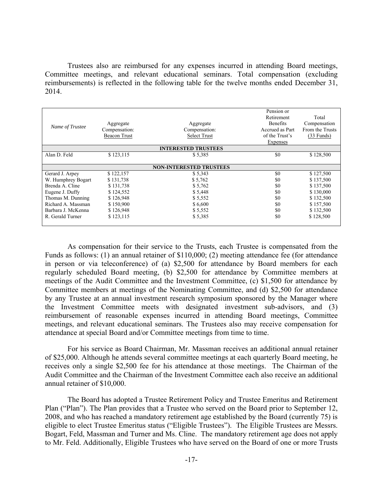Trustees also are reimbursed for any expenses incurred in attending Board meetings, Committee meetings, and relevant educational seminars. Total compensation (excluding reimbursements) is reflected in the following table for the twelve months ended December 31, 2014.

| Name of Trustee    | Aggregate<br>Compensation:<br><b>Beacon Trust</b> | Aggregate<br>Compensation:<br><b>Select Trust</b> | Pension or<br>Retirement<br><b>Benefits</b><br>Accrued as Part<br>of the Trust's | Total<br>Compensation<br>From the Trusts<br>$(33$ Funds) |
|--------------------|---------------------------------------------------|---------------------------------------------------|----------------------------------------------------------------------------------|----------------------------------------------------------|
|                    |                                                   |                                                   | <b>Expenses</b>                                                                  |                                                          |
|                    |                                                   | <b>INTERESTED TRUSTEES</b>                        |                                                                                  |                                                          |
| Alan D. Feld       | \$123,115                                         | \$5,385                                           | \$0                                                                              | \$128,500                                                |
|                    |                                                   |                                                   |                                                                                  |                                                          |
|                    |                                                   | <b>NON-INTERESTED TRUSTEES</b>                    |                                                                                  |                                                          |
| Gerard J. Arpey    | \$122,157                                         | \$5,343                                           | \$0                                                                              | \$127,500                                                |
| W. Humphrey Bogart | \$131,738                                         | \$5,762                                           | \$0                                                                              | \$137,500                                                |
| Brenda A. Cline    | \$131,738                                         | \$5,762                                           | \$0                                                                              | \$137,500                                                |
| Eugene J. Duffy    | \$124,552                                         | \$5,448                                           | \$0                                                                              | \$130,000                                                |
| Thomas M. Dunning  | \$126,948                                         | \$5,552                                           | \$0                                                                              | \$132,500                                                |
| Richard A. Massman | \$150,900                                         | \$6,600                                           | \$0                                                                              | \$157,500                                                |
| Barbara J. McKenna | \$126,948                                         | \$5,552                                           | \$0                                                                              | \$132,500                                                |
| R. Gerald Turner   | \$123,115                                         | \$5,385                                           | \$0                                                                              | \$128,500                                                |

As compensation for their service to the Trusts, each Trustee is compensated from the Funds as follows: (1) an annual retainer of \$110,000; (2) meeting attendance fee (for attendance in person or via teleconference) of (a) \$2,500 for attendance by Board members for each regularly scheduled Board meeting, (b) \$2,500 for attendance by Committee members at meetings of the Audit Committee and the Investment Committee, (c) \$1,500 for attendance by Committee members at meetings of the Nominating Committee, and (d) \$2,500 for attendance by any Trustee at an annual investment research symposium sponsored by the Manager where the Investment Committee meets with designated investment sub-advisors, and (3) reimbursement of reasonable expenses incurred in attending Board meetings, Committee meetings, and relevant educational seminars. The Trustees also may receive compensation for attendance at special Board and/or Committee meetings from time to time.

For his service as Board Chairman, Mr. Massman receives an additional annual retainer of \$25,000. Although he attends several committee meetings at each quarterly Board meeting, he receives only a single \$2,500 fee for his attendance at those meetings. The Chairman of the Audit Committee and the Chairman of the Investment Committee each also receive an additional annual retainer of \$10,000.

The Board has adopted a Trustee Retirement Policy and Trustee Emeritus and Retirement Plan ("Plan"). The Plan provides that a Trustee who served on the Board prior to September 12, 2008, and who has reached a mandatory retirement age established by the Board (currently 75) is eligible to elect Trustee Emeritus status ("Eligible Trustees"). The Eligible Trustees are Messrs. Bogart, Feld, Massman and Turner and Ms. Cline. The mandatory retirement age does not apply to Mr. Feld. Additionally, Eligible Trustees who have served on the Board of one or more Trusts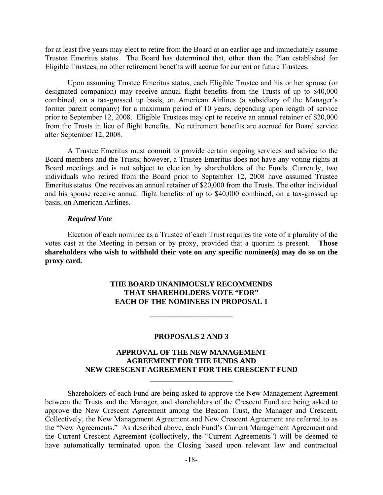for at least five years may elect to retire from the Board at an earlier age and immediately assume Trustee Emeritus status. The Board has determined that, other than the Plan established for Eligible Trustees, no other retirement benefits will accrue for current or future Trustees.

Upon assuming Trustee Emeritus status, each Eligible Trustee and his or her spouse (or designated companion) may receive annual flight benefits from the Trusts of up to \$40,000 combined, on a tax-grossed up basis, on American Airlines (a subsidiary of the Manager's former parent company) for a maximum period of 10 years, depending upon length of service prior to September 12, 2008. Eligible Trustees may opt to receive an annual retainer of \$20,000 from the Trusts in lieu of flight benefits. No retirement benefits are accrued for Board service after September 12, 2008.

A Trustee Emeritus must commit to provide certain ongoing services and advice to the Board members and the Trusts; however, a Trustee Emeritus does not have any voting rights at Board meetings and is not subject to election by shareholders of the Funds. Currently, two individuals who retired from the Board prior to September 12, 2008 have assumed Trustee Emeritus status. One receives an annual retainer of \$20,000 from the Trusts. The other individual and his spouse receive annual flight benefits of up to \$40,000 combined, on a tax-grossed up basis, on American Airlines.

#### *Required Vote*

Election of each nominee as a Trustee of each Trust requires the vote of a plurality of the votes cast at the Meeting in person or by proxy, provided that a quorum is present. **Those shareholders who wish to withhold their vote on any specific nominee(s) may do so on the proxy card.** 

## **THE BOARD UNANIMOUSLY RECOMMENDS THAT SHAREHOLDERS VOTE "FOR" EACH OF THE NOMINEES IN PROPOSAL 1**

**\_\_\_\_\_\_\_\_\_\_\_\_\_\_\_\_\_\_\_\_\_\_** 

#### **PROPOSALS 2 AND 3**

## **APPROVAL OF THE NEW MANAGEMENT AGREEMENT FOR THE FUNDS AND NEW CRESCENT AGREEMENT FOR THE CRESCENT FUND**   $\mathcal{L}_\text{max}$

Shareholders of each Fund are being asked to approve the New Management Agreement between the Trusts and the Manager, and shareholders of the Crescent Fund are being asked to approve the New Crescent Agreement among the Beacon Trust, the Manager and Crescent. Collectively, the New Management Agreement and New Crescent Agreement are referred to as the "New Agreements." As described above, each Fund's Current Management Agreement and the Current Crescent Agreement (collectively, the "Current Agreements") will be deemed to have automatically terminated upon the Closing based upon relevant law and contractual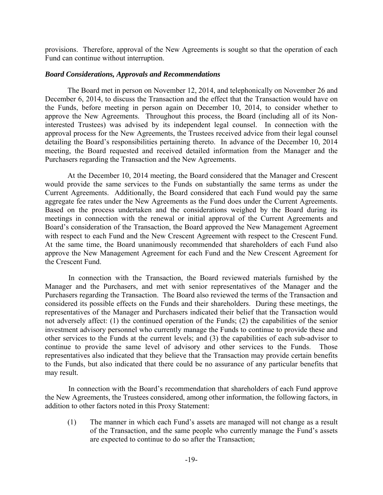provisions. Therefore, approval of the New Agreements is sought so that the operation of each Fund can continue without interruption.

## *Board Considerations, Approvals and Recommendations*

The Board met in person on November 12, 2014, and telephonically on November 26 and December 6, 2014, to discuss the Transaction and the effect that the Transaction would have on the Funds, before meeting in person again on December 10, 2014, to consider whether to approve the New Agreements. Throughout this process, the Board (including all of its Noninterested Trustees) was advised by its independent legal counsel. In connection with the approval process for the New Agreements, the Trustees received advice from their legal counsel detailing the Board's responsibilities pertaining thereto. In advance of the December 10, 2014 meeting, the Board requested and received detailed information from the Manager and the Purchasers regarding the Transaction and the New Agreements.

At the December 10, 2014 meeting, the Board considered that the Manager and Crescent would provide the same services to the Funds on substantially the same terms as under the Current Agreements. Additionally, the Board considered that each Fund would pay the same aggregate fee rates under the New Agreements as the Fund does under the Current Agreements. Based on the process undertaken and the considerations weighed by the Board during its meetings in connection with the renewal or initial approval of the Current Agreements and Board's consideration of the Transaction, the Board approved the New Management Agreement with respect to each Fund and the New Crescent Agreement with respect to the Crescent Fund. At the same time, the Board unanimously recommended that shareholders of each Fund also approve the New Management Agreement for each Fund and the New Crescent Agreement for the Crescent Fund.

In connection with the Transaction, the Board reviewed materials furnished by the Manager and the Purchasers, and met with senior representatives of the Manager and the Purchasers regarding the Transaction. The Board also reviewed the terms of the Transaction and considered its possible effects on the Funds and their shareholders. During these meetings, the representatives of the Manager and Purchasers indicated their belief that the Transaction would not adversely affect: (1) the continued operation of the Funds; (2) the capabilities of the senior investment advisory personnel who currently manage the Funds to continue to provide these and other services to the Funds at the current levels; and (3) the capabilities of each sub-advisor to continue to provide the same level of advisory and other services to the Funds. Those representatives also indicated that they believe that the Transaction may provide certain benefits to the Funds, but also indicated that there could be no assurance of any particular benefits that may result.

In connection with the Board's recommendation that shareholders of each Fund approve the New Agreements, the Trustees considered, among other information, the following factors, in addition to other factors noted in this Proxy Statement:

(1) The manner in which each Fund's assets are managed will not change as a result of the Transaction, and the same people who currently manage the Fund's assets are expected to continue to do so after the Transaction;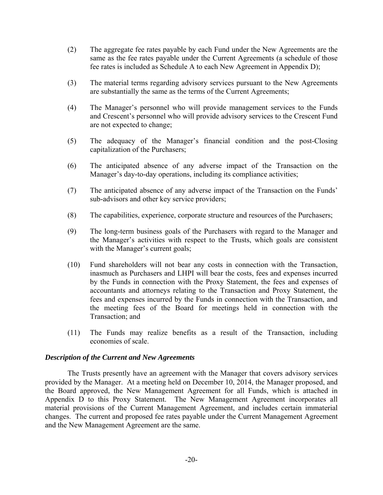- (2) The aggregate fee rates payable by each Fund under the New Agreements are the same as the fee rates payable under the Current Agreements (a schedule of those fee rates is included as Schedule A to each New Agreement in Appendix D);
- (3) The material terms regarding advisory services pursuant to the New Agreements are substantially the same as the terms of the Current Agreements;
- (4) The Manager's personnel who will provide management services to the Funds and Crescent's personnel who will provide advisory services to the Crescent Fund are not expected to change;
- (5) The adequacy of the Manager's financial condition and the post-Closing capitalization of the Purchasers;
- (6) The anticipated absence of any adverse impact of the Transaction on the Manager's day-to-day operations, including its compliance activities;
- (7) The anticipated absence of any adverse impact of the Transaction on the Funds' sub-advisors and other key service providers;
- (8) The capabilities, experience, corporate structure and resources of the Purchasers;
- (9) The long-term business goals of the Purchasers with regard to the Manager and the Manager's activities with respect to the Trusts, which goals are consistent with the Manager's current goals;
- (10) Fund shareholders will not bear any costs in connection with the Transaction, inasmuch as Purchasers and LHPI will bear the costs, fees and expenses incurred by the Funds in connection with the Proxy Statement, the fees and expenses of accountants and attorneys relating to the Transaction and Proxy Statement, the fees and expenses incurred by the Funds in connection with the Transaction, and the meeting fees of the Board for meetings held in connection with the Transaction; and
- (11) The Funds may realize benefits as a result of the Transaction, including economies of scale.

## *Description of the Current and New Agreements*

The Trusts presently have an agreement with the Manager that covers advisory services provided by the Manager. At a meeting held on December 10, 2014, the Manager proposed, and the Board approved, the New Management Agreement for all Funds, which is attached in Appendix D to this Proxy Statement. The New Management Agreement incorporates all material provisions of the Current Management Agreement, and includes certain immaterial changes. The current and proposed fee rates payable under the Current Management Agreement and the New Management Agreement are the same.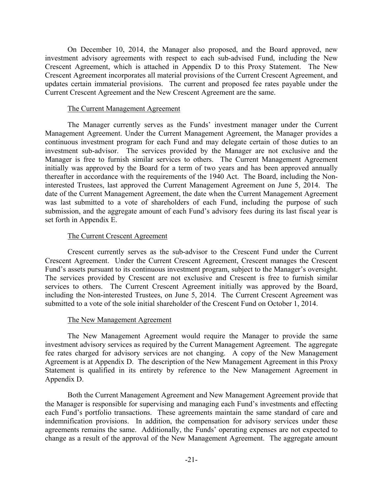On December 10, 2014, the Manager also proposed, and the Board approved, new investment advisory agreements with respect to each sub-advised Fund, including the New Crescent Agreement, which is attached in Appendix D to this Proxy Statement. The New Crescent Agreement incorporates all material provisions of the Current Crescent Agreement, and updates certain immaterial provisions. The current and proposed fee rates payable under the Current Crescent Agreement and the New Crescent Agreement are the same.

## The Current Management Agreement

The Manager currently serves as the Funds' investment manager under the Current Management Agreement. Under the Current Management Agreement, the Manager provides a continuous investment program for each Fund and may delegate certain of those duties to an investment sub-advisor. The services provided by the Manager are not exclusive and the Manager is free to furnish similar services to others. The Current Management Agreement initially was approved by the Board for a term of two years and has been approved annually thereafter in accordance with the requirements of the 1940 Act. The Board, including the Noninterested Trustees, last approved the Current Management Agreement on June 5, 2014. The date of the Current Management Agreement, the date when the Current Management Agreement was last submitted to a vote of shareholders of each Fund, including the purpose of such submission, and the aggregate amount of each Fund's advisory fees during its last fiscal year is set forth in Appendix E.

## The Current Crescent Agreement

Crescent currently serves as the sub-advisor to the Crescent Fund under the Current Crescent Agreement. Under the Current Crescent Agreement, Crescent manages the Crescent Fund's assets pursuant to its continuous investment program, subject to the Manager's oversight. The services provided by Crescent are not exclusive and Crescent is free to furnish similar services to others. The Current Crescent Agreement initially was approved by the Board, including the Non-interested Trustees, on June 5, 2014. The Current Crescent Agreement was submitted to a vote of the sole initial shareholder of the Crescent Fund on October 1, 2014.

## The New Management Agreement

 The New Management Agreement would require the Manager to provide the same investment advisory services as required by the Current Management Agreement. The aggregate fee rates charged for advisory services are not changing. A copy of the New Management Agreement is at Appendix D. The description of the New Management Agreement in this Proxy Statement is qualified in its entirety by reference to the New Management Agreement in Appendix D.

Both the Current Management Agreement and New Management Agreement provide that the Manager is responsible for supervising and managing each Fund's investments and effecting each Fund's portfolio transactions. These agreements maintain the same standard of care and indemnification provisions. In addition, the compensation for advisory services under these agreements remains the same. Additionally, the Funds' operating expenses are not expected to change as a result of the approval of the New Management Agreement. The aggregate amount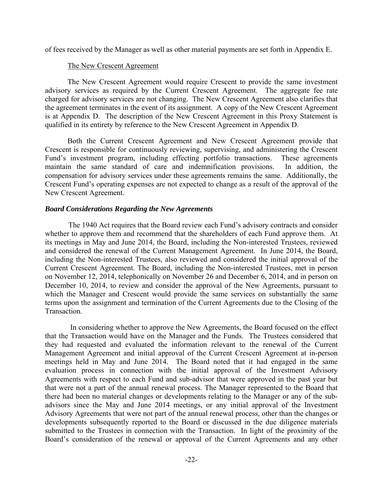of fees received by the Manager as well as other material payments are set forth in Appendix E.

## The New Crescent Agreement

The New Crescent Agreement would require Crescent to provide the same investment advisory services as required by the Current Crescent Agreement. The aggregate fee rate charged for advisory services are not changing. The New Crescent Agreement also clarifies that the agreement terminates in the event of its assignment. A copy of the New Crescent Agreement is at Appendix D. The description of the New Crescent Agreement in this Proxy Statement is qualified in its entirety by reference to the New Crescent Agreement in Appendix D.

Both the Current Crescent Agreement and New Crescent Agreement provide that Crescent is responsible for continuously reviewing, supervising, and administering the Crescent Fund's investment program, including effecting portfolio transactions. These agreements maintain the same standard of care and indemnification provisions. In addition, the compensation for advisory services under these agreements remains the same. Additionally, the Crescent Fund's operating expenses are not expected to change as a result of the approval of the New Crescent Agreement.

## *Board Considerations Regarding the New Agreements*

The 1940 Act requires that the Board review each Fund's advisory contracts and consider whether to approve them and recommend that the shareholders of each Fund approve them. At its meetings in May and June 2014, the Board, including the Non-interested Trustees, reviewed and considered the renewal of the Current Management Agreement. In June 2014, the Board, including the Non-interested Trustees, also reviewed and considered the initial approval of the Current Crescent Agreement. The Board, including the Non-interested Trustees, met in person on November 12, 2014, telephonically on November 26 and December 6, 2014, and in person on December 10, 2014, to review and consider the approval of the New Agreements, pursuant to which the Manager and Crescent would provide the same services on substantially the same terms upon the assignment and termination of the Current Agreements due to the Closing of the Transaction.

 In considering whether to approve the New Agreements, the Board focused on the effect that the Transaction would have on the Manager and the Funds. The Trustees considered that they had requested and evaluated the information relevant to the renewal of the Current Management Agreement and initial approval of the Current Crescent Agreement at in-person meetings held in May and June 2014. The Board noted that it had engaged in the same evaluation process in connection with the initial approval of the Investment Advisory Agreements with respect to each Fund and sub-advisor that were approved in the past year but that were not a part of the annual renewal process. The Manager represented to the Board that there had been no material changes or developments relating to the Manager or any of the subadvisors since the May and June 2014 meetings, or any initial approval of the Investment Advisory Agreements that were not part of the annual renewal process, other than the changes or developments subsequently reported to the Board or discussed in the due diligence materials submitted to the Trustees in connection with the Transaction. In light of the proximity of the Board's consideration of the renewal or approval of the Current Agreements and any other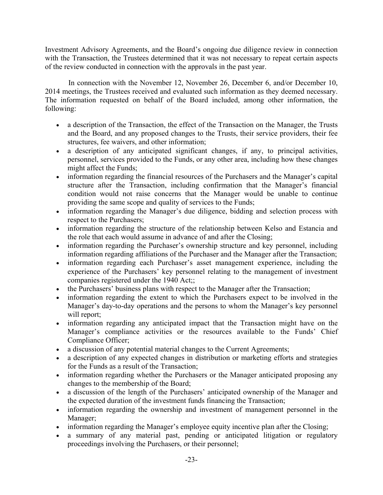Investment Advisory Agreements, and the Board's ongoing due diligence review in connection with the Transaction, the Trustees determined that it was not necessary to repeat certain aspects of the review conducted in connection with the approvals in the past year.

In connection with the November 12, November 26, December 6, and/or December 10, 2014 meetings, the Trustees received and evaluated such information as they deemed necessary. The information requested on behalf of the Board included, among other information, the following:

- a description of the Transaction, the effect of the Transaction on the Manager, the Trusts and the Board, and any proposed changes to the Trusts, their service providers, their fee structures, fee waivers, and other information;
- a description of any anticipated significant changes, if any, to principal activities, personnel, services provided to the Funds, or any other area, including how these changes might affect the Funds;
- information regarding the financial resources of the Purchasers and the Manager's capital structure after the Transaction, including confirmation that the Manager's financial condition would not raise concerns that the Manager would be unable to continue providing the same scope and quality of services to the Funds;
- information regarding the Manager's due diligence, bidding and selection process with respect to the Purchasers;
- information regarding the structure of the relationship between Kelso and Estancia and the role that each would assume in advance of and after the Closing;
- information regarding the Purchaser's ownership structure and key personnel, including information regarding affiliations of the Purchaser and the Manager after the Transaction;
- information regarding each Purchaser's asset management experience, including the experience of the Purchasers' key personnel relating to the management of investment companies registered under the 1940 Act;;
- the Purchasers' business plans with respect to the Manager after the Transaction;
- information regarding the extent to which the Purchasers expect to be involved in the Manager's day-to-day operations and the persons to whom the Manager's key personnel will report:
- information regarding any anticipated impact that the Transaction might have on the Manager's compliance activities or the resources available to the Funds' Chief Compliance Officer;
- a discussion of any potential material changes to the Current Agreements;
- a description of any expected changes in distribution or marketing efforts and strategies for the Funds as a result of the Transaction;
- information regarding whether the Purchasers or the Manager anticipated proposing any changes to the membership of the Board;
- a discussion of the length of the Purchasers' anticipated ownership of the Manager and the expected duration of the investment funds financing the Transaction;
- information regarding the ownership and investment of management personnel in the Manager;
- information regarding the Manager's employee equity incentive plan after the Closing;
- a summary of any material past, pending or anticipated litigation or regulatory proceedings involving the Purchasers, or their personnel;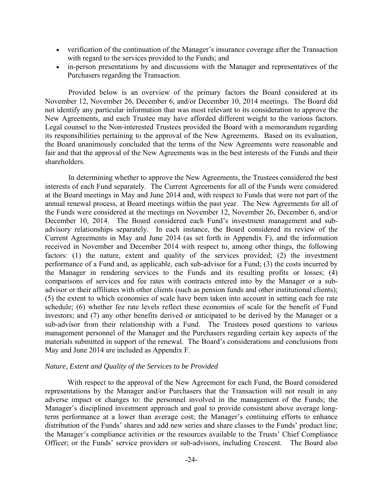- verification of the continuation of the Manager's insurance coverage after the Transaction with regard to the services provided to the Funds; and
- in-person presentations by and discussions with the Manager and representatives of the Purchasers regarding the Transaction.

Provided below is an overview of the primary factors the Board considered at its November 12, November 26, December 6, and/or December 10, 2014 meetings. The Board did not identify any particular information that was most relevant to its consideration to approve the New Agreements, and each Trustee may have afforded different weight to the various factors. Legal counsel to the Non-interested Trustees provided the Board with a memorandum regarding its responsibilities pertaining to the approval of the New Agreements. Based on its evaluation, the Board unanimously concluded that the terms of the New Agreements were reasonable and fair and that the approval of the New Agreements was in the best interests of the Funds and their shareholders.

In determining whether to approve the New Agreements, the Trustees considered the best interests of each Fund separately. The Current Agreements for all of the Funds were considered at the Board meetings in May and June 2014 and, with respect to Funds that were not part of the annual renewal process, at Board meetings within the past year. The New Agreements for all of the Funds were considered at the meetings on November 12, November 26, December 6, and/or December 10, 2014. The Board considered each Fund's investment management and subadvisory relationships separately. In each instance, the Board considered its review of the Current Agreements in May and June 2014 (as set forth in Appendix F), and the information received in November and December 2014 with respect to, among other things, the following factors: (1) the nature, extent and quality of the services provided; (2) the investment performance of a Fund and, as applicable, each sub-advisor for a Fund; (3) the costs incurred by the Manager in rendering services to the Funds and its resulting profits or losses; (4) comparisons of services and fee rates with contracts entered into by the Manager or a subadvisor or their affiliates with other clients (such as pension funds and other institutional clients); (5) the extent to which economies of scale have been taken into account in setting each fee rate schedule; (6) whether fee rate levels reflect these economies of scale for the benefit of Fund investors; and (7) any other benefits derived or anticipated to be derived by the Manager or a sub-advisor from their relationship with a Fund. The Trustees posed questions to various management personnel of the Manager and the Purchasers regarding certain key aspects of the materials submitted in support of the renewal. The Board's considerations and conclusions from May and June 2014 are included as Appendix F.

#### *Nature, Extent and Quality of the Services to be Provided*

With respect to the approval of the New Agreement for each Fund, the Board considered representations by the Manager and/or Purchasers that the Transaction will not result in any adverse impact or changes to: the personnel involved in the management of the Funds; the Manager's disciplined investment approach and goal to provide consistent above average longterm performance at a lower than average cost; the Manager's continuing efforts to enhance distribution of the Funds' shares and add new series and share classes to the Funds' product line; the Manager's compliance activities or the resources available to the Trusts' Chief Compliance Officer; or the Funds' service providers or sub-advisors, including Crescent. The Board also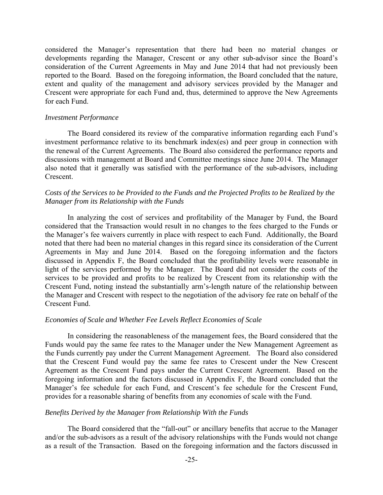considered the Manager's representation that there had been no material changes or developments regarding the Manager, Crescent or any other sub-advisor since the Board's consideration of the Current Agreements in May and June 2014 that had not previously been reported to the Board. Based on the foregoing information, the Board concluded that the nature, extent and quality of the management and advisory services provided by the Manager and Crescent were appropriate for each Fund and, thus, determined to approve the New Agreements for each Fund.

#### *Investment Performance*

The Board considered its review of the comparative information regarding each Fund's investment performance relative to its benchmark index(es) and peer group in connection with the renewal of the Current Agreements. The Board also considered the performance reports and discussions with management at Board and Committee meetings since June 2014. The Manager also noted that it generally was satisfied with the performance of the sub-advisors, including Crescent.

## *Costs of the Services to be Provided to the Funds and the Projected Profits to be Realized by the Manager from its Relationship with the Funds*

In analyzing the cost of services and profitability of the Manager by Fund, the Board considered that the Transaction would result in no changes to the fees charged to the Funds or the Manager's fee waivers currently in place with respect to each Fund. Additionally, the Board noted that there had been no material changes in this regard since its consideration of the Current Agreements in May and June 2014. Based on the foregoing information and the factors discussed in Appendix F, the Board concluded that the profitability levels were reasonable in light of the services performed by the Manager. The Board did not consider the costs of the services to be provided and profits to be realized by Crescent from its relationship with the Crescent Fund, noting instead the substantially arm's-length nature of the relationship between the Manager and Crescent with respect to the negotiation of the advisory fee rate on behalf of the Crescent Fund.

#### *Economies of Scale and Whether Fee Levels Reflect Economies of Scale*

In considering the reasonableness of the management fees, the Board considered that the Funds would pay the same fee rates to the Manager under the New Management Agreement as the Funds currently pay under the Current Management Agreement. The Board also considered that the Crescent Fund would pay the same fee rates to Crescent under the New Crescent Agreement as the Crescent Fund pays under the Current Crescent Agreement. Based on the foregoing information and the factors discussed in Appendix F, the Board concluded that the Manager's fee schedule for each Fund, and Crescent's fee schedule for the Crescent Fund, provides for a reasonable sharing of benefits from any economies of scale with the Fund.

#### *Benefits Derived by the Manager from Relationship With the Funds*

The Board considered that the "fall-out" or ancillary benefits that accrue to the Manager and/or the sub-advisors as a result of the advisory relationships with the Funds would not change as a result of the Transaction. Based on the foregoing information and the factors discussed in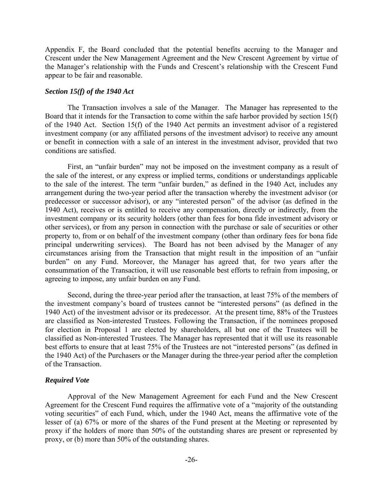Appendix F, the Board concluded that the potential benefits accruing to the Manager and Crescent under the New Management Agreement and the New Crescent Agreement by virtue of the Manager's relationship with the Funds and Crescent's relationship with the Crescent Fund appear to be fair and reasonable.

## *Section 15(f) of the 1940 Act*

The Transaction involves a sale of the Manager. The Manager has represented to the Board that it intends for the Transaction to come within the safe harbor provided by section 15(f) of the 1940 Act. Section 15(f) of the 1940 Act permits an investment advisor of a registered investment company (or any affiliated persons of the investment advisor) to receive any amount or benefit in connection with a sale of an interest in the investment advisor, provided that two conditions are satisfied.

First, an "unfair burden" may not be imposed on the investment company as a result of the sale of the interest, or any express or implied terms, conditions or understandings applicable to the sale of the interest. The term "unfair burden," as defined in the 1940 Act, includes any arrangement during the two-year period after the transaction whereby the investment advisor (or predecessor or successor advisor), or any "interested person" of the advisor (as defined in the 1940 Act), receives or is entitled to receive any compensation, directly or indirectly, from the investment company or its security holders (other than fees for bona fide investment advisory or other services), or from any person in connection with the purchase or sale of securities or other property to, from or on behalf of the investment company (other than ordinary fees for bona fide principal underwriting services). The Board has not been advised by the Manager of any circumstances arising from the Transaction that might result in the imposition of an "unfair burden" on any Fund. Moreover, the Manager has agreed that, for two years after the consummation of the Transaction, it will use reasonable best efforts to refrain from imposing, or agreeing to impose, any unfair burden on any Fund.

Second, during the three-year period after the transaction, at least 75% of the members of the investment company's board of trustees cannot be "interested persons" (as defined in the 1940 Act) of the investment advisor or its predecessor. At the present time, 88% of the Trustees are classified as Non-interested Trustees. Following the Transaction, if the nominees proposed for election in Proposal 1 are elected by shareholders, all but one of the Trustees will be classified as Non-interested Trustees. The Manager has represented that it will use its reasonable best efforts to ensure that at least 75% of the Trustees are not "interested persons" (as defined in the 1940 Act) of the Purchasers or the Manager during the three-year period after the completion of the Transaction.

## *Required Vote*

Approval of the New Management Agreement for each Fund and the New Crescent Agreement for the Crescent Fund requires the affirmative vote of a "majority of the outstanding voting securities" of each Fund, which, under the 1940 Act, means the affirmative vote of the lesser of (a) 67% or more of the shares of the Fund present at the Meeting or represented by proxy if the holders of more than 50% of the outstanding shares are present or represented by proxy, or (b) more than 50% of the outstanding shares.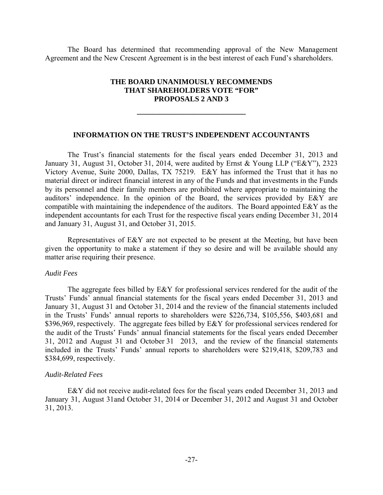The Board has determined that recommending approval of the New Management Agreement and the New Crescent Agreement is in the best interest of each Fund's shareholders.

## **THE BOARD UNANIMOUSLY RECOMMENDS THAT SHAREHOLDERS VOTE "FOR" PROPOSALS 2 AND 3**

**\_\_\_\_\_\_\_\_\_\_\_\_\_\_\_\_\_\_\_\_\_\_\_\_\_\_\_\_\_** 

### **INFORMATION ON THE TRUST'S INDEPENDENT ACCOUNTANTS**

The Trust's financial statements for the fiscal years ended December 31, 2013 and January 31, August 31, October 31, 2014, were audited by Ernst & Young LLP ("E&Y"), 2323 Victory Avenue, Suite 2000, Dallas, TX 75219. E&Y has informed the Trust that it has no material direct or indirect financial interest in any of the Funds and that investments in the Funds by its personnel and their family members are prohibited where appropriate to maintaining the auditors' independence. In the opinion of the Board, the services provided by E&Y are compatible with maintaining the independence of the auditors. The Board appointed E&Y as the independent accountants for each Trust for the respective fiscal years ending December 31, 2014 and January 31, August 31, and October 31, 2015.

Representatives of E&Y are not expected to be present at the Meeting, but have been given the opportunity to make a statement if they so desire and will be available should any matter arise requiring their presence.

#### *Audit Fees*

The aggregate fees billed by E&Y for professional services rendered for the audit of the Trusts' Funds' annual financial statements for the fiscal years ended December 31, 2013 and January 31, August 31 and October 31, 2014 and the review of the financial statements included in the Trusts' Funds' annual reports to shareholders were \$226,734, \$105,556, \$403,681 and \$396,969, respectively. The aggregate fees billed by E&Y for professional services rendered for the audit of the Trusts' Funds' annual financial statements for the fiscal years ended December 31, 2012 and August 31 and October 31 2013, and the review of the financial statements included in the Trusts' Funds' annual reports to shareholders were \$219,418, \$209,783 and \$384,699, respectively.

#### *Audit-Related Fees*

E&Y did not receive audit-related fees for the fiscal years ended December 31, 2013 and January 31, August 31and October 31, 2014 or December 31, 2012 and August 31 and October 31, 2013.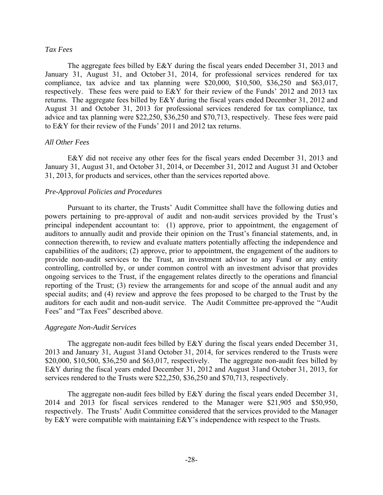### *Tax Fees*

The aggregate fees billed by E&Y during the fiscal years ended December 31, 2013 and January 31, August 31, and October 31, 2014, for professional services rendered for tax compliance, tax advice and tax planning were \$20,000, \$10,500, \$36,250 and \$63,017, respectively. These fees were paid to E&Y for their review of the Funds' 2012 and 2013 tax returns. The aggregate fees billed by E&Y during the fiscal years ended December 31, 2012 and August 31 and October 31, 2013 for professional services rendered for tax compliance, tax advice and tax planning were \$22,250, \$36,250 and \$70,713, respectively. These fees were paid to E&Y for their review of the Funds' 2011 and 2012 tax returns.

### *All Other Fees*

E&Y did not receive any other fees for the fiscal years ended December 31, 2013 and January 31, August 31, and October 31, 2014, or December 31, 2012 and August 31 and October 31, 2013, for products and services, other than the services reported above.

### *Pre-Approval Policies and Procedures*

Pursuant to its charter, the Trusts' Audit Committee shall have the following duties and powers pertaining to pre-approval of audit and non-audit services provided by the Trust's principal independent accountant to: (1) approve, prior to appointment, the engagement of auditors to annually audit and provide their opinion on the Trust's financial statements, and, in connection therewith, to review and evaluate matters potentially affecting the independence and capabilities of the auditors; (2) approve, prior to appointment, the engagement of the auditors to provide non-audit services to the Trust, an investment advisor to any Fund or any entity controlling, controlled by, or under common control with an investment advisor that provides ongoing services to the Trust, if the engagement relates directly to the operations and financial reporting of the Trust; (3) review the arrangements for and scope of the annual audit and any special audits; and (4) review and approve the fees proposed to be charged to the Trust by the auditors for each audit and non-audit service. The Audit Committee pre-approved the "Audit Fees" and "Tax Fees" described above.

### *Aggregate Non-Audit Services*

The aggregate non-audit fees billed by E&Y during the fiscal years ended December 31, 2013 and January 31, August 31and October 31, 2014, for services rendered to the Trusts were \$20,000, \$10,500, \$36,250 and \$63,017, respectively. The aggregate non-audit fees billed by E&Y during the fiscal years ended December 31, 2012 and August 31and October 31, 2013, for services rendered to the Trusts were \$22,250, \$36,250 and \$70,713, respectively.

The aggregate non-audit fees billed by E&Y during the fiscal years ended December 31, 2014 and 2013 for fiscal services rendered to the Manager were \$21,905 and \$50,950, respectively. The Trusts' Audit Committee considered that the services provided to the Manager by E&Y were compatible with maintaining E&Y's independence with respect to the Trusts.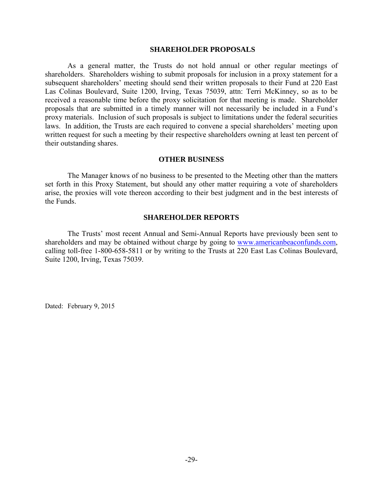### **SHAREHOLDER PROPOSALS**

As a general matter, the Trusts do not hold annual or other regular meetings of shareholders. Shareholders wishing to submit proposals for inclusion in a proxy statement for a subsequent shareholders' meeting should send their written proposals to their Fund at 220 East Las Colinas Boulevard, Suite 1200, Irving, Texas 75039, attn: Terri McKinney, so as to be received a reasonable time before the proxy solicitation for that meeting is made. Shareholder proposals that are submitted in a timely manner will not necessarily be included in a Fund's proxy materials. Inclusion of such proposals is subject to limitations under the federal securities laws. In addition, the Trusts are each required to convene a special shareholders' meeting upon written request for such a meeting by their respective shareholders owning at least ten percent of their outstanding shares.

## **OTHER BUSINESS**

The Manager knows of no business to be presented to the Meeting other than the matters set forth in this Proxy Statement, but should any other matter requiring a vote of shareholders arise, the proxies will vote thereon according to their best judgment and in the best interests of the Funds.

### **SHAREHOLDER REPORTS**

The Trusts' most recent Annual and Semi-Annual Reports have previously been sent to shareholders and may be obtained without charge by going to www.americanbeaconfunds.com, calling toll-free 1-800-658-5811 or by writing to the Trusts at 220 East Las Colinas Boulevard, Suite 1200, Irving, Texas 75039.

Dated: February 9, 2015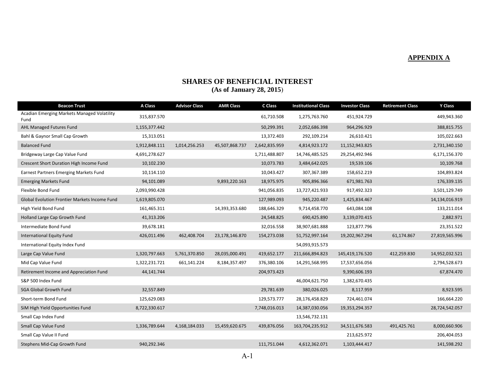#### **APPENDIX A**

# **SHARES OF BENEFICIAL INTEREST**

## **(As of January 28, 2015**)

| <b>Beacon Trust</b>                                 | A Class       | <b>Advisor Class</b> | <b>AMR Class</b> | C Class       | <b>Institutional Class</b> | <b>Investor Class</b> | <b>Retirement Class</b> | Y Class        |
|-----------------------------------------------------|---------------|----------------------|------------------|---------------|----------------------------|-----------------------|-------------------------|----------------|
| Acadian Emerging Markets Managed Volatility<br>Fund | 315,837.570   |                      |                  | 61,710.508    | 1,275,763.760              | 451,924.729           |                         | 449,943.360    |
| AHL Managed Futures Fund                            | 1,155,377.442 |                      |                  | 50,299.391    | 2,052,686.398              | 964,296.929           |                         | 388,815.755    |
| Bahl & Gaynor Small Cap Growth                      | 15,313.051    |                      |                  | 13,372.403    | 292,109.214                | 26,610.421            |                         | 105,022.663    |
| <b>Balanced Fund</b>                                | 1,912,848.111 | 1,014,256.253        | 45,507,868.737   | 2,642,835.959 | 4,814,923.172              | 11,152,943.825        |                         | 2,731,340.150  |
| Bridgeway Large Cap Value Fund                      | 4,691,278.627 |                      |                  | 1,711,488.807 | 14,746,485.525             | 29,254,492.946        |                         | 6,171,156.370  |
| Crescent Short Duration High Income Fund            | 10,102.230    |                      |                  | 10,073.783    | 3,484,642.025              | 19,539.106            |                         | 10,109.768     |
| Earnest Partners Emerging Markets Fund              | 10,114.110    |                      |                  | 10,043.427    | 307,367.389                | 158,652.219           |                         | 104,893.824    |
| <b>Emerging Markets Fund</b>                        | 94,101.089    |                      | 9,893,220.163    | 18,975.975    | 905,896.366                | 671,981.763           |                         | 176,339.135    |
| Flexible Bond Fund                                  | 2,093,990.428 |                      |                  | 941,056.835   | 13,727,421.933             | 917,492.323           |                         | 3,501,129.749  |
| Global Evolution Frontier Markets Income Fund       | 1,619,805.070 |                      |                  | 127,989.093   | 945,220.487                | 1,425,834.467         |                         | 14,134,016.919 |
| High Yield Bond Fund                                | 161,465.311   |                      | 14,393,353.680   | 188,646.329   | 9,714,458.770              | 643,084.108           |                         | 133,211.014    |
| Holland Large Cap Growth Fund                       | 41,313.206    |                      |                  | 24,548.825    | 690,425.890                | 3,139,070.415         |                         | 2,882.971      |
| Intermediate Bond Fund                              | 39,678.181    |                      |                  | 32,016.558    | 38,907,681.888             | 123,877.796           |                         | 23,351.522     |
| <b>International Equity Fund</b>                    | 426,011.496   | 462,408.704          | 23,178,146.870   | 154,273.038   | 51,752,997.164             | 19,202,967.294        | 61,174.867              | 27,819,565.996 |
| International Equity Index Fund                     |               |                      |                  |               | 54,093,915.573             |                       |                         |                |
| Large Cap Value Fund                                | 1,320,797.663 | 5,761,370.850        | 28,035,000.491   | 419,652.177   | 211,666,894.823            | 145,419,176.520       | 412,259.830             | 14,952,032.521 |
| Mid Cap Value Fund                                  | 1,322,231.721 | 661,141.224          | 8,184,357.497    | 376,380.106   | 14,291,568.995             | 17,537,656.056        |                         | 2,794,528.673  |
| Retirement Income and Appreciation Fund             | 44,141.744    |                      |                  | 204,973.423   |                            | 9,390,606.193         |                         | 67,874.470     |
| S&P 500 Index Fund                                  |               |                      |                  |               | 46,004,621.750             | 1,382,670.435         |                         |                |
| <b>SGA Global Growth Fund</b>                       | 32,557.849    |                      |                  | 29,781.639    | 380,026.025                | 8,117.959             |                         | 8,923.595      |
| Short-term Bond Fund                                | 125,629.083   |                      |                  | 129,573.777   | 28,176,458.829             | 724,461.074           |                         | 166,664.220    |
| SiM High Yield Opportunities Fund                   | 8,722,330.617 |                      |                  | 7,748,016.013 | 14,387,030.056             | 19,353,294.357        |                         | 28,724,542.057 |
| Small Cap Index Fund                                |               |                      |                  |               | 13,546,732.131             |                       |                         |                |
| Small Cap Value Fund                                | 1,336,789.644 | 4,168,184.033        | 15,459,620.675   | 439,876.056   | 163,704,235.912            | 34,511,676.583        | 491,425.761             | 8,000,660.906  |
| Small Cap Value II Fund                             |               |                      |                  |               |                            | 213,625.972           |                         | 206,404.053    |
| Stephens Mid-Cap Growth Fund                        | 940,292.346   |                      |                  | 111,751.044   | 4,612,362.071              | 1,103,444.417         |                         | 141,598.292    |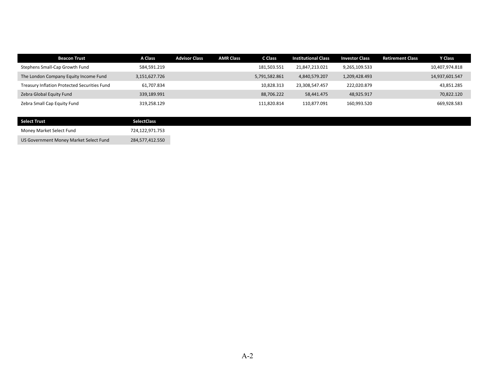| <b>Beacon Trust</b>                          | A Class       | <b>Advisor Class</b> | <b>AMR Class</b> | C Class       | <b>Institutional Class</b> | <b>Investor Class</b> | <b>Retirement Class</b> | <b>Y Class</b> |
|----------------------------------------------|---------------|----------------------|------------------|---------------|----------------------------|-----------------------|-------------------------|----------------|
| Stephens Small-Cap Growth Fund               | 584,591.219   |                      |                  | 181,503.551   | 21,847,213.021             | 9,265,109.533         |                         | 10,407,974.818 |
| The London Company Equity Income Fund        | 3,151,627.726 |                      |                  | 5,791,582.861 | 4,840,579.207              | 1,209,428.493         |                         | 14,937,601.547 |
| Treasury Inflation Protected Securities Fund | 61,707.834    |                      |                  | 10,828.313    | 23,308,547.457             | 222,020.879           |                         | 43,851.285     |
| Zebra Global Equity Fund                     | 339,189.991   |                      |                  | 88.706.222    | 58,441.475                 | 48,925.917            |                         | 70,822.120     |
| Zebra Small Cap Equity Fund                  | 319,258.129   |                      |                  | 111,820.814   | 110.877.091                | 160,993.520           |                         | 669,928.583    |

| <b>Select Trust</b>                    | <b>SelectClass</b> |
|----------------------------------------|--------------------|
| Money Market Select Fund               | 724,122,971.753    |
| US Government Money Market Select Fund | 284,577,412.550    |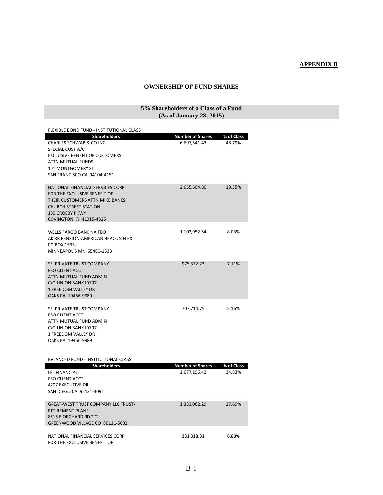## **APPENDIX B**

### **OWNERSHIP OF FUND SHARES**

### **5% Shareholders of a Class of a Fund (As of January 28, 2015)**

| FLEXIBLE BOND FUND - INSTITUTIONAL CLASS                                                                                                                                                        |                                         |                      |
|-------------------------------------------------------------------------------------------------------------------------------------------------------------------------------------------------|-----------------------------------------|----------------------|
| <b>Shareholders</b><br>CHARLES SCHWAB & CO INC<br>SPECIAL CUST A/C<br><b>EXCLUSIVE BENEFIT OF CUSTOMERS</b><br>ATTN MUTUAL FUNDS<br>101 MONTGOMERY ST<br>SAN FRANCISCO CA 94104-4151            | <b>Number of Shares</b><br>6,697,541.43 | % of Class<br>48.79% |
| NATIONAL FINANCIAL SERVICES CORP<br>FOR THE EXCLUSIVE BENEFIT OF<br>THEIR CUSTOMERS ATTN MIKE BANKS<br><b>CHURCH STREET STATION</b><br><b>100 CROSBY PKWY</b><br><b>COVINGTON KY 41015-4325</b> | 2,655,604.80                            | 19.35%               |
| <b>WELLS FARGO BANK NA FBO</b><br>AK RR PENSION-AMERICAN BEACON FLEX<br>PO BOX 1533<br>MINNEAPOLIS MN 55480-1533                                                                                | 1,102,952.54                            | 8.03%                |
| SEI PRIVATE TRUST COMPANY<br><b>FBO CLIENT ACCT</b><br>ATTN MUTUAL FUND ADMIN<br>C/O UNION BANK ID797<br>1 FREEDOM VALLEY DR<br>OAKS PA 19456-9989                                              | 975,372.23                              | 7.11%                |
| SEI PRIVATE TRUST COMPANY<br><b>FBO CLIENT ACCT</b><br>ATTN MUTUAL FUND ADMIN<br>C/O UNION BANK ID797<br>1 FREEDOM VALLEY DR<br>OAKS PA 19456-9989                                              | 707,714.75                              | 5.16%                |
| <b>BALANCED FUND - INSTITUTIONAL CLASS</b><br><b>Shareholders</b>                                                                                                                               | <b>Number of Shares</b>                 | % of Class           |
| <b>LPL FINANCIAL</b><br><b>FBO CLIENT ACCT</b><br>4707 EXECUTIVE DR<br>SAN DIEGO CA 92121-3091                                                                                                  | 1,677,196.42                            | 34.83%               |
| <b>GREAT-WEST TRUST COMPANY LLC TRUST/</b><br><b>RETIREMENT PLANS</b><br>8515 E ORCHARD RD 2T2<br>GREENWOOD VILLAGE CO 80111-5002                                                               | 1,333,062.29                            | 27.69%               |
| NATIONAL FINANCIAL SERVICES CORP<br>FOR THE EXCLUSIVE BENEFIT OF                                                                                                                                | 331,318.31                              | 6.88%                |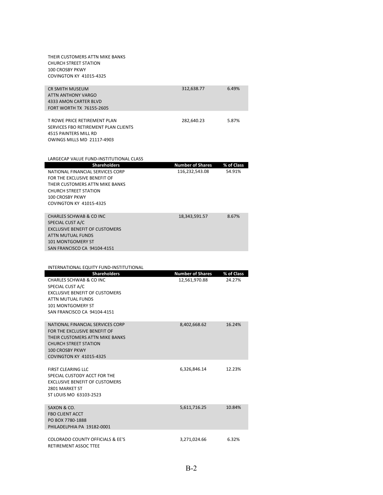| THEIR CUSTOMERS ATTN MIKE BANKS<br><b>CHURCH STREET STATION</b><br><b>100 CROSBY PKWY</b><br>COVINGTON KY 41015-4325                                                                                                   |                                           |                      |
|------------------------------------------------------------------------------------------------------------------------------------------------------------------------------------------------------------------------|-------------------------------------------|----------------------|
| <b>CR SMITH MUSEUM</b><br>ATTN ANTHONY VARGO<br>4333 AMON CARTER BLVD<br><b>FORT WORTH TX 76155-2605</b>                                                                                                               | 312,638.77                                | 6.49%                |
| T ROWE PRICE RETIREMENT PLAN<br>SERVICES FBO RETIREMENT PLAN CLIENTS<br>4515 PAINTERS MILL RD<br><b>OWINGS MILLS MD 21117-4903</b>                                                                                     | 282,640.23                                | 5.87%                |
| LARGECAP VALUE FUND-INSTITUTIONAL CLASS                                                                                                                                                                                |                                           |                      |
| <b>Shareholders</b><br>NATIONAL FINANCIAL SERVICES CORP<br>FOR THE EXCLUSIVE BENEFIT OF<br>THEIR CUSTOMERS ATTN MIKE BANKS<br><b>CHURCH STREET STATION</b><br><b>100 CROSBY PKWY</b><br><b>COVINGTON KY 41015-4325</b> | <b>Number of Shares</b><br>116,232,543.08 | % of Class<br>54.91% |
| <b>CHARLES SCHWAB &amp; CO INC</b><br>SPECIAL CUST A/C<br><b>EXCLUSIVE BENEFIT OF CUSTOMERS</b><br>ATTN MUTUAL FUNDS<br><b>101 MONTGOMERY ST</b>                                                                       | 18,343,591.57                             | 8.67%                |
| SAN FRANCISCO CA 94104-4151                                                                                                                                                                                            |                                           |                      |
| INTERNATIONAL EQUITY FUND-INSTITUTIONAL                                                                                                                                                                                |                                           |                      |
| <b>Shareholders</b><br>CHARLES SCHWAB & CO INC<br>SPECIAL CUST A/C<br><b>EXCLUSIVE BENEFIT OF CUSTOMERS</b><br>ATTN MUTUAL FUNDS<br><b>101 MONTGOMERY ST</b><br>SAN FRANCISCO CA 94104-4151                            | <b>Number of Shares</b><br>12,561,970.88  | % of Class<br>24.27% |
| NATIONAL FINANCIAL SERVICES CORP<br>FOR THE EXCLUSIVE BENEFIT OF<br>THEIR CUSTOMERS ATTN MIKE BANKS<br><b>CHURCH STREET STATION</b><br><b>100 CROSBY PKWY</b><br><b>COVINGTON KY 41015-4325</b>                        | 8,402,668.62                              | 16.24%               |
| FIRST CLEARING LLC<br>SPECIAL CUSTODY ACCT FOR THE<br><b>EXCLUSIVE BENEFIT OF CUSTOMERS</b><br>2801 MARKET ST<br>ST LOUIS MO 63103-2523                                                                                | 6,326,846.14                              | 12.23%               |
| SAXON & CO.<br><b>FBO CLIENT ACCT</b><br>PO BOX 7780-1888<br>PHILADELPHIA PA 19182-0001                                                                                                                                | 5,611,716.25                              | 10.84%               |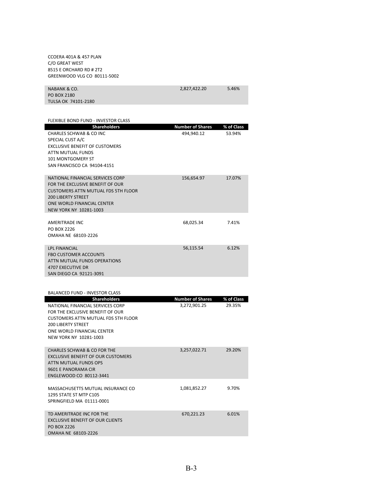CCOERA 401A & 457 PLAN C/O GREAT WEST 8515 E ORCHARD RD # 2T2 GREENWOOD VLG CO 80111‐5002

| NABANK & CO.        | 2,827,422.20 | 5.46% |
|---------------------|--------------|-------|
| PO BOX 2180         |              |       |
| TULSA OK 74101-2180 |              |       |

| <b>Shareholders</b>                                  | <b>Number of Shares</b> | % of Class |
|------------------------------------------------------|-------------------------|------------|
| CHARLES SCHWAB & CO INC                              | 494,940.12              | 53.94%     |
| SPECIAL CUST A/C                                     |                         |            |
| <b>EXCLUSIVE BENEFIT OF CUSTOMERS</b>                |                         |            |
| ATTN MUTUAL FUNDS                                    |                         |            |
| <b>101 MONTGOMERY ST</b>                             |                         |            |
| SAN FRANCISCO CA 94104-4151                          |                         |            |
|                                                      |                         |            |
| NATIONAL FINANCIAL SERVICES CORP                     | 156,654.97              | 17.07%     |
| FOR THE EXCLUSIVE BENEFIT OF OUR                     |                         |            |
| <b>CUSTOMERS ATTN MUTUAL FDS 5TH FLOOR</b>           |                         |            |
| <b>200 LIBERTY STREET</b>                            |                         |            |
| ONE WORLD FINANCIAL CENTER                           |                         |            |
| NEW YORK NY 10281-1003                               |                         |            |
|                                                      |                         |            |
| <b>AMERITRADE INC</b>                                | 68,025.34               | 7.41%      |
| PO BOX 2226                                          |                         |            |
| OMAHA NE 68103-2226                                  |                         |            |
|                                                      |                         |            |
| <b>LPL FINANCIAL</b>                                 | 56,115.54               | 6.12%      |
| <b>FBO CUSTOMER ACCOUNTS</b>                         |                         |            |
| ATTN MUTUAL FUNDS OPERATIONS                         |                         |            |
| <b>4707 EXECUTIVE DR</b>                             |                         |            |
| SAN DIEGO CA 92121-3091                              |                         |            |
|                                                      |                         |            |
|                                                      |                         |            |
| <b>BALANCED FUND - INVESTOR CLASS</b>                |                         |            |
| <b>Shareholders</b>                                  | <b>Number of Shares</b> | % of Class |
| NATIONAL FINANCIAL SERVICES CORP                     | 3,272,901.25            | 29.35%     |
| FOR THE EXCLUSIVE BENEFIT OF OUR                     |                         |            |
|                                                      |                         |            |
| <b>CUSTOMERS ATTN MUTUAL FDS 5TH FLOOR</b>           |                         |            |
| <b>200 LIBERTY STREET</b>                            |                         |            |
|                                                      |                         |            |
| ONE WORLD FINANCIAL CENTER<br>NEW YORK NY 10281-1003 |                         |            |
|                                                      |                         |            |
| <b>CHARLES SCHWAB &amp; CO FOR THE</b>               | 3,257,022.71            | 29.20%     |
| <b>EXCLUSIVE BENEFIT OF OUR CUSTOMERS</b>            |                         |            |
| ATTN MUTUAL FUNDS OPS                                |                         |            |
| 9601 E PANORAMA CIR                                  |                         |            |
| ENGLEWOOD CO 80112-3441                              |                         |            |
|                                                      |                         |            |
| MASSACHUSETTS MUTUAL INSURANCE CO                    | 1,081,852.27            | 9.70%      |
| 1295 STATE ST MTP C105                               |                         |            |
| SPRINGFIELD MA 01111-0001                            |                         |            |
|                                                      |                         |            |
| TD AMERITRADE INC FOR THE                            | 670,221.23              | 6.01%      |
| <b>EXCLUSIVE BENEFIT OF OUR CLIENTS</b>              |                         |            |
| <b>PO BOX 2226</b>                                   |                         |            |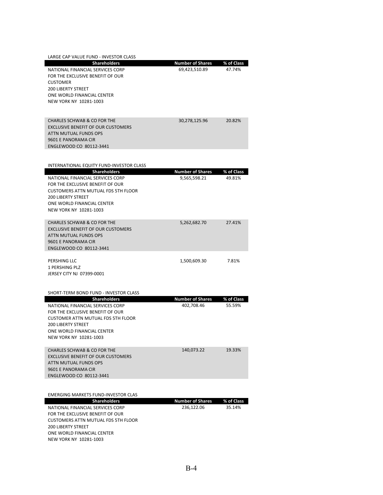| LARGE CAP VALUE FUND - INVESTOR CLASS                                   |                         |            |
|-------------------------------------------------------------------------|-------------------------|------------|
| <b>Shareholders</b>                                                     | <b>Number of Shares</b> | % of Class |
| NATIONAL FINANCIAL SERVICES CORP                                        | 69,423,510.89           | 47.74%     |
| FOR THE EXCLUSIVE BENEFIT OF OUR                                        |                         |            |
| <b>CUSTOMER</b><br><b>200 LIBERTY STREET</b>                            |                         |            |
| ONE WORLD FINANCIAL CENTER                                              |                         |            |
| NEW YORK NY 10281-1003                                                  |                         |            |
|                                                                         |                         |            |
|                                                                         |                         |            |
| <b>CHARLES SCHWAB &amp; CO FOR THE</b>                                  | 30,278,125.96           | 20.82%     |
| <b>EXCLUSIVE BENEFIT OF OUR CUSTOMERS</b><br>ATTN MUTUAL FUNDS OPS      |                         |            |
| 9601 E PANORAMA CIR                                                     |                         |            |
| ENGLEWOOD CO 80112-3441                                                 |                         |            |
|                                                                         |                         |            |
| INTERNATIONAL EQUITY FUND-INVESTOR CLASS                                |                         |            |
| <b>Shareholders</b>                                                     | <b>Number of Shares</b> | % of Class |
| NATIONAL FINANCIAL SERVICES CORP                                        | 9,565,598.21            | 49.81%     |
| FOR THE EXCLUSIVE BENEFIT OF OUR                                        |                         |            |
| <b>CUSTOMERS ATTN MUTUAL FDS 5TH FLOOR</b>                              |                         |            |
| <b>200 LIBERTY STREET</b>                                               |                         |            |
| ONE WORLD FINANCIAL CENTER<br>NEW YORK NY 10281-1003                    |                         |            |
|                                                                         |                         |            |
| <b>CHARLES SCHWAB &amp; CO FOR THE</b>                                  | 5,262,682.70            | 27.41%     |
| <b>EXCLUSIVE BENEFIT OF OUR CUSTOMERS</b>                               |                         |            |
| ATTN MUTUAL FUNDS OPS                                                   |                         |            |
| 9601 E PANORAMA CIR                                                     |                         |            |
| ENGLEWOOD CO 80112-3441                                                 |                         |            |
| PERSHING LLC                                                            | 1,500,609.30            | 7.81%      |
| 1 PERSHING PLZ                                                          |                         |            |
| JERSEY CITY NJ 07399-0001                                               |                         |            |
|                                                                         |                         |            |
| SHORT-TERM BOND FUND - INVESTOR CLASS                                   |                         |            |
| <b>Shareholders</b>                                                     | <b>Number of Shares</b> | % of Class |
| NATIONAL FINANCIAL SERVICES CORP                                        | 402,708.46              | 55.59%     |
| FOR THE EXCLUSIVE BENEFIT OF OUR                                        |                         |            |
| <b>CUSTOMER ATTN MUTUAL FDS 5TH FLOOR</b>                               |                         |            |
| <b>200 LIBERTY STREET</b>                                               |                         |            |
| ONE WORLD FINANCIAL CENTER<br>NEW YORK NY 10281-1003                    |                         |            |
|                                                                         |                         |            |
| <b>CHARLES SCHWAB &amp; CO FOR THE</b>                                  | 140,073.22              | 19.33%     |
| <b>EXCLUSIVE BENEFIT OF OUR CUSTOMERS</b>                               |                         |            |
| ATTN MUTUAL FUNDS OPS                                                   |                         |            |
| 9601 E PANORAMA CIR                                                     |                         |            |
| ENGLEWOOD CO 80112-3441                                                 |                         |            |
|                                                                         |                         |            |
| <b>EMERGING MARKETS FUND-INVESTOR CLAS</b>                              |                         |            |
| Shareholders                                                            | <b>Number of Shares</b> | % of Class |
| NATIONAL FINANCIAL SERVICES CORP                                        | 236,122.06              | 35.14%     |
| FOR THE EXCLUSIVE BENEFIT OF OUR                                        |                         |            |
| <b>CUSTOMERS ATTN MUTUAL FDS 5TH FLOOR</b><br><b>200 LIBERTY STREET</b> |                         |            |
| ONE WORLD FINANCIAL CENTER                                              |                         |            |
| NEW YORK NY 10281-1003                                                  |                         |            |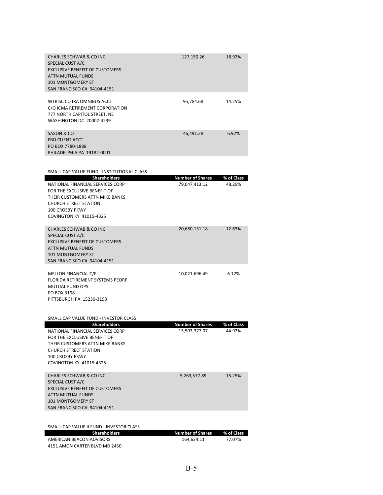| CHARLES SCHWAB & CO INC<br>SPECIAL CUST A/C<br><b>EXCLUSIVE BENEFIT OF CUSTOMERS</b><br>ATTN MUTUAL FUNDS<br><b>101 MONTGOMERY ST</b><br>SAN FRANCISCO CA 94104-4151 | 127,150.26 | 18.92% |
|----------------------------------------------------------------------------------------------------------------------------------------------------------------------|------------|--------|
| WTRISC CO IRA OMNIBUS ACCT<br>C/O ICMA RETIREMENT CORPORATION<br>777 NORTH CAPITOL STREET, NE<br>WASHINGTON DC 20002-4239                                            | 95.784.68  | 14.25% |
| SAXON & CO<br><b>FBO CLIENT ACCT</b><br>PO BOX 7780-1888<br>PHILADELPHIA PA 19182-0001                                                                               | 46,491.28  | 6.92%  |

| SMALL CAP VALUE FUND - INSTITUTIONAL CLASS      |                         |            |
|-------------------------------------------------|-------------------------|------------|
| <b>Shareholders</b>                             | <b>Number of Shares</b> | % of Class |
| NATIONAL FINANCIAL SERVICES CORP                | 79,047,413.12           | 48.29%     |
| FOR THE EXCLUSIVE BENEFIT OF                    |                         |            |
| THEIR CUSTOMERS ATTN MIKE BANKS                 |                         |            |
| <b>CHURCH STREET STATION</b><br>100 CROSBY PKWY |                         |            |
| <b>COVINGTON KY 41015-4325</b>                  |                         |            |
|                                                 |                         |            |
| <b>CHARLES SCHWAB &amp; CO INC</b>              | 20,680,131.18           | 12.63%     |
| SPECIAL CUST A/C                                |                         |            |
| <b>EXCLUSIVE BENEFIT OF CUSTOMERS</b>           |                         |            |
| <b>ATTN MUTUAL FUNDS</b>                        |                         |            |
| 101 MONTGOMERY ST                               |                         |            |
| SAN FRANCISCO CA 94104-4151                     |                         |            |
| MELLON FINANCIAL C/F                            | 10.021.696.49           | 6.12%      |
| <b>FLORIDA RETIREMENT SYSTEMS PEORP</b>         |                         |            |
| MUTUAL FUND OPS                                 |                         |            |
| PO BOX 3198                                     |                         |            |
| PITTSBURGH PA 15230-3198                        |                         |            |
|                                                 |                         |            |
| SMALL CAP VALUE FUND - INVESTOR CLASS           |                         |            |
| <b>Shareholders</b>                             | <b>Number of Shares</b> | % of Class |
| NATIONAL FINANCIAL SERVICES CORP                | 15,503,377.07           | 44.92%     |
| FOR THE EXCLUSIVE BENEFIT OF                    |                         |            |
| THEIR CUSTOMERS ATTN MIKE BANKS                 |                         |            |

| I HEIR LUSTUIVIERS AT IN IVIINE BANNS<br><b>CHURCH STREET STATION</b><br>100 CROSBY PKWY                                                               |  |              |        |
|--------------------------------------------------------------------------------------------------------------------------------------------------------|--|--------------|--------|
| COVINGTON KY 41015-4325                                                                                                                                |  |              |        |
| CHARLES SCHWAB & CO INC<br>SPECIAL CUST A/C<br>EXCLUSIVE BENEFIT OF CUSTOMERS<br>ATTN MUTUAL FUNDS<br>101 MONTGOMERY ST<br>SAN FRANCISCO CA 94104-4151 |  | 5,263,577.89 | 15.25% |
|                                                                                                                                                        |  |              |        |

| 164.634.11 | 77.07%                             |
|------------|------------------------------------|
|            |                                    |
|            | <b>Number of Shares</b> % of Class |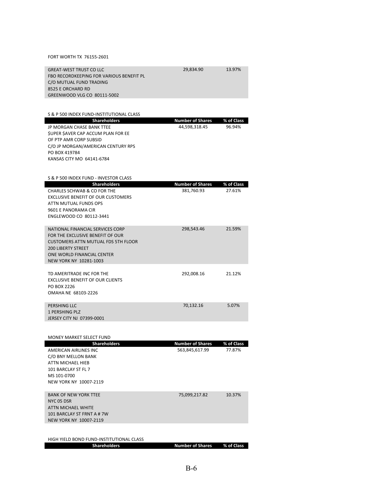#### FORT WORTH TX 76155‐2601

| <b>GREAT-WEST TRUST CO LLC</b>                  | 29,834.90               | 13.97%     |
|-------------------------------------------------|-------------------------|------------|
| FBO RECORDKEEPING FOR VARIOUS BENEFIT PL        |                         |            |
| C/O MUTUAL FUND TRADING                         |                         |            |
| 8525 E ORCHARD RD                               |                         |            |
| GREENWOOD VLG CO 80111-5002                     |                         |            |
|                                                 |                         |            |
|                                                 |                         |            |
| S & P 500 INDEX FUND-INSTITUTIONAL CLASS        |                         |            |
| <b>Shareholders</b>                             | <b>Number of Shares</b> | % of Class |
| JP MORGAN CHASE BANK TTEE                       | 44,598,318.45           | 96.94%     |
| SUPER SAVER CAP ACCUM PLAN FOR EE               |                         |            |
| OF PTP AMR CORP SUBSID                          |                         |            |
| C/O JP MORGAN/AMERICAN CENTURY RPS              |                         |            |
| PO BOX 419784                                   |                         |            |
| KANSAS CITY MO 64141-6784                       |                         |            |
|                                                 |                         |            |
| S & P 500 INDEX FUND - INVESTOR CLASS           |                         |            |
| <b>Shareholders</b>                             | <b>Number of Shares</b> | % of Class |
| CHARLES SCHWAB & CO FOR THE                     | 381,760.93              | 27.61%     |
| <b>EXCLUSIVE BENEFIT OF OUR CUSTOMERS</b>       |                         |            |
| ATTN MUTUAL FUNDS OPS                           |                         |            |
| 9601 E PANORAMA CIR                             |                         |            |
| ENGLEWOOD CO 80112-3441                         |                         |            |
|                                                 |                         |            |
| NATIONAL FINANCIAL SERVICES CORP                | 298,543.46              | 21.59%     |
| FOR THE EXCLUSIVE BENEFIT OF OUR                |                         |            |
| <b>CUSTOMERS ATTN MUTUAL FDS 5TH FLOOR</b>      |                         |            |
| <b>200 LIBERTY STREET</b>                       |                         |            |
| ONE WORLD FINANCIAL CENTER                      |                         |            |
| NEW YORK NY 10281-1003                          |                         |            |
|                                                 |                         |            |
| TD AMERITRADE INC FOR THE                       | 292,008.16              | 21.12%     |
| <b>EXCLUSIVE BENEFIT OF OUR CLIENTS</b>         |                         |            |
| PO BOX 2226                                     |                         |            |
| OMAHA NE 68103-2226                             |                         |            |
|                                                 |                         |            |
| PERSHING LLC                                    | 70,132.16               | 5.07%      |
| <b>1 PERSHING PLZ</b>                           |                         |            |
| JERSEY CITY NJ 07399-0001                       |                         |            |
|                                                 |                         |            |
|                                                 |                         |            |
| MONEY MARKET SELECT FUND<br><b>Shareholders</b> | <b>Number of Shares</b> | % of Class |
| AMERICAN AIRLINES INC                           | 563,845,617.99          | 77.87%     |
|                                                 |                         |            |

| AMERICAN AIRLINES INC        | 563,845,617.99 | 77.87% |
|------------------------------|----------------|--------|
| C/O BNY MELLON BANK          |                |        |
| ATTN MICHAEL HIEB            |                |        |
| 101 BARCLAY ST FL 7          |                |        |
| MS 101-0700                  |                |        |
| NEW YORK NY 10007-2119       |                |        |
|                              |                |        |
| <b>BANK OF NEW YORK TTEE</b> | 75,099,217.82  | 10.37% |
| NYC 05 DSR                   |                |        |
| ATTN MICHAEL WHITE           |                |        |
| 101 BARCLAY ST FRNT A # 7W   |                |        |
| NEW YORK NY 10007-2119       |                |        |
|                              |                |        |

#### HIGH YIELD BOND FUND‐INSTITUTIONAL CLASS

|  | <b>Shareholders</b> | <b>Number of Shares</b> | % of Class |
|--|---------------------|-------------------------|------------|
|--|---------------------|-------------------------|------------|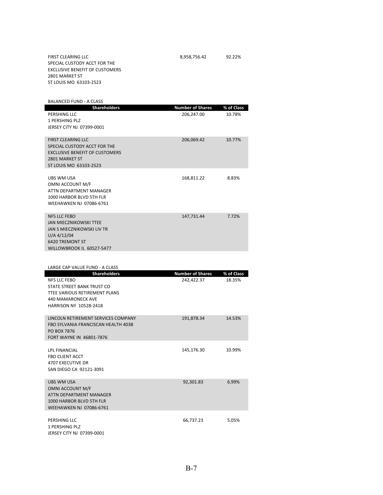FIRST CLEARING LLC 8,958,756.42 92.22% SPECIAL CUSTODY ACCT FOR THE EXCLUSIVE BENEFIT OF CUSTOMERS 2801 MARKET ST ST LOUIS MO 63103‐2523

BALANCED FUND ‐ A CLASS

| <b>Shareholders</b>                          | <b>Number of Shares</b> | % of Class |
|----------------------------------------------|-------------------------|------------|
| PERSHING LLC                                 | 206,247.00              | 10.78%     |
| 1 PERSHING PLZ                               |                         |            |
| JERSEY CITY NJ 07399-0001                    |                         |            |
|                                              |                         |            |
| <b>FIRST CLEARING LLC</b>                    | 206,069.42              | 10.77%     |
| SPECIAL CUSTODY ACCT FOR THE                 |                         |            |
| <b>EXCLUSIVE BENEFIT OF CUSTOMERS</b>        |                         |            |
| 2801 MARKET ST                               |                         |            |
| ST LOUIS MO 63103-2523                       |                         |            |
| UBS WM USA                                   | 168,811.22              | 8.83%      |
| OMNI ACCOUNT M/F                             |                         |            |
| ATTN DEPARTMENT MANAGER                      |                         |            |
| 1000 HARBOR BLVD 5TH FLR                     |                         |            |
| <b>WEEHAWKEN NJ 07086-6761</b>               |                         |            |
|                                              |                         |            |
| <b>NFS LLC FEBO</b>                          | 147,731.44              | 7.72%      |
| <b>JAN MIECZNIKOWSKI TTEE</b>                |                         |            |
| JAN S MIECZNIKOWSKI LIV TR<br>$U/A$ 4/12/04  |                         |            |
| <b>6420 TREMONT ST</b>                       |                         |            |
| WILLOWBROOK IL 60527-5477                    |                         |            |
|                                              |                         |            |
|                                              |                         |            |
| LARGE CAP VALUE FUND - A CLASS               |                         |            |
|                                              |                         |            |
| <b>Shareholders</b>                          | <b>Number of Shares</b> | % of Class |
| NFS LLC FEBO                                 | 242.422.37              | 18.35%     |
| STATE STREET BANK TRUST CO                   |                         |            |
| TTEE VARIOUS RETIREMENT PLANS                |                         |            |
| 440 MAMARONECK AVE<br>HARRISON NY 10528-2418 |                         |            |
|                                              |                         |            |
| LINCOLN RETIREMENT SERVICES COMPANY          | 191,878.34              | 14.53%     |
| FBO SYLVANIA FRANCISCAN HEALTH 403B          |                         |            |
| <b>PO BOX 7876</b>                           |                         |            |
| FORT WAYNE IN 46801-7876                     |                         |            |
|                                              |                         |            |
| LPL FINANCIAL                                | 145,176.30              | 10.99%     |
| <b>FBO CLIENT ACCT</b>                       |                         |            |
| 4707 EXECUTIVE DR<br>SAN DIEGO CA 92121-3091 |                         |            |
|                                              |                         |            |
| UBS WM USA                                   | 92,301.83               | 6.99%      |
| OMNI ACCOUNT M/F                             |                         |            |
| ATTN DEPARTMENT MANAGER                      |                         |            |
| 1000 HARBOR BLVD 5TH FLR                     |                         |            |
| <b>WEEHAWKEN NJ 07086-6761</b>               |                         |            |
| PERSHING LLC                                 | 66,737.23               | 5.05%      |
| <b>1 PERSHING PLZ</b>                        |                         |            |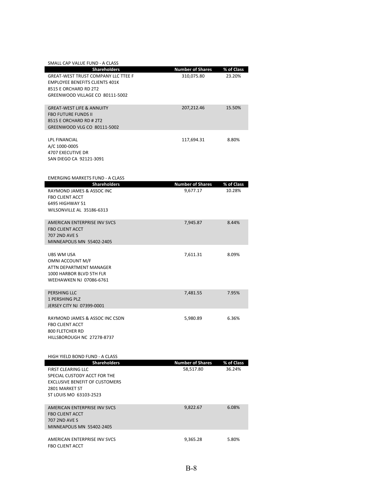| SMALL CAP VALUE FUND - A CLASS                                                                                                                                         |                                       |                      |
|------------------------------------------------------------------------------------------------------------------------------------------------------------------------|---------------------------------------|----------------------|
| <b>Shareholders</b><br><b>GREAT-WEST TRUST COMPANY LLC TTEE F</b><br><b>EMPLOYEE BENEFITS CLIENTS 401K</b><br>8515 E ORCHARD RD 2T2<br>GREENWOOD VILLAGE CO 80111-5002 | <b>Number of Shares</b><br>310,075.80 | % of Class<br>23.20% |
| <b>GREAT-WEST LIFE &amp; ANNUITY</b><br><b>FBO FUTURE FUNDS II</b><br>8515 E ORCHARD RD # 2T2<br>GREENWOOD VLG CO 80111-5002                                           | 207,212.46                            | 15.50%               |
| LPL FINANCIAL<br>A/C 1000-0005<br>4707 EXECUTIVE DR<br>SAN DIEGO CA 92121-3091                                                                                         | 117,694.31                            | 8.80%                |
| <b>EMERGING MARKETS FUND - A CLASS</b><br><b>Shareholders</b>                                                                                                          | <b>Number of Shares</b>               | % of Class           |
| RAYMOND JAMES & ASSOC INC<br><b>FBO CLIENT ACCT</b><br>6495 HIGHWAY 51<br>WILSONVILLE AL 35186-6313                                                                    | 9,677.17                              | 10.28%               |
| AMERICAN ENTERPRISE INV SVCS<br><b>FBO CLIENT ACCT</b><br><b>707 2ND AVE S</b><br>MINNEAPOLIS MN 55402-2405                                                            | 7,945.87                              | 8.44%                |
| UBS WM USA<br>OMNI ACCOUNT M/F<br>ATTN DEPARTMENT MANAGER<br>1000 HARBOR BLVD 5TH FLR<br>WEEHAWKEN NJ 07086-6761                                                       | 7,611.31                              | 8.09%                |
| PERSHING LLC<br><b>1 PERSHING PLZ</b><br>JERSEY CITY NJ 07399-0001                                                                                                     | 7,481.55                              | 7.95%                |
| RAYMOND JAMES & ASSOC INC CSDN<br><b>FBO CLIENT ACCT</b><br>800 FLETCHER RD<br>HILLSBOROUGH NC 27278-8737                                                              | 5.980.89                              | 6.36%                |
| HIGH YIELD BOND FUND - A CLASS<br><b>Shareholders</b>                                                                                                                  | <b>Number of Shares</b>               | % of Class           |
| <b>FIRST CLEARING LLC</b><br>SPECIAL CUSTODY ACCT FOR THE<br><b>EXCLUSIVE BENEFIT OF CUSTOMERS</b><br>2801 MARKET ST<br>ST LOUIS MO 63103-2523                         | 58.517.80                             | 36.24%               |
| AMERICAN ENTERPRISE INV SVCS<br><b>FBO CLIENT ACCT</b><br><b>707 2ND AVE S</b><br>MINNEAPOLIS MN 55402-2405                                                            | 9,822.67                              | 6.08%                |
| AMERICAN ENTERPRISE INV SVCS<br>FBO CLIENT ACCT                                                                                                                        | 9,365.28                              | 5.80%                |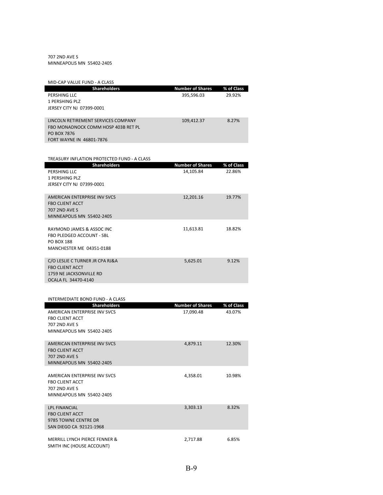#### 707 2ND AVE S MINNEAPOLIS MN 55402‐2405

| MID-CAP VALUE FUND - A CLASS                |                         |            |
|---------------------------------------------|-------------------------|------------|
| <b>Shareholders</b>                         | <b>Number of Shares</b> | % of Class |
| PERSHING LLC                                | 395,596.03              | 29.92%     |
| 1 PERSHING PLZ                              |                         |            |
| JERSEY CITY NJ 07399-0001                   |                         |            |
|                                             |                         |            |
| LINCOLN RETIREMENT SERVICES COMPANY         | 109,412.37              | 8.27%      |
| FBO MONADNOCK COMM HOSP 403B RET PL         |                         |            |
| PO BOX 7876                                 |                         |            |
| FORT WAYNE IN 46801-7876                    |                         |            |
|                                             |                         |            |
|                                             |                         |            |
| TREASURY INFLATION PROTECTED FUND - A CLASS |                         |            |
| <b>Shareholders</b>                         | <b>Number of Shares</b> | % of Class |
| PERSHING LLC                                | 14,105.84               | 22.86%     |
| 1 PERSHING PLZ                              |                         |            |
| JERSEY CITY NJ 07399-0001                   |                         |            |
|                                             |                         |            |
| <b>AMERICAN ENTERPRISE INV SVCS</b>         | 12,201.16               | 19.77%     |
| <b>FBO CLIENT ACCT</b>                      |                         |            |
| <b>707 2ND AVE S</b>                        |                         |            |
| MINNEAPOLIS MN 55402-2405                   |                         |            |
| RAYMOND JAMES & ASSOC INC                   | 11,613.81               | 18.82%     |
| FBO PLEDGED ACCOUNT - SBL                   |                         |            |
| <b>PO BOX 188</b>                           |                         |            |
| MANCHESTER ME 04351-0188                    |                         |            |
|                                             |                         |            |
| C/O LESLIE C TURNER JR CPA RJ&A             | 5,625.01                | 9.12%      |
| <b>FBO CLIENT ACCT</b>                      |                         |            |
| 1759 NE JACKSONVILLE RD                     |                         |            |
| OCALA FL 34470-4140                         |                         |            |
|                                             |                         |            |
|                                             |                         |            |
| INTERMEDIATE BOND FUND - A CLASS            |                         |            |
| <b>Shareholders</b>                         | <b>Number of Shares</b> | % of Class |
| AMERICAN ENTERPRISE INV SVCS                | 17,090.48               | 43.07%     |
| <b>FBO CLIENT ACCT</b>                      |                         |            |
| <b>707 2ND AVE S</b>                        |                         |            |
| MINNEAPOLIS MN 55402-2405                   |                         |            |
|                                             |                         |            |
| AMERICAN ENTERPRISE INV SVCS                | 4,879.11                | 12.30%     |
| <b>FBO CLIENT ACCT</b>                      |                         |            |
| <b>707 2ND AVE S</b>                        |                         |            |
| MINNEAPOLIS MN 55402-2405                   |                         |            |

AMERICAN ENTERPRISE INV SVCS 4,358.01 10.98% FBO CLIENT ACCT 707 2ND AVE S MINNEAPOLIS MN 55402‐2405

| <b>LPL FINANCIAL</b>          | 3,303.13 | 8.32% |
|-------------------------------|----------|-------|
| <b>FBO CLIENT ACCT</b>        |          |       |
| 9785 TOWNE CENTRE DR          |          |       |
| SAN DIEGO CA 92121-1968       |          |       |
|                               |          |       |
| MERRILL LYNCH PIERCE FENNER & | 2.717.88 | 6.85% |
| SMITH INC (HOUSE ACCOUNT)     |          |       |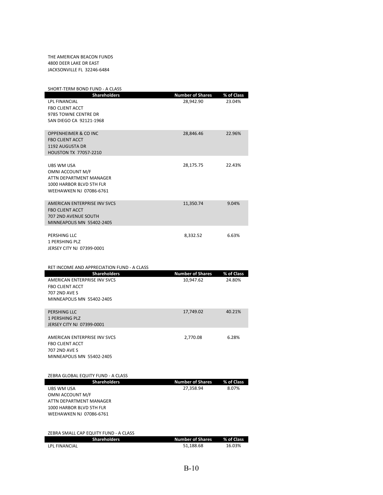THE AMERICAN BEACON FUNDS 4800 DEER LAKE DR EAST JACKSONVILLE FL 32246‐6484

| SHORT-TERM BOND FUND - A CLASS                    |                                      |                     |
|---------------------------------------------------|--------------------------------------|---------------------|
| <b>Shareholders</b>                               | <b>Number of Shares</b>              | % of Class          |
| LPL FINANCIAL                                     | 28,942.90                            | 23.04%              |
| <b>FBO CLIENT ACCT</b>                            |                                      |                     |
| 9785 TOWNE CENTRE DR                              |                                      |                     |
| SAN DIEGO CA 92121-1968                           |                                      |                     |
| <b>OPPENHEIMER &amp; CO INC</b>                   | 28,846.46                            | 22.96%              |
| <b>FBO CLIENT ACCT</b>                            |                                      |                     |
| 1192 AUGUSTA DR                                   |                                      |                     |
| <b>HOUSTON TX 77057-2210</b>                      |                                      |                     |
|                                                   |                                      |                     |
| <b>UBS WM USA</b><br>OMNI ACCOUNT M/F             | 28,175.75                            | 22.43%              |
| ATTN DEPARTMENT MANAGER                           |                                      |                     |
| 1000 HARBOR BLVD 5TH FLR                          |                                      |                     |
| WEEHAWKEN NJ 07086-6761                           |                                      |                     |
|                                                   |                                      |                     |
| AMERICAN ENTERPRISE INV SVCS                      | 11,350.74                            | 9.04%               |
| <b>FBO CLIENT ACCT</b>                            |                                      |                     |
| 707 2ND AVENUE SOUTH<br>MINNEAPOLIS MN 55402-2405 |                                      |                     |
|                                                   |                                      |                     |
| PERSHING LLC                                      | 8,332.52                             | 6.63%               |
| 1 PERSHING PLZ                                    |                                      |                     |
| JERSEY CITY NJ 07399-0001                         |                                      |                     |
|                                                   |                                      |                     |
|                                                   |                                      |                     |
| RET INCOME AND APPRECIATION FUND - A CLASS        |                                      |                     |
| <b>Shareholders</b>                               | <b>Number of Shares</b>              | % of Class          |
| AMERICAN ENTERPRISE INV SVCS                      | 10,947.62                            | 24.80%              |
| <b>FBO CLIENT ACCT</b>                            |                                      |                     |
| 707 2ND AVE S                                     |                                      |                     |
| MINNEAPOLIS MN 55402-2405                         |                                      |                     |
| PERSHING LLC                                      |                                      | 40.21%              |
| <b>1 PERSHING PLZ</b>                             | 17,749.02                            |                     |
| JERSEY CITY NJ 07399-0001                         |                                      |                     |
|                                                   |                                      |                     |
| AMERICAN ENTERPRISE INV SVCS                      | 2,770.08                             | 6.28%               |
| <b>FBO CLIENT ACCT</b><br><b>707 2ND AVE S</b>    |                                      |                     |
| MINNEAPOLIS MN 55402-2405                         |                                      |                     |
|                                                   |                                      |                     |
|                                                   |                                      |                     |
| ZEBRA GLOBAL EQUITY FUND - A CLASS                |                                      |                     |
| <b>Shareholders</b><br>UBS WM USA                 | <b>Number of Shares</b><br>27,358.94 | % of Class<br>8.07% |
| OMNI ACCOUNT M/F                                  |                                      |                     |
| ATTN DEPARTMENT MANAGER                           |                                      |                     |
| 1000 HARBOR BLVD 5TH FLR                          |                                      |                     |
| <b>WEEHAWKEN NJ 07086-6761</b>                    |                                      |                     |
|                                                   |                                      |                     |
| ZEBRA SMALL CAP EQUITY FUND - A CLASS             |                                      |                     |

| <b>Shareholders</b> | <b>Number of Shares</b> | % of Class |
|---------------------|-------------------------|------------|
| LPL FINANCIAL       | 51.188.68               | 16.03%     |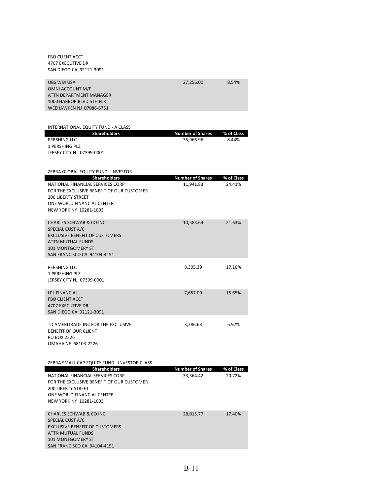FBO CLIENT ACCT 4707 EXECUTIVE DR SAN DIEGO CA 92121‐3091

SAN FRANCISCO CA 94104‐4151

| UBS WM USA<br>OMNI ACCOUNT M/F<br>ATTN DEPARTMENT MANAGER<br>1000 HARBOR BLVD 5TH FLR<br><b>WEEHAWKEN NJ 07086-6761</b> | 27,256.00                            | 8.54%                |
|-------------------------------------------------------------------------------------------------------------------------|--------------------------------------|----------------------|
|                                                                                                                         |                                      |                      |
| INTERNATIONAL EQUITY FUND - A CLASS                                                                                     |                                      |                      |
| <b>Shareholders</b><br>PERSHING LLC                                                                                     | <b>Number of Shares</b><br>35,966.96 | % of Class<br>8.44%  |
| 1 PERSHING PLZ                                                                                                          |                                      |                      |
| JERSEY CITY NJ 07399-0001                                                                                               |                                      |                      |
|                                                                                                                         |                                      |                      |
| ZEBRA GLOBAL EQUITY FUND - INVESTOR<br><b>Shareholders</b>                                                              | <b>Number of Shares</b>              | % of Class           |
| NATIONAL FINANCIAL SERVICES CORP                                                                                        | 11,941.83                            | 24.41%               |
| FOR THE EXCLUSIVE BENEFIT OF OUR CUSTOMER                                                                               |                                      |                      |
| <b>200 LIBERTY STREET</b><br>ONE WORLD FINANCIAL CENTER                                                                 |                                      |                      |
| NEW YORK NY 10281-1003                                                                                                  |                                      |                      |
| <b>CHARLES SCHWAB &amp; CO INC</b>                                                                                      | 10,583.64                            | 21.63%               |
| SPECIAL CUST A/C                                                                                                        |                                      |                      |
| <b>EXCLUSIVE BENEFIT OF CUSTOMERS</b><br>ATTN MUTUAL FUNDS                                                              |                                      |                      |
| <b>101 MONTGOMERY ST</b>                                                                                                |                                      |                      |
| SAN FRANCISCO CA 94104-4151                                                                                             |                                      |                      |
| PERSHING LLC                                                                                                            | 8,395.39                             | 17.16%               |
| 1 PERSHING PLZ<br>JERSEY CITY NJ 07399-0001                                                                             |                                      |                      |
|                                                                                                                         |                                      |                      |
| <b>LPL FINANCIAL</b><br><b>FBO CLIENT ACCT</b>                                                                          | 7,657.09                             | 15.65%               |
| <b>4707 EXECUTIVE DR</b>                                                                                                |                                      |                      |
| SAN DIEGO CA 92121-3091                                                                                                 |                                      |                      |
| TD AMERITRADE INC FOR THE EXCLUSIVE                                                                                     | 3,386.63                             | 6.92%                |
| BENEFIT OF OUR CLIENT                                                                                                   |                                      |                      |
| PO BOX 2226<br>OMAHA NE 68103-2226                                                                                      |                                      |                      |
|                                                                                                                         |                                      |                      |
| ZEBRA SMALL CAP EQUITY FUND - INVESTOR CLASS                                                                            |                                      |                      |
| <b>Shareholders</b><br>NATIONAL FINANCIAL SERVICES CORP                                                                 | <b>Number of Shares</b>              | % of Class<br>20.72% |
| FOR THE EXCLUSIVE BENEFIT OF OUR CUSTOMER                                                                               | 33,364.42                            |                      |
| <b>200 LIBERTY STREET</b>                                                                                               |                                      |                      |
| ONE WORLD FINANCIAL CENTER<br>NEW YORK NY 10281-1003                                                                    |                                      |                      |
|                                                                                                                         |                                      |                      |
| <b>CHARLES SCHWAB &amp; CO INC</b><br>SPECIAL CUST A/C                                                                  | 28,015.77                            | 17.40%               |
| <b>EXCLUSIVE BENEFIT OF CUSTOMERS</b>                                                                                   |                                      |                      |
| ATTN MUTUAL FUNDS<br>101 MONTGOMERY ST                                                                                  |                                      |                      |
|                                                                                                                         |                                      |                      |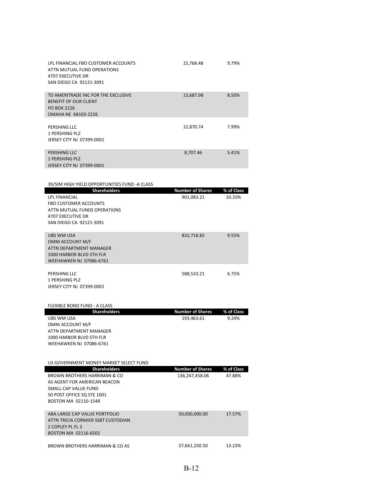| LPL FINANCIAL FBO CUSTOMER ACCOUNTS<br>ATTN MUTUAL FUND OPERATIONS<br>4707 EXECUTIVE DR<br>SAN DIEGO CA 92121-3091 | 15,768.48 | 9.79% |
|--------------------------------------------------------------------------------------------------------------------|-----------|-------|
| TD AMERITRADE INC FOR THE EXCLUSIVE<br><b>BENEFIT OF OUR CLIENT</b><br>PO BOX 2226<br>OMAHA NE 68103-2226          | 13,687.98 | 8.50% |
| PERSHING LLC<br>1 PERSHING PLZ<br>JERSEY CITY NJ 07399-0001                                                        | 12,870.74 | 7.99% |
| PERSHING LLC<br>1 PERSHING PLZ<br><b>JERSEY CITY NJ 07399-0001</b>                                                 | 8,707.46  | 5.41% |

| 39/SIM HIGH YIELD OPPORTUNITIES FUND -A CLASS |                         |            |
|-----------------------------------------------|-------------------------|------------|
| <b>Shareholders</b>                           | <b>Number of Shares</b> | % of Class |
| <b>LPL FINANCIAL</b>                          | 901,083.21              | 10.33%     |
| <b>FBO CUSTOMER ACCOUNTS</b>                  |                         |            |
| ATTN MUTUAL FUNDS OPERATIONS                  |                         |            |
| <b>4707 EXECUTIVE DR</b>                      |                         |            |
| SAN DIEGO CA 92121-3091                       |                         |            |
|                                               |                         |            |
| UBS WM USA                                    | 832,718.82              | 9.55%      |
| OMNI ACCOUNT M/F                              |                         |            |
| ATTN DEPARTMENT MANAGER                       |                         |            |
| 1000 HARBOR BLVD 5TH FLR                      |                         |            |
| <b>WEEHAWKEN NJ 07086-6761</b>                |                         |            |
|                                               |                         |            |
| PERSHING LLC                                  | 588,533.21              | 6.75%      |
| 1 PERSHING PLZ                                |                         |            |
| JERSEY CITY NJ 07399-0001                     |                         |            |

FLEXIBLE BOND FUND ‐ A CLASS

| <b>Shareholders</b>                    | <b>Number of Shares</b> | % of Class |
|----------------------------------------|-------------------------|------------|
| UBS WM USA                             | 193,463.61              | 9.24%      |
| OMNI ACCOUNT M/F                       |                         |            |
| ATTN DEPARTMENT MANAGER                |                         |            |
| 1000 HARBOR BLVD 5TH FLR               |                         |            |
| WEEHAWKEN NJ 07086-6761                |                         |            |
|                                        |                         |            |
|                                        |                         |            |
| US GOVERNMENT MONEY MARKET SELECT FUND |                         |            |
| <b>Shareholders</b>                    | <b>Number of Shares</b> | % of Class |
| BROWN BROTHERS HARRIMAN & CO           | 136,247,458.06          | 47.88%     |
| AS AGENT FOR AMERICAN BEACON           |                         |            |
| SMAIL CAP VALUE FUND                   |                         |            |
| 50 POST OFFICE SQ STE 1001             |                         |            |
| BOSTON MA 02110-1548                   |                         |            |
|                                        |                         |            |
| ABA LARGE CAP VALUE PORTEOLIO          | 50,000,000.00           | 17.57%     |
| ATTN TRICIA CORMIER SSBT CUSTODIAN     |                         |            |
| 2 COPLEY PL EL 3                       |                         |            |
| BOSTON MA 02116-6502                   |                         |            |
|                                        |                         |            |
| BROWN BROTHERS HARRIMAN & CO AS        | 37,661,250.50           | 13.23%     |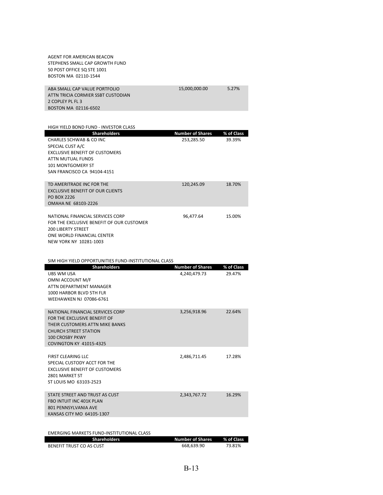| AGENT FOR AMERICAN BEACON<br>STEPHENS SMALL CAP GROWTH FUND<br>50 POST OFFICE SQ STE 1001<br>BOSTON MA 02110-1544                                                                               |                                         |                      |
|-------------------------------------------------------------------------------------------------------------------------------------------------------------------------------------------------|-----------------------------------------|----------------------|
| ABA SMALL CAP VALUE PORTFOLIO<br>ATTN TRICIA CORMIER SSBT CUSTODIAN<br>2 COPLEY PL FL 3<br>BOSTON MA 02116-6502                                                                                 | 15,000,000.00                           | 5.27%                |
| HIGH YIELD BOND FUND - INVESTOR CLASS                                                                                                                                                           |                                         |                      |
| <b>Shareholders</b><br>CHARLES SCHWAB & CO INC<br>SPECIAL CUST A/C<br><b>EXCLUSIVE BENEFIT OF CUSTOMERS</b><br>ATTN MUTUAL FUNDS<br><b>101 MONTGOMERY ST</b><br>SAN FRANCISCO CA 94104-4151     | <b>Number of Shares</b><br>253.285.50   | % of Class<br>39.39% |
| TD AMERITRADE INC FOR THE<br><b>EXCLUSIVE BENEFIT OF OUR CLIENTS</b><br>PO BOX 2226<br>OMAHA NE 68103-2226                                                                                      | 120,245.09                              | 18.70%               |
| NATIONAL FINANCIAL SERVICES CORP<br>FOR THE EXCLUSIVE BENEFIT OF OUR CUSTOMER<br><b>200 LIBERTY STREET</b><br>ONE WORLD FINANCIAL CENTER<br>NEW YORK NY 10281-1003                              | 96,477.64                               | 15.00%               |
| SIM HIGH YIELD OPPORTUNITIES FUND-INSTITUTIONAL CLASS                                                                                                                                           |                                         |                      |
| <b>Shareholders</b><br>UBS WM USA<br>OMNI ACCOUNT M/F<br>ATTN DEPARTMENT MANAGER<br>1000 HARBOR BLVD 5TH FLR<br>WEEHAWKEN NJ 07086-6761                                                         | <b>Number of Shares</b><br>4,240,479.73 | % of Class<br>29.47% |
| NATIONAL FINANCIAL SERVICES CORP<br>FOR THE EXCLUSIVE BENEFIT OF<br>THEIR CUSTOMERS ATTN MIKE BANKS<br><b>CHURCH STREET STATION</b><br><b>100 CROSBY PKWY</b><br><b>COVINGTON KY 41015-4325</b> | 3,256,918.96                            | 22.64%               |
| <b>FIRST CLEARING LLC</b><br>SPECIAL CUSTODY ACCT FOR THE<br><b>EXCLUSIVE BENEFIT OF CUSTOMERS</b><br>2801 MARKET ST<br>ST LOUIS MO 63103-2523                                                  | 2,486,711.45                            | 17.28%               |
| STATE STREET AND TRUST AS CUST<br>FBO INTUIT INC 401K PLAN<br>801 PENNSYLVANIA AVE<br>KANSAS CITY MO 64105-1307                                                                                 | 2,343,767.72                            | 16.29%               |

### EMERGING MARKETS FUND‐INSTITUTIONAL CLASS

| <b>Shareholders</b>      | Number of Shares | ■ % of Class |
|--------------------------|------------------|--------------|
| BENEFIT TRUST CO AS CUST | 668.639.90       | 73.81%       |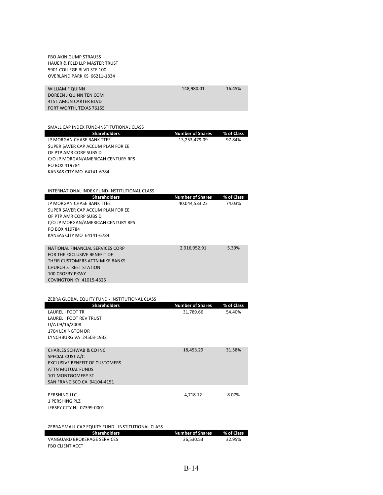| <b>FBO AKIN GUMP STRAUSS</b><br><b>HAUER &amp; FELD LLP MASTER TRUST</b><br>5901 COLLEGE BLVD STE 100<br>OVERLAND PARK KS 66211-1834                                                            |                         |            |
|-------------------------------------------------------------------------------------------------------------------------------------------------------------------------------------------------|-------------------------|------------|
| <b>WILLIAM F QUINN</b><br>DOREEN J QUINN TEN COM<br>4151 AMON CARTER BLVD<br>FORT WORTH, TEXAS 76155                                                                                            | 148,980.01              | 16.45%     |
| SMALL CAP INDEX FUND-INSTITUTIONAL CLASS                                                                                                                                                        |                         |            |
| <b>Shareholders</b>                                                                                                                                                                             | <b>Number of Shares</b> | % of Class |
| JP MORGAN CHASE BANK TTEE<br>SUPER SAVER CAP ACCUM PLAN FOR EE<br>OF PTP AMR CORP SUBSID<br>C/O JP MORGAN/AMERICAN CENTURY RPS<br>PO BOX 419784<br>KANSAS CITY MO 64141-6784                    | 13,253,479.09           | 97.84%     |
| INTERNATIONAL INDEX FUND-INSTITUTIONAL CLASS                                                                                                                                                    |                         |            |
| <b>Shareholders</b>                                                                                                                                                                             | <b>Number of Shares</b> | % of Class |
| JP MORGAN CHASE BANK TTEE<br>SUPER SAVER CAP ACCUM PLAN FOR EE<br>OF PTP AMR CORP SUBSID<br>C/O JP MORGAN/AMERICAN CENTURY RPS<br>PO BOX 419784<br>KANSAS CITY MO 64141-6784                    | 40,044,533.22           | 74.03%     |
| NATIONAL FINANCIAL SERVICES CORP<br>FOR THE EXCLUSIVE BENEFIT OF<br>THEIR CUSTOMERS ATTN MIKE BANKS<br><b>CHURCH STREET STATION</b><br><b>100 CROSBY PKWY</b><br><b>COVINGTON KY 41015-4325</b> | 2,916,952.91            | 5.39%      |
|                                                                                                                                                                                                 |                         |            |
| ZEBRA GLOBAL EQUITY FUND - INSTITUTIONAL CLASS<br><b>Shareholders</b>                                                                                                                           | <b>Number of Shares</b> | % of Class |
| LAUREL I FOOT TR<br><b>LAUREL I FOOT REV TRUST</b><br>U/A 09/16/2008<br>1704 LEXINGTON DR<br>LYNCHBURG VA 24503-1932                                                                            | 31,789.66               | 54.40%     |
| <b>CHARLES SCHWAB &amp; CO INC</b><br>SPECIAL CUST A/C<br><b>EXCLUSIVE BENEFIT OF CUSTOMERS</b><br><b>ATTN MUTUAL FUNDS</b><br>101 MONTGOMERY ST<br>SAN FRANCISCO CA 94104-4151                 | 18,453.29               | 31.58%     |
| PERSHING LLC<br>1 PERSHING PLZ<br>JERSEY CITY NJ 07399-0001                                                                                                                                     | 4,718.12                | 8.07%      |
| ZEBRA SMALL CAP EQUITY FUND - INSTITUTIONAL CLASS<br><b>Shareholders</b>                                                                                                                        | <b>Number of Shares</b> | % of Class |

| <b>PHANCHORES</b>           | <b>NUMBER OF SHUILS</b> | 70 01 610 55 |
|-----------------------------|-------------------------|--------------|
| VANGUARD BROKERAGE SERVICES | 36.530.53               | 32.95%       |
| <b>FBO CLIENT ACCT</b>      |                         |              |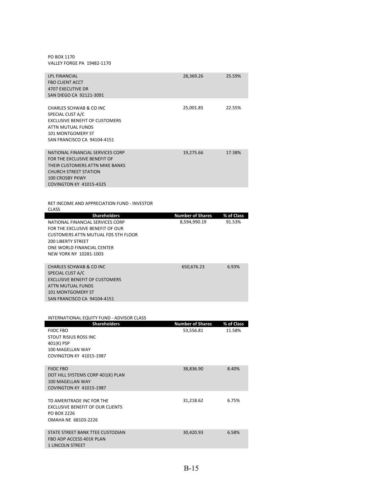PO BOX 1170 VALLEY FORGE PA 19482‐1170

| <b>LPL FINANCIAL</b><br><b>FBO CLIENT ACCT</b><br><b>4707 EXECUTIVE DR</b><br>SAN DIEGO CA 92121-3091                                                                                    | 28,369.26 | 25.59% |
|------------------------------------------------------------------------------------------------------------------------------------------------------------------------------------------|-----------|--------|
| CHARLES SCHWAB & CO INC<br>SPECIAL CUST A/C<br><b>EXCLUSIVE BENEFIT OF CUSTOMERS</b><br><b>ATTN MUTUAL FUNDS</b><br>101 MONTGOMERY ST<br>SAN FRANCISCO CA 94104-4151                     | 25,001.85 | 22.55% |
| NATIONAL FINANCIAL SERVICES CORP<br>FOR THE EXCLUSIVE BENEFIT OF<br>THEIR CUSTOMERS ATTN MIKE BANKS<br>CHURCH STREET STATION<br><b>100 CROSBY PKWY</b><br><b>COVINGTON KY 41015-4325</b> | 19,275.66 | 17.38% |
| RET INCOME AND APPRECIATION FUND - INVESTOR<br><b>CLASS</b>                                                                                                                              |           |        |

| <b>Shareholders</b>                   | <b>Number of Shares</b> | % of Class |
|---------------------------------------|-------------------------|------------|
| NATIONAL FINANCIAL SERVICES CORP      | 8,594,990.19            | 91.53%     |
| FOR THE EXCLUSIVE BENEFIT OF OUR      |                         |            |
| CUSTOMERS ATTN MUTUAL FDS 5TH FLOOR   |                         |            |
| <b>200 LIBERTY STREET</b>             |                         |            |
| ONE WORLD FINANCIAL CENTER            |                         |            |
| NEW YORK NY 10281-1003                |                         |            |
|                                       |                         |            |
| CHARLES SCHWAB & CO INC               | 650.676.23              | 6.93%      |
| SPECIAL CUST A/C                      |                         |            |
| <b>EXCLUSIVE BENEFIT OF CUSTOMERS</b> |                         |            |
| ATTN MUTUAL FUNDS                     |                         |            |
| <b>101 MONTGOMERY ST</b>              |                         |            |
| SAN FRANCISCO CA 94104-4151           |                         |            |

| INTERNATIONAL EQUITY FUND - ADVISOR CLASS |                         |            |
|-------------------------------------------|-------------------------|------------|
| <b>Shareholders</b>                       | <b>Number of Shares</b> | % of Class |
| FIIOC FBO                                 | 53,556.81               | 11.58%     |
| STOUT RISIUS ROSS INC                     |                         |            |
| 401(K) PSP                                |                         |            |
| 100 MAGELLAN WAY                          |                         |            |
| <b>COVINGTON KY 41015-1987</b>            |                         |            |
|                                           |                         |            |
| <b>FIIOC FBO</b>                          | 38,836.90               | 8.40%      |
| DOT HILL SYSTEMS CORP 401(K) PLAN         |                         |            |
| 100 MAGFII AN WAY                         |                         |            |
| <b>COVINGTON KY 41015-1987</b>            |                         |            |
| TD AMFRITRADE INC FOR THE                 | 31,218.62               | 6.75%      |
| <b>EXCLUSIVE BENEFIT OF OUR CLIENTS</b>   |                         |            |
| <b>PO BOX 2226</b>                        |                         |            |
| OMAHA NE 68103-2226                       |                         |            |
|                                           |                         |            |
| STATE STREET BANK TTEE CUSTODIAN          | 30,420.93               | 6.58%      |
| FBO ADP ACCESS 401K PLAN                  |                         |            |
| <b>1 LINCOLN STREET</b>                   |                         |            |
|                                           |                         |            |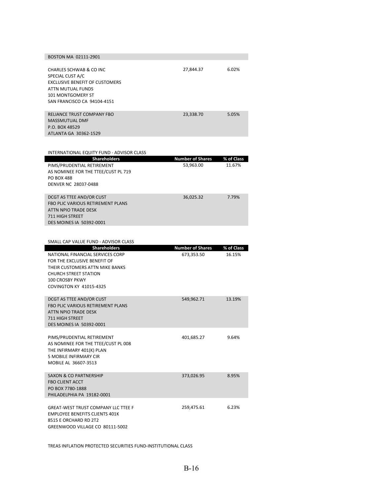| BOSTON MA 02111-2901                                                                                                                                                 |           |       |
|----------------------------------------------------------------------------------------------------------------------------------------------------------------------|-----------|-------|
| CHARLES SCHWAB & CO INC<br>SPECIAL CUST A/C<br><b>EXCLUSIVE BENEFIT OF CUSTOMERS</b><br>ATTN MUTUAL FUNDS<br><b>101 MONTGOMERY ST</b><br>SAN FRANCISCO CA 94104-4151 | 27,844.37 | 6.02% |
| RELIANCE TRUST COMPANY FBO<br><b>MASSMUTUAL DMF</b><br>P.O. BOX 48529<br>ATLANTA GA 30362-1529                                                                       | 23,338.70 | 5.05% |

INTERNATIONAL EQUITY FUND ‐ ADVISOR CLASS

| <u><b>INTERNATIONAL LQUITT TUND</b></u><br>ננהשט חטנו זער  |                         |            |
|------------------------------------------------------------|-------------------------|------------|
| Shareholders                                               | <b>Number of Shares</b> | % of Class |
| PIMS/PRUDENTIAL RETIREMENT                                 | 53,963.00               | 11.67%     |
| AS NOMINEE FOR THE TTEE/CUST PL 719                        |                         |            |
| PO BOX 488                                                 |                         |            |
| DENVER NC 28037-0488                                       |                         |            |
|                                                            |                         |            |
| DCGT AS TTEE AND/OR CUST                                   | 36,025.32               | 7.79%      |
| <b>FBO PLIC VARIOUS RETIREMENT PLANS</b>                   |                         |            |
| ATTN NPIO TRADE DESK                                       |                         |            |
| <b>711 HIGH STREET</b>                                     |                         |            |
| <b>DES MOINES IA 50392-0001</b>                            |                         |            |
|                                                            |                         |            |
| SMALL CAP VALUE FUND - ADVISOR CLASS                       |                         |            |
| <b>Shareholders</b>                                        | <b>Number of Shares</b> | % of Class |
| NATIONAL FINANCIAL SERVICES CORP                           | 673,353.50              | 16.15%     |
| FOR THE EXCLUSIVE BENEFIT OF                               |                         |            |
| THEIR CUSTOMERS ATTN MIKE BANKS                            |                         |            |
| <b>CHURCH STREET STATION</b>                               |                         |            |
| 100 CROSBY PKWY                                            |                         |            |
| <b>COVINGTON KY 41015-4325</b>                             |                         |            |
|                                                            |                         |            |
| DCGT AS TTEE AND/OR CUST                                   | 549,962.71              | 13.19%     |
| <b>FBO PLIC VARIOUS RETIREMENT PLANS</b>                   |                         |            |
| <b>ATTN NPIO TRADE DESK</b>                                |                         |            |
| 711 HIGH STREET                                            |                         |            |
| DES MOINES IA 50392-0001                                   |                         |            |
|                                                            |                         |            |
| PIMS/PRUDENTIAL RETIREMENT                                 | 401,685.27              | 9.64%      |
| AS NOMINEE FOR THE TTEE/CUST PL 008                        |                         |            |
| THE INFIRMARY 401(K) PLAN<br><b>5 MOBILE INFIRMARY CIR</b> |                         |            |
| MOBILE AL 36607-3513                                       |                         |            |
|                                                            |                         |            |
| <b>SAXON &amp; CO PARTNERSHIP</b>                          | 373,026.95              | 8.95%      |
| <b>FBO CLIENT ACCT</b>                                     |                         |            |
| PO BOX 7780-1888                                           |                         |            |
| PHILADELPHIA PA 19182-0001                                 |                         |            |
|                                                            |                         |            |
| <b>GREAT-WEST TRUST COMPANY LLC TTEE F</b>                 | 259,475.61              | 6.23%      |
| <b>EMPLOYEE BENEFITS CLIENTS 401K</b>                      |                         |            |
| 8515 E ORCHARD RD 2T2                                      |                         |            |
| GREENWOOD VILLAGE CO 80111-5002                            |                         |            |

TREAS INFLATION PROTECTED SECURITIES FUND‐INSTITUTIONAL CLASS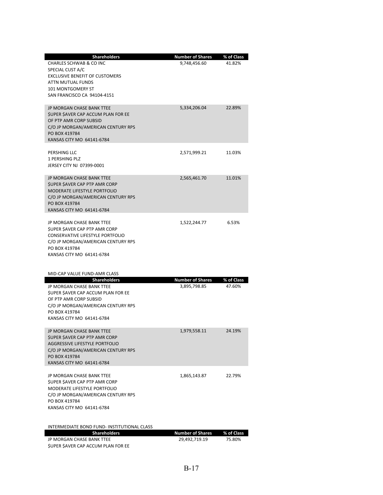| <b>Shareholders</b><br>CHARLES SCHWAB & CO INC<br>SPECIAL CUST A/C                                                                                                                          | <b>Number of Shares</b><br>9,748,456.60 | % of Class<br>41.82% |
|---------------------------------------------------------------------------------------------------------------------------------------------------------------------------------------------|-----------------------------------------|----------------------|
| <b>EXCLUSIVE BENEFIT OF CUSTOMERS</b><br>ATTN MUTUAL FUNDS<br><b>101 MONTGOMERY ST</b><br>SAN FRANCISCO CA 94104-4151                                                                       |                                         |                      |
| JP MORGAN CHASE BANK TTEE<br>SUPER SAVER CAP ACCUM PLAN FOR EE<br>OF PTP AMR CORP SUBSID<br>C/O JP MORGAN/AMERICAN CENTURY RPS<br>PO BOX 419784<br>KANSAS CITY MO 64141-6784                | 5,334,206.04                            | 22.89%               |
| PERSHING LLC<br>1 PERSHING PLZ<br>JERSEY CITY NJ 07399-0001                                                                                                                                 | 2,571,999.21                            | 11.03%               |
| JP MORGAN CHASE BANK TTEE<br><b>SUPER SAVER CAP PTP AMR CORP</b><br><b>MODERATE LIFESTYLE PORTFOLIO</b><br>C/O JP MORGAN/AMERICAN CENTURY RPS<br>PO BOX 419784<br>KANSAS CITY MO 64141-6784 | 2,565,461.70                            | 11.01%               |
| JP MORGAN CHASE BANK TTEE<br>SUPER SAVER CAP PTP AMR CORP<br>CONSERVATIVE LIFESTYLE PORTFOLIO<br>C/O JP MORGAN/AMERICAN CENTURY RPS<br>PO BOX 419784<br>KANSAS CITY MO 64141-6784           | 1,522,244.77                            | 6.53%                |
| MID-CAP VALUE FUND-AMR CLASS<br><b>Shareholders</b>                                                                                                                                         | <b>Number of Shares</b>                 | % of Class           |
| JP MORGAN CHASE BANK TTEE<br>SUPER SAVER CAP ACCUM PLAN FOR EE<br>OF PTP AMR CORP SUBSID<br>C/O JP MORGAN/AMERICAN CENTURY RPS<br>PO BOX 419784<br>KANSAS CITY MO 64141-6784                | 3,895,798.85                            | 47.60%               |
| JP MORGAN CHASE BANK TTEE<br><b>\$UPER \$AVER CAP PTP AMR CORP</b><br>AGGRESSIVE LIFESTYLE PORTFOLIO<br>C/O JP MORGAN/AMERICAN CENTURY RPS<br>PO BOX 419784<br>KANSAS CITY MO 64141-6784    | 1,979,558.11                            | 24.19%               |
| JP MORGAN CHASE BANK TTEE<br>SUPER SAVER CAP PTP AMR CORP<br>MODERATE LIFESTYLE PORTFOLIO<br>C/O JP MORGAN/AMERICAN CENTURY RPS<br>PO BOX 419784<br>KANSAS CITY MO 64141-6784               | 1,865,143.87                            | 22.79%               |
| INTERMEDIATE BOND FUND- INSTITUTIONAL CLASS<br><b>Shareholders</b>                                                                                                                          | <b>Number of Shares</b>                 | % of Class           |
| JP MORGAN CHASE BANK TTEE<br>SUPER SAVER CAP ACCUM PLAN FOR EE                                                                                                                              | 29,492,719.19                           | 75.80%               |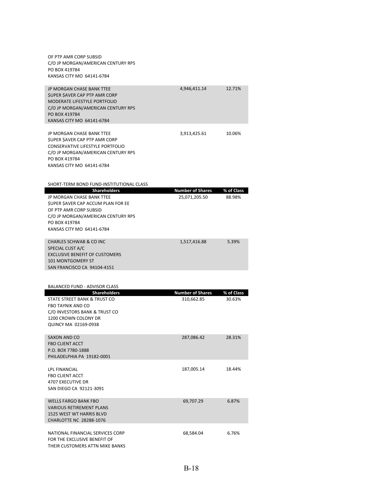| OF PTP AMR CORP SUBSID<br>C/O JP MORGAN/AMERICAN CENTURY RPS<br>PO BOX 419784<br>KANSAS CITY MO 64141-6784                                                                                         |                                       |                      |
|----------------------------------------------------------------------------------------------------------------------------------------------------------------------------------------------------|---------------------------------------|----------------------|
| <b>JP MORGAN CHASE BANK TTEE</b><br><b>SUPER SAVER CAP PTP AMR CORP</b><br><b>MODERATE LIFESTYLE PORTFOLIO</b><br>C/O JP MORGAN/AMERICAN CENTURY RPS<br>PO BOX 419784<br>KANSAS CITY MO 64141-6784 | 4,946,411.14                          | 12.71%               |
| JP MORGAN CHASE BANK TTEE<br>SUPER SAVER CAP PTP AMR CORP<br><b>CONSERVATIVE LIFESTYLE PORTFOLIO</b><br>C/O JP MORGAN/AMERICAN CENTURY RPS<br>PO BOX 419784<br>KANSAS CITY MO 64141-6784           | 3,913,425.61                          | 10.06%               |
| SHORT-TERM BOND FUND-INSTITUTIONAL CLASS<br>Shareholders                                                                                                                                           | <b>Number of Shares</b>               | % of Class           |
| JP MORGAN CHASE BANK TTEE<br>SUPER SAVER CAP ACCUM PLAN FOR EE<br>OF PTP AMR CORP SUBSID<br>C/O JP MORGAN/AMERICAN CENTURY RPS<br>PO BOX 419784<br>KANSAS CITY MO 64141-6784                       | 25,071,205.50                         | 88.98%               |
| <b>CHARLES SCHWAB &amp; CO INC</b><br>SPECIAL CUST A/C<br><b>EXCLUSIVE BENEFIT OF CUSTOMERS</b><br><b>101 MONTGOMERY ST</b><br>SAN FRANCISCO CA 94104-4151                                         | 1,517,416.88                          | 5.39%                |
|                                                                                                                                                                                                    |                                       |                      |
| <b>BALANCED FUND - ADVISOR CLASS</b>                                                                                                                                                               |                                       |                      |
| <b>Shareholders</b><br>STATE STREET BANK & TRUST CO<br>FBO TAYNIK AND CO<br>C/O INVESTORS BANK & TRUST CO<br>1200 CROWN COLONY DR<br>QUINCY MA 02169-0938                                          | <b>Number of Shares</b><br>310,662.85 | % of Class<br>30.63% |
| SAXON AND CO<br><b>FBO CLIENT ACCT</b><br>P.O. BOX 7780-1888<br>PHILADELPHIA PA 19182-0001                                                                                                         | 287,086.42                            | 28.31%               |
| LPL FINANCIAL<br><b>FBO CLIENT ACCT</b><br>4707 EXECUTIVE DR<br>SAN DIEGO CA 92121-3091                                                                                                            | 187,005.14                            | 18.44%               |
| <b>WELLS FARGO BANK FBO</b><br><b>VARIOUS RETIREMENT PLANS</b><br>1525 WEST WT HARRIS BLVD<br>CHARLOTTE NC 28288-1076                                                                              | 69,707.29                             | 6.87%                |
| NATIONAL FINANCIAL SERVICES CORP<br>FOR THE EXCLUSIVE BENEFIT OF<br>THEIR CUSTOMERS ATTN MIKE BANKS                                                                                                | 68,584.04                             | 6.76%                |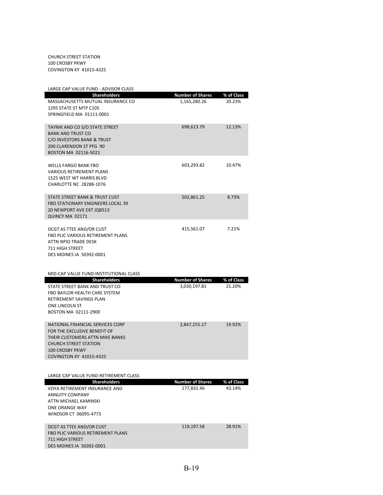CHURCH STREET STATION 100 CROSBY PKWY COVINGTON KY 41015‐4325

| LARGE CAP VALUE FUND - ADVISOR CLASS                |                         |            |
|-----------------------------------------------------|-------------------------|------------|
| <b>Shareholders</b>                                 | <b>Number of Shares</b> | % of Class |
| MASSACHUSETTS MUTUAL INSURANCE CO                   | 1,165,280.26            | 20.23%     |
| 1295 STATE ST MTP C105<br>SPRINGFIELD MA 01111-0001 |                         |            |
|                                                     |                         |            |
| TAYNIK AND CO S/O STATE STREET                      | 698,613.79              | 12.13%     |
| <b>BANK AND TRUST CO</b>                            |                         |            |
| C/O INVESTORS BANK & TRUST                          |                         |            |
| 200 CLARENDON ST PFG 90                             |                         |            |
| BOSTON MA 02116-5021                                |                         |            |
| <b>WELLS FARGO BANK FBO</b>                         | 603,293.82              | 10.47%     |
| <b>VARIOUS RETIREMENT PLANS</b>                     |                         |            |
| 1525 WEST WT HARRIS BLVD                            |                         |            |
| CHARLOTTE NC 28288-1076                             |                         |            |
|                                                     |                         |            |
| STATE STREET BANK & TRUST CUST                      | 502,861.25              | 8.73%      |
| <b>FBO STATIONARY ENGINEERS LOCAL 39</b>            |                         |            |
| 20 NEWPORT AVE EXT JQB513<br>QUINCY MA 02171        |                         |            |
|                                                     |                         |            |
| DCGT AS TTEE AND/OR CUST                            | 415,561.07              | 7.21%      |
| <b>FBO PLIC VARIOUS RETIREMENT PLANS</b>            |                         |            |
| ATTN NPIO TRADE DESK                                |                         |            |
| 711 HIGH STREET                                     |                         |            |
| DES MOINES IA 50392-0001                            |                         |            |
|                                                     |                         |            |
| MID-CAP VALUE FUND-INSTITUTIONAL CLASS              |                         |            |
| <b>Shareholders</b>                                 | <b>Number of Shares</b> | % of Class |
| STATE STREET BANK AND TRUST CO                      | 3,030,197.81            | 21.20%     |
| FBO BAYLOR HEALTH CARE SYSTEM                       |                         |            |
| RETIREMENT SAVINGS PLAN                             |                         |            |
| ONE LINCOLN ST                                      |                         |            |
|                                                     |                         |            |
| BOSTON MA 02111-2900                                |                         |            |
| NATIONAL FINANCIAL SERVICES CORP                    | 2,847,255.17            | 19.92%     |
| FOR THE EXCLUSIVE BENEFIT OF                        |                         |            |
| THEIR CUSTOMERS ATTN MIKE BANKS                     |                         |            |
| <b>CHURCH STREET STATION</b>                        |                         |            |
| <b>100 CROSBY PKWY</b>                              |                         |            |
| <b>COVINGTON KY 41015-4325</b>                      |                         |            |
|                                                     |                         |            |
| LARGE CAP VALUE FUND-RETIREMENT CLASS               |                         |            |
| <b>Shareholders</b>                                 | <b>Number of Shares</b> | % of Class |
| VOYA RETIREMENT INSURANCE AND                       | 177,832.46              | 43.14%     |
| ANNUITY COMPANY                                     |                         |            |
| ATTN MICHAEL KAMINSKI                               |                         |            |
| ONE ORANGE WAY                                      |                         |            |
| WINDSOR CT 06095-4773                               |                         |            |
| DCGT AS TTEE AND/OR CUST                            | 119,197.58              | 28.91%     |
| FBO PLIC VARIOUS RETIREMENT PLANS                   |                         |            |
| 711 HIGH STREET<br>DES MOINES IA 50392-0001         |                         |            |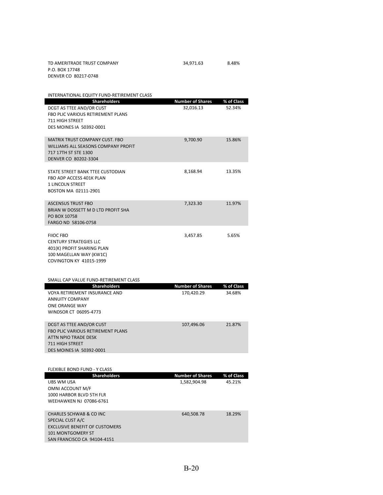| TD AMERITRADE TRUST COMPANY | 34.971.63 | 8.48% |  |
|-----------------------------|-----------|-------|--|
| P.O. BOX 17748              |           |       |  |

| DENVER CO 80217-0748 |  |
|----------------------|--|
|                      |  |

| INTERNATIONAL EQUITY FUND-RETIREMENT CLASS                  |                         |            |
|-------------------------------------------------------------|-------------------------|------------|
| <b>Shareholders</b>                                         | <b>Number of Shares</b> | % of Class |
| DCGT AS TTEE AND/OR CUST                                    | 32,016.13               | 52.34%     |
| FBO PLIC VARIOUS RETIREMENT PLANS                           |                         |            |
| <b>711 HIGH STREET</b>                                      |                         |            |
| DES MOINES IA 50392-0001                                    |                         |            |
|                                                             |                         |            |
| <b>MATRIX TRUST COMPANY CUST. FBO</b>                       | 9,700.90                | 15.86%     |
| WILLIAMS ALL SEASONS COMPANY PROFIT<br>717 17TH ST STE 1300 |                         |            |
| DENVER CO 80202-3304                                        |                         |            |
|                                                             |                         |            |
| STATE STREET BANK TTEE CUSTODIAN                            | 8,168.94                | 13.35%     |
| FBO ADP ACCESS 401K PLAN                                    |                         |            |
| <b>1 LINCOLN STREET</b>                                     |                         |            |
| BOSTON MA 02111-2901                                        |                         |            |
|                                                             |                         |            |
| <b>ASCENSUS TRUST FBO</b>                                   | 7,323.30                | 11.97%     |
| BRIAN W DOSSETT M D LTD PROFIT SHA                          |                         |            |
| PO BOX 10758                                                |                         |            |
| FARGO ND 58106-0758                                         |                         |            |
|                                                             |                         |            |
| <b>FIIOC FBO</b>                                            | 3,457.85                | 5.65%      |
| <b>CENTURY STRATEGIES LLC</b>                               |                         |            |
| 401(K) PROFIT SHARING PLAN<br>100 MAGELLAN WAY (KW1C)       |                         |            |
| <b>COVINGTON KY 41015-1999</b>                              |                         |            |
|                                                             |                         |            |
|                                                             |                         |            |
|                                                             |                         |            |
| SMALL CAP VALUE FUND-RETIREMENT CLASS                       |                         |            |
| <b>Shareholders</b>                                         | <b>Number of Shares</b> | % of Class |
| VOYA RETIREMENT INSURANCE AND                               | 170,420.29              | 34.68%     |
| ANNUITY COMPANY                                             |                         |            |
| ONE ORANGE WAY                                              |                         |            |
| WINDSOR CT 06095-4773                                       |                         |            |
|                                                             |                         |            |
| DCGT AS TTEE AND/OR CUST                                    | 107,496.06              | 21.87%     |
| FBO PLIC VARIOUS RETIREMENT PLANS                           |                         |            |
| ATTN NPIO TRADE DESK                                        |                         |            |
| <b>711 HIGH STREET</b>                                      |                         |            |
| <b>DES MOINES IA 50392-0001</b>                             |                         |            |
|                                                             |                         |            |
| <b>FLEXIBLE BOND FUND - Y CLASS</b>                         |                         |            |
| <b>Shareholders</b>                                         | <b>Number of Shares</b> | % of Class |
| UBS WM USA                                                  | 1,582,904.98            | 45.21%     |
| OMNI ACCOUNT M/F                                            |                         |            |
| 1000 HARBOR BLVD 5TH FLR                                    |                         |            |
| WEEHAWKEN NJ 07086-6761                                     |                         |            |
|                                                             |                         |            |
| <b>CHARLES SCHWAB &amp; CO INC</b><br>SPECIAL CUST A/C      | 640,508.78              | 18.29%     |

101 MONTGOMERY ST SAN FRANCISCO CA 94104‐4151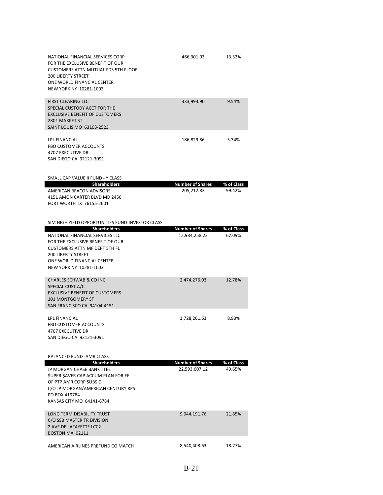| NATIONAL FINANCIAL SERVICES CORP<br>FOR THE EXCLUSIVE BENEFIT OF OUR<br><b>CUSTOMERS ATTN MUTUAL FDS 5TH FLOOR</b><br><b>200 LIBERTY STREET</b><br>ONE WORLD FINANCIAL CENTER<br>NEW YORK NY 10281-1003 | 466,301.03                               | 13.32%               |
|---------------------------------------------------------------------------------------------------------------------------------------------------------------------------------------------------------|------------------------------------------|----------------------|
| <b>FIRST CLEARING LLC</b><br>SPECIAL CUSTODY ACCT FOR THE<br><b>EXCLUSIVE BENEFIT OF CUSTOMERS</b><br>2801 MARKET ST<br>SAINT LOUIS MO 63103-2523                                                       | 333,993.90                               | 9.54%                |
| <b>LPL FINANCIAL</b><br><b>FBO CUSTOMER ACCOUNTS</b><br>4707 EXECUTIVE DR<br>SAN DIEGO CA 92121-3091                                                                                                    | 186,829.86                               | 5.34%                |
| SMALL CAP VALUE II FUND - Y CLASS                                                                                                                                                                       |                                          |                      |
| <b>Shareholders</b><br>AMERICAN BEACON ADVISORS<br>4151 AMON CARTER BLVD MD 2450<br>FORT WORTH TX 76155-2601<br>SIM HIGH YIELD OPPORTUNITIES FUND-INVESTOR CLASS                                        | <b>Number of Shares</b><br>205,212.83    | % of Class<br>99.42% |
| <b>Shareholders</b>                                                                                                                                                                                     | <b>Number of Shares</b>                  | % of Class           |
| NATIONAL FINANCIAL SERVICES LLC<br>FOR THE EXCLUSIVE BENEFIT OF OUR                                                                                                                                     | 12,984,258.23                            | 67.09%               |
| <b>CUSTOMERS ATTN MF DEPT 5TH FL</b><br><b>200 LIBERTY STREET</b><br>ONE WORLD FINANCIAL CENTER<br>NEW YORK NY 10281-1003                                                                               |                                          |                      |
| <b>CHARLES SCHWAB &amp; CO INC</b><br>SPECIAL CUST A/C<br><b>EXCLUSIVE BENEFIT OF CUSTOMERS</b><br>101 MONTGOMERY ST<br>SAN FRANCISCO CA 94104-4151                                                     | 2,474,276.03                             | 12.78%               |
| LPL FINANCIAL<br><b>FBO CUSTOMER ACCOUNTS</b><br>4707 EXECUTIVE DR<br>SAN DIEGO CA 92121-3091                                                                                                           | 1,728,261.63                             | 8.93%                |
| <b>BALANCED FUND - AMR CLASS</b>                                                                                                                                                                        |                                          |                      |
| <b>Shareholders</b><br>JP MORGAN CHASE BANK TTEE<br>SUPER SAVER CAP ACCUM PLAN FOR EE<br>OF PTP AMR CORP SUBSID<br>C/O JP MORGAN/AMERICAN CENTURY RPS<br>PO BOX 419784<br>KANSAS CITY MO 64141-6784     | <b>Number of Shares</b><br>22,593,607.12 | % of Class<br>49.65% |
| LONG TERM DISABILITY TRUST<br>C/O SSB MASTER TR DIVISION<br>2 AVE DE LAFAYETTE LCC2<br>BOSTON MA 02111                                                                                                  | 9,944,191.76                             | 21.85%               |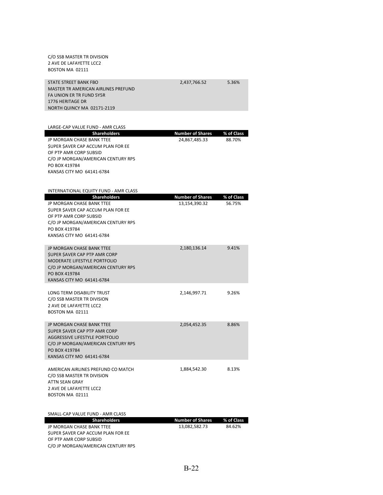| C/O SSB MASTER TR DIVISION<br>2 AVE DE LAFAYETTE LCC2<br>BOSTON MA 02111                                                                                                                            |                                          |                      |
|-----------------------------------------------------------------------------------------------------------------------------------------------------------------------------------------------------|------------------------------------------|----------------------|
| <b>STATE STREET BANK FBO</b><br>MASTER TR AMERICAN AIRLINES PREFUND<br>FA UNION ER TR FUND 5Y5R<br>1776 HERITAGE DR<br>NORTH QUINCY MA 02171-2119                                                   | 2,437,766.52                             | 5.36%                |
|                                                                                                                                                                                                     |                                          |                      |
| LARGE-CAP VALUE FUND - AMR CLASS                                                                                                                                                                    |                                          |                      |
| <b>Shareholders</b><br>JP MORGAN CHASE BANK TTEE<br>SUPER SAVER CAP ACCUM PLAN FOR EE<br>OF PTP AMR CORP SUBSID<br>C/O JP MORGAN/AMERICAN CENTURY RPS<br>PO BOX 419784<br>KANSAS CITY MO 64141-6784 | <b>Number of Shares</b><br>24,867,485.33 | % of Class<br>88.70% |
| INTERNATIONAL EQUITY FUND - AMR CLASS                                                                                                                                                               |                                          |                      |
| <b>Shareholders</b><br>JP MORGAN CHASE BANK TTEE<br>SUPER SAVER CAP ACCUM PLAN FOR EE<br>OF PTP AMR CORP SUBSID<br>C/O JP MORGAN/AMERICAN CENTURY RPS<br>PO BOX 419784<br>KANSAS CITY MO 64141-6784 | <b>Number of Shares</b><br>13,154,390.32 | % of Class<br>56.75% |
| JP MORGAN CHASE BANK TTEE<br><b>\$UPER \$AVER CAP PTP AMR CORP</b><br>MODERATE LIFESTYLE PORTFOLIO<br>C/O JP MORGAN/AMERICAN CENTURY RPS<br>PO BOX 419784<br>KANSAS CITY MO 64141-6784              | 2,180,136.14                             | 9.41%                |
| LONG TERM DISABILITY TRUST<br>C/O SSB MASTER TR DIVISION<br>2 AVE DE LAFAYETTE LCC2<br>BOSTON MA 02111                                                                                              | 2,146,997.71                             | 9.26%                |
| JP MORGAN CHASE BANK TTEE<br>\$UPER \$AVER CAP PTP AMR CORP<br>AGGRESSIVE LIFESTYLE PORTFOLIO<br>C/O JP MORGAN/AMERICAN CENTURY RPS<br>PO BOX 419784<br>KANSAS CITY MO 64141-6784                   | 2,054,452.35                             | 8.86%                |
| AMERICAN AIRLINES PREFUND CO MATCH<br>C/O SSB MASTER TR DIVISION<br>ATTN SEAN GRAY<br>2 AVE DE LAFAYETTE LCC2<br>BOSTON MA 02111                                                                    | 1,884,542.30                             | 8.13%                |

| SMALL-CAP VALUE FUND - AMR CLASS         |                  |            |
|------------------------------------------|------------------|------------|
| <b>Shareholders</b>                      | Number of Shares | % of Class |
| JP MORGAN CHASE BANK TTEE                | 13.082.582.73    | 84.62%     |
| <b>SUPER SAVER CAP ACCUM PLAN FOR EE</b> |                  |            |
| OF PTP AMR CORP SUBSID                   |                  |            |
| C/O JP MORGAN/AMERICAN CENTURY RPS       |                  |            |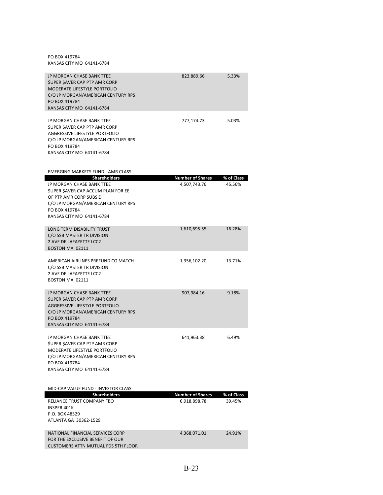PO BOX 419784 KANSAS CITY MO 64141‐6784

| <b>JP MORGAN CHASE BANK TTEE</b><br>SUPER SAVER CAP PTP AMR CORP<br>MODERATE LIFESTYLE PORTFOLIO<br>C/O JP MORGAN/AMERICAN CENTURY RPS<br>PO BOX 419784<br>KANSAS CITY MO 64141-6784 | 823,889.66 | 5.33% |
|--------------------------------------------------------------------------------------------------------------------------------------------------------------------------------------|------------|-------|
|                                                                                                                                                                                      |            |       |
| JP MORGAN CHASE BANK TTEE<br>SUPER SAVER CAP PTP AMR CORP<br>AGGRESSIVE LIFESTYLE PORTEOLIO<br>C/O JP MORGAN/AMERICAN CENTURY RPS<br>PO BOX 419784<br>KANSAS CITY MO 64141-6784      | 777,174.73 | 5.03% |
|                                                                                                                                                                                      |            |       |
|                                                                                                                                                                                      |            |       |

| EMERGING MARKETS FUND - AMR CLASS                                                                                                                                                      |                                         |                      |
|----------------------------------------------------------------------------------------------------------------------------------------------------------------------------------------|-----------------------------------------|----------------------|
| <b>Shareholders</b>                                                                                                                                                                    | <b>Number of Shares</b>                 | % of Class           |
| JP MORGAN CHASE BANK TTEE<br>SUPER SAVER CAP ACCUM PLAN FOR EE<br>OF PTP AMR CORP SUBSID<br>C/O JP MORGAN/AMERICAN CENTURY RPS<br>PO BOX 419784<br>KANSAS CITY MO 64141-6784           | 4,507,743.76                            | 45.56%               |
| <b>LONG TERM DISABILITY TRUST</b><br>C/O SSB MASTER TR DIVISION<br>2 AVE DE LAFAYETTE LCC2<br>BOSTON MA 02111                                                                          | 1,610,695.55                            | 16.28%               |
| AMERICAN AIRLINES PREFUND CO MATCH<br>C/O SSB MASTER TR DIVISION<br>2 AVE DE LAFAYETTE LCC2<br>BOSTON MA 02111                                                                         | 1,356,102.20                            | 13.71%               |
| JP MORGAN CHASE BANK TTEE<br><b>SUPER SAVER CAP PTP AMR CORP</b><br>AGGRESSIVE LIFESTYLE PORTFOLIO<br>C/O JP MORGAN/AMERICAN CENTURY RPS<br>PO BOX 419784<br>KANSAS CITY MO 64141-6784 | 907,984.16                              | 9.18%                |
| JP MORGAN CHASE BANK TTEE<br>SUPER SAVER CAP PTP AMR CORP<br><b>MODERATE LIFESTYLE PORTFOLIO</b><br>C/O JP MORGAN/AMERICAN CENTURY RPS<br>PO BOX 419784<br>KANSAS CITY MO 64141-6784   | 641,963.38                              | 6.49%                |
| MID-CAP VALUE FUND - INVESTOR CLASS                                                                                                                                                    |                                         |                      |
| <b>Shareholders</b><br>RELIANCE TRUST COMPANY FBO<br>INSPER 401K<br>P.O. BOX 48529<br>ATLANTA GA 30362-1529                                                                            | <b>Number of Shares</b><br>6,918,898.78 | % of Class<br>39.45% |
| NATIONAL FINANCIAL SERVICES CORP<br>FOR THE EXCLUSIVE BENEFIT OF OUR<br><b>CUSTOMERS ATTN MUTUAL FDS 5TH FLOOR</b>                                                                     | 4,368,071.01                            | 24.91%               |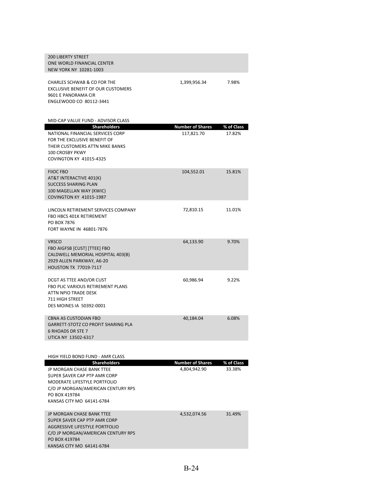| <b>200 LIBERTY STREET</b><br>ONE WORLD FINANCIAL CENTER<br>NEW YORK NY 10281-1003                                                                                                      |                                       |                      |
|----------------------------------------------------------------------------------------------------------------------------------------------------------------------------------------|---------------------------------------|----------------------|
| CHARLES SCHWAB & CO FOR THE<br>EXCLUSIVE BENEFIT OF OUR CUSTOMERS<br>9601 E PANORAMA CIR<br>ENGLEWOOD CO 80112-3441                                                                    | 1,399,956.34                          | 7.98%                |
| MID-CAP VALUE FUND - ADVISOR CLASS                                                                                                                                                     |                                       |                      |
| <b>Shareholders</b><br>NATIONAL FINANCIAL SERVICES CORP<br>FOR THE EXCLUSIVE BENEFIT OF<br>THEIR CUSTOMERS ATTN MIKE BANKS<br>100 CROSBY PKWY<br><b>COVINGTON KY 41015-4325</b>        | <b>Number of Shares</b><br>117,821.70 | % of Class<br>17.82% |
| <b>FIIOC FBO</b><br>AT&T INTERACTIVE 401(K)<br><b>SUCCESS SHARING PLAN</b><br>100 MAGELLAN WAY (KWIC)<br><b>COVINGTON KY 41015-1987</b>                                                | 104,552.01                            | 15.81%               |
| LINCOLN RETIREMENT SERVICES COMPANY<br>FBO HBCS 401K RETIREMENT<br>PO BOX 7876<br>FORT WAYNE IN 46801-7876                                                                             | 72,810.15                             | 11.01%               |
| <b>VRSCO</b><br>FBO AIGFSB [CUST] [TTEE] FBO<br>CALDWELL MEMORIAL HOSPITAL 403(B)<br>2929 ALLEN PARKWAY, A6-20<br>HOUSTON TX 77019-7117                                                | 64,133.90                             | 9.70%                |
| DCGT AS TTEE AND/OR CUST<br>FBO PLIC VARIOUS RETIREMENT PLANS<br>ATTN NPIO TRADE DESK<br><b>711 HIGH STREET</b><br>DES MOINES IA 50392-0001                                            | 60,986.94                             | 9.22%                |
| <b>CBNA AS CUSTODIAN FBO</b><br><b>GARRETT-STOTZ CO PROFIT SHARING PLA</b><br>6 RHOADS DR STE 7<br>UTICA NY 13502-6317                                                                 | 40,184.04                             | 6.08%                |
|                                                                                                                                                                                        |                                       |                      |
| HIGH YIELD BOND FUND - AMR CLASS<br><b>Shareholders</b>                                                                                                                                | <b>Number of Shares</b>               | % of Class           |
| JP MORGAN CHASE BANK TTEE<br>SUPER SAVER CAP PTP AMR CORP<br>MODERATE LIFESTYLE PORTFOLIO<br>C/O JP MORGAN/AMERICAN CENTURY RPS<br>PO BOX 419784<br>KANSAS CITY MO 64141-6784          | 4,804,942.90                          | 33.38%               |
| JP MORGAN CHASE BANK TTEE<br><b>SUPER SAVER CAP PTP AMR CORP</b><br>AGGRESSIVE LIFESTYLE PORTFOLIO<br>C/O JP MORGAN/AMERICAN CENTURY RPS<br>PO BOX 419784<br>KANSAS CITY MO 64141-6784 | 4,532,074.56                          | 31.49%               |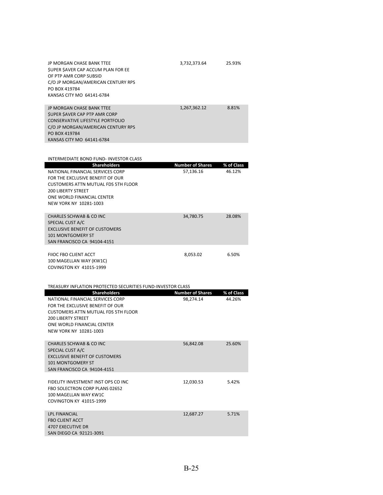| JP MORGAN CHASE BANK TTEE<br>SUPER SAVER CAP ACCUM PLAN FOR EE<br>OF PTP AMR CORP SUBSID<br>C/O JP MORGAN/AMERICAN CENTURY RPS<br>PO BOX 419784<br>KANSAS CITY MO 64141-6784                            | 3,732,373.64            | 25.93%               |
|---------------------------------------------------------------------------------------------------------------------------------------------------------------------------------------------------------|-------------------------|----------------------|
| JP MORGAN CHASE BANK TTEE<br>SUPER SAVER CAP PTP AMR CORP<br><b>CONSERVATIVE LIFESTYLE PORTFOLIO</b><br>C/O JP MORGAN/AMERICAN CENTURY RPS<br>PO BOX 419784<br>KANSAS CITY MO 64141-6784                | 1,267,362.12            | 8.81%                |
|                                                                                                                                                                                                         |                         |                      |
| INTERMEDIATE BOND FUND- INVESTOR CLASS<br><b>Shareholders</b>                                                                                                                                           | <b>Number of Shares</b> |                      |
| NATIONAL FINANCIAL SERVICES CORP<br>FOR THE EXCLUSIVE BENEFIT OF OUR<br><b>CUSTOMERS ATTN MUTUAL FDS 5TH FLOOR</b><br><b>200 LIBERTY STREET</b><br>ONE WORLD FINANCIAL CENTER<br>NEW YORK NY 10281-1003 | 57,136.16               | % of Class<br>46.12% |
| CHARLES SCHWAB & CO INC<br>SPECIAL CUST A/C<br><b>EXCLUSIVE BENEFIT OF CUSTOMERS</b><br>101 MONTGOMERY ST<br>SAN FRANCISCO CA 94104-4151                                                                | 34,780.75               | 28.08%               |
| FIIOC FBO CLIENT ACCT<br>100 MAGELLAN WAY (KW1C)<br><b>COVINGTON KY 41015-1999</b>                                                                                                                      | 8,053.02                | 6.50%                |
| TREASURY INFLATION PROTECTED SECURITIES FUND-INVESTOR CLASS                                                                                                                                             |                         |                      |
| <b>Shareholders</b>                                                                                                                                                                                     | <b>Number of Shares</b> | % of Class           |
| NATIONAL FINANCIAL SERVICES CORP<br>FOR THE EXCLUSIVE BENEFIT OF OUR<br><b>CUSTOMERS ATTN MUTUAL FDS 5TH FLOOR</b><br><b>200 LIBERTY STREET</b><br>ONE WORLD FINANCIAL CENTER<br>NEW YORK NY 10281-1003 | 98,274.14               | 44.26%               |
| <b>CHARLES SCHWAB &amp; CO INC</b><br>SPECIAL CUST A/C<br><b>EXCLUSIVE BENEFIT OF CUSTOMERS</b><br>101 MONTGOMERY ST<br>SAN FRANCISCO CA 94104-4151                                                     | 56,842.08               | 25.60%               |
| FIDELITY INVESTMENT INST OPS CO INC<br>FBO SOLECTRON CORP PLANS 02652<br>100 MAGELLAN WAY KW1C<br><b>COVINGTON KY 41015-1999</b>                                                                        | 12,030.53               | 5.42%                |
| LPL FINANCIAL<br><b>FBO CLIENT ACCT</b><br>4707 EXECUTIVE DR<br>SAN DIEGO CA 92121-3091                                                                                                                 | 12,687.27               | 5.71%                |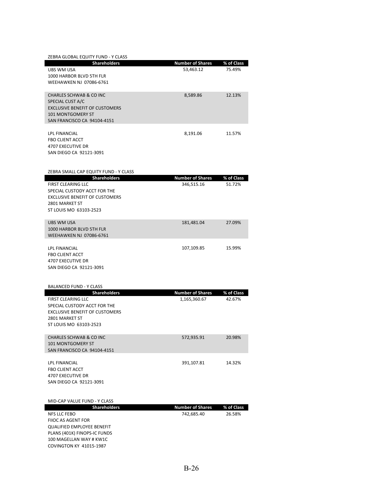| ZEBRA GLOBAL EQUITY FUND - Y CLASS    |                         |            |
|---------------------------------------|-------------------------|------------|
| <b>Shareholders</b>                   | <b>Number of Shares</b> | % of Class |
| UBS WM USA                            | 53,463.12               | 75.49%     |
| 1000 HARBOR BLVD 5TH FLR              |                         |            |
| WEEHAWKEN NJ 07086-6761               |                         |            |
|                                       |                         |            |
| CHARLES SCHWAB & CO INC               | 8,589.86                | 12.13%     |
| SPECIAL CUST A/C                      |                         |            |
| <b>EXCLUSIVE BENEFIT OF CUSTOMERS</b> |                         |            |
| 101 MONTGOMERY ST                     |                         |            |
| SAN FRANCISCO CA 94104-4151           |                         |            |
|                                       |                         |            |
| <b>LPL FINANCIAL</b>                  | 8,191.06                | 11.57%     |
| <b>FBO CLIENT ACCT</b>                |                         |            |
| <b>4707 EXECUTIVE DR</b>              |                         |            |
| SAN DIEGO CA 92121-3091               |                         |            |

| ZEBRA SMALL CAP EQUITY FUND - Y CLASS                                                                                                                                 |                                       |                      |
|-----------------------------------------------------------------------------------------------------------------------------------------------------------------------|---------------------------------------|----------------------|
| <b>Shareholders</b><br><b>FIRST CLEARING LLC</b><br>SPECIAL CUSTODY ACCT FOR THE<br><b>EXCLUSIVE BENEFIT OF CUSTOMERS</b><br>2801 MARKET ST<br>ST LOUIS MO 63103-2523 | <b>Number of Shares</b><br>346,515.16 | % of Class<br>51.72% |
| <b>UBS WM USA</b><br>1000 HARBOR BLVD 5TH FLR<br>WEEHAWKEN NJ 07086-6761                                                                                              | 181,481.04                            | 27.09%               |
| LPL FINANCIAL<br><b>FBO CLIENT ACCT</b><br><b>4707 EXECUTIVE DR</b><br>SAN DIEGO CA 92121-3091                                                                        | 107,109.85                            | 15.99%               |
| <b>BALANCED FUND - Y CLASS</b><br><b>Shareholders</b>                                                                                                                 | <b>Number of Shares</b>               | % of Class           |
| <b>FIRST CLEARING LLC</b><br>SPECIAL CUSTODY ACCT FOR THE<br><b>EXCLUSIVE BENEFIT OF CUSTOMERS</b><br>2801 MARKET ST<br>ST LOUIS MO 63103-2523                        | 1,165,360.67                          | 42.67%               |
| <b>CHARLES SCHWAB &amp; CO INC</b><br><b>101 MONTGOMERY ST</b><br>SAN FRANCISCO CA 94104-4151                                                                         | 572,935.91                            | 20.98%               |
| <b>LPL FINANCIAL</b><br><b>FBO CLIENT ACCT</b><br>4707 EXECUTIVE DR<br>SAN DIEGO CA 92121-3091                                                                        | 391,107.81                            | 14.32%               |
| MID-CAP VALUE FUND - Y CLASS                                                                                                                                          |                                       |                      |
| <b>Shareholders</b><br><b>NFS LLC FEBO</b><br><b>FIIOC AS AGENT FOR</b><br><b>QUALIFIED EMPLOYEE BENEFIT</b>                                                          | <b>Number of Shares</b><br>742,685.40 | % of Class<br>26.58% |

PLANS (401K) FINOPS‐IC FUNDS 100 MAGELLAN WAY # KW1C COVINGTON KY 41015‐1987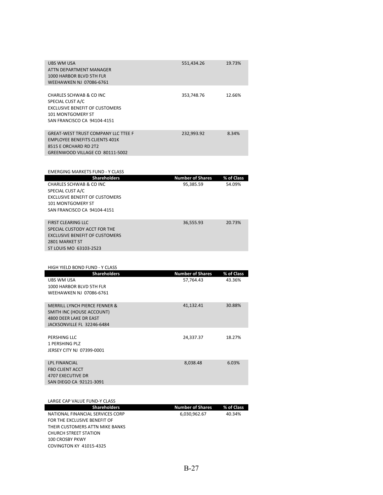| UBS WM USA<br>551,434.26<br>19.73%<br>ATTN DEPARTMENT MANAGER<br>1000 HARBOR BLVD 5TH FLR<br><b>WEEHAWKEN NJ 07086-6761</b> |  |
|-----------------------------------------------------------------------------------------------------------------------------|--|
|                                                                                                                             |  |
| CHARLES SCHWAB & CO INC<br>12.66%<br>353.748.76                                                                             |  |
| SPECIAL CUST A/C                                                                                                            |  |
| <b>EXCLUSIVE BENEFIT OF CUSTOMERS</b>                                                                                       |  |
| 101 MONTGOMERY ST                                                                                                           |  |
| SAN FRANCISCO CA 94104-4151                                                                                                 |  |
|                                                                                                                             |  |
| <b>GREAT-WEST TRUST COMPANY LLC TTEE F</b><br>232,993.92<br>8.34%                                                           |  |
| <b>EMPLOYEE BENEFITS CLIENTS 401K</b>                                                                                       |  |
| 8515 E ORCHARD RD 2T2                                                                                                       |  |
| GREENWOOD VILLAGE CO 80111-5002                                                                                             |  |

| <b>EMERGING MARKETS FUND - Y CLASS</b> |                         |            |
|----------------------------------------|-------------------------|------------|
| <b>Shareholders</b>                    | <b>Number of Shares</b> | % of Class |
| CHARLES SCHWAB & CO INC                | 95,385.59               | 54.09%     |
| SPECIAL CUST A/C                       |                         |            |
| <b>EXCLUSIVE BENEFIT OF CUSTOMERS</b>  |                         |            |
| <b>101 MONTGOMERY ST</b>               |                         |            |
| SAN FRANCISCO CA 94104-4151            |                         |            |
|                                        |                         |            |
| <b>FIRST CLEARING LLC</b>              | 36.555.93               | 20.73%     |
| SPECIAL CUSTODY ACCT FOR THE           |                         |            |
| <b>EXCLUSIVE BENEFIT OF CUSTOMERS</b>  |                         |            |
| 2801 MARKET ST                         |                         |            |
| ST LOUIS MO 63103-2523                 |                         |            |

| <b>Shareholders</b>                                                                                                           | <b>Number of Shares</b> | % of Class |
|-------------------------------------------------------------------------------------------------------------------------------|-------------------------|------------|
| <b>UBS WM USA</b><br>1000 HARBOR BLVD 5TH FLR<br><b>WEEHAWKEN NJ 07086-6761</b>                                               | 57,764.43               | 43.36%     |
| <b>MERRILL LYNCH PIERCE FENNER &amp;</b><br>SMITH INC (HOUSE ACCOUNT)<br>4800 DEER LAKE DR EAST<br>JACKSONVILLE FL 32246-6484 | 41,132.41               | 30.88%     |
| PERSHING LLC<br>1 PERSHING PLZ<br>JERSEY CITY NJ 07399-0001                                                                   | 24,337.37               | 18.27%     |
| <b>LPL FINANCIAL</b><br><b>FBO CLIENT ACCT</b><br>4707 EXECUTIVE DR<br>SAN DIEGO CA 92121-3091                                | 8,038.48                | 6.03%      |

| LARGE CAP VALUE FUND-Y CLASS     |                         |            |
|----------------------------------|-------------------------|------------|
| <b>Shareholders</b>              | <b>Number of Shares</b> | % of Class |
| NATIONAL FINANCIAL SERVICES CORP | 6,030,962.67            | 40.34%     |
| FOR THE EXCLUSIVE BENEFIT OF     |                         |            |
| THEIR CUSTOMERS ATTN MIKE BANKS  |                         |            |
| <b>CHURCH STREET STATION</b>     |                         |            |
| 100 CROSBY PKWY                  |                         |            |
| <b>COVINGTON KY 41015-4325</b>   |                         |            |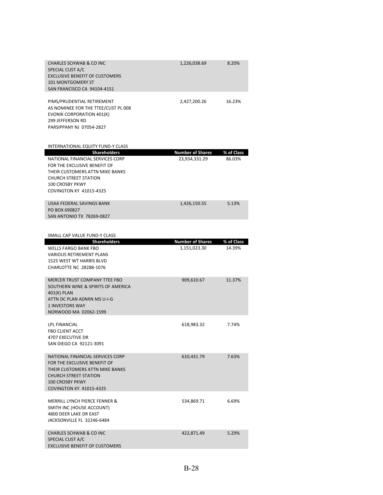| <b>CHARLES SCHWAB &amp; CO INC</b><br>SPECIAL CUST A/C<br><b>EXCLUSIVE BENEFIT OF CUSTOMERS</b><br><b>101 MONTGOMERY ST</b><br>SAN FRANCISCO CA 94104-4151                                               | 1,226,038.69                             | 8.20%                |
|----------------------------------------------------------------------------------------------------------------------------------------------------------------------------------------------------------|------------------------------------------|----------------------|
| PIMS/PRUDENTIAL RETIREMENT<br>AS NOMINEE FOR THE TTEE/CUST PL 008<br><b>EVONIK CORPORATION 401(K)</b><br><b>299 JEFFERSON RD</b><br>PARSIPPANY NJ 07054-2827                                             | 2,427,200.26                             | 16.23%               |
| <b>INTERNATIONAL EQUITY FUND-Y CLASS</b>                                                                                                                                                                 |                                          |                      |
| <b>Shareholders</b><br>NATIONAL FINANCIAL SERVICES CORP<br>FOR THE EXCLUSIVE BENEFIT OF<br>THEIR CUSTOMERS ATTN MIKE BANKS<br><b>CHURCH STREET STATION</b><br>100 CROSBY PKWY<br>COVINGTON KY 41015-4325 | <b>Number of Shares</b><br>23,934,331.29 | % of Class<br>86.03% |
| USAA FEDERAL SAVINGS BANK<br>PO BOX 690827<br>SAN ANTONIO TX 78269-0827                                                                                                                                  | 1,426,150.55                             | 5.13%                |
| SMALL CAP VALUE FUND-Y CLASS                                                                                                                                                                             |                                          |                      |
| <b>Shareholders</b>                                                                                                                                                                                      | <b>Number of Shares</b>                  | % of Class           |
| MELLE EADCO DANIVEDO                                                                                                                                                                                     | 1 1 E 1 0 D 2 D 0                        | 14. 2007             |

| SIVIALL CAP VALUE FUIVD-I CLASS                                                                                                                                                                 |                         |            |
|-------------------------------------------------------------------------------------------------------------------------------------------------------------------------------------------------|-------------------------|------------|
| <b>Shareholders</b>                                                                                                                                                                             | <b>Number of Shares</b> | % of Class |
| <b>WELLS FARGO BANK FBO</b><br><b>VARIOUS RETIREMENT PLANS</b><br>1525 WEST WT HARRIS BLVD<br>CHARLOTTE NC 28288-1076                                                                           | 1,151,023.30            | 14.39%     |
| MERCER TRUST COMPANY TTEE FBO<br>SOUTHERN WINE & SPIRITS OF AMERICA<br>401(K) PLAN<br>ATTN DC PLAN ADMIN MS U-I-G<br><b>1 INVESTORS WAY</b><br>NORWOOD MA 02062-1599                            | 909,610.67              | 11.37%     |
| <b>LPL FINANCIAL</b><br><b>FBO CLIENT ACCT</b><br><b>4707 EXECUTIVE DR</b><br>SAN DIEGO CA 92121-3091                                                                                           | 618,983.32              | 7.74%      |
| NATIONAL FINANCIAL SERVICES CORP<br>FOR THE EXCLUSIVE BENEFIT OF<br>THEIR CUSTOMERS ATTN MIKE BANKS<br><b>CHURCH STREET STATION</b><br><b>100 CROSBY PKWY</b><br><b>COVINGTON KY 41015-4325</b> | 610.431.79              | 7.63%      |
| <b>MERRILL LYNCH PIERCE FENNER &amp;</b><br>SMITH INC (HOUSE ACCOUNT)<br>4800 DEER LAKE DR EAST<br>JACKSONVILLE FL 32246-6484                                                                   | 534,869.71              | 6.69%      |
| CHARLES SCHWAB & CO INC<br>SPECIAL CUST A/C<br><b>EXCLUSIVE BENEFIT OF CUSTOMERS</b>                                                                                                            | 422,871.49              | 5.29%      |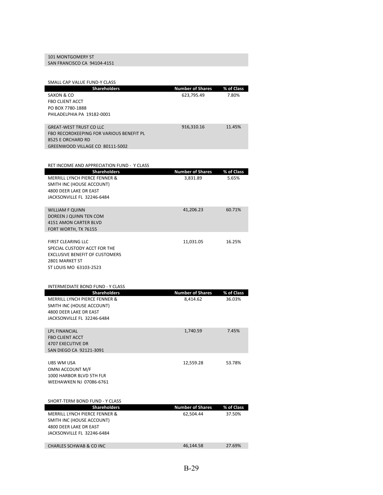## 101 MONTGOMERY ST

SAN FRANCISCO CA 94104‐4151

| SMALL CAP VALUE FUND-Y CLASS                          |                                     |                      |
|-------------------------------------------------------|-------------------------------------|----------------------|
| <b>Shareholders</b>                                   | <b>Number of Shares</b>             | % of Class           |
| SAXON & CO                                            | 623,795.49                          | 7.80%                |
| <b>FBO CLIENT ACCT</b><br>PO BOX 7780-1888            |                                     |                      |
| PHILADELPHIA PA 19182-0001                            |                                     |                      |
|                                                       |                                     |                      |
| <b>GREAT-WEST TRUST CO LLC</b>                        | 916,310.16                          | 11.45%               |
| FBO RECORDKEEPING FOR VARIOUS BENEFIT PL              |                                     |                      |
| 8525 E ORCHARD RD                                     |                                     |                      |
| GREENWOOD VILLAGE CO 80111-5002                       |                                     |                      |
|                                                       |                                     |                      |
| RET INCOME AND APPRECIATION FUND - Y CLASS            |                                     |                      |
| <b>Shareholders</b>                                   | <b>Number of Shares</b>             | % of Class           |
| MERRILL LYNCH PIERCE FENNER &                         | 3,831.89                            | 5.65%                |
| SMITH INC (HOUSE ACCOUNT)<br>4800 DEER LAKE DR EAST   |                                     |                      |
| JACKSONVILLE FL 32246-6484                            |                                     |                      |
|                                                       |                                     |                      |
| <b>WILLIAM F QUINN</b>                                | 41,206.23                           | 60.71%               |
| DOREEN J QUINN TEN COM                                |                                     |                      |
| 4151 AMON CARTER BLVD<br>FORT WORTH, TX 76155         |                                     |                      |
|                                                       |                                     |                      |
| <b>FIRST CLEARING LLC</b>                             | 11,031.05                           | 16.25%               |
| SPECIAL CUSTODY ACCT FOR THE                          |                                     |                      |
| <b>EXCLUSIVE BENEFIT OF CUSTOMERS</b>                 |                                     |                      |
| 2801 MARKET ST                                        |                                     |                      |
| ST LOUIS MO 63103-2523                                |                                     |                      |
|                                                       |                                     |                      |
| <b>INTERMEDIATE BOND FUND - Y CLASS</b>               |                                     |                      |
| <b>Shareholders</b><br>MERRILL LYNCH PIERCE FENNER &  | <b>Number of Shares</b><br>8,414.62 | % of Class<br>36.03% |
| SMITH INC (HOUSE ACCOUNT)                             |                                     |                      |
| 4800 DEER LAKE DR EAST                                |                                     |                      |
| JACKSONVILLE FL 32246-6484                            |                                     |                      |
|                                                       |                                     |                      |
| <b>LPL FINANCIAL</b><br><b>FBO CLIENT ACCT</b>        | 1,740.59                            | 7.45%                |
| <b>4707 EXECUTIVE DR</b>                              |                                     |                      |
| SAN DIEGO CA 92121-3091                               |                                     |                      |
|                                                       |                                     |                      |
| UBS WM USA                                            | 12,559.28                           | 53.78%               |
| OMNI ACCOUNT M/F<br>1000 HARBOR BLVD 5TH FLR          |                                     |                      |
| <b>WEEHAWKEN NJ 07086-6761</b>                        |                                     |                      |
|                                                       |                                     |                      |
|                                                       |                                     |                      |
| SHORT-TERM BOND FUND - Y CLASS<br><b>Shareholders</b> | <b>Number of Shares</b>             | % of Class           |
| MERRILL LYNCH PIERCE FENNER &                         | 62,504.44                           | 37.50%               |
| SMITH INC (HOUSE ACCOUNT)                             |                                     |                      |
| 4800 DEER LAKE DR EAST                                |                                     |                      |
| JACKSONVILLE FL 32246-6484                            |                                     |                      |
|                                                       |                                     |                      |
| <b>CHARLES SCHWAB &amp; CO INC</b>                    | 46,144.58                           | 27.69%               |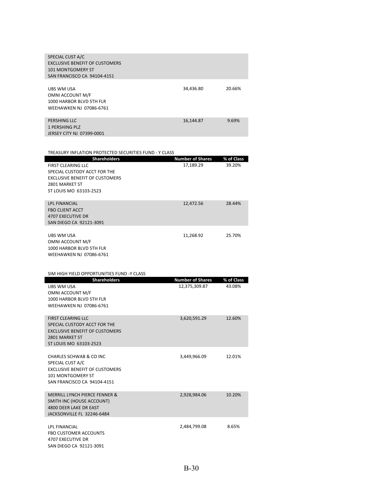| SPECIAL CUST A/C                      |           |        |
|---------------------------------------|-----------|--------|
| <b>EXCLUSIVE BENEFIT OF CUSTOMERS</b> |           |        |
| 101 MONTGOMERY ST                     |           |        |
| SAN FRANCISCO CA 94104-4151           |           |        |
|                                       |           |        |
| UBS WM USA                            | 34,436.80 | 20.66% |
| OMNI ACCOUNT M/F                      |           |        |
| 1000 HARBOR BLVD 5TH FLR              |           |        |
| WEEHAWKEN NJ 07086-6761               |           |        |
|                                       |           |        |
| PERSHING LLC                          | 16,144.87 | 9.69%  |
| <b>1 PERSHING PLZ</b>                 |           |        |

| JERSEY CITY NJ 07399-0001 |  |  |
|---------------------------|--|--|

| TREASURY INFLATION PROTECTED SECURITIES FUND - Y CLASS |                         |            |
|--------------------------------------------------------|-------------------------|------------|
| <b>Shareholders</b>                                    | <b>Number of Shares</b> | % of Class |
| <b>FIRST CLEARING LLC</b>                              | 17,189.29               | 39.20%     |
| SPECIAL CUSTODY ACCT FOR THE                           |                         |            |
| <b>EXCLUSIVE BENEFIT OF CUSTOMERS</b>                  |                         |            |
| 2801 MARKET ST                                         |                         |            |
| ST LOUIS MO 63103-2523                                 |                         |            |
|                                                        |                         |            |
| <b>LPL FINANCIAL</b>                                   | 12,472.56               | 28.44%     |
| <b>FBO CLIENT ACCT</b>                                 |                         |            |
| <b>4707 EXECUTIVE DR</b>                               |                         |            |
| SAN DIEGO CA 92121-3091                                |                         |            |
|                                                        |                         |            |
| UBS WM USA                                             | 11,268.92               | 25.70%     |
| OMNI ACCOUNT M/F                                       |                         |            |
| 1000 HARBOR BLVD 5TH FLR                               |                         |            |
| WEEHAWKEN NJ 07086-6761                                |                         |            |

| SIM HIGH YIELD OPPORTUNITIES FUND -Y CLASS                                                                                                      |                                          |                      |
|-------------------------------------------------------------------------------------------------------------------------------------------------|------------------------------------------|----------------------|
| <b>Shareholders</b><br><b>UBS WM USA</b><br>OMNI ACCOUNT M/F<br>1000 HARBOR BLVD 5TH FLR<br><b>WEEHAWKEN NJ 07086-6761</b>                      | <b>Number of Shares</b><br>12,375,309.87 | % of Class<br>43.08% |
| <b>FIRST CLEARING LLC</b><br>SPECIAL CUSTODY ACCT FOR THE<br><b>EXCLUSIVE BENEFIT OF CUSTOMERS</b><br>2801 MARKET ST<br>ST LOUIS MO 63103-2523  | 3,620,591.29                             | 12.60%               |
| CHARLES SCHWAB & CO INC<br>SPECIAL CUST A/C<br><b>EXCLUSIVE BENEFIT OF CUSTOMERS</b><br><b>101 MONTGOMERY ST</b><br>SAN FRANCISCO CA 94104-4151 | 3.449.966.09                             | 12.01%               |
| MERRILL LYNCH PIERCE FENNER &<br>SMITH INC (HOUSE ACCOUNT)<br>4800 DEER LAKE DR EAST<br>JACKSONVILLE FL 32246-6484                              | 2,928,984.06                             | 10.20%               |
| <b>LPL FINANCIAL</b><br><b>FBO CUSTOMER ACCOUNTS</b><br><b>4707 EXECUTIVE DR</b><br>SAN DIEGO CA 92121-3091                                     | 2,484,799.08                             | 8.65%                |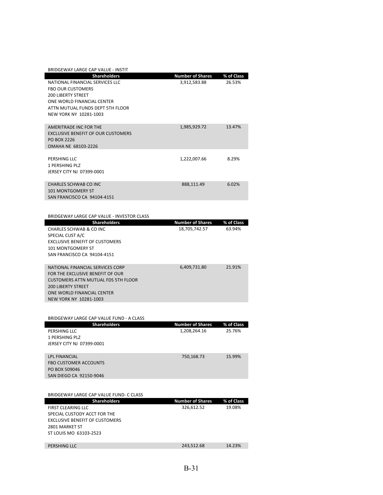| BRIDGEWAY LARGE CAP VALUE - INSTIT |                         |            |
|------------------------------------|-------------------------|------------|
| <b>Shareholders</b>                | <b>Number of Shares</b> | % of Class |
| NATIONAL FINANCIAL SERVICES LLC    | 3,912,583.88            | 26.53%     |
| <b>FBO OUR CUSTOMERS</b>           |                         |            |
| <b>200 LIBERTY STREET</b>          |                         |            |
| ONE WORLD FINANCIAL CENTER         |                         |            |
| ATTN MUTUAL FUNDS DEPT 5TH FLOOR   |                         |            |
| NEW YORK NY 10281-1003             |                         |            |
|                                    |                         |            |
| AMERITRADE INC FOR THE             | 1,985,929.72            | 13.47%     |
| EXCLUSIVE BENEFIT OF OUR CUSTOMERS |                         |            |
| PO BOX 2226                        |                         |            |
| OMAHA NE 68103-2226                |                         |            |
|                                    |                         |            |
| PERSHING LLC                       | 1,222,007.66            | 8.29%      |
| 1 PERSHING PLZ                     |                         |            |
| JERSEY CITY NJ 07399-0001          |                         |            |
|                                    |                         |            |
| CHARLES SCHWAB CO INC              | 888,111.49              | 6.02%      |
| <b>101 MONTGOMERY ST</b>           |                         |            |
| SAN FRANCISCO CA 94104-4151        |                         |            |

| BRIDGEWAY LARGE CAP VALUE - INVESTOR CLASS |
|--------------------------------------------|
|--------------------------------------------|

| <b>Shareholders</b>                   | <b>Number of Shares</b> | % of Class |
|---------------------------------------|-------------------------|------------|
| CHARLES SCHWAB & CO INC               | 18,705,742.57           | 63.94%     |
| SPECIAL CUST A/C                      |                         |            |
| <b>EXCLUSIVE BENEFIT OF CUSTOMERS</b> |                         |            |
| <b>101 MONTGOMERY ST</b>              |                         |            |
| SAN FRANCISCO CA 94104-4151           |                         |            |
|                                       |                         |            |
| NATIONAL FINANCIAL SERVICES CORP      | 6.409.731.80            | 21.91%     |
| FOR THE EXCLUSIVE BENEFIT OF OUR      |                         |            |
| CUSTOMERS ATTN MUTUAL FDS 5TH FLOOR   |                         |            |
| <b>200 LIBERTY STREET</b>             |                         |            |
| ONE WORLD FINANCIAL CENTER            |                         |            |
| NEW YORK NY 10281-1003                |                         |            |

| BRIDGEWAY LARGE CAP VALUE FUND - A CLASS |                         |            |
|------------------------------------------|-------------------------|------------|
| <b>Shareholders</b>                      | <b>Number of Shares</b> | % of Class |
| PERSHING LLC                             | 1,208,264.16            | 25.76%     |
| 1 PERSHING PLZ                           |                         |            |
| JERSEY CITY NJ 07399-0001                |                         |            |
|                                          |                         |            |
| <b>LPL FINANCIAL</b>                     | 750,168.73              | 15.99%     |
| <b>FBO CUSTOMER ACCOUNTS</b>             |                         |            |
| PO BOX 509046                            |                         |            |
| SAN DIEGO CA 92150-9046                  |                         |            |
|                                          |                         |            |
|                                          |                         |            |

| BRIDGEWAY LARGE CAP VALUE FUND- C CLASS |                         |            |
|-----------------------------------------|-------------------------|------------|
| <b>Shareholders</b>                     | <b>Number of Shares</b> | % of Class |
| <b>FIRST CLEARING LLC</b>               | 326,612.52              | 19.08%     |
| SPECIAL CUSTODY ACCT FOR THE            |                         |            |
| EXCLUSIVE BENEFIT OF CUSTOMERS          |                         |            |
| 2801 MARKET ST                          |                         |            |
| ST LOUIS MO 63103-2523                  |                         |            |
|                                         |                         |            |
| PERSHING LLC                            | 243.512.68              | 14.23%     |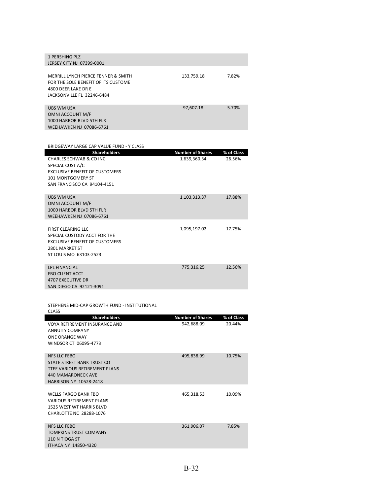| 1 PERSHING PLZ<br>JERSEY CITY NJ 07399-0001                                                                                     |            |       |
|---------------------------------------------------------------------------------------------------------------------------------|------------|-------|
| MERRILL LYNCH PIERCE FENNER & SMITH<br>FOR THE SOLE BENEFIT OF ITS CUSTOME<br>4800 DEER LAKE DR E<br>JACKSONVILLE FL 32246-6484 | 133,759.18 | 7.82% |
| UBS WM USA<br>OMNI ACCOUNT M/F<br>1000 HARBOR BLVD 5TH FLR<br>WEEHAWKEN NJ 07086-6761                                           | 97.607.18  | 5.70% |

| BRIDGEWAY LARGE CAP VALUE FUND - Y CLASS |                         |            |
|------------------------------------------|-------------------------|------------|
| <b>Shareholders</b>                      | <b>Number of Shares</b> | % of Class |
| CHARLES SCHWAR & CO INC.                 | 1,639,360.34            | 26.56%     |
| SPECIAL CUST A/C                         |                         |            |
| <b>EXCLUSIVE BENEFIT OF CUSTOMERS</b>    |                         |            |
| <b>101 MONTGOMERY ST</b>                 |                         |            |
| SAN FRANCISCO CA 94104-4151              |                         |            |
| <b>URS WM USA</b>                        |                         | 17.88%     |
| OMNI ACCOUNT M/F                         | 1,103,313.37            |            |
| 1000 HARROR BLVD 5TH FLR                 |                         |            |
| <b>WEEHAWKEN NJ 07086-6761</b>           |                         |            |
|                                          |                         |            |
| FIRST CLEARING LLC                       | 1,095,197.02            | 17.75%     |
| SPECIAL CUSTODY ACCT FOR THE             |                         |            |
| <b>EXCLUSIVE BENEFIT OF CUSTOMERS</b>    |                         |            |
| 2801 MARKET ST                           |                         |            |
| ST LOUIS MO 63103-2523                   |                         |            |
|                                          |                         |            |
| <b>LPL FINANCIAL</b>                     | 775,316.25              | 12.56%     |
| <b>FBO CLIENT ACCT</b>                   |                         |            |
| <b>4707 EXECUTIVE DR</b>                 |                         |            |
| SAN DIEGO CA 92121-3091                  |                         |            |

STEPHENS MID‐CAP GROWTH FUND ‐ INSTITUTIONAL<br>CLASS

| CLASS                                                                                                                                            |                         |            |
|--------------------------------------------------------------------------------------------------------------------------------------------------|-------------------------|------------|
| <b>Shareholders</b>                                                                                                                              | <b>Number of Shares</b> | % of Class |
| VOYA RETIREMENT INSURANCE AND<br><b>ANNUITY COMPANY</b><br><b>ONE ORANGE WAY</b><br>WINDSOR CT 06095-4773                                        | 942,688.09              | 20.44%     |
| <b>NFS LLC FEBO</b><br>STATE STREET BANK TRUST CO<br>TTEE VARIOUS RETIREMENT PLANS<br><b>440 MAMARONECK AVE</b><br><b>HARRISON NY 10528-2418</b> | 495,838.99              | 10.75%     |
| <b>WELLS FARGO BANK FBO</b><br><b>VARIOUS RETIREMENT PLANS</b><br><b>1525 WEST WT HARRIS BLVD</b><br>CHARLOTTE NC 28288-1076                     | 465,318.53              | 10.09%     |
| <b>NFS LLC FEBO</b><br><b>TOMPKINS TRUST COMPANY</b><br>110 N TIOGA ST<br><b>ITHACA NY 14850-4320</b>                                            | 361,906.07              | 7.85%      |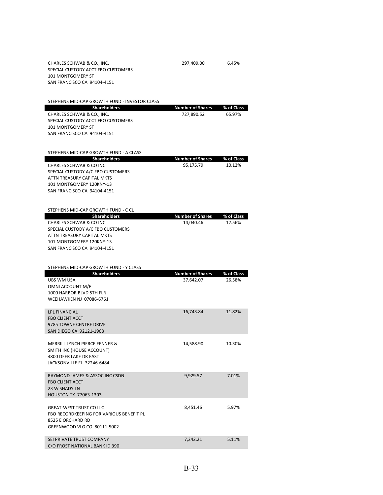CHARLES SCHWAB & CO., INC. 297,409.00 6.45% SPECIAL CUSTODY ACCT FBO CUSTOMERS 101 MONTGOMERY ST SAN FRANCISCO CA 94104‐4151

STEPHENS MID‐CAP GROWTH FUND ‐ INVESTOR CLASS

| <b>Shareholders</b>                    | <b>Number of Shares</b> | % of Class |
|----------------------------------------|-------------------------|------------|
| CHARLES SCHWAB & CO., INC.             | 727,890.52              | 65.97%     |
| SPECIAL CUSTODY ACCT FBO CUSTOMERS     |                         |            |
| <b>101 MONTGOMERY ST</b>               |                         |            |
| SAN FRANCISCO CA 94104-4151            |                         |            |
|                                        |                         |            |
| STEPHENS MID-CAP GROWTH FUND - A CLASS |                         |            |
|                                        |                         |            |
| <b>Shareholders</b>                    | <b>Number of Shares</b> | % of Class |
| CHARLES SCHWAR & CO INC.               | 95,175.79               | 10.12%     |
| SPECIAL CUSTODY A/C FBO CUSTOMERS      |                         |            |
| <b>ATTN TREASURY CAPITAL MKTS</b>      |                         |            |
| 101 MONTGOMERY 120KNY-13               |                         |            |
| SAN FRANCISCO CA 94104-4151            |                         |            |
|                                        |                         |            |
| STEPHENS MID-CAP GROWTH FUND - C CL    |                         |            |
|                                        |                         |            |
| <b>Shareholders</b>                    | <b>Number of Shares</b> | % of Class |
| CHARLES SCHWAB & CO INC                | 14,040.46               | 12.56%     |
| SPECIAL CUSTODY A/C FBO CUSTOMERS      |                         |            |
| ATTN TREASURY CAPITAL MKTS             |                         |            |
| 101 MONTGOMERY 120KNY-13               |                         |            |
| SAN FRANCISCO CA 94104-4151            |                         |            |
|                                        |                         |            |

| STEPHENS MID-CAP GROWTH FUND - Y CLASS                                                                                         |                         |            |
|--------------------------------------------------------------------------------------------------------------------------------|-------------------------|------------|
| <b>Shareholders</b>                                                                                                            | <b>Number of Shares</b> | % of Class |
| <b>UBS WM USA</b><br>OMNI ACCOUNT M/F<br>1000 HARBOR BLVD 5TH FLR<br>WEEHAWKEN NJ 07086-6761                                   | 37,642.07               | 26.58%     |
| <b>LPL FINANCIAL</b><br><b>FBO CLIENT ACCT</b><br>9785 TOWNE CENTRE DRIVE<br>SAN DIEGO CA 92121-1968                           | 16.743.84               | 11.82%     |
| MERRILL LYNCH PIERCE FENNER &<br>SMITH INC (HOUSE ACCOUNT)<br>4800 DEER LAKE DR EAST<br>JACKSONVILLE FL 32246-6484             | 14,588.90               | 10.30%     |
| RAYMOND JAMES & ASSOC INC CSDN<br><b>FBO CLIENT ACCT</b><br>23 W SHADY LN<br><b>HOUSTON TX 77063-1303</b>                      | 9.929.57                | 7.01%      |
| <b>GREAT-WEST TRUST CO LLC</b><br>FBO RECORDKEEPING FOR VARIOUS BENEFIT PL<br>8525 E ORCHARD RD<br>GREENWOOD VLG CO 80111-5002 | 8.451.46                | 5.97%      |
| SEI PRIVATE TRUST COMPANY<br>C/O FROST NATIONAL BANK ID 390                                                                    | 7,242.21                | 5.11%      |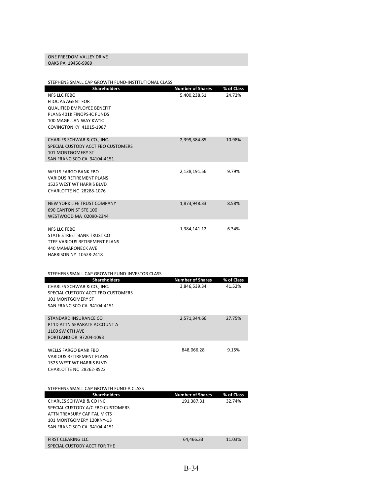### ONE FREEDOM VALLEY DRIVE OAKS PA 19456‐9989

| STEPHENS SMALL CAP GROWTH FUND-INSTITUTIONAL CLASS                                                                                                                                             |                                         |                      |
|------------------------------------------------------------------------------------------------------------------------------------------------------------------------------------------------|-----------------------------------------|----------------------|
| <b>Shareholders</b><br><b>NFS LLC FEBO</b><br>FIIOC AS AGENT FOR<br><b>QUALIFIED EMPLOYEE BENEFIT</b><br>PLANS 401K FINOPS-IC FUNDS<br>100 MAGELLAN WAY KW1C<br><b>COVINGTON KY 41015-1987</b> | <b>Number of Shares</b><br>5,400,238.51 | % of Class<br>24.72% |
| CHARLES SCHWAB & CO., INC.<br>SPECIAL CUSTODY ACCT FBO CUSTOMERS<br>101 MONTGOMERY ST<br>SAN FRANCISCO CA 94104-4151                                                                           | 2,399,384.85                            | 10.98%               |
| <b>WELLS FARGO BANK FBO</b><br><b>VARIOUS RETIREMENT PLANS</b><br>1525 WEST WT HARRIS BLVD<br>CHARLOTTE NC 28288-1076                                                                          | 2,138,191.56                            | 9.79%                |
| NEW YORK LIFE TRUST COMPANY<br>690 CANTON ST STE 100<br>WESTWOOD MA 02090-2344                                                                                                                 | 1,873,948.33                            | 8.58%                |
| <b>NFS LLC FEBO</b><br>STATE STREET BANK TRUST CO<br>TTEE VARIOUS RETIREMENT PLANS<br>440 MAMARONECK AVE<br>HARRISON NY 10528-2418                                                             | 1,384,141.12                            | 6.34%                |
|                                                                                                                                                                                                |                                         |                      |
| STEPHENS SMALL CAP GROWTH FUND-INVESTOR CLASS                                                                                                                                                  |                                         |                      |
| Shareholders<br>CHARLES SCHWAB & CO., INC.<br>SPECIAL CUSTODY ACCT FBO CUSTOMERS<br><b>101 MONTGOMERY ST</b><br>SAN FRANCISCO CA 94104-4151                                                    | <b>Number of Shares</b><br>3,846,539.34 | % of Class<br>41.52% |
| STANDARD INSURANCE CO<br>P11D ATTN SEPARATE ACCOUNT A<br><b>1100 SW 6TH AVE</b><br>PORTLAND OR 97204-1093                                                                                      | 2,571,344.66                            | 27.75%               |
| <b>WELLS FARGO BANK FBO</b><br><b>VARIOUS RETIREMENT PLANS</b><br>1525 WEST WT HARRIS BLVD<br>CHARLOTTE NC 28262-8522                                                                          | 848,066.28                              | 9.15%                |
| STEPHENS SMALL CAP GROWTH FUND-A CLASS                                                                                                                                                         |                                         |                      |
| <b>Shareholders</b><br>CHARLES SCHWAB & CO INC<br>SPECIAL CUSTODY A/C FBO CUSTOMERS<br>ATTN TREASURY CAPITAL MKTS<br>101 MONTGOMERY 120KNY-13<br>SAN FRANCISCO CA 94104-4151                   | <b>Number of Shares</b><br>191,387.31   | % of Class<br>32.74% |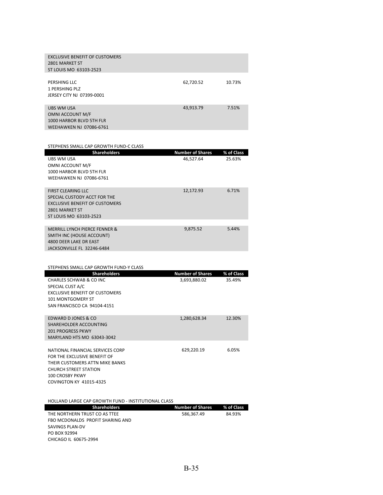| <b>EXCLUSIVE BENEFIT OF CUSTOMERS</b><br>2801 MARKET ST<br>ST LOUIS MO 63103-2523            |           |        |
|----------------------------------------------------------------------------------------------|-----------|--------|
| PERSHING LLC<br>1 PERSHING PLZ<br>JERSEY CITY NJ 07399-0001                                  | 62,720.52 | 10.73% |
| UBS WM USA<br>OMNI ACCOUNT M/F<br>1000 HARBOR BLVD 5TH FLR<br><b>WEEHAWKEN NJ 07086-6761</b> | 43,913.79 | 7.51%  |

| STEPHENS SMALL CAP GROWTH FUND-C CLASS               |                         |            |
|------------------------------------------------------|-------------------------|------------|
| <b>Shareholders</b>                                  | <b>Number of Shares</b> | % of Class |
| UBS WM USA                                           | 46.527.64               | 25.63%     |
| OMNI ACCOUNT M/F                                     |                         |            |
| 1000 HARBOR BLVD 5TH FLR                             |                         |            |
| WEEHAWKEN NJ 07086-6761                              |                         |            |
| <b>FIRST CLEARING LLC</b>                            | 12,172.93               | 6.71%      |
| SPECIAL CUSTODY ACCT FOR THE                         |                         |            |
| <b>EXCLUSIVE BENEFIT OF CUSTOMERS</b>                |                         |            |
| 2801 MARKET ST                                       |                         |            |
| ST LOUIS MO 63103-2523                               |                         |            |
|                                                      |                         |            |
| <b>MERRILL LYNCH PIERCE FENNER &amp;</b>             | 9,875.52                | 5.44%      |
| SMITH INC (HOUSE ACCOUNT)                            |                         |            |
| 4800 DEER LAKE DR EAST<br>JACKSONVILLE FL 32246-6484 |                         |            |
|                                                      |                         |            |
|                                                      |                         |            |
| STEPHENS SMALL CAP GROWTH FUND-Y CLASS               |                         |            |
| <b>Shareholders</b>                                  | <b>Number of Shares</b> | % of Class |
| CHARLES SCHWAB & CO INC                              | 3,693,880.02            | 35.49%     |
| SPECIAL CUST A/C                                     |                         |            |
| <b>EXCLUSIVE BENEFIT OF CUSTOMERS</b>                |                         |            |
| 101 MONTGOMERY ST                                    |                         |            |
| SAN FRANCISCO CA 94104-4151                          |                         |            |
| EDWARD D JONES & CO                                  | 1,280,628.34            | 12.30%     |
| SHAREHOLDER ACCOUNTING                               |                         |            |
| <b>201 PROGRESS PKWY</b>                             |                         |            |
| MARYLAND HTS MO 63043-3042                           |                         |            |
|                                                      |                         |            |
| NATIONAL FINANCIAL SERVICES CORP                     | 629,220.19              | 6.05%      |
| FOR THE EXCLUSIVE BENEFIT OF                         |                         |            |
| THEIR CUSTOMERS ATTN MIKE BANKS                      |                         |            |

HOLLAND LARGE CAP GROWTH FUND ‐ INSTITUTIONAL CLASS

CHURCH STREET STATION 100 CROSBY PKWY COVINGTON KY 41015‐4325

| <b>Shareholders</b>              | Number of Shares | % of Class |
|----------------------------------|------------------|------------|
| THE NORTHERN TRUST CO AS TTEE    | 586.367.49       | 84.93%     |
| FBO MCDONALDS PROFIT SHARING AND |                  |            |
| SAVINGS PLAN-DV                  |                  |            |
| PO BOX 92994                     |                  |            |
| CHICAGO IL 60675-2994            |                  |            |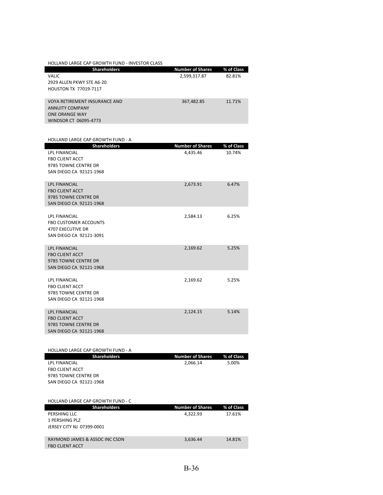| <b>HOLLAND LARGE CAP GROWTH FUND - INVESTOR CLASS</b> |                         |            |
|-------------------------------------------------------|-------------------------|------------|
| <b>Shareholders</b>                                   | <b>Number of Shares</b> | % of Class |
| VALIC                                                 | 2,599,317.87            | 82.81%     |
| 2929 ALLEN PKWY STE A6-20                             |                         |            |
| HOUSTON TX 77019-7117                                 |                         |            |
|                                                       |                         |            |
| <b>VOYA RETIREMENT INSURANCE AND</b>                  | 367,482.85              | 11.71%     |
| <b>ANNUITY COMPANY</b>                                |                         |            |
| <b>ONE ORANGE WAY</b><br>WINDSOR CT 06095-4773        |                         |            |
|                                                       |                         |            |
|                                                       |                         |            |
| <b>HOLLAND LARGE CAP GROWTH FUND - A</b>              |                         |            |
| <b>Shareholders</b>                                   | <b>Number of Shares</b> | % of Class |
| <b>LPL FINANCIAL</b>                                  | 4,435.46                | 10.74%     |
| <b>FBO CLIENT ACCT</b>                                |                         |            |
| 9785 TOWNE CENTRE DR                                  |                         |            |
| SAN DIEGO CA 92121-1968                               |                         |            |
|                                                       |                         |            |
| <b>LPL FINANCIAL</b>                                  | 2,673.91                | 6.47%      |
| <b>FBO CLIENT ACCT</b>                                |                         |            |
| 9785 TOWNE CENTRE DR                                  |                         |            |
| SAN DIEGO CA 92121-1968                               |                         |            |
| LPL FINANCIAL                                         | 2,584.13                | 6.25%      |
| <b>FBO CUSTOMER ACCOUNTS</b>                          |                         |            |
| <b>4707 EXECUTIVE DR</b>                              |                         |            |
| SAN DIEGO CA 92121-3091                               |                         |            |
|                                                       |                         |            |
| <b>LPL FINANCIAL</b>                                  | 2,169.62                | 5.25%      |
| <b>FBO CLIENT ACCT</b>                                |                         |            |
| 9785 TOWNE CENTRE DR                                  |                         |            |
| SAN DIEGO CA 92121-1968                               |                         |            |
|                                                       |                         |            |
| LPL FINANCIAL                                         | 2,169.62                | 5.25%      |
| <b>FBO CLIENT ACCT</b>                                |                         |            |
| 9785 TOWNE CENTRE DR                                  |                         |            |
| SAN DIEGO CA 92121-1968                               |                         |            |
| <b>LPL FINANCIAL</b>                                  | 2,124.15                | 5.14%      |
| <b>FBO CLIENT ACCT</b>                                |                         |            |
| 9785 TOWNE CENTRE DR                                  |                         |            |
| SAN DIEGO CA 92121-1968                               |                         |            |
|                                                       |                         |            |
|                                                       |                         |            |
| <b>HOLLAND LARGE CAP GROWTH FUND - A</b>              |                         |            |
| <b>Shareholders</b>                                   | <b>Number of Shares</b> | % of Class |
| LPL FINANCIAL                                         | 2,066.14                | 5.00%      |
| <b>FBO CLIENT ACCT</b>                                |                         |            |
| 9785 TOWNE CENTRE DR                                  |                         |            |
| SAN DIEGO CA 92121-1968                               |                         |            |
|                                                       |                         |            |
| HOLLAND LARGE CAP GROWTH FUND - C                     |                         |            |
| <b>Shareholders</b>                                   | <b>Number of Shares</b> | % of Class |
| PERSHING LLC                                          | 4,322.93                | 17.61%     |
| 1 PERSHING PLZ                                        |                         |            |
| JERSEY CITY NJ 07399-0001                             |                         |            |
|                                                       |                         |            |
| RAYMOND JAMES & ASSOC INC CSDN                        | 3,636.44                | 14.81%     |
| <b>FBO CLIENT ACCT</b>                                |                         |            |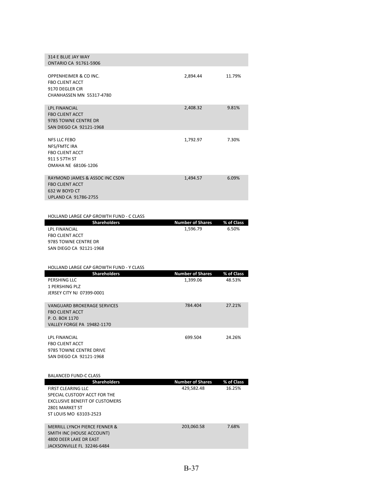| 314 E BLUE JAY WAY<br><b>ONTARIO CA 91761-5906</b>                                                                                                                    |                                       |                      |
|-----------------------------------------------------------------------------------------------------------------------------------------------------------------------|---------------------------------------|----------------------|
| OPPENHEIMER & CO INC.<br><b>FBO CLIENT ACCT</b><br>9170 DEGLER CIR<br><b>CHANHASSEN MN 55317-4780</b>                                                                 | 2,894.44                              | 11.79%               |
| <b>LPL FINANCIAL</b><br><b>FBO CLIENT ACCT</b><br>9785 TOWNE CENTRE DR<br>SAN DIEGO CA 92121-1968                                                                     | 2,408.32                              | 9.81%                |
| NFS LLC FEBO<br>NFS/FMTC IRA<br><b>FBO CLIENT ACCT</b><br>911 S 57TH ST<br>OMAHA NE 68106-1206                                                                        | 1,792.97                              | 7.30%                |
| RAYMOND JAMES & ASSOC INC CSDN<br><b>FBO CLIENT ACCT</b><br>632 W BOYD CT<br>UPLAND CA 91786-2755                                                                     | 1,494.57                              | 6.09%                |
| <b>HOLLAND LARGE CAP GROWTH FUND - C CLASS</b>                                                                                                                        |                                       |                      |
| <b>Shareholders</b><br>LPL FINANCIAL<br><b>FBO CLIENT ACCT</b><br>9785 TOWNE CENTRE DR<br>SAN DIEGO CA 92121-1968                                                     | <b>Number of Shares</b><br>1,596.79   | % of Class<br>6.50%  |
| HOLLAND LARGE CAP GROWTH FUND - Y CLASS                                                                                                                               |                                       |                      |
| <b>Shareholders</b>                                                                                                                                                   | <b>Number of Shares</b>               | % of Class           |
| PERSHING LLC<br>1 PERSHING PLZ<br>JERSEY CITY NJ 07399-0001                                                                                                           | 1,399.06                              | 48.53%               |
| <b>VANGUARD BROKERAGE SERVICES</b><br><b>FBO CLIENT ACCT</b><br>P.O. BOX 1170<br><b>VALLEY FORGE PA 19482-1170</b>                                                    | 784.404                               | 27.21%               |
| LPL FINANCIAL<br><b>FBO CLIENT ACCT</b><br>9785 TOWNE CENTRE DRIVE<br>SAN DIEGO CA 92121-1968                                                                         | 699.504                               | 24.26%               |
| <b>BALANCED FUND-C CLASS</b>                                                                                                                                          |                                       |                      |
| <b>Shareholders</b><br><b>FIRST CLEARING LLC</b><br>SPECIAL CUSTODY ACCT FOR THE<br><b>EXCLUSIVE BENEFIT OF CUSTOMERS</b><br>2801 MARKET ST<br>ST LOUIS MO 63103-2523 | <b>Number of Shares</b><br>429,582.48 | % of Class<br>16.25% |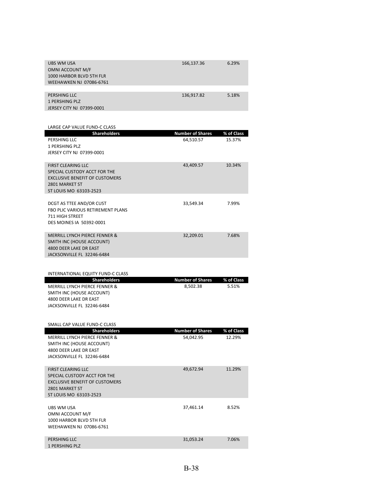| <b>UBS WM USA</b>              | 166,137.36 | 6.29% |
|--------------------------------|------------|-------|
| OMNI ACCOUNT M/F               |            |       |
| 1000 HARBOR BLVD 5TH FLR       |            |       |
| <b>WEEHAWKEN NJ 07086-6761</b> |            |       |
|                                |            |       |
| PERSHING LLC                   | 136,917.82 | 5.18% |
| 1 PERSHING PLZ                 |            |       |
| JERSEY CITY NJ 07399-0001      |            |       |

| LARGE CAP VALUE FUND-C CLASS                               |                                      |                      |
|------------------------------------------------------------|--------------------------------------|----------------------|
| <b>Shareholders</b><br>PERSHING LLC                        | <b>Number of Shares</b><br>64,510.57 | % of Class<br>15.37% |
| 1 PERSHING PLZ                                             |                                      |                      |
| JERSEY CITY NJ 07399-0001                                  |                                      |                      |
|                                                            |                                      |                      |
| <b>FIRST CLEARING LLC</b>                                  | 43,409.57                            | 10.34%               |
| SPECIAL CUSTODY ACCT FOR THE                               |                                      |                      |
| <b>EXCLUSIVE BENEFIT OF CUSTOMERS</b>                      |                                      |                      |
| 2801 MARKET ST<br>ST LOUIS MO 63103-2523                   |                                      |                      |
|                                                            |                                      |                      |
| DCGT AS TTEE AND/OR CUST                                   | 33,549.34                            | 7.99%                |
| FBO PLIC VARIOUS RETIREMENT PLANS                          |                                      |                      |
| <b>711 HIGH STREET</b>                                     |                                      |                      |
| DES MOINES IA 50392-0001                                   |                                      |                      |
| MERRILL LYNCH PIERCE FENNER &                              | 32,209.01                            | 7.68%                |
| SMITH INC (HOUSE ACCOUNT)                                  |                                      |                      |
| 4800 DEER LAKE DR EAST                                     |                                      |                      |
| JACKSONVILLE FL 32246-6484                                 |                                      |                      |
|                                                            |                                      |                      |
| <b>INTERNATIONAL EQUITY FUND-C CLASS</b>                   |                                      |                      |
| <b>Shareholders</b>                                        | <b>Number of Shares</b>              | % of Class           |
|                                                            |                                      |                      |
| MERRILL LYNCH PIERCE FENNER &                              | 8,502.38                             | 5.51%                |
| SMITH INC (HOUSE ACCOUNT)                                  |                                      |                      |
| 4800 DEER LAKE DR EAST                                     |                                      |                      |
| JACKSONVILLE FL 32246-6484                                 |                                      |                      |
|                                                            |                                      |                      |
| SMALL CAP VALUE FUND-C CLASS                               |                                      |                      |
| <b>Shareholders</b>                                        | <b>Number of Shares</b>              | % of Class<br>12.29% |
| MERRILL LYNCH PIERCE FENNER &<br>SMITH INC (HOUSE ACCOUNT) | 54,042.95                            |                      |
| 4800 DEER LAKE DR EAST                                     |                                      |                      |
| JACKSONVILLE FL 32246-6484                                 |                                      |                      |
|                                                            |                                      | 11.29%               |
| <b>FIRST CLEARING LLC</b><br>SPECIAL CUSTODY ACCT FOR THE  | 49,672.94                            |                      |
| <b>EXCLUSIVE BENEFIT OF CUSTOMERS</b>                      |                                      |                      |
| 2801 MARKET ST                                             |                                      |                      |
| ST LOUIS MO 63103-2523                                     |                                      |                      |
| UBS WM USA                                                 | 37,461.14                            | 8.52%                |
| OMNI ACCOUNT M/F                                           |                                      |                      |
| 1000 HARBOR BLVD 5TH FLR                                   |                                      |                      |
| WEEHAWKEN NJ 07086-6761                                    |                                      |                      |
| PERSHING LLC                                               | 31,053.24                            | 7.06%                |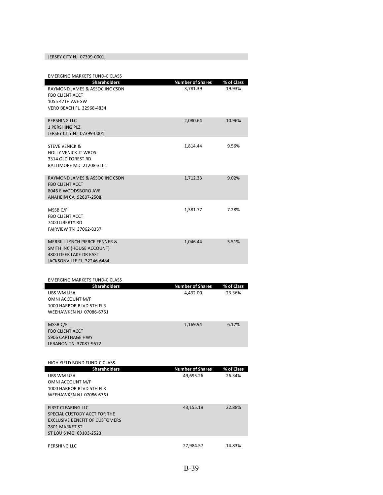### JERSEY CITY NJ 07399‐0001

| <b>EMERGING MARKETS FUND-C CLASS</b>                                                                                                                 |                                      |                      |
|------------------------------------------------------------------------------------------------------------------------------------------------------|--------------------------------------|----------------------|
| <b>Shareholders</b><br>RAYMOND JAMES & ASSOC INC CSDN<br><b>FBO CLIENT ACCT</b><br><b>1055 47TH AVE SW</b><br><b>VERO BEACH FL 32968-4834</b>        | <b>Number of Shares</b><br>3,781.39  | % of Class<br>19.93% |
| PERSHING LLC<br><b>1 PERSHING PLZ</b><br>JERSEY CITY NJ 07399-0001                                                                                   | 2,080.64                             | 10.96%               |
| <b>STEVE VENICK &amp;</b><br><b>HOLLY VENICK JT WROS</b><br>3314 OLD FOREST RD<br>BALTIMORE MD 21208-3101                                            | 1.814.44                             | 9.56%                |
| RAYMOND JAMES & ASSOC INC CSDN<br><b>FBO CLIENT ACCT</b><br>8046 E WOODSBORO AVE<br>ANAHEIM CA 92807-2508                                            | 1,712.33                             | 9.02%                |
| MSSB C/F<br><b>FBO CLIENT ACCT</b><br>7400 LIBERTY RD<br><b>FAIRVIEW TN 37062-8337</b>                                                               | 1,381.77                             | 7.28%                |
| MERRILL LYNCH PIERCE FENNER &<br>SMITH INC (HOUSE ACCOUNT)<br>4800 DEER LAKE DR EAST<br>JACKSONVILLE FL 32246-6484                                   | 1,046.44                             | 5.51%                |
|                                                                                                                                                      |                                      |                      |
| <b>EMERGING MARKETS FUND-C CLASS</b><br><b>Shareholders</b><br>UBS WM USA<br>OMNI ACCOUNT M/F<br>1000 HARBOR BLVD 5TH FLR<br>WEEHAWKEN NJ 07086-6761 | <b>Number of Shares</b><br>4,432.00  | % of Class<br>23.36% |
| MSSB C/F<br><b>FBO CLIENT ACCT</b><br><b>5906 CARTHAGE HWY</b><br>LEBANON TN 37087-9572                                                              | 1,169.94                             | 6.17%                |
| HIGH YIELD BOND FUND-C CLASS                                                                                                                         |                                      |                      |
| <b>Shareholders</b><br>UBS WM USA<br>OMNI ACCOUNT M/F<br>1000 HARBOR BLVD 5TH FLR<br>WEEHAWKEN NJ 07086-6761                                         | <b>Number of Shares</b><br>49,695.26 | % of Class<br>26.34% |
| <b>FIRST CLEARING LLC</b><br>SPECIAL CUSTODY ACCT FOR THE<br><b>EXCLUSIVE BENEFIT OF CUSTOMERS</b>                                                   | 43,155.19                            | 22.88%               |

| 2801 MARKET ST         |           |        |
|------------------------|-----------|--------|
| ST LOUIS MO 63103-2523 |           |        |
|                        |           |        |
| PERSHING LLC           | 27.984.57 | 14.83% |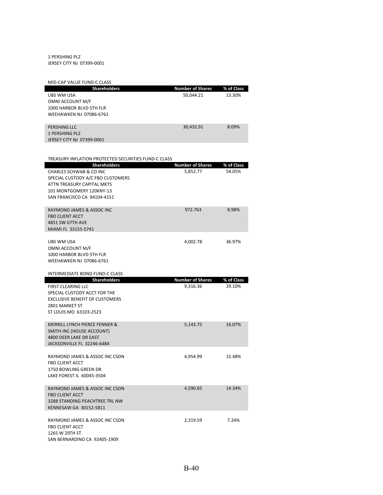### 1 PERSHING PLZ JERSEY CITY NJ 07399‐0001

| MID-CAP VALUE FUND-C CLASS                                 |                         |            |
|------------------------------------------------------------|-------------------------|------------|
| <b>Shareholders</b>                                        | <b>Number of Shares</b> | % of Class |
| UBS WM USA                                                 | 50,044.21               | 13.30%     |
| OMNI ACCOUNT M/F                                           |                         |            |
| 1000 HARBOR BLVD 5TH FLR<br><b>WEEHAWKEN NJ 07086-6761</b> |                         |            |
|                                                            |                         |            |
| PERSHING LLC                                               | 30,432.91               | 8.09%      |
| <b>1 PERSHING PLZ</b>                                      |                         |            |
| JERSEY CITY NJ 07399-0001                                  |                         |            |
|                                                            |                         |            |
| TREASURY INFLATION PROTECTED SECURITIES FUND-C CLASS       |                         |            |
| <b>Shareholders</b>                                        | <b>Number of Shares</b> | % of Class |
| CHARLES SCHWAB & CO INC                                    | 5,852.77                | 54.05%     |
| SPECIAL CUSTODY A/C FBO CUSTOMERS                          |                         |            |
| ATTN TREASURY CAPITAL MKTS                                 |                         |            |
| 101 MONTGOMERY 120KNY-13                                   |                         |            |
| SAN FRANCISCO CA 94104-4151                                |                         |            |
|                                                            |                         |            |
| RAYMOND JAMES & ASSOC INC                                  | 972.763                 | 8.98%      |
| <b>FBO CLIENT ACCT</b>                                     |                         |            |
| 4851 SW 67TH AVE<br>MIAMI FL 33155-5741                    |                         |            |
|                                                            |                         |            |
| UBS WM USA                                                 | 4.002.78                | 36.97%     |
| OMNI ACCOUNT M/F                                           |                         |            |
| 1000 HARBOR BLVD 5TH FLR                                   |                         |            |
| WEEHAWKEN NJ 07086-6761                                    |                         |            |

### INTERMEDIATE BOND FUND‐C CLASS

| <b>Shareholders</b>                                                                                                                     | <b>Number of Shares</b> | % of Class |
|-----------------------------------------------------------------------------------------------------------------------------------------|-------------------------|------------|
| FIRST CLEARING LLC<br>SPECIAL CUSTODY ACCT FOR THE<br><b>EXCLUSIVE BENEFIT OF CUSTOMERS</b><br>2801 MARKET ST<br>ST LOUIS MO 63103-2523 | 9,316.36                | 29.10%     |
| MERRILL LYNCH PIFRCF FENNER &<br>SMITH INC (HOUSE ACCOUNT)<br>4800 DEER LAKE DR EAST<br>JACKSONVILLE FL 32246-6484                      | 5.143.75                | 16.07%     |
| RAYMOND JAMES & ASSOC INC CSDN<br><b>FBO CLIENT ACCT</b><br>1750 BOWLING GREEN DR<br>LAKE FOREST IL 60045-3504                          | 4,954.99                | 15.48%     |
| RAYMOND JAMES & ASSOC INC CSDN<br><b>FBO CLIENT ACCT</b><br>3288 STANDING PFACHTRFF TRL NW<br>KENNESAW GA 30152-5811                    | 4.590.65                | 14.34%     |
| RAYMOND JAMES & ASSOC INC CSDN<br><b>FBO CLIENT ACCT</b><br>1265 W 29TH ST<br>SAN BERNARDINO CA 92405-1909                              | 2.319.59                | 7.24%      |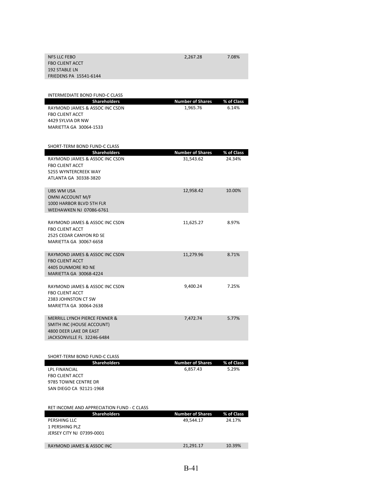| <b>NFS LLC FEBO</b><br><b>FBO CLIENT ACCT</b><br>192 STABLE LN<br><b>FRIEDENS PA 15541-6144</b>                                                   | 2,267.28                             | 7.08%                |
|---------------------------------------------------------------------------------------------------------------------------------------------------|--------------------------------------|----------------------|
| INTERMEDIATE BOND FUND-C CLASS                                                                                                                    |                                      |                      |
| <b>Shareholders</b><br>RAYMOND JAMES & ASSOC INC CSDN<br><b>FBO CLIENT ACCT</b><br>4429 SYLVIA DR NW<br>MARIETTA GA 30064-1533                    | <b>Number of Shares</b><br>1,965.76  | % of Class<br>6.14%  |
| SHORT-TERM BOND FUND-C CLASS<br><b>Shareholders</b>                                                                                               | <b>Number of Shares</b>              | % of Class           |
| RAYMOND JAMES & ASSOC INC CSDN<br><b>FBO CLIENT ACCT</b><br>5255 WYNTERCREEK WAY<br>ATLANTA GA 30338-3820                                         | 31,543.62                            | 24.34%               |
| <b>UBS WM USA</b><br>OMNI ACCOUNT M/F<br>1000 HARBOR BLVD 5TH FLR<br>WEEHAWKEN NJ 07086-6761                                                      | 12,958.42                            | 10.00%               |
| RAYMOND JAMES & ASSOC INC CSDN<br><b>FBO CLIENT ACCT</b><br>2525 CEDAR CANYON RD SE<br>MARIETTA GA 30067-6658                                     | 11,625.27                            | 8.97%                |
| RAYMOND JAMES & ASSOC INC CSDN<br><b>FBO CLIENT ACCT</b><br>4405 DUNMORE RD NE<br>MARIETTA GA 30068-4224                                          | 11,279.96                            | 8.71%                |
| RAYMOND JAMES & ASSOC INC CSDN<br><b>FBO CLIENT ACCT</b><br>2383 JOHNSTON CT SW<br>MARIETTA GA 30064-2638                                         | 9,400.24                             | 7.25%                |
| MERRILL LYNCH PIERCE FENNER &<br>SMITH INC (HOUSE ACCOUNT)<br>4800 DEER LAKE DR EAST<br>JACKSONVILLE FL 32246-6484                                | 7,472.74                             | 5.77%                |
|                                                                                                                                                   |                                      |                      |
| SHORT-TERM BOND FUND-C CLASS<br><b>Shareholders</b><br>LPL FINANCIAL<br><b>FBO CLIENT ACCT</b><br>9785 TOWNE CENTRE DR<br>SAN DIEGO CA 92121-1968 | <b>Number of Shares</b><br>6,857.43  | % of Class<br>5.29%  |
| RET INCOME AND APPRECIATION FUND - C CLASS<br><b>Shareholders</b><br>PERSHING LLC                                                                 | <b>Number of Shares</b><br>49,544.17 | % of Class<br>24.17% |
| 1 PERSHING PLZ<br>JERSEY CITY NJ 07399-0001                                                                                                       |                                      |                      |
| RAYMOND JAMES & ASSOC INC                                                                                                                         | 21,291.17                            | 10.39%               |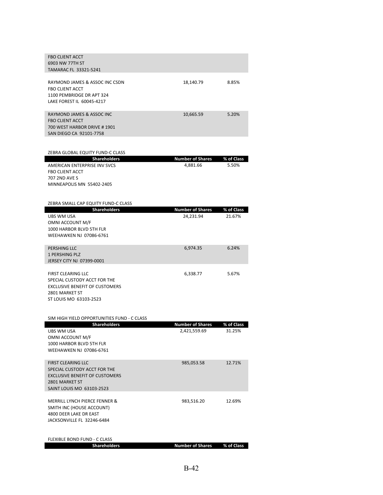| <b>FBO CLIENT ACCT</b><br>6903 NW 77TH ST                             |                                     |                     |
|-----------------------------------------------------------------------|-------------------------------------|---------------------|
| TAMARAC FL 33321-5241                                                 |                                     |                     |
| RAYMOND JAMES & ASSOC INC CSDN                                        | 18,140.79                           | 8.85%               |
| <b>FBO CLIENT ACCT</b><br>1100 PEMBRIDGE DR APT 324                   |                                     |                     |
| LAKE FOREST IL 60045-4217                                             |                                     |                     |
|                                                                       |                                     |                     |
| RAYMOND JAMES & ASSOC INC<br><b>FBO CLIENT ACCT</b>                   | 10,665.59                           | 5.20%               |
| 700 WEST HARBOR DRIVE #1901                                           |                                     |                     |
| SAN DIEGO CA 92101-7758                                               |                                     |                     |
|                                                                       |                                     |                     |
| ZEBRA GLOBAL EQUITY FUND-C CLASS                                      |                                     |                     |
| <b>Shareholders</b><br>AMERICAN ENTERPRISE INV SVCS                   | <b>Number of Shares</b><br>4,881.66 | % of Class<br>5.50% |
| <b>FBO CLIENT ACCT</b>                                                |                                     |                     |
| <b>707 2ND AVE S</b>                                                  |                                     |                     |
| MINNEAPOLIS MN 55402-2405                                             |                                     |                     |
|                                                                       |                                     |                     |
| ZEBRA SMALL CAP EQUITY FUND-C CLASS<br><b>Shareholders</b>            | <b>Number of Shares</b>             | % of Class          |
|                                                                       |                                     |                     |
| <b>UBS WM USA</b>                                                     | 24,231.94                           | 21.67%              |
| OMNI ACCOUNT M/F                                                      |                                     |                     |
| 1000 HARBOR BLVD 5TH FLR                                              |                                     |                     |
| WEEHAWKEN NJ 07086-6761                                               |                                     |                     |
| PERSHING LLC                                                          | 6,974.35                            | 6.24%               |
| <b>1 PERSHING PLZ</b>                                                 |                                     |                     |
| JERSEY CITY NJ 07399-0001                                             |                                     |                     |
| <b>FIRST CLEARING LLC</b>                                             | 6,338.77                            | 5.67%               |
| SPECIAL CUSTODY ACCT FOR THE                                          |                                     |                     |
| <b>EXCLUSIVE BENEFIT OF CUSTOMERS</b><br>2801 MARKET ST               |                                     |                     |
| ST LOUIS MO 63103-2523                                                |                                     |                     |
|                                                                       |                                     |                     |
| SIM HIGH YIELD OPPORTUNITIES FUND - C CLASS                           |                                     |                     |
| <b>Shareholders</b>                                                   | <b>Number of Shares</b>             | % of Class          |
| UBS WM USA<br>OMNI ACCOUNT M/F                                        | 2,421,559.69                        | 31.25%              |
| 1000 HARBOR BLVD 5TH FLR                                              |                                     |                     |
| WEEHAWKEN NJ 07086-6761                                               |                                     |                     |
| <b>FIRST CLEARING LLC</b>                                             | 985,053.58                          | 12.71%              |
| SPECIAL CUSTODY ACCT FOR THE<br><b>EXCLUSIVE BENEFIT OF CUSTOMERS</b> |                                     |                     |

| <b>MERRILL LYNCH PIERCE FENNER &amp;</b> | 983.516.20 | 12.69% |
|------------------------------------------|------------|--------|
| SMITH INC (HOUSE ACCOUNT)                |            |        |
| 4800 DEER LAKE DR EAST                   |            |        |
| JACKSONVILLE FL 32246-6484               |            |        |
|                                          |            |        |
|                                          |            |        |

SAINT LOUIS MO 63103‐2523

| FLEXIBLE BOND FUND - C CLASS |                                    |  |
|------------------------------|------------------------------------|--|
| <b>Shareholders</b>          | <b>Number of Shares</b> % of Class |  |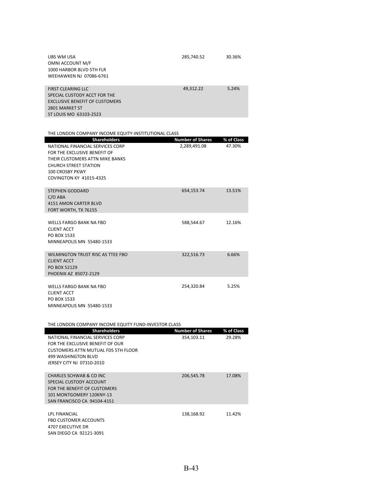| UBS WM USA<br>OMNI ACCOUNT M/F<br>1000 HARBOR BLVD 5TH FLR<br>WEEHAWKEN NJ 07086-6761                                                   | 285,740.52 | 30.36% |
|-----------------------------------------------------------------------------------------------------------------------------------------|------------|--------|
| <b>FIRST CLEARING LLC</b><br>SPECIAL CUSTODY ACCT FOR THE<br>EXCLUSIVE BENEFIT OF CUSTOMERS<br>2801 MARKET ST<br>ST LOUIS MO 63103-2523 | 49.312.22  | 5.24%  |

| THE LONDON COMPANY INCOME EQUITY-INSTITUTIONAL CLASS            |                         |            |
|-----------------------------------------------------------------|-------------------------|------------|
| <b>Shareholders</b>                                             | <b>Number of Shares</b> | % of Class |
| NATIONAL FINANCIAL SERVICES CORP                                | 2,289,491.08            | 47.30%     |
| FOR THE EXCLUSIVE BENEFIT OF<br>THEIR CUSTOMERS ATTN MIKE BANKS |                         |            |
| <b>CHURCH STREET STATION</b>                                    |                         |            |
| 100 CROSBY PKWY                                                 |                         |            |
| <b>COVINGTON KY 41015-4325</b>                                  |                         |            |
| <b>STEPHEN GODDARD</b>                                          | 654,153.74              | 13.51%     |
| $C/O$ ABA                                                       |                         |            |
| 4151 AMON CARTER BLVD                                           |                         |            |
| FORT WORTH, TX 76155                                            |                         |            |
| <b>WELLS FARGO BANK NA FBO</b>                                  | 588,544.67              | 12.16%     |
| <b>CLIENT ACCT</b>                                              |                         |            |
| PO BOX 1533                                                     |                         |            |
| MINNEAPOLIS MN 55480-1533                                       |                         |            |
| WILMINGTON TRUST RISC AS TTEE FBO                               | 322,516.73              | 6.66%      |
| <b>CLIENT ACCT</b>                                              |                         |            |
| PO BOX 52129<br>PHOENIX AZ 85072-2129                           |                         |            |
|                                                                 |                         |            |
| <b>WELLS FARGO BANK NA FBO</b>                                  | 254,320.84              | 5.25%      |
| <b>CLIENT ACCT</b>                                              |                         |            |
| PO BOX 1533                                                     |                         |            |
| MINNEAPOLIS MN 55480-1533                                       |                         |            |
|                                                                 |                         |            |

| THE LONDON COMPANY INCOME EQUITY FUND-INVESTOR CLASS |  |
|------------------------------------------------------|--|
|------------------------------------------------------|--|

| <b>Shareholders</b>                 | <b>Number of Shares</b> | % of Class |
|-------------------------------------|-------------------------|------------|
| NATIONAL FINANCIAL SERVICES CORP    | 354,103.11              | 29.28%     |
| FOR THE EXCLUSIVE BENEFIT OF OUR    |                         |            |
| CUSTOMERS ATTN MUTUAL FDS 5TH FLOOR |                         |            |
| 499 WASHINGTON BLVD                 |                         |            |
| JERSEY CITY NJ 07310-2010           |                         |            |
|                                     |                         |            |
| CHARLES SCHWAB & CO INC             | 206,545.78              | 17.08%     |
| SPECIAL CUSTODY ACCOUNT             |                         |            |
| FOR THE BENEFIT OF CUSTOMERS        |                         |            |
| 101 MONTGOMERY 120KNY-13            |                         |            |
| SAN FRANCISCO CA 94104-4151         |                         |            |
|                                     |                         |            |
| <b>LPL FINANCIAL</b>                | 138.168.92              | 11.42%     |
| <b>FBO CUSTOMER ACCOUNTS</b>        |                         |            |
| <b>4707 EXECUTIVE DR</b>            |                         |            |
| SAN DIEGO CA 92121-3091             |                         |            |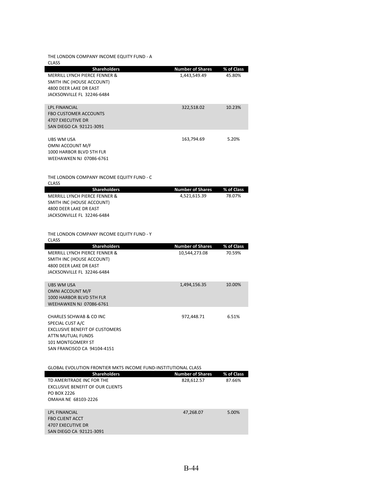THE LONDON COMPANY INCOME EQUITY FUND ‐ A

| <b>CLASS</b>                                                                                                                                                             |                                          |                      |
|--------------------------------------------------------------------------------------------------------------------------------------------------------------------------|------------------------------------------|----------------------|
| <b>Shareholders</b><br>MERRILL LYNCH PIERCE FENNER &<br>SMITH INC (HOUSE ACCOUNT)<br>4800 DEER LAKE DR EAST<br>JACKSONVILLE FL 32246-6484                                | <b>Number of Shares</b><br>1,443,549.49  | % of Class<br>45.80% |
| <b>LPL FINANCIAL</b><br><b>FBO CUSTOMER ACCOUNTS</b><br><b>4707 EXECUTIVE DR</b><br>SAN DIEGO CA 92121-3091                                                              | 322,518.02                               | 10.23%               |
| <b>UBS WM USA</b><br>OMNI ACCOUNT M/F<br>1000 HARBOR BLVD 5TH FLR<br>WEEHAWKEN NJ 07086-6761                                                                             | 163,794.69                               | 5.20%                |
| THE LONDON COMPANY INCOME EQUITY FUND - C<br><b>CLASS</b>                                                                                                                |                                          |                      |
| <b>Shareholders</b><br>MERRILL LYNCH PIERCE FENNER &<br>SMITH INC (HOUSE ACCOUNT)<br>4800 DEER LAKE DR EAST<br>JACKSONVILLE FL 32246-6484                                | <b>Number of Shares</b><br>4,521,615.39  | % of Class<br>78.07% |
| THE LONDON COMPANY INCOME EQUITY FUND - Y<br><b>CLASS</b>                                                                                                                |                                          |                      |
| <b>Shareholders</b><br>MERRILL LYNCH PIERCE FENNER &<br>SMITH INC (HOUSE ACCOUNT)<br>4800 DEER LAKE DR EAST<br>JACKSONVILLE FL 32246-6484                                | <b>Number of Shares</b><br>10,544,273.08 | % of Class<br>70.59% |
| UBS WM USA<br>OMNI ACCOUNT M/F<br>1000 HARBOR BLVD 5TH FLR<br><b>WEEHAWKEN NJ 07086-6761</b>                                                                             | 1,494,156.35                             | 10.00%               |
| <b>CHARLES SCHWAB &amp; CO INC</b><br>SPECIAL CUST A/C<br><b>EXCLUSIVE BENEFIT OF CUSTOMERS</b><br>ATTN MUTUAL FUNDS<br>101 MONTGOMERY ST<br>SAN FRANCISCO CA 94104-4151 | 972,448.71                               | 6.51%                |
| GLOBAL EVOLUTION FRONTIER MKTS INCOME FUND-INSTITUTIONAL CLASS<br><b>Shareholders</b>                                                                                    | <b>Number of Shares</b>                  | % of Class           |
| TD AMERITRADE INC FOR THE<br><b>EXCLUSIVE BENEFIT OF OUR CLIENTS</b><br>PO BOX 2226<br>OMAHA NE 68103-2226                                                               | 828,612.57                               | 87.66%               |
| <b>LPL FINANCIAL</b><br><b>FBO CLIENT ACCT</b><br>4707 EXECUTIVE DR<br>SAN DIEGO CA 92121-3091                                                                           | 47,268.07                                | 5.00%                |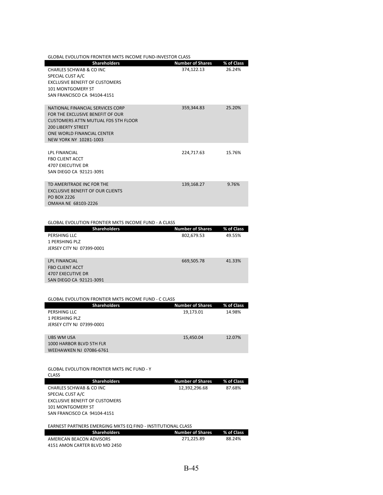| <b>GLOBAL EVOLUTION FRONTIER MKTS INCOME FUND-INVESTOR CLASS</b> |                         |            |
|------------------------------------------------------------------|-------------------------|------------|
| <b>Shareholders</b>                                              | <b>Number of Shares</b> | % of Class |
| CHARLES SCHWAR & CO INC.                                         | 374,122.13              | 26.24%     |
| SPECIAL CUST A/C                                                 |                         |            |
| <b>EXCLUSIVE BENEFIT OF CUSTOMERS</b>                            |                         |            |
| <b>101 MONTGOMERY ST</b>                                         |                         |            |
| SAN FRANCISCO CA 94104-4151                                      |                         |            |
|                                                                  |                         |            |
| NATIONAL FINANCIAL SERVICES CORP                                 | 359,344.83              | 25.20%     |
| FOR THE EXCLUSIVE BENEFIT OF OUR                                 |                         |            |
| <b>CUSTOMERS ATTN MUTUAL FDS 5TH FLOOR</b>                       |                         |            |
| 200 LIBERTY STREET                                               |                         |            |
| ONE WORLD FINANCIAL CENTER                                       |                         |            |
| NEW YORK NY 10281-1003                                           |                         |            |
| <b>IPI FINANCIAL</b>                                             |                         | 15.76%     |
| <b>FBO CLIENT ACCT</b>                                           | 224,717.63              |            |
| <b>4707 EXECUTIVE DR</b>                                         |                         |            |
| SAN DIEGO CA 92121-3091                                          |                         |            |
|                                                                  |                         |            |
| TD AMFRITRADE INC FOR THE                                        | 139,168.27              | 9.76%      |
| EXCLUSIVE BENEFIT OF OUR CLIENTS                                 |                         |            |
| PO BOX 2226                                                      |                         |            |
| OMAHA NE 68103-2226                                              |                         |            |

#### GLOBAL EVOLUTION FRONTIER MKTS INCOME FUND ‐ A CLASS

| <b>Shareholders</b>       | <b>Number of Shares</b> | % of Class |
|---------------------------|-------------------------|------------|
| PERSHING LLC              | 802,679.53              | 49.55%     |
| 1 PERSHING PLZ            |                         |            |
| JERSEY CITY NJ 07399-0001 |                         |            |
|                           |                         |            |
| <b>LPL FINANCIAL</b>      | 669,505.78              | 41.33%     |
| <b>FBO CLIENT ACCT</b>    |                         |            |
| 4707 EXECUTIVE DR         |                         |            |
| SAN DIEGO CA 92121-3091   |                         |            |

| <b>GLOBAL EVOLUTION FRONTIER MKTS INCOME FUND - C CLASS</b>  |                         |            |
|--------------------------------------------------------------|-------------------------|------------|
| <b>Shareholders</b>                                          | <b>Number of Shares</b> | % of Class |
| PERSHING LLC                                                 | 19,173.01               | 14.98%     |
| 1 PERSHING PLZ                                               |                         |            |
| JERSEY CITY NJ 07399-0001                                    |                         |            |
|                                                              |                         |            |
| <b>URS WM USA</b>                                            | 15,450.04               | 12.07%     |
| 1000 HARBOR BLVD 5TH FLR                                     |                         |            |
| <b>WEEHAWKEN NJ 07086-6761</b>                               |                         |            |
|                                                              |                         |            |
|                                                              |                         |            |
|                                                              |                         |            |
| <b>GLOBAL EVOLUTION FRONTIER MKTS INC FUND - Y</b>           |                         |            |
| <b>CLASS</b>                                                 |                         |            |
| <b>Shareholders</b>                                          | <b>Number of Shares</b> | % of Class |
| CHARLES SCHWAB & CO INC                                      | 12,392,296.68           | 87.68%     |
| SPECIAL CUST A/C                                             |                         |            |
| <b>EXCLUSIVE BENEFIT OF CUSTOMERS</b>                        |                         |            |
| <b>101 MONTGOMERY ST</b>                                     |                         |            |
| SAN FRANCISCO CA 94104-4151                                  |                         |            |
|                                                              |                         |            |
| EARNEST PARTNERS EMERGING MKTS EQ FIND - INSTITUTIONAL CLASS |                         |            |
| <b>Shareholders</b>                                          | <b>Number of Shares</b> | % of Class |
| AMERICAN BEACON ADVISORS                                     | 271,225.89              | 88.24%     |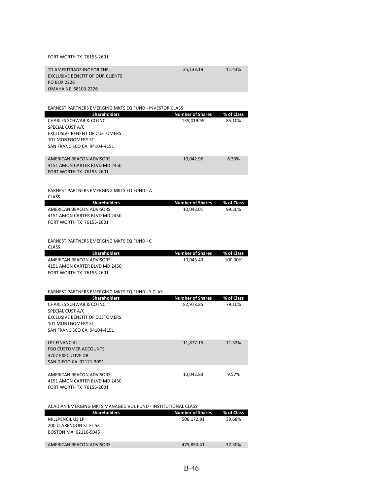### FORT WORTH TX 76155‐2601

| TD AMERITRADE INC FOR THE        | 35.133.19 | 11.43% |
|----------------------------------|-----------|--------|
| EXCLUSIVE BENEFIT OF OUR CLIENTS |           |        |
| PO BOX 2226                      |           |        |
| OMAHA NE 68103-2226              |           |        |

| EARNEST PARTNERS EMERGING MKTS EQ FUND - INVESTOR CLASS      |                         |            |
|--------------------------------------------------------------|-------------------------|------------|
| <b>Shareholders</b>                                          | <b>Number of Shares</b> | % of Class |
| CHARLES SCHWAB & CO INC                                      | 135,019.59              | 85.10%     |
| SPECIAL CUST A/C                                             |                         |            |
| <b>EXCLUSIVE BENEFIT OF CUSTOMERS</b>                        |                         |            |
| 101 MONTGOMERY ST                                            |                         |            |
| SAN FRANCISCO CA 94104-4151                                  |                         |            |
|                                                              |                         |            |
| AMERICAN BEACON ADVISORS                                     | 10,042.96               | 6.33%      |
| 4151 AMON CARTER BLVD MD 2450                                |                         |            |
| <b>FORT WORTH TX 76155-2601</b>                              |                         |            |
|                                                              |                         |            |
|                                                              |                         |            |
| EARNEST PARTNERS EMERGING MKTS EQ FUND - A                   |                         |            |
| <b>CLASS</b>                                                 |                         |            |
| <b>Shareholders</b>                                          | <b>Number of Shares</b> | % of Class |
| AMERICAN BEACON ADVISORS                                     | 10,043.01               | 99.30%     |
| 4151 AMON CARTER BLVD MD 2450                                |                         |            |
| FORT WORTH TX 76155-2601                                     |                         |            |
|                                                              |                         |            |
|                                                              |                         |            |
| EARNEST PARTNERS EMERGING MKTS EQ FUND - C<br><b>CLASS</b>   |                         |            |
| <b>Shareholders</b>                                          | <b>Number of Shares</b> | % of Class |
| AMERICAN BEACON ADVISORS                                     | 10,043.43               | 100.00%    |
| 4151 AMON CARTER BLVD MD 2450                                |                         |            |
| FORT WORTH TX 76155-2601                                     |                         |            |
|                                                              |                         |            |
|                                                              |                         |            |
| EARNEST PARTNERS EMERGING MKTS EQ FUND - Y CLAS              |                         |            |
| <b>Shareholders</b>                                          | <b>Number of Shares</b> | % of Class |
| CHARLES SCHWAB & CO INC                                      | 82,973.85               | 79.10%     |
| SPECIAL CUST A/C                                             |                         |            |
| <b>EXCLUSIVE BENEFIT OF CUSTOMERS</b>                        |                         |            |
| 101 MONTGOMERY ST                                            |                         |            |
| SAN FRANCISCO CA 94104-4151                                  |                         |            |
|                                                              |                         |            |
| <b>LPL FINANCIAL</b>                                         | 11,877.15               | 11.32%     |
| <b>FBO CUSTOMER ACCOUNTS</b>                                 |                         |            |
| <b>4707 EXECUTIVE DR</b>                                     |                         |            |
| SAN DIEGO CA 92121-3091                                      |                         |            |
|                                                              |                         |            |
| AMERICAN BEACON ADVISORS                                     | 10,042.83               | 9.57%      |
| 4151 AMON CARTER BLVD MD 2450                                |                         |            |
| <b>FORT WORTH TX 76155-2601</b>                              |                         |            |
|                                                              |                         |            |
|                                                              |                         |            |
| ACADIAN EMERGING MKTS MANAGED VOL FUND - INSTITUTIONAL CLASS |                         |            |
| <b>Shareholders</b>                                          | <b>Number of Shares</b> | % of Class |
| MILLPENCIL US LP                                             | 506,172.91              | 39.68%     |
| 200 CLARENDON ST FL 53                                       |                         |            |
| BOSTON MA 02116-5045                                         |                         |            |
|                                                              |                         |            |
| AMERICAN BEACON ADVISORS                                     | 475,853.41              | 37.30%     |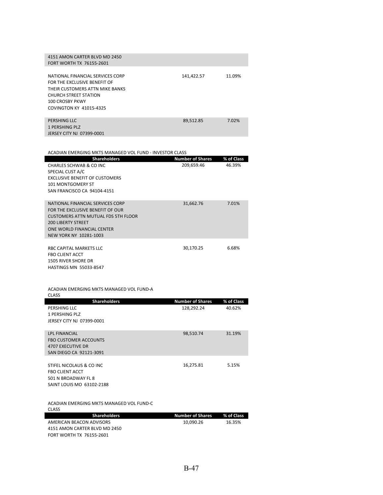| 4151 AMON CARTER BLVD MD 2450<br>FORT WORTH TX 76155-2601                                                                                                                                |            |        |
|------------------------------------------------------------------------------------------------------------------------------------------------------------------------------------------|------------|--------|
| NATIONAL FINANCIAL SERVICES CORP<br>FOR THE EXCLUSIVE BENEFIT OF<br>THEIR CUSTOMERS ATTN MIKE BANKS<br><b>CHURCH STREET STATION</b><br>100 CROSBY PKWY<br><b>COVINGTON KY 41015-4325</b> | 141,422.57 | 11.09% |
| PERSHING LLC<br>1 PERSHING PLZ                                                                                                                                                           | 89.512.85  | 7.02%  |

JERSEY CITY NJ 07399‐0001

ACADIAN EMERGING MKTS MANAGED VOL FUND ‐ INVESTOR CLASS

| <b>Shareholders</b>                   | <b>Number of Shares</b> | % of Class |
|---------------------------------------|-------------------------|------------|
| CHARLES SCHWAB & CO INC               | 209,659.46              | 46.39%     |
| SPECIAL CUST A/C                      |                         |            |
| <b>EXCLUSIVE BENEFIT OF CUSTOMERS</b> |                         |            |
| <b>101 MONTGOMERY ST</b>              |                         |            |
| SAN FRANCISCO CA 94104-4151           |                         |            |
|                                       |                         |            |
| NATIONAL FINANCIAL SERVICES CORP      | 31,662.76               | 7.01%      |
| FOR THE EXCLUSIVE BENEFIT OF OUR      |                         |            |
| CUSTOMERS ATTN MUTUAL FDS 5TH FLOOR   |                         |            |
| <b>200 LIBERTY STREET</b>             |                         |            |
| ONE WORLD FINANCIAL CENTER            |                         |            |
| NEW YORK NY 10281-1003                |                         |            |
|                                       |                         |            |
| RBC CAPITAL MARKETS LLC               | 30,170.25               | 6.68%      |
| <b>FBO CLIENT ACCT</b>                |                         |            |
| <b>1505 RIVER SHORE DR</b>            |                         |            |
| <b>HASTINGS MN 55033-8547</b>         |                         |            |

ACADIAN EMERGING MKTS MANAGED VOL FUND‐A

| CLASS                                    |                         |            |
|------------------------------------------|-------------------------|------------|
| <b>Shareholders</b>                      | <b>Number of Shares</b> | % of Class |
| PERSHING LLC                             | 128,292.24              | 40.62%     |
| 1 PERSHING PLZ                           |                         |            |
| JERSEY CITY NJ 07399-0001                |                         |            |
|                                          |                         |            |
| <b>IPI FINANCIAL</b>                     | 98,510.74               | 31.19%     |
| <b>FBO CUSTOMER ACCOUNTS</b>             |                         |            |
| <b>4707 EXECUTIVE DR</b>                 |                         |            |
| SAN DIEGO CA 92121-3091                  |                         |            |
|                                          |                         |            |
| STIFEL NICOLAUS & CO INC                 | 16,275.81               | 5.15%      |
| <b>FRO CLIENT ACCT</b>                   |                         |            |
| 501 N BROADWAY FL 8                      |                         |            |
| SAINT LOUIS MO 63102-2188                |                         |            |
|                                          |                         |            |
| ACADIAN EMERGING MKTS MANAGED VOL FUND-C |                         |            |
| <b>CLASS</b>                             |                         |            |
| <b>Shareholders</b>                      | <b>Number of Shares</b> | % of Class |
| AMERICAN BEACON ADVISORS                 | 10,090.26               | 16.35%     |
| 4151 AMON CARTER BLVD MD 2450            |                         |            |
| FORT WORTH TX 76155-2601                 |                         |            |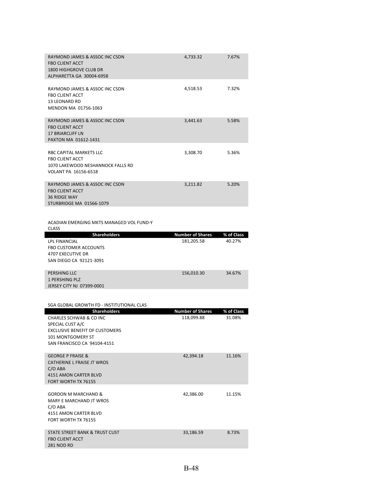| RAYMOND JAMES & ASSOC INC CSDN<br><b>FBO CLIENT ACCT</b><br>1800 HIGHGROVE CLUB DR<br>ALPHARETTA GA 30004-6958     | 4.733.32 | 7.67% |
|--------------------------------------------------------------------------------------------------------------------|----------|-------|
| RAYMOND JAMES & ASSOC INC CSDN<br><b>FBO CLIENT ACCT</b><br><b>13 LEONARD RD</b><br>MENDON MA 01756-1063           | 4,518.53 | 7.32% |
| RAYMOND JAMES & ASSOC INC CSDN<br><b>FBO CLIENT ACCT</b><br>17 BRIARCLIFF LN<br>PAXTON MA 01612-1431               | 3.441.63 | 5.58% |
| RBC CAPITAL MARKETS LLC.<br><b>FBO CLIENT ACCT</b><br>1070 LAKEWOOD NESHANNOCK FALLS RD<br>VOLANT PA 16156-6518    | 3,308.70 | 5.36% |
| RAYMOND JAMES & ASSOC INC CSDN<br><b>FBO CLIENT ACCT</b><br><b>36 RIDGE WAY</b><br><b>STURBRIDGE MA 01566-1079</b> | 3.211.82 | 5.20% |

ACADIAN EMERGING MKTS MANAGED VOL FUND‐Y **CLASS CLASS** 

| <b>Shareholders</b>              | <b>Number of Shares</b> | % of Class |
|----------------------------------|-------------------------|------------|
| <b>LPL FINANCIAL</b>             | 181,205.58              | 40.27%     |
| <b>FBO CUSTOMER ACCOUNTS</b>     |                         |            |
| 4707 EXECUTIVE DR                |                         |            |
| SAN DIEGO CA 92121-3091          |                         |            |
|                                  |                         |            |
| PERSHING LLC                     | 156,010.30              | 34.67%     |
| 1 PERSHING PLZ                   |                         |            |
| <b>JERSEY CITY NJ 07399-0001</b> |                         |            |

| SGA GLOBAL GROWTH FD - INSTITUTIONAL CLAS   |                         |            |
|---------------------------------------------|-------------------------|------------|
| <b>Shareholders</b>                         | <b>Number of Shares</b> | % of Class |
| CHARLES SCHWAB & CO INC                     | 118,099.88              | 31.08%     |
| SPECIAL CUST A/C                            |                         |            |
| <b>EXCLUSIVE BENEFIT OF CUSTOMERS</b>       |                         |            |
| <b>101 MONTGOMERY ST</b>                    |                         |            |
| SAN FRANCISCO CA 94104-4151                 |                         |            |
|                                             |                         |            |
| <b>GEORGE P FRAISE &amp;</b>                | 42,394.18               | 11.16%     |
| <b>CATHERINE L FRAISE JT WROS</b>           |                         |            |
| $C/O$ ABA                                   |                         |            |
| 4151 AMON CARTER BLVD                       |                         |            |
| FORT WORTH TX 76155                         |                         |            |
|                                             |                         |            |
| GORDON M MARCHAND &                         | 42,386.00               | 11.15%     |
| MARY E MARCHAND JT WROS                     |                         |            |
| C/O ABA                                     |                         |            |
| 4151 AMON CARTER BLVD                       |                         |            |
| FORT WORTH TX 76155                         |                         |            |
|                                             |                         |            |
| STATE STREET BANK & TRUST CUST              | 33,186.59               | 8.73%      |
| <b>FBO CLIENT ACCT</b><br><b>281 NOD RD</b> |                         |            |
|                                             |                         |            |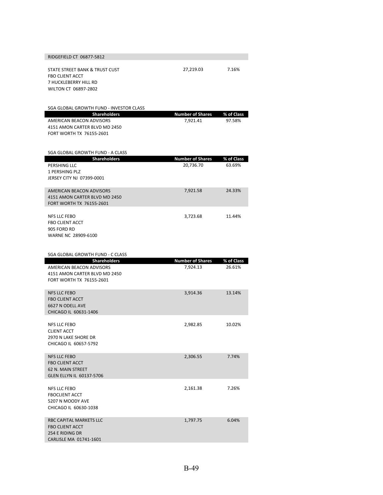| RIDGEFIELD CT 06877-5812                                                                                            |                                      |                      |
|---------------------------------------------------------------------------------------------------------------------|--------------------------------------|----------------------|
| STATE STREET BANK & TRUST CUST<br><b>FBO CLIENT ACCT</b><br>7 HUCKLEBERRY HILL RD<br>WILTON CT 06897-2802           | 27,219.03                            | 7.16%                |
| SGA GLOBAL GROWTH FUND - INVESTOR CLASS                                                                             |                                      |                      |
| <b>Shareholders</b><br><b>AMERICAN BEACON ADVISORS</b><br>4151 AMON CARTER BLVD MD 2450<br>FORT WORTH TX 76155-2601 | <b>Number of Shares</b><br>7,921.41  | % of Class<br>97.58% |
| SGA GLOBAL GROWTH FUND - A CLASS                                                                                    |                                      |                      |
| <b>Shareholders</b><br>PERSHING LLC<br>1 PERSHING PLZ<br>JERSEY CITY NJ 07399-0001                                  | <b>Number of Shares</b><br>20,736.70 | % of Class<br>63.69% |
| AMERICAN BEACON ADVISORS<br>4151 AMON CARTER BLVD MD 2450<br>FORT WORTH TX 76155-2601                               | 7,921.58                             | 24.33%               |
| <b>NFS LLC FEBO</b><br><b>FBO CLIENT ACCT</b><br>905 FORD RD<br>WARNE NC 28909-6100                                 | 3,723.68                             | 11.44%               |
|                                                                                                                     |                                      |                      |
| SGA GLOBAL GROWTH FUND - C CLASS                                                                                    |                                      |                      |
| <b>Shareholders</b><br>AMERICAN BEACON ADVISORS<br>4151 AMON CARTER BLVD MD 2450<br>FORT WORTH TX 76155-2601        | <b>Number of Shares</b><br>7,924.13  | % of Class<br>26.61% |
| <b>NFS LLC FEBO</b><br><b>FBO CLIENT ACCT</b><br>6627 N ODELL AVE<br>CHICAGO IL 60631-1406                          | 3,914.36                             | 13.14%               |
| NFS LLC FEBO<br><b>CLIENT ACCT</b><br>2970 N LAKE SHORE DR<br>CHICAGO IL 60657-5792                                 | 2,982.85                             | 10.02%               |
| <b>NFS LLC FEBO</b><br><b>FBO CLIENT ACCT</b><br>62 N. MAIN STREET<br>GLEN ELLYN IL 60137-5706                      | 2,306.55                             | 7.74%                |
| <b>NFS LLC FEBO</b><br><b>FBOCLIENT ACCT</b><br>5207 N MOODY AVE<br>CHICAGO IL 60630-1038                           | 2,161.38                             | 7.26%                |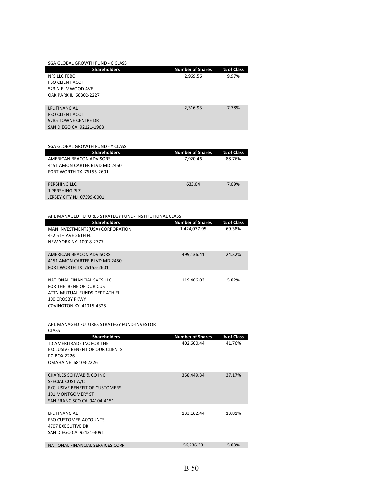| SGA GLOBAL GROWTH FUND - C CLASS |                         |            |
|----------------------------------|-------------------------|------------|
| <b>Shareholders</b>              | <b>Number of Shares</b> | % of Class |
| <b>NFS LLC FEBO</b>              | 2,969.56                | 9.97%      |
| <b>FBO CLIENT ACCT</b>           |                         |            |
| 523 N ELMWOOD AVE                |                         |            |
| OAK PARK IL 60302-2227           |                         |            |
|                                  |                         |            |
| <b>LPL FINANCIAL</b>             | 2,316.93                | 7.78%      |
| <b>FBO CLIENT ACCT</b>           |                         |            |
| 9785 TOWNE CENTRE DR             |                         |            |
| SAN DIEGO CA 92121-1968          |                         |            |

| SGA GLOBAL GROWTH FUND - Y CLASS |                         |            |
|----------------------------------|-------------------------|------------|
| <b>Shareholders</b>              | <b>Number of Shares</b> | % of Class |
| AMERICAN BEACON ADVISORS         | 7.920.46                | 88.76%     |
| 4151 AMON CARTER BLVD MD 2450    |                         |            |
| FORT WORTH TX 76155-2601         |                         |            |
|                                  |                         |            |
| PERSHING LLC                     | 633.04                  | 7.09%      |
| 1 PERSHING PLZ                   |                         |            |
| JERSEY CITY NJ 07399-0001        |                         |            |

### AHL MANAGED FUTURES STRATEGY FUND‐ INSTITUTIONAL CLASS

| <b>Shareholders</b>                                                                                                                                        | <b>Number of Shares</b> | % of Class |
|------------------------------------------------------------------------------------------------------------------------------------------------------------|-------------------------|------------|
| MAN INVESTMENTS(USA) CORPORATION<br>452 5TH AVE 26TH FL<br>NEW YORK NY 10018-2777                                                                          | 1,424,077.95            | 69.38%     |
|                                                                                                                                                            |                         |            |
| AMERICAN BEACON ADVISORS<br>4151 AMON CARTER BLVD MD 2450<br>FORT WORTH TX 76155-2601                                                                      | 499,136.41              | 24.32%     |
| NATIONAL FINANCIAL SVCS LLC<br>FOR THE BENE OF OUR CUST<br>ATTN MUTUAL FUNDS DEPT 4TH FL<br>100 CROSBY PKWY<br><b>COVINGTON KY 41015-4325</b>              | 119,406.03              | 5.82%      |
| AHL MANAGED FUTURES STRATEGY FUND-INVESTOR<br><b>CLASS</b>                                                                                                 |                         |            |
| <b>Shareholders</b>                                                                                                                                        | <b>Number of Shares</b> | % of Class |
| TD AMERITRADE INC FOR THE<br><b>EXCLUSIVE BENEFIT OF OUR CLIENTS</b><br>PO BOX 2226<br>OMAHA NE 68103-2226                                                 | 402,660.44              | 41.76%     |
| <b>CHARLES SCHWAB &amp; CO INC</b><br>SPECIAL CUST A/C<br><b>EXCLUSIVE BENEFIT OF CUSTOMERS</b><br><b>101 MONTGOMERY ST</b><br>SAN FRANCISCO CA 94104-4151 | 358,449.34              | 37.17%     |
| <b>LPL FINANCIAL</b><br><b>FBO CUSTOMER ACCOUNTS</b><br>4707 EXECUTIVE DR<br>SAN DIEGO CA 92121-3091                                                       | 133,162.44              | 13.81%     |
| NATIONAL FINANCIAL SERVICES CORP                                                                                                                           | 56,236.33               | 5.83%      |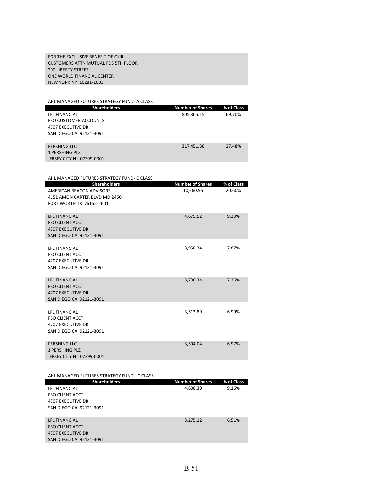FOR THE EXCLUSIVE BENEFIT OF OUR CUSTOMERS ATTN MUTUAL FDS 5TH FLOOR 200 LIBERTY STREET ONE WORLD FINANCIAL CENTER NEW YORK NY 10281‐1003

| AHL MANAGED FUTURES STRATEGY FUND- A CLASS  |                         |            |
|---------------------------------------------|-------------------------|------------|
| <b>Shareholders</b>                         | <b>Number of Shares</b> | % of Class |
| LPL FINANCIAL                               | 805,305.15              | 69.70%     |
| <b>FBO CUSTOMER ACCOUNTS</b>                |                         |            |
| 4707 EXECUTIVE DR                           |                         |            |
| SAN DIEGO CA 92121-3091                     |                         |            |
|                                             |                         |            |
| PERSHING LLC                                | 317,451.38              | 27.48%     |
| <b>1 PERSHING PLZ</b>                       |                         |            |
| JERSEY CITY NJ 07399-0001                   |                         |            |
|                                             |                         |            |
|                                             |                         |            |
| AHL MANAGED FUTURES STRATEGY FUND- C CLASS  |                         |            |
| <b>Shareholders</b>                         | <b>Number of Shares</b> | % of Class |
| <b>AMERICAN BEACON ADVISORS</b>             | 10,360.95               | 20.60%     |
| 4151 AMON CARTER BLVD MD 2450               |                         |            |
| FORT WORTH TX 76155-2601                    |                         |            |
|                                             |                         |            |
| <b>LPL FINANCIAL</b>                        | 4,675.52                | 9.30%      |
| <b>FBO CLIENT ACCT</b>                      |                         |            |
| <b>4707 EXECUTIVE DR</b>                    |                         |            |
| SAN DIEGO CA 92121-3091                     |                         |            |
|                                             |                         |            |
| <b>LPL FINANCIAL</b>                        | 3,958.34                | 7.87%      |
| <b>FBO CLIENT ACCT</b>                      |                         |            |
| <b>4707 EXECUTIVE DR</b>                    |                         |            |
| SAN DIEGO CA 92121-3091                     |                         |            |
|                                             |                         |            |
| <b>LPL FINANCIAL</b>                        | 3,700.34                | 7.36%      |
| <b>FBO CLIENT ACCT</b>                      |                         |            |
| <b>4707 EXECUTIVE DR</b>                    |                         |            |
| SAN DIEGO CA 92121-3091                     |                         |            |
| LPL FINANCIAL                               | 3,513.89                | 6.99%      |
| <b>FBO CLIENT ACCT</b>                      |                         |            |
| <b>4707 EXECUTIVE DR</b>                    |                         |            |
| SAN DIEGO CA 92121-3091                     |                         |            |
|                                             |                         |            |
| PERSHING LLC                                | 3,504.04                | 6.97%      |
| <b>1 PERSHING PLZ</b>                       |                         |            |
| JERSEY CITY NJ 07399-0001                   |                         |            |
|                                             |                         |            |
|                                             |                         |            |
| AHL MANAGED FUTURES STRATEGY FUND - C CLASS |                         |            |
| <b>Shareholders</b>                         | <b>Number of Shares</b> | % of Class |
| LPL FINANCIAL                               | 4,608.30                | 9.16%      |
| <b>FBO CLIENT ACCT</b>                      |                         |            |
| <b>4707 EXECUTIVE DR</b>                    |                         |            |
| SAN DIEGO CA 92121-3091                     |                         |            |

| LPL FINANCIAL           | 3.275.12 | 6.51% |
|-------------------------|----------|-------|
| <b>FBO CLIENT ACCT</b>  |          |       |
| 4707 EXECUTIVE DR       |          |       |
| SAN DIEGO CA 92121-3091 |          |       |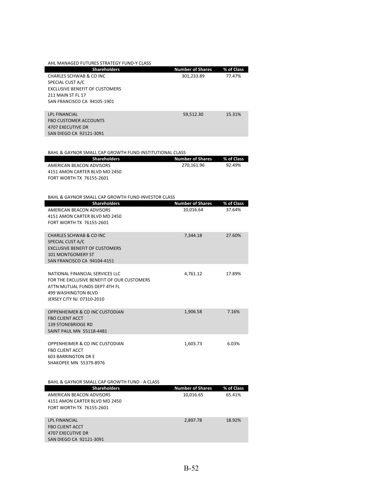| AHL MANAGED FUTURES STRATEGY FUND-Y CLASS |                         |            |
|-------------------------------------------|-------------------------|------------|
| <b>Shareholders</b>                       | <b>Number of Shares</b> | % of Class |
| CHARLES SCHWAB & CO INC                   | 301,233.89              | 77.47%     |
| SPECIAL CUST A/C                          |                         |            |
| <b>EXCLUSIVE BENEFIT OF CUSTOMERS</b>     |                         |            |
| <b>211 MAIN ST FL 17</b>                  |                         |            |
| SAN FRANCISCO CA 94105-1901               |                         |            |
|                                           |                         |            |
| <b>LPL FINANCIAL</b>                      | 59,512.30               | 15.31%     |
| <b>FBO CUSTOMER ACCOUNTS</b>              |                         |            |
| 4707 EXECUTIVE DR                         |                         |            |
| SAN DIEGO CA 92121-3091                   |                         |            |

BAHL & GAYNOR SMALL CAP GROWTH FUND‐INSTITUTIONAL CLASS

|  | <b>Shareholders</b>           | Number of Shares 3% of Class |        |
|--|-------------------------------|------------------------------|--------|
|  | AMERICAN BEACON ADVISORS      | 270.161.96                   | 92.49% |
|  | 4151 AMON CARTER BLVD MD 2450 |                              |        |
|  | FORT WORTH TX 76155-2601      |                              |        |

#### BAHL & GAYNOR SMALL CAP GROWTH FUND‐INVESTOR CLASS

| <b>Shareholders</b>                                                                                                                                                       | <b>Number of Shares</b> | % of Class |
|---------------------------------------------------------------------------------------------------------------------------------------------------------------------------|-------------------------|------------|
| <b>AMERICAN BEACON ADVISORS</b><br>4151 AMON CARTER BLVD MD 2450<br><b>FORT WORTH TX 76155-2601</b>                                                                       | 10,016.64               | 37.64%     |
| <b>CHARLES SCHWAB &amp; CO INC</b><br>SPECIAL CUST A/C<br><b>EXCLUSIVE BENEFIT OF CUSTOMERS</b><br><b>101 MONTGOMERY ST</b><br>SAN FRANCISCO CA 94104-4151                | 7,344.18                | 27.60%     |
| NATIONAL FINANCIAL SERVICES LLC<br>FOR THE EXCLUSIVE BENEFIT OF OUR CUSTOMERS<br>ATTN MUTUAL FUNDS DEPT 4TH FL<br><b>499 WASHINGTON BLVD</b><br>JERSEY CITY NJ 07310-2010 | 4,761.12                | 17.89%     |
| OPPENHEIMER & CO INC CUSTODIAN<br><b>FBO CLIENT ACCT</b><br><b>139 STONEBRIDGE RD</b><br>SAINT PAUL MN 55118-4481                                                         | 1.906.58                | 7.16%      |
| OPPENHEIMER & CO INC CUSTODIAN<br><b>FBO CLIENT ACCT</b><br><b>603 BARRINGTON DR E</b><br>SHAKOPEE MN 55379-8976                                                          | 1,603.73                | 6.03%      |
| BAHL & GAYNOR SMALL CAP GROWTH FUND - A CLASS                                                                                                                             |                         |            |
| <b>Shareholders</b>                                                                                                                                                       | <b>Number of Shares</b> | % of Class |
| AMERICAN BEACON ADVISORS<br>4151 AMON CARTER BLVD MD 2450<br><b>FORT WORTH TX 76155-2601</b>                                                                              | 10,016.65               | 65.41%     |
| <b>LPL FINANCIAL</b><br><b>FBO CLIENT ACCT</b><br><b>4707 EXECUTIVE DR</b><br>SAN DIEGO CA 92121-3091                                                                     | 2,897.78                | 18.92%     |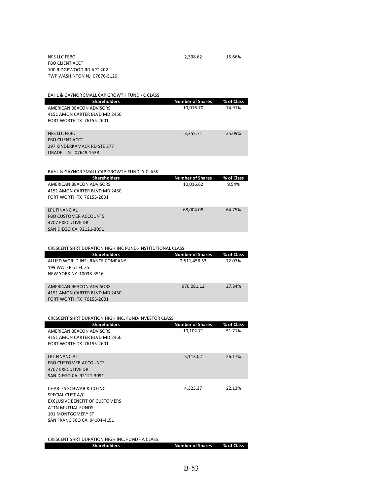|                                 | BAHL & GAYNOR SMALL CAP GROWTH FUND - C CLASS |                         |            |
|---------------------------------|-----------------------------------------------|-------------------------|------------|
|                                 | <b>Shareholders</b>                           | <b>Number of Shares</b> | % of Class |
| AMERICAN BEACON ADVISORS        |                                               | 10,016.70               | 74.91%     |
| 4151 AMON CARTER BLVD MD 2450   |                                               |                         |            |
| <b>FORT WORTH TX 76155-2601</b> |                                               |                         |            |
|                                 |                                               |                         |            |
| NFS LLC FEBO                    |                                               | 3,355.71                | 25.09%     |
| <b>FBO CLIENT ACCT</b>          |                                               |                         |            |
| 297 KINDERKAMACK RD STE 277     |                                               |                         |            |
| ORADELL NJ 07649-1538           |                                               |                         |            |

| BAHL & GAYNOR SMALL CAP GROWTH FUND-Y CLASS |                         |            |
|---------------------------------------------|-------------------------|------------|
| <b>Shareholders</b>                         | <b>Number of Shares</b> | % of Class |
| AMERICAN BEACON ADVISORS                    | 10,016.62               | 9.54%      |
| 4151 AMON CARTER BLVD MD 2450               |                         |            |
| FORT WORTH TX 76155-2601                    |                         |            |
|                                             |                         |            |
| <b>LPL FINANCIAL</b>                        | 68,004.08               | 64.75%     |
| <b>FBO CUSTOMER ACCOUNTS</b>                |                         |            |
| 4707 EXECUTIVE DR                           |                         |            |
| SAN DIEGO CA 92121-3091                     |                         |            |

| CRESCENT SHRT DURATION HIGH INC FUND. INSTITUTIONAL CLASS |                         |            |
|-----------------------------------------------------------|-------------------------|------------|
| <b>Shareholders</b>                                       | <b>Number of Shares</b> | % of Class |
| ALLIED WORLD INSURANCE COMPANY                            | 2,511,458.53            | 72.07%     |
| <b>199 WATER ST FL 25</b>                                 |                         |            |
| NEW YORK NY 10038-3516                                    |                         |            |
|                                                           |                         |            |
| AMERICAN BEACON ADVISORS                                  | 970.081.12              | 27.84%     |
| 4151 AMON CARTER BLVD MD 2450                             |                         |            |
| FORT WORTH TX 76155-2601                                  |                         |            |

| <b>Shareholders</b>                               | <b>Number of Shares</b> | % of Class |
|---------------------------------------------------|-------------------------|------------|
| AMERICAN BEACON ADVISORS                          | 10,102.71               | 51.71%     |
| 4151 AMON CARTER BLVD MD 2450                     |                         |            |
| FORT WORTH TX 76155-2601                          |                         |            |
|                                                   |                         |            |
| <b>LPL FINANCIAL</b>                              | 5,113.02                | 26.17%     |
| <b>FBO CUSTOMER ACCOUNTS</b><br>4707 EXECUTIVE DR |                         |            |
| SAN DIEGO CA 92121-3091                           |                         |            |
|                                                   |                         |            |
| CHARLES SCHWAB & CO INC                           | 4,323.37                | 22.13%     |
| SPECIAL CUST A/C                                  |                         |            |
| <b>EXCLUSIVE BENEFIT OF CUSTOMERS</b>             |                         |            |
| ATTN MUTUAL FUNDS                                 |                         |            |
| <b>101 MONTGOMERY ST</b>                          |                         |            |
| SAN FRANCISCO CA 94104-4151                       |                         |            |
|                                                   |                         |            |
|                                                   |                         |            |

| CRESCENT SHRT DURATION HIGH INC. FUND - A CLASS |
|-------------------------------------------------|
|-------------------------------------------------|

**Shareholders Number of Shares % of Class**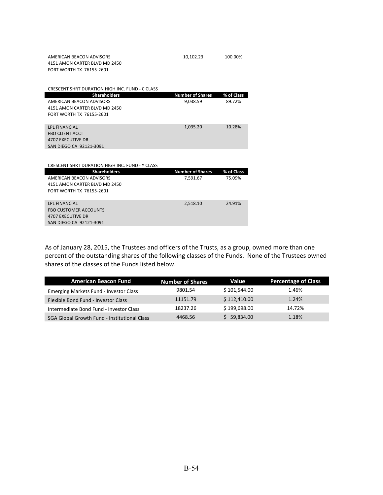| AMERICAN BEACON ADVISORS      | 10.102.23 | 100.00% |
|-------------------------------|-----------|---------|
| 4151 AMON CARTER BLVD MD 2450 |           |         |
| FORT WORTH TX 76155-2601      |           |         |

FBO CUSTOMER ACCOUNTS 4707 EXECUTIVE DR SAN DIEGO CA 92121‐3091

| 10,102.23 |  |
|-----------|--|
|-----------|--|

| <b>CRESCENT SHRT DURATION HIGH INC. FUND - C CLASS</b> |                         |            |
|--------------------------------------------------------|-------------------------|------------|
| <b>Shareholders</b>                                    | <b>Number of Shares</b> | % of Class |
| AMERICAN BEACON ADVISORS                               | 9,038.59                | 89.72%     |
| 4151 AMON CARTER BLVD MD 2450                          |                         |            |
| FORT WORTH TX 76155-2601                               |                         |            |
|                                                        |                         |            |
| <b>LPL FINANCIAL</b>                                   | 1,035.20                | 10.28%     |
| <b>FBO CLIENT ACCT</b>                                 |                         |            |
| 4707 EXECUTIVE DR                                      |                         |            |
| SAN DIEGO CA 92121-3091                                |                         |            |
|                                                        |                         |            |
|                                                        |                         |            |
| CRESCENT SHRT DURATION HIGH INC. FUND - Y CLASS        |                         |            |
| <b>Shareholders</b>                                    | <b>Number of Shares</b> | % of Class |
| AMERICAN BEACON ADVISORS                               | 7,591.67                | 75.09%     |
| 4151 AMON CARTER BLVD MD 2450                          |                         |            |
| FORT WORTH TX 76155-2601                               |                         |            |
|                                                        |                         |            |
| <b>LPL FINANCIAL</b>                                   | 2.518.10                | 24.91%     |

As of January 28, 2015, the Trustees and officers of the Trusts, as a group, owned more than one percent of the outstanding shares of the following classes of the Funds. None of the Trustees owned shares of the classes of the Funds listed below.

| <b>American Beacon Fund</b>                         | <b>Number of Shares</b> | Value        | <b>Percentage of Class</b> |
|-----------------------------------------------------|-------------------------|--------------|----------------------------|
| Emerging Markets Fund - Investor Class              | 9801.54                 | \$101,544.00 | 1.46%                      |
| Flexible Bond Fund - Investor Class                 | 11151.79                | \$112,410.00 | 1.24%                      |
| Intermediate Bond Fund - Investor Class             | 18237.26                | \$199,698.00 | 14.72%                     |
| <b>SGA Global Growth Fund - Institutional Class</b> | 4468.56                 | \$59,834.00  | 1.18%                      |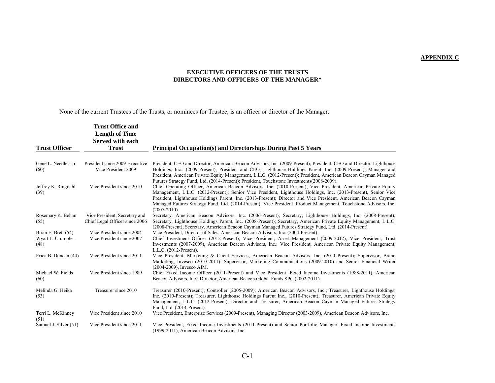#### **APPENDIX C**

### **EXECUTIVE OFFICERS OF THE TRUSTS DIRECTORS AND OFFICERS OF THE MANAGER\***

None of the current Trustees of the Trusts, or nominees for Trustee, is an officer or director of the Manager.

|                                                  | <b>Trust Office and</b><br><b>Length of Time</b><br>Served with each |                                                                                                                                                                                                                                                                                                                                                                                                                                                                                                 |
|--------------------------------------------------|----------------------------------------------------------------------|-------------------------------------------------------------------------------------------------------------------------------------------------------------------------------------------------------------------------------------------------------------------------------------------------------------------------------------------------------------------------------------------------------------------------------------------------------------------------------------------------|
| <b>Trust Officer</b>                             | <b>Trust</b>                                                         | <b>Principal Occupation(s) and Directorships During Past 5 Years</b>                                                                                                                                                                                                                                                                                                                                                                                                                            |
| Gene L. Needles, Jr.<br>(60)                     | President since 2009 Executive<br>Vice President 2009                | President, CEO and Director, American Beacon Advisors, Inc. (2009-Present); President, CEO and Director, Lighthouse<br>Holdings, Inc.; (2009-Present); President and CEO, Lighthouse Holdings Parent, Inc. (2009-Present); Manager and<br>President, American Private Equity Management, L.L.C. (2012-Present); President, American Beacon Cayman Managed<br>Futures Strategy Fund, Ltd. (2014-Present); President, Touchstone Investments (2008-2009).                                         |
| Jeffrey K. Ringdahl<br>(39)                      | Vice President since 2010                                            | Chief Operating Officer, American Beacon Advisors, Inc. (2010-Present); Vice President, American Private Equity<br>Management, L.L.C. (2012-Present); Senior Vice President, Lighthouse Holdings, Inc. (2013-Present), Senior Vice<br>President, Lighthouse Holdings Parent, Inc. (2013-Present); Director and Vice President, American Beacon Cayman<br>Managed Futures Strategy Fund, Ltd. (2014-Present); Vice President, Product Management, Touchstone Advisors, Inc.<br>$(2007 - 2010)$ . |
| Rosemary K. Behan<br>(55)                        | Vice President, Secretary and<br>Chief Legal Officer since 2006      | Secretary, American Beacon Advisors, Inc. (2006-Present); Secretary, Lighthouse Holdings, Inc. (2008-Present);<br>Secretary, Lighthouse Holdings Parent, Inc. (2008-Present); Secretary, American Private Equity Management, L.L.C.<br>(2008-Present); Secretary, American Beacon Cayman Managed Futures Strategy Fund, Ltd. (2014-Present).                                                                                                                                                    |
| Brian E. Brett (54)<br>Wyatt L. Crumpler<br>(48) | Vice President since 2004<br>Vice President since 2007               | Vice President, Director of Sales, American Beacon Advisors, Inc. (2004-Present).<br>Chief Investment Officer (2012-Present), Vice President, Asset Management (2009-2012), Vice President, Trust<br>Investments (2007-2009), American Beacon Advisors, Inc.; Vice President, American Private Equity Management,<br>L.L.C. (2012-Present).                                                                                                                                                     |
| Erica B. Duncan (44)                             | Vice President since 2011                                            | Vice President, Marketing & Client Services, American Beacon Advisors, Inc. (2011-Present); Supervisor, Brand<br>Marketing, Invesco (2010-2011); Supervisor, Marketing Communications (2009-2010) and Senior Financial Writer<br>(2004-2009), Invesco AIM.                                                                                                                                                                                                                                      |
| Michael W. Fields<br>(60)                        | Vice President since 1989                                            | Chief Fixed Income Officer (2011-Present) and Vice President, Fixed Income Investments (1988-2011), American<br>Beacon Advisors, Inc.; Director, American Beacon Global Funds SPC (2002-2011).                                                                                                                                                                                                                                                                                                  |
| Melinda G. Heika<br>(53)                         | Treasurer since 2010                                                 | Treasurer (2010-Present); Controller (2005-2009); American Beacon Advisors, Inc.; Treasurer, Lighthouse Holdings,<br>Inc. (2010-Present); Treasurer, Lighthouse Holdings Parent Inc., (2010-Present); Treasurer, American Private Equity<br>Management, L.L.C. (2012-Present), Director and Treasurer, American Beacon Cayman Managed Futures Strategy<br>Fund, Ltd. (2014-Present).                                                                                                            |
| Terri L. McKinney<br>(51)                        | Vice President since 2010                                            | Vice President, Enterprise Services (2009-Present), Managing Director (2003-2009), American Beacon Advisors, Inc.                                                                                                                                                                                                                                                                                                                                                                               |
| Samuel J. Silver (51)                            | Vice President since 2011                                            | Vice President, Fixed Income Investments (2011-Present) and Senior Portfolio Manager, Fixed Income Investments<br>(1999-2011), American Beacon Advisors, Inc.                                                                                                                                                                                                                                                                                                                                   |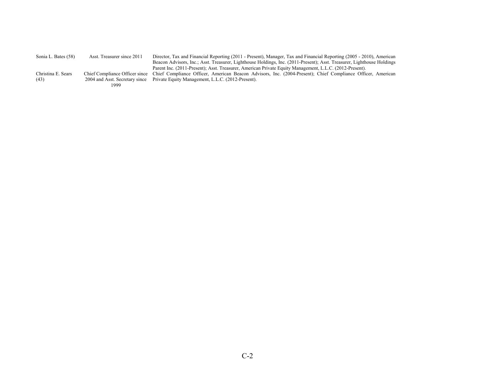| Sonia L. Bates (58) | Asst. Treasurer since 2011 | Director, Tax and Financial Reporting (2011 - Present), Manager, Tax and Financial Reporting (2005 - 2010), American                       |
|---------------------|----------------------------|--------------------------------------------------------------------------------------------------------------------------------------------|
|                     |                            | Beacon Advisors, Inc.; Asst. Treasurer, Lighthouse Holdings, Inc. (2011-Present); Asst. Treasurer, Lighthouse Holdings                     |
|                     |                            | Parent Inc. (2011-Present); Asst. Treasurer, American Private Equity Management, L.L.C. (2012-Present).                                    |
| Christina E. Sears  |                            | Chief Compliance Officer since Chief Compliance Officer, American Beacon Advisors, Inc. (2004-Present); Chief Compliance Officer, American |
| (43)                |                            | 2004 and Asst. Secretary since Private Equity Management, L.L.C. (2012-Present).                                                           |
|                     | 1999                       |                                                                                                                                            |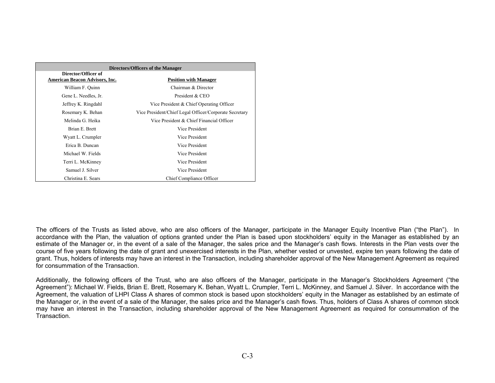| Directors/Officers of the Manager                            |                                                        |  |
|--------------------------------------------------------------|--------------------------------------------------------|--|
| Director/Officer of<br><b>American Beacon Advisors, Inc.</b> | <b>Position with Manager</b>                           |  |
| William F. Ouinn                                             | Chairman & Director                                    |  |
| Gene L. Needles, Jr.                                         | President & CEO                                        |  |
| Jeffrey K. Ringdahl                                          | Vice President & Chief Operating Officer               |  |
| Rosemary K. Behan                                            | Vice President/Chief Legal Officer/Corporate Secretary |  |
| Melinda G. Heika                                             | Vice President & Chief Financial Officer               |  |
| Brian E. Brett                                               | Vice President                                         |  |
| Wyatt L. Crumpler                                            | Vice President                                         |  |
| Erica B. Duncan                                              | Vice President                                         |  |
| Michael W. Fields                                            | Vice President                                         |  |
| Terri L. McKinney                                            | Vice President                                         |  |
| Samuel J. Silver                                             | Vice President                                         |  |
| Christina E. Sears                                           | Chief Compliance Officer                               |  |

The officers of the Trusts as listed above, who are also officers of the Manager, participate in the Manager Equity Incentive Plan ("the Plan"). In accordance with the Plan, the valuation of options granted under the Plan is based upon stockholders' equity in the Manager as established by an estimate of the Manager or, in the event of a sale of the Manager, the sales price and the Manager's cash flows. Interests in the Plan vests over the course of five years following the date of grant and unexercised interests in the Plan, whether vested or unvested, expire ten years following the date of grant. Thus, holders of interests may have an interest in the Transaction, including shareholder approval of the New Management Agreement as required for consummation of the Transaction.

Additionally, the following officers of the Trust, who are also officers of the Manager, participate in the Manager's Stockholders Agreement ("the Agreement"): Michael W. Fields, Brian E. Brett, Rosemary K. Behan, Wyatt L. Crumpler, Terri L. McKinney, and Samuel J. Silver. In accordance with the Agreement, the valuation of LHPI Class A shares of common stock is based upon stockholders' equity in the Manager as established by an estimate of the Manager or, in the event of a sale of the Manager, the sales price and the Manager's cash flows. Thus, holders of Class A shares of common stock may have an interest in the Transaction, including shareholder approval of the New Management Agreement as required for consummation of the Transaction.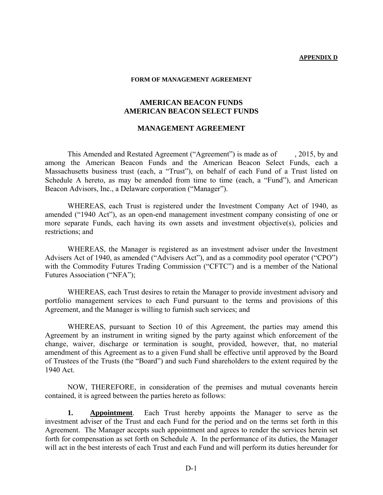### **APPENDIX D**

### **FORM OF MANAGEMENT AGREEMENT**

### **AMERICAN BEACON FUNDS AMERICAN BEACON SELECT FUNDS**

# **MANAGEMENT AGREEMENT**

 This Amended and Restated Agreement ("Agreement") is made as of , 2015, by and among the American Beacon Funds and the American Beacon Select Funds, each a Massachusetts business trust (each, a "Trust"), on behalf of each Fund of a Trust listed on Schedule A hereto, as may be amended from time to time (each, a "Fund"), and American Beacon Advisors, Inc., a Delaware corporation ("Manager").

 WHEREAS, each Trust is registered under the Investment Company Act of 1940, as amended ("1940 Act"), as an open-end management investment company consisting of one or more separate Funds, each having its own assets and investment objective(s), policies and restrictions; and

 WHEREAS, the Manager is registered as an investment adviser under the Investment Advisers Act of 1940, as amended ("Advisers Act"), and as a commodity pool operator ("CPO") with the Commodity Futures Trading Commission ("CFTC") and is a member of the National Futures Association ("NFA");

 WHEREAS, each Trust desires to retain the Manager to provide investment advisory and portfolio management services to each Fund pursuant to the terms and provisions of this Agreement, and the Manager is willing to furnish such services; and

WHEREAS, pursuant to Section 10 of this Agreement, the parties may amend this Agreement by an instrument in writing signed by the party against which enforcement of the change, waiver, discharge or termination is sought, provided, however, that, no material amendment of this Agreement as to a given Fund shall be effective until approved by the Board of Trustees of the Trusts (the "Board") and such Fund shareholders to the extent required by the 1940 Act.

 NOW, THEREFORE, in consideration of the premises and mutual covenants herein contained, it is agreed between the parties hereto as follows:

**1. Appointment**. Each Trust hereby appoints the Manager to serve as the investment adviser of the Trust and each Fund for the period and on the terms set forth in this Agreement. The Manager accepts such appointment and agrees to render the services herein set forth for compensation as set forth on Schedule A. In the performance of its duties, the Manager will act in the best interests of each Trust and each Fund and will perform its duties hereunder for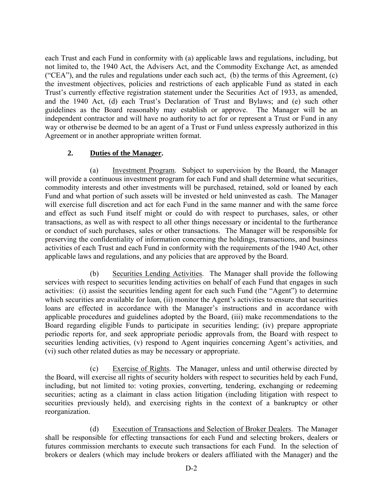each Trust and each Fund in conformity with (a) applicable laws and regulations, including, but not limited to, the 1940 Act, the Advisers Act, and the Commodity Exchange Act, as amended ("CEA"), and the rules and regulations under each such act, (b) the terms of this Agreement, (c) the investment objectives, policies and restrictions of each applicable Fund as stated in each Trust's currently effective registration statement under the Securities Act of 1933, as amended, and the 1940 Act, (d) each Trust's Declaration of Trust and Bylaws; and (e) such other guidelines as the Board reasonably may establish or approve. The Manager will be an independent contractor and will have no authority to act for or represent a Trust or Fund in any way or otherwise be deemed to be an agent of a Trust or Fund unless expressly authorized in this Agreement or in another appropriate written format.

# **2. Duties of the Manager.**

(a) Investment Program. Subject to supervision by the Board, the Manager will provide a continuous investment program for each Fund and shall determine what securities, commodity interests and other investments will be purchased, retained, sold or loaned by each Fund and what portion of such assets will be invested or held uninvested as cash. The Manager will exercise full discretion and act for each Fund in the same manner and with the same force and effect as such Fund itself might or could do with respect to purchases, sales, or other transactions, as well as with respect to all other things necessary or incidental to the furtherance or conduct of such purchases, sales or other transactions. The Manager will be responsible for preserving the confidentiality of information concerning the holdings, transactions, and business activities of each Trust and each Fund in conformity with the requirements of the 1940 Act, other applicable laws and regulations, and any policies that are approved by the Board.

 (b) Securities Lending Activities. The Manager shall provide the following services with respect to securities lending activities on behalf of each Fund that engages in such activities: (i) assist the securities lending agent for each such Fund (the "Agent") to determine which securities are available for loan, (ii) monitor the Agent's activities to ensure that securities loans are effected in accordance with the Manager's instructions and in accordance with applicable procedures and guidelines adopted by the Board, (iii) make recommendations to the Board regarding eligible Funds to participate in securities lending; (iv) prepare appropriate periodic reports for, and seek appropriate periodic approvals from, the Board with respect to securities lending activities, (v) respond to Agent inquiries concerning Agent's activities, and (vi) such other related duties as may be necessary or appropriate.

 (c) Exercise of Rights. The Manager, unless and until otherwise directed by the Board, will exercise all rights of security holders with respect to securities held by each Fund, including, but not limited to: voting proxies, converting, tendering, exchanging or redeeming securities; acting as a claimant in class action litigation (including litigation with respect to securities previously held), and exercising rights in the context of a bankruptcy or other reorganization.

 (d) Execution of Transactions and Selection of Broker Dealers. The Manager shall be responsible for effecting transactions for each Fund and selecting brokers, dealers or futures commission merchants to execute such transactions for each Fund. In the selection of brokers or dealers (which may include brokers or dealers affiliated with the Manager) and the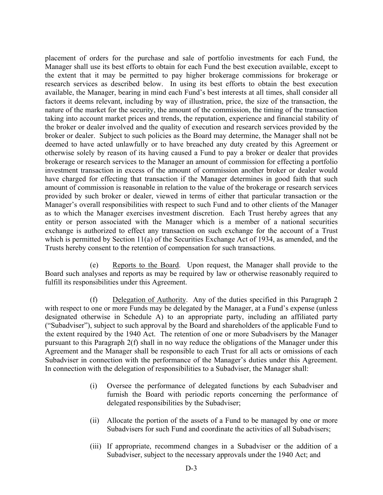placement of orders for the purchase and sale of portfolio investments for each Fund, the Manager shall use its best efforts to obtain for each Fund the best execution available, except to the extent that it may be permitted to pay higher brokerage commissions for brokerage or research services as described below. In using its best efforts to obtain the best execution available, the Manager, bearing in mind each Fund's best interests at all times, shall consider all factors it deems relevant, including by way of illustration, price, the size of the transaction, the nature of the market for the security, the amount of the commission, the timing of the transaction taking into account market prices and trends, the reputation, experience and financial stability of the broker or dealer involved and the quality of execution and research services provided by the broker or dealer. Subject to such policies as the Board may determine, the Manager shall not be deemed to have acted unlawfully or to have breached any duty created by this Agreement or otherwise solely by reason of its having caused a Fund to pay a broker or dealer that provides brokerage or research services to the Manager an amount of commission for effecting a portfolio investment transaction in excess of the amount of commission another broker or dealer would have charged for effecting that transaction if the Manager determines in good faith that such amount of commission is reasonable in relation to the value of the brokerage or research services provided by such broker or dealer, viewed in terms of either that particular transaction or the Manager's overall responsibilities with respect to such Fund and to other clients of the Manager as to which the Manager exercises investment discretion. Each Trust hereby agrees that any entity or person associated with the Manager which is a member of a national securities exchange is authorized to effect any transaction on such exchange for the account of a Trust which is permitted by Section 11(a) of the Securities Exchange Act of 1934, as amended, and the Trusts hereby consent to the retention of compensation for such transactions.

 (e) Reports to the Board. Upon request, the Manager shall provide to the Board such analyses and reports as may be required by law or otherwise reasonably required to fulfill its responsibilities under this Agreement.

 (f) Delegation of Authority. Any of the duties specified in this Paragraph 2 with respect to one or more Funds may be delegated by the Manager, at a Fund's expense (unless designated otherwise in Schedule A) to an appropriate party, including an affiliated party ("Subadviser"), subject to such approval by the Board and shareholders of the applicable Fund to the extent required by the 1940 Act. The retention of one or more Subadvisers by the Manager pursuant to this Paragraph 2(f) shall in no way reduce the obligations of the Manager under this Agreement and the Manager shall be responsible to each Trust for all acts or omissions of each Subadviser in connection with the performance of the Manager's duties under this Agreement. In connection with the delegation of responsibilities to a Subadviser, the Manager shall:

- (i) Oversee the performance of delegated functions by each Subadviser and furnish the Board with periodic reports concerning the performance of delegated responsibilities by the Subadviser;
- (ii) Allocate the portion of the assets of a Fund to be managed by one or more Subadvisers for such Fund and coordinate the activities of all Subadvisers;
- (iii) If appropriate, recommend changes in a Subadviser or the addition of a Subadviser, subject to the necessary approvals under the 1940 Act; and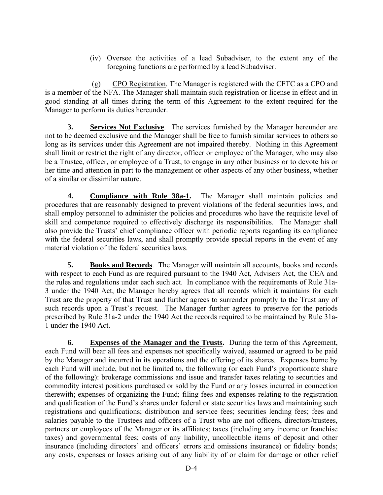(iv) Oversee the activities of a lead Subadviser, to the extent any of the foregoing functions are performed by a lead Subadviser.

 (g) CPO Registration. The Manager is registered with the CFTC as a CPO and is a member of the NFA. The Manager shall maintain such registration or license in effect and in good standing at all times during the term of this Agreement to the extent required for the Manager to perform its duties hereunder.

**3. Services Not Exclusive**. The services furnished by the Manager hereunder are not to be deemed exclusive and the Manager shall be free to furnish similar services to others so long as its services under this Agreement are not impaired thereby. Nothing in this Agreement shall limit or restrict the right of any director, officer or employee of the Manager, who may also be a Trustee, officer, or employee of a Trust, to engage in any other business or to devote his or her time and attention in part to the management or other aspects of any other business, whether of a similar or dissimilar nature.

**4. Compliance with Rule 38a-1.** The Manager shall maintain policies and procedures that are reasonably designed to prevent violations of the federal securities laws, and shall employ personnel to administer the policies and procedures who have the requisite level of skill and competence required to effectively discharge its responsibilities. The Manager shall also provide the Trusts' chief compliance officer with periodic reports regarding its compliance with the federal securities laws, and shall promptly provide special reports in the event of any material violation of the federal securities laws.

**5. Books and Records**. The Manager will maintain all accounts, books and records with respect to each Fund as are required pursuant to the 1940 Act, Advisers Act, the CEA and the rules and regulations under each such act. In compliance with the requirements of Rule 31a-3 under the 1940 Act, the Manager hereby agrees that all records which it maintains for each Trust are the property of that Trust and further agrees to surrender promptly to the Trust any of such records upon a Trust's request. The Manager further agrees to preserve for the periods prescribed by Rule 31a-2 under the 1940 Act the records required to be maintained by Rule 31a-1 under the 1940 Act.

**6.** Expenses of the Manager and the Trusts. During the term of this Agreement, each Fund will bear all fees and expenses not specifically waived, assumed or agreed to be paid by the Manager and incurred in its operations and the offering of its shares. Expenses borne by each Fund will include, but not be limited to, the following (or each Fund's proportionate share of the following): brokerage commissions and issue and transfer taxes relating to securities and commodity interest positions purchased or sold by the Fund or any losses incurred in connection therewith; expenses of organizing the Fund; filing fees and expenses relating to the registration and qualification of the Fund's shares under federal or state securities laws and maintaining such registrations and qualifications; distribution and service fees; securities lending fees; fees and salaries payable to the Trustees and officers of a Trust who are not officers, directors/trustees, partners or employees of the Manager or its affiliates; taxes (including any income or franchise taxes) and governmental fees; costs of any liability, uncollectible items of deposit and other insurance (including directors' and officers' errors and omissions insurance) or fidelity bonds; any costs, expenses or losses arising out of any liability of or claim for damage or other relief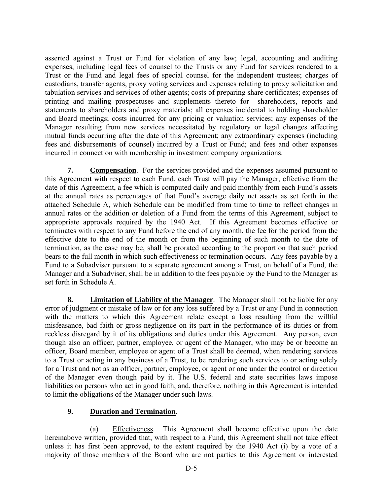asserted against a Trust or Fund for violation of any law; legal, accounting and auditing expenses, including legal fees of counsel to the Trusts or any Fund for services rendered to a Trust or the Fund and legal fees of special counsel for the independent trustees; charges of custodians, transfer agents, proxy voting services and expenses relating to proxy solicitation and tabulation services and services of other agents; costs of preparing share certificates; expenses of printing and mailing prospectuses and supplements thereto for shareholders, reports and statements to shareholders and proxy materials; all expenses incidental to holding shareholder and Board meetings; costs incurred for any pricing or valuation services; any expenses of the Manager resulting from new services necessitated by regulatory or legal changes affecting mutual funds occurring after the date of this Agreement; any extraordinary expenses (including fees and disbursements of counsel) incurred by a Trust or Fund; and fees and other expenses incurred in connection with membership in investment company organizations.

**7. Compensation**. For the services provided and the expenses assumed pursuant to this Agreement with respect to each Fund, each Trust will pay the Manager, effective from the date of this Agreement, a fee which is computed daily and paid monthly from each Fund's assets at the annual rates as percentages of that Fund's average daily net assets as set forth in the attached Schedule A, which Schedule can be modified from time to time to reflect changes in annual rates or the addition or deletion of a Fund from the terms of this Agreement, subject to appropriate approvals required by the 1940 Act. If this Agreement becomes effective or terminates with respect to any Fund before the end of any month, the fee for the period from the effective date to the end of the month or from the beginning of such month to the date of termination, as the case may be, shall be prorated according to the proportion that such period bears to the full month in which such effectiveness or termination occurs. Any fees payable by a Fund to a Subadviser pursuant to a separate agreement among a Trust, on behalf of a Fund, the Manager and a Subadviser, shall be in addition to the fees payable by the Fund to the Manager as set forth in Schedule A.

**8. Limitation of Liability of the Manager**. The Manager shall not be liable for any error of judgment or mistake of law or for any loss suffered by a Trust or any Fund in connection with the matters to which this Agreement relate except a loss resulting from the willful misfeasance, bad faith or gross negligence on its part in the performance of its duties or from reckless disregard by it of its obligations and duties under this Agreement. Any person, even though also an officer, partner, employee, or agent of the Manager, who may be or become an officer, Board member, employee or agent of a Trust shall be deemed, when rendering services to a Trust or acting in any business of a Trust, to be rendering such services to or acting solely for a Trust and not as an officer, partner, employee, or agent or one under the control or direction of the Manager even though paid by it. The U.S. federal and state securities laws impose liabilities on persons who act in good faith, and, therefore, nothing in this Agreement is intended to limit the obligations of the Manager under such laws.

# **9. Duration and Termination**.

 (a) Effectiveness. This Agreement shall become effective upon the date hereinabove written, provided that, with respect to a Fund, this Agreement shall not take effect unless it has first been approved, to the extent required by the 1940 Act (i) by a vote of a majority of those members of the Board who are not parties to this Agreement or interested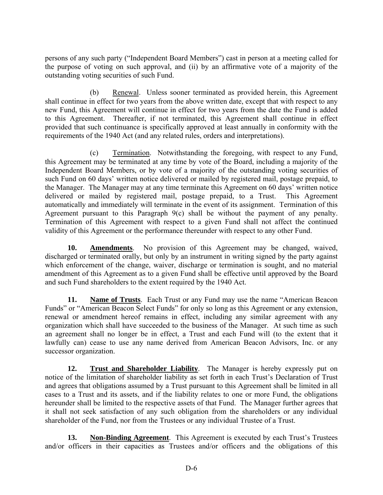persons of any such party ("Independent Board Members") cast in person at a meeting called for the purpose of voting on such approval, and (ii) by an affirmative vote of a majority of the outstanding voting securities of such Fund.

 (b) Renewal. Unless sooner terminated as provided herein, this Agreement shall continue in effect for two years from the above written date, except that with respect to any new Fund, this Agreement will continue in effect for two years from the date the Fund is added to this Agreement. Thereafter, if not terminated, this Agreement shall continue in effect provided that such continuance is specifically approved at least annually in conformity with the requirements of the 1940 Act (and any related rules, orders and interpretations).

 (c) Termination. Notwithstanding the foregoing, with respect to any Fund, this Agreement may be terminated at any time by vote of the Board, including a majority of the Independent Board Members, or by vote of a majority of the outstanding voting securities of such Fund on 60 days' written notice delivered or mailed by registered mail, postage prepaid, to the Manager. The Manager may at any time terminate this Agreement on 60 days' written notice delivered or mailed by registered mail, postage prepaid, to a Trust. This Agreement automatically and immediately will terminate in the event of its assignment. Termination of this Agreement pursuant to this Paragraph 9(c) shall be without the payment of any penalty. Termination of this Agreement with respect to a given Fund shall not affect the continued validity of this Agreement or the performance thereunder with respect to any other Fund.

**10. Amendments**. No provision of this Agreement may be changed, waived, discharged or terminated orally, but only by an instrument in writing signed by the party against which enforcement of the change, waiver, discharge or termination is sought, and no material amendment of this Agreement as to a given Fund shall be effective until approved by the Board and such Fund shareholders to the extent required by the 1940 Act.

**11. Name of Trusts**. Each Trust or any Fund may use the name "American Beacon Funds" or "American Beacon Select Funds" for only so long as this Agreement or any extension, renewal or amendment hereof remains in effect, including any similar agreement with any organization which shall have succeeded to the business of the Manager. At such time as such an agreement shall no longer be in effect, a Trust and each Fund will (to the extent that it lawfully can) cease to use any name derived from American Beacon Advisors, Inc. or any successor organization.

**12. Trust and Shareholder Liability**. The Manager is hereby expressly put on notice of the limitation of shareholder liability as set forth in each Trust's Declaration of Trust and agrees that obligations assumed by a Trust pursuant to this Agreement shall be limited in all cases to a Trust and its assets, and if the liability relates to one or more Fund, the obligations hereunder shall be limited to the respective assets of that Fund. The Manager further agrees that it shall not seek satisfaction of any such obligation from the shareholders or any individual shareholder of the Fund, nor from the Trustees or any individual Trustee of a Trust.

 **13. Non-Binding Agreement**. This Agreement is executed by each Trust's Trustees and/or officers in their capacities as Trustees and/or officers and the obligations of this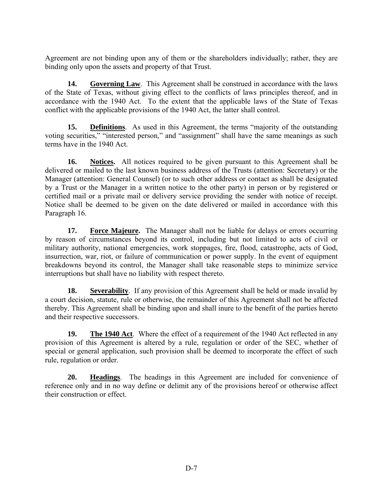Agreement are not binding upon any of them or the shareholders individually; rather, they are binding only upon the assets and property of that Trust.

**14.** Governing Law. This Agreement shall be construed in accordance with the laws of the State of Texas, without giving effect to the conflicts of laws principles thereof, and in accordance with the 1940 Act. To the extent that the applicable laws of the State of Texas conflict with the applicable provisions of the 1940 Act, the latter shall control.

**15. Definitions**. As used in this Agreement, the terms "majority of the outstanding voting securities," "interested person," and "assignment" shall have the same meanings as such terms have in the 1940 Act.

16. Notices. All notices required to be given pursuant to this Agreement shall be delivered or mailed to the last known business address of the Trusts (attention: Secretary) or the Manager (attention: General Counsel) (or to such other address or contact as shall be designated by a Trust or the Manager in a written notice to the other party) in person or by registered or certified mail or a private mail or delivery service providing the sender with notice of receipt. Notice shall be deemed to be given on the date delivered or mailed in accordance with this Paragraph 16.

 **17. Force Majeure.** The Manager shall not be liable for delays or errors occurring by reason of circumstances beyond its control, including but not limited to acts of civil or military authority, national emergencies, work stoppages, fire, flood, catastrophe, acts of God, insurrection, war, riot, or failure of communication or power supply. In the event of equipment breakdowns beyond its control, the Manager shall take reasonable steps to minimize service interruptions but shall have no liability with respect thereto.

**18.** Severability. If any provision of this Agreement shall be held or made invalid by a court decision, statute, rule or otherwise, the remainder of this Agreement shall not be affected thereby. This Agreement shall be binding upon and shall inure to the benefit of the parties hereto and their respective successors.

 **19. The 1940 Act**. Where the effect of a requirement of the 1940 Act reflected in any provision of this Agreement is altered by a rule, regulation or order of the SEC, whether of special or general application, such provision shall be deemed to incorporate the effect of such rule, regulation or order.

**20. Headings**. The headings in this Agreement are included for convenience of reference only and in no way define or delimit any of the provisions hereof or otherwise affect their construction or effect.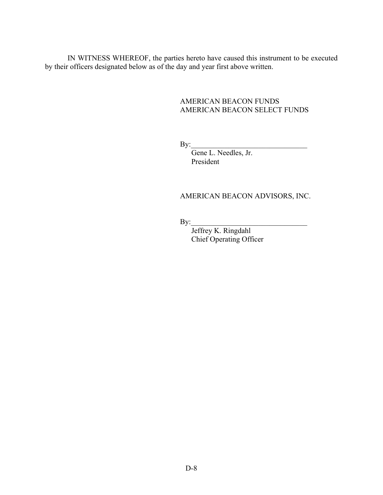IN WITNESS WHEREOF, the parties hereto have caused this instrument to be executed by their officers designated below as of the day and year first above written.

# AMERICAN BEACON FUNDS AMERICAN BEACON SELECT FUNDS

 $\mathbf{By:}$ 

 Gene L. Needles, Jr. President

# AMERICAN BEACON ADVISORS, INC.

 $\mathbf{By:}$ 

 Jeffrey K. Ringdahl Chief Operating Officer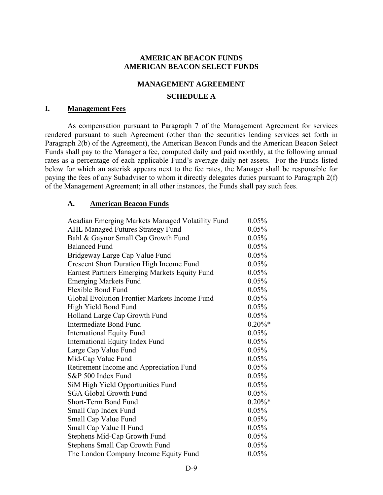# **AMERICAN BEACON FUNDS AMERICAN BEACON SELECT FUNDS**

## **MANAGEMENT AGREEMENT**

# **SCHEDULE A**

## **I. Management Fees**

As compensation pursuant to Paragraph 7 of the Management Agreement for services rendered pursuant to such Agreement (other than the securities lending services set forth in Paragraph 2(b) of the Agreement), the American Beacon Funds and the American Beacon Select Funds shall pay to the Manager a fee, computed daily and paid monthly, at the following annual rates as a percentage of each applicable Fund's average daily net assets. For the Funds listed below for which an asterisk appears next to the fee rates, the Manager shall be responsible for paying the fees of any Subadviser to whom it directly delegates duties pursuant to Paragraph 2(f) of the Management Agreement; in all other instances, the Funds shall pay such fees.

### **A. American Beacon Funds**

| Acadian Emerging Markets Managed Volatility Fund     | 0.05%     |
|------------------------------------------------------|-----------|
| <b>AHL Managed Futures Strategy Fund</b>             | 0.05%     |
| Bahl & Gaynor Small Cap Growth Fund                  | 0.05%     |
| <b>Balanced Fund</b>                                 | 0.05%     |
| Bridgeway Large Cap Value Fund                       | 0.05%     |
| Crescent Short Duration High Income Fund             | 0.05%     |
| <b>Earnest Partners Emerging Markets Equity Fund</b> | 0.05%     |
| <b>Emerging Markets Fund</b>                         | 0.05%     |
| <b>Flexible Bond Fund</b>                            | 0.05%     |
| Global Evolution Frontier Markets Income Fund        | 0.05%     |
| High Yield Bond Fund                                 | 0.05%     |
| Holland Large Cap Growth Fund                        | 0.05%     |
| Intermediate Bond Fund                               | $0.20\%*$ |
| <b>International Equity Fund</b>                     | 0.05%     |
| <b>International Equity Index Fund</b>               | 0.05%     |
| Large Cap Value Fund                                 | 0.05%     |
| Mid-Cap Value Fund                                   | 0.05%     |
| Retirement Income and Appreciation Fund              | 0.05%     |
| S&P 500 Index Fund                                   | 0.05%     |
| SiM High Yield Opportunities Fund                    | 0.05%     |
| <b>SGA Global Growth Fund</b>                        | 0.05%     |
| Short-Term Bond Fund                                 | $0.20\%*$ |
| Small Cap Index Fund                                 | 0.05%     |
| Small Cap Value Fund                                 | 0.05%     |
| Small Cap Value II Fund                              | 0.05%     |
| Stephens Mid-Cap Growth Fund                         | 0.05%     |
| <b>Stephens Small Cap Growth Fund</b>                | 0.05%     |
| The London Company Income Equity Fund                | 0.05%     |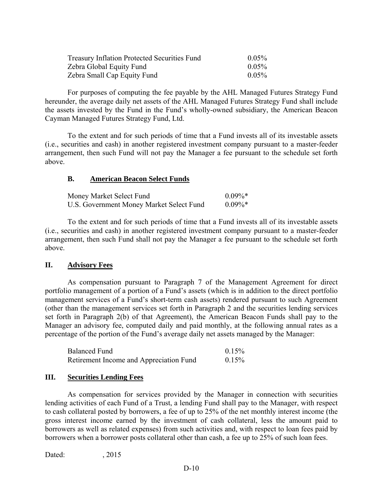| <b>Treasury Inflation Protected Securities Fund</b> | $0.05\%$ |
|-----------------------------------------------------|----------|
| Zebra Global Equity Fund                            | $0.05\%$ |
| Zebra Small Cap Equity Fund                         | $0.05\%$ |

 For purposes of computing the fee payable by the AHL Managed Futures Strategy Fund hereunder, the average daily net assets of the AHL Managed Futures Strategy Fund shall include the assets invested by the Fund in the Fund's wholly-owned subsidiary, the American Beacon Cayman Managed Futures Strategy Fund, Ltd.

To the extent and for such periods of time that a Fund invests all of its investable assets (i.e., securities and cash) in another registered investment company pursuant to a master-feeder arrangement, then such Fund will not pay the Manager a fee pursuant to the schedule set forth above.

# **B. American Beacon Select Funds**

| Money Market Select Fund                 | $0.09\%*$  |
|------------------------------------------|------------|
| U.S. Government Money Market Select Fund | $0.09\%$ * |

 To the extent and for such periods of time that a Fund invests all of its investable assets (i.e., securities and cash) in another registered investment company pursuant to a master-feeder arrangement, then such Fund shall not pay the Manager a fee pursuant to the schedule set forth above.

# **II. Advisory Fees**

 As compensation pursuant to Paragraph 7 of the Management Agreement for direct portfolio management of a portion of a Fund's assets (which is in addition to the direct portfolio management services of a Fund's short-term cash assets) rendered pursuant to such Agreement (other than the management services set forth in Paragraph 2 and the securities lending services set forth in Paragraph 2(b) of that Agreement), the American Beacon Funds shall pay to the Manager an advisory fee, computed daily and paid monthly, at the following annual rates as a percentage of the portion of the Fund's average daily net assets managed by the Manager:

| Balanced Fund                           | $0.15\%$ |
|-----------------------------------------|----------|
| Retirement Income and Appreciation Fund | $0.15\%$ |

# **III. Securities Lending Fees**

As compensation for services provided by the Manager in connection with securities lending activities of each Fund of a Trust, a lending Fund shall pay to the Manager, with respect to cash collateral posted by borrowers, a fee of up to 25% of the net monthly interest income (the gross interest income earned by the investment of cash collateral, less the amount paid to borrowers as well as related expenses) from such activities and, with respect to loan fees paid by borrowers when a borrower posts collateral other than cash, a fee up to 25% of such loan fees.

Dated: 2015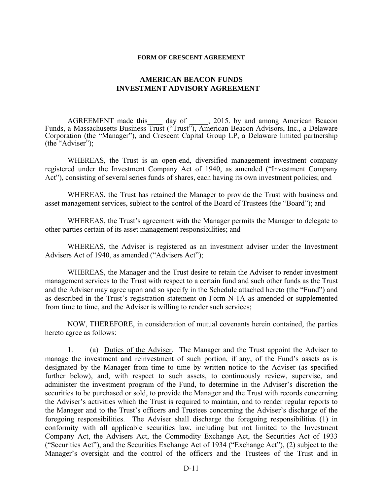### **FORM OF CRESCENT AGREEMENT**

# **AMERICAN BEACON FUNDS INVESTMENT ADVISORY AGREEMENT**

AGREEMENT made this day of , 2015. by and among American Beacon Funds, a Massachusetts Business Trust ("Trust"), American Beacon Advisors, Inc., a Delaware Corporation (the "Manager"), and Crescent Capital Group LP, a Delaware limited partnership (the "Adviser");

 WHEREAS, the Trust is an open-end, diversified management investment company registered under the Investment Company Act of 1940, as amended ("Investment Company Act"), consisting of several series funds of shares, each having its own investment policies; and

 WHEREAS, the Trust has retained the Manager to provide the Trust with business and asset management services, subject to the control of the Board of Trustees (the "Board"); and

 WHEREAS, the Trust's agreement with the Manager permits the Manager to delegate to other parties certain of its asset management responsibilities; and

 WHEREAS, the Adviser is registered as an investment adviser under the Investment Advisers Act of 1940, as amended ("Advisers Act");

 WHEREAS, the Manager and the Trust desire to retain the Adviser to render investment management services to the Trust with respect to a certain fund and such other funds as the Trust and the Adviser may agree upon and so specify in the Schedule attached hereto (the "Fund") and as described in the Trust's registration statement on Form N-1A as amended or supplemented from time to time, and the Adviser is willing to render such services;

 NOW, THEREFORE, in consideration of mutual covenants herein contained, the parties hereto agree as follows:

1. (a) Duties of the Adviser. The Manager and the Trust appoint the Adviser to manage the investment and reinvestment of such portion, if any, of the Fund's assets as is designated by the Manager from time to time by written notice to the Adviser (as specified further below), and, with respect to such assets, to continuously review, supervise, and administer the investment program of the Fund, to determine in the Adviser's discretion the securities to be purchased or sold, to provide the Manager and the Trust with records concerning the Adviser's activities which the Trust is required to maintain, and to render regular reports to the Manager and to the Trust's officers and Trustees concerning the Adviser's discharge of the foregoing responsibilities. The Adviser shall discharge the foregoing responsibilities (1) in conformity with all applicable securities law, including but not limited to the Investment Company Act, the Advisers Act, the Commodity Exchange Act, the Securities Act of 1933 ("Securities Act"), and the Securities Exchange Act of 1934 ("Exchange Act"), (2) subject to the Manager's oversight and the control of the officers and the Trustees of the Trust and in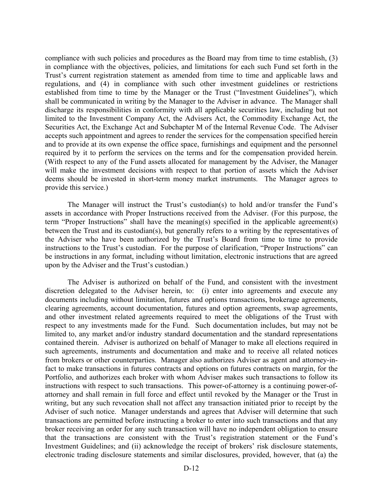compliance with such policies and procedures as the Board may from time to time establish, (3) in compliance with the objectives, policies, and limitations for each such Fund set forth in the Trust's current registration statement as amended from time to time and applicable laws and regulations, and (4) in compliance with such other investment guidelines or restrictions established from time to time by the Manager or the Trust ("Investment Guidelines"), which shall be communicated in writing by the Manager to the Adviser in advance. The Manager shall discharge its responsibilities in conformity with all applicable securities law, including but not limited to the Investment Company Act, the Advisers Act, the Commodity Exchange Act, the Securities Act, the Exchange Act and Subchapter M of the Internal Revenue Code. The Adviser accepts such appointment and agrees to render the services for the compensation specified herein and to provide at its own expense the office space, furnishings and equipment and the personnel required by it to perform the services on the terms and for the compensation provided herein. (With respect to any of the Fund assets allocated for management by the Adviser, the Manager will make the investment decisions with respect to that portion of assets which the Adviser deems should be invested in short-term money market instruments. The Manager agrees to provide this service.)

The Manager will instruct the Trust's custodian(s) to hold and/or transfer the Fund's assets in accordance with Proper Instructions received from the Adviser. (For this purpose, the term "Proper Instructions" shall have the meaning(s) specified in the applicable agreement(s) between the Trust and its custodian(s), but generally refers to a writing by the representatives of the Adviser who have been authorized by the Trust's Board from time to time to provide instructions to the Trust's custodian. For the purpose of clarification, "Proper Instructions" can be instructions in any format, including without limitation, electronic instructions that are agreed upon by the Adviser and the Trust's custodian.)

The Adviser is authorized on behalf of the Fund, and consistent with the investment discretion delegated to the Adviser herein, to: (i) enter into agreements and execute any documents including without limitation, futures and options transactions, brokerage agreements, clearing agreements, account documentation, futures and option agreements, swap agreements, and other investment related agreements required to meet the obligations of the Trust with respect to any investments made for the Fund. Such documentation includes, but may not be limited to, any market and/or industry standard documentation and the standard representations contained therein. Adviser is authorized on behalf of Manager to make all elections required in such agreements, instruments and documentation and make and to receive all related notices from brokers or other counterparties. Manager also authorizes Adviser as agent and attorney-infact to make transactions in futures contracts and options on futures contracts on margin, for the Portfolio, and authorizes each broker with whom Adviser makes such transactions to follow its instructions with respect to such transactions. This power-of-attorney is a continuing power-ofattorney and shall remain in full force and effect until revoked by the Manager or the Trust in writing, but any such revocation shall not affect any transaction initiated prior to receipt by the Adviser of such notice. Manager understands and agrees that Adviser will determine that such transactions are permitted before instructing a broker to enter into such transactions and that any broker receiving an order for any such transaction will have no independent obligation to ensure that the transactions are consistent with the Trust's registration statement or the Fund's Investment Guidelines; and (ii) acknowledge the receipt of brokers' risk disclosure statements, electronic trading disclosure statements and similar disclosures, provided, however, that (a) the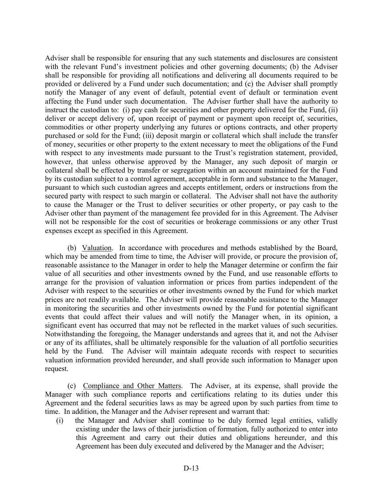Adviser shall be responsible for ensuring that any such statements and disclosures are consistent with the relevant Fund's investment policies and other governing documents; (b) the Adviser shall be responsible for providing all notifications and delivering all documents required to be provided or delivered by a Fund under such documentation; and (c) the Adviser shall promptly notify the Manager of any event of default, potential event of default or termination event affecting the Fund under such documentation. The Adviser further shall have the authority to instruct the custodian to: (i) pay cash for securities and other property delivered for the Fund, (ii) deliver or accept delivery of, upon receipt of payment or payment upon receipt of, securities, commodities or other property underlying any futures or options contracts, and other property purchased or sold for the Fund; (iii) deposit margin or collateral which shall include the transfer of money, securities or other property to the extent necessary to meet the obligations of the Fund with respect to any investments made pursuant to the Trust's registration statement, provided, however, that unless otherwise approved by the Manager, any such deposit of margin or collateral shall be effected by transfer or segregation within an account maintained for the Fund by its custodian subject to a control agreement, acceptable in form and substance to the Manager, pursuant to which such custodian agrees and accepts entitlement, orders or instructions from the secured party with respect to such margin or collateral. The Adviser shall not have the authority to cause the Manager or the Trust to deliver securities or other property, or pay cash to the Adviser other than payment of the management fee provided for in this Agreement. The Adviser will not be responsible for the cost of securities or brokerage commissions or any other Trust expenses except as specified in this Agreement.

(b) Valuation. In accordance with procedures and methods established by the Board, which may be amended from time to time, the Adviser will provide, or procure the provision of, reasonable assistance to the Manager in order to help the Manager determine or confirm the fair value of all securities and other investments owned by the Fund, and use reasonable efforts to arrange for the provision of valuation information or prices from parties independent of the Adviser with respect to the securities or other investments owned by the Fund for which market prices are not readily available. The Adviser will provide reasonable assistance to the Manager in monitoring the securities and other investments owned by the Fund for potential significant events that could affect their values and will notify the Manager when, in its opinion, a significant event has occurred that may not be reflected in the market values of such securities. Notwithstanding the foregoing, the Manager understands and agrees that it, and not the Adviser or any of its affiliates, shall be ultimately responsible for the valuation of all portfolio securities held by the Fund. The Adviser will maintain adequate records with respect to securities valuation information provided hereunder, and shall provide such information to Manager upon request.

 (c) Compliance and Other Matters. The Adviser, at its expense, shall provide the Manager with such compliance reports and certifications relating to its duties under this Agreement and the federal securities laws as may be agreed upon by such parties from time to time. In addition, the Manager and the Adviser represent and warrant that:

(i) the Manager and Adviser shall continue to be duly formed legal entities, validly existing under the laws of their jurisdiction of formation, fully authorized to enter into this Agreement and carry out their duties and obligations hereunder, and this Agreement has been duly executed and delivered by the Manager and the Adviser;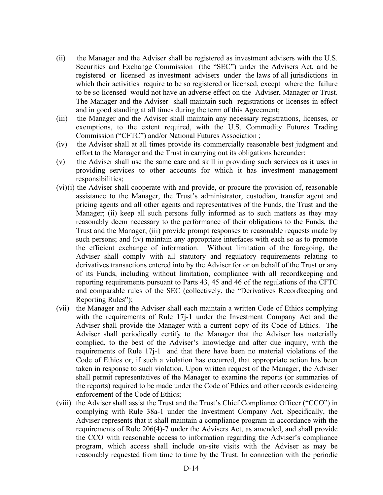- (ii) the Manager and the Adviser shall be registered as investment advisers with the U.S. Securities and Exchange Commission (the "SEC") under the Advisers Act, and be registered or licensed as investment advisers under the laws of all jurisdictions in which their activities require to be so registered or licensed, except where the failure to be so licensed would not have an adverse effect on the Adviser, Manager or Trust. The Manager and the Adviser shall maintain such registrations or licenses in effect and in good standing at all times during the term of this Agreement;
- (iii) the Manager and the Adviser shall maintain any necessary registrations, licenses, or exemptions, to the extent required, with the U.S. Commodity Futures Trading Commission ("CFTC") and/or National Futures Association ;
- (iv) the Adviser shall at all times provide its commercially reasonable best judgment and effort to the Manager and the Trust in carrying out its obligations hereunder;
- (v) the Adviser shall use the same care and skill in providing such services as it uses in providing services to other accounts for which it has investment management responsibilities;
- (vi)(i) the Adviser shall cooperate with and provide, or procure the provision of, reasonable assistance to the Manager, the Trust's administrator, custodian, transfer agent and pricing agents and all other agents and representatives of the Funds, the Trust and the Manager; (ii) keep all such persons fully informed as to such matters as they may reasonably deem necessary to the performance of their obligations to the Funds, the Trust and the Manager; (iii) provide prompt responses to reasonable requests made by such persons; and (iv) maintain any appropriate interfaces with each so as to promote the efficient exchange of information. Without limitation of the foregoing, the Adviser shall comply with all statutory and regulatory requirements relating to derivatives transactions entered into by the Adviser for or on behalf of the Trust or any of its Funds, including without limitation, compliance with all recordkeeping and reporting requirements pursuant to Parts 43, 45 and 46 of the regulations of the CFTC and comparable rules of the SEC (collectively, the "Derivatives Recordkeeping and Reporting Rules");
- (vii) the Manager and the Adviser shall each maintain a written Code of Ethics complying with the requirements of Rule 17j-1 under the Investment Company Act and the Adviser shall provide the Manager with a current copy of its Code of Ethics. The Adviser shall periodically certify to the Manager that the Adviser has materially complied, to the best of the Adviser's knowledge and after due inquiry, with the requirements of Rule 17j-1 and that there have been no material violations of the Code of Ethics or, if such a violation has occurred, that appropriate action has been taken in response to such violation. Upon written request of the Manager, the Adviser shall permit representatives of the Manager to examine the reports (or summaries of the reports) required to be made under the Code of Ethics and other records evidencing enforcement of the Code of Ethics;
- (viii) the Adviser shall assist the Trust and the Trust's Chief Compliance Officer ("CCO") in complying with Rule 38a-1 under the Investment Company Act. Specifically, the Adviser represents that it shall maintain a compliance program in accordance with the requirements of Rule 206(4)-7 under the Advisers Act, as amended, and shall provide the CCO with reasonable access to information regarding the Adviser's compliance program, which access shall include on-site visits with the Adviser as may be reasonably requested from time to time by the Trust. In connection with the periodic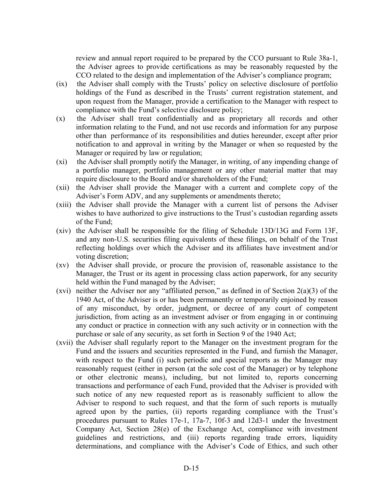review and annual report required to be prepared by the CCO pursuant to Rule 38a-1, the Adviser agrees to provide certifications as may be reasonably requested by the CCO related to the design and implementation of the Adviser's compliance program;

- (ix) the Adviser shall comply with the Trusts' policy on selective disclosure of portfolio holdings of the Fund as described in the Trusts' current registration statement, and upon request from the Manager, provide a certification to the Manager with respect to compliance with the Fund's selective disclosure policy;
- (x) the Adviser shall treat confidentially and as proprietary all records and other information relating to the Fund, and not use records and information for any purpose other than performance of its responsibilities and duties hereunder, except after prior notification to and approval in writing by the Manager or when so requested by the Manager or required by law or regulation;
- (xi) the Adviser shall promptly notify the Manager, in writing, of any impending change of a portfolio manager, portfolio management or any other material matter that may require disclosure to the Board and/or shareholders of the Fund;
- (xii) the Adviser shall provide the Manager with a current and complete copy of the Adviser's Form ADV, and any supplements or amendments thereto;
- (xiii) the Adviser shall provide the Manager with a current list of persons the Adviser wishes to have authorized to give instructions to the Trust's custodian regarding assets of the Fund;
- (xiv) the Adviser shall be responsible for the filing of Schedule 13D/13G and Form 13F, and any non-U.S. securities filing equivalents of these filings, on behalf of the Trust reflecting holdings over which the Adviser and its affiliates have investment and/or voting discretion;
- (xv) the Adviser shall provide, or procure the provision of, reasonable assistance to the Manager, the Trust or its agent in processing class action paperwork, for any security held within the Fund managed by the Adviser;
- (xvi) neither the Adviser nor any "affiliated person," as defined in of Section  $2(a)(3)$  of the 1940 Act, of the Adviser is or has been permanently or temporarily enjoined by reason of any misconduct, by order, judgment, or decree of any court of competent jurisdiction, from acting as an investment adviser or from engaging in or continuing any conduct or practice in connection with any such activity or in connection with the purchase or sale of any security, as set forth in Section 9 of the 1940 Act;
- (xvii) the Adviser shall regularly report to the Manager on the investment program for the Fund and the issuers and securities represented in the Fund, and furnish the Manager, with respect to the Fund (i) such periodic and special reports as the Manager may reasonably request (either in person (at the sole cost of the Manager) or by telephone or other electronic means), including, but not limited to, reports concerning transactions and performance of each Fund, provided that the Adviser is provided with such notice of any new requested report as is reasonably sufficient to allow the Adviser to respond to such request, and that the form of such reports is mutually agreed upon by the parties, (ii) reports regarding compliance with the Trust's procedures pursuant to Rules 17e-1, 17a-7, 10f-3 and 12d3-1 under the Investment Company Act, Section 28(e) of the Exchange Act, compliance with investment guidelines and restrictions, and (iii) reports regarding trade errors, liquidity determinations, and compliance with the Adviser's Code of Ethics, and such other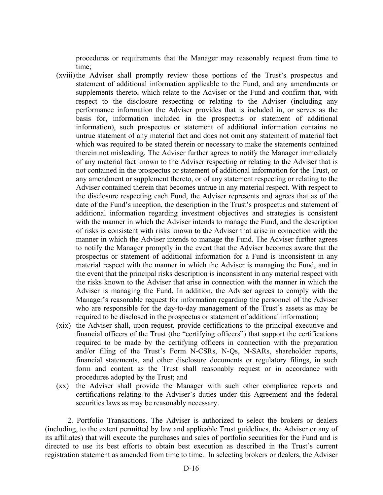procedures or requirements that the Manager may reasonably request from time to time;

- (xviii)the Adviser shall promptly review those portions of the Trust's prospectus and statement of additional information applicable to the Fund, and any amendments or supplements thereto, which relate to the Adviser or the Fund and confirm that, with respect to the disclosure respecting or relating to the Adviser (including any performance information the Adviser provides that is included in, or serves as the basis for, information included in the prospectus or statement of additional information), such prospectus or statement of additional information contains no untrue statement of any material fact and does not omit any statement of material fact which was required to be stated therein or necessary to make the statements contained therein not misleading. The Adviser further agrees to notify the Manager immediately of any material fact known to the Adviser respecting or relating to the Adviser that is not contained in the prospectus or statement of additional information for the Trust, or any amendment or supplement thereto, or of any statement respecting or relating to the Adviser contained therein that becomes untrue in any material respect. With respect to the disclosure respecting each Fund, the Adviser represents and agrees that as of the date of the Fund's inception, the description in the Trust's prospectus and statement of additional information regarding investment objectives and strategies is consistent with the manner in which the Adviser intends to manage the Fund, and the description of risks is consistent with risks known to the Adviser that arise in connection with the manner in which the Adviser intends to manage the Fund. The Adviser further agrees to notify the Manager promptly in the event that the Adviser becomes aware that the prospectus or statement of additional information for a Fund is inconsistent in any material respect with the manner in which the Adviser is managing the Fund, and in the event that the principal risks description is inconsistent in any material respect with the risks known to the Adviser that arise in connection with the manner in which the Adviser is managing the Fund. In addition, the Adviser agrees to comply with the Manager's reasonable request for information regarding the personnel of the Adviser who are responsible for the day-to-day management of the Trust's assets as may be required to be disclosed in the prospectus or statement of additional information;
- (xix) the Adviser shall, upon request, provide certifications to the principal executive and financial officers of the Trust (the "certifying officers") that support the certifications required to be made by the certifying officers in connection with the preparation and/or filing of the Trust's Form N-CSRs, N-Qs, N-SARs, shareholder reports, financial statements, and other disclosure documents or regulatory filings, in such form and content as the Trust shall reasonably request or in accordance with procedures adopted by the Trust; and
- (xx) the Adviser shall provide the Manager with such other compliance reports and certifications relating to the Adviser's duties under this Agreement and the federal securities laws as may be reasonably necessary.

 2. Portfolio Transactions. The Adviser is authorized to select the brokers or dealers (including, to the extent permitted by law and applicable Trust guidelines, the Adviser or any of its affiliates) that will execute the purchases and sales of portfolio securities for the Fund and is directed to use its best efforts to obtain best execution as described in the Trust's current registration statement as amended from time to time. In selecting brokers or dealers, the Adviser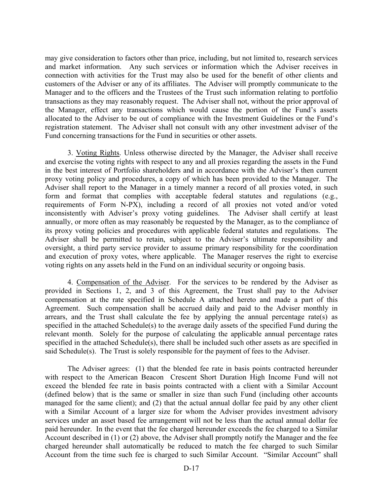may give consideration to factors other than price, including, but not limited to, research services and market information. Any such services or information which the Adviser receives in connection with activities for the Trust may also be used for the benefit of other clients and customers of the Adviser or any of its affiliates. The Adviser will promptly communicate to the Manager and to the officers and the Trustees of the Trust such information relating to portfolio transactions as they may reasonably request. The Adviser shall not, without the prior approval of the Manager, effect any transactions which would cause the portion of the Fund's assets allocated to the Adviser to be out of compliance with the Investment Guidelines or the Fund's registration statement. The Adviser shall not consult with any other investment adviser of the Fund concerning transactions for the Fund in securities or other assets.

3. Voting Rights. Unless otherwise directed by the Manager, the Adviser shall receive and exercise the voting rights with respect to any and all proxies regarding the assets in the Fund in the best interest of Portfolio shareholders and in accordance with the Adviser's then current proxy voting policy and procedures, a copy of which has been provided to the Manager. The Adviser shall report to the Manager in a timely manner a record of all proxies voted, in such form and format that complies with acceptable federal statutes and regulations (e.g., requirements of Form N-PX), including a record of all proxies not voted and/or voted inconsistently with Adviser's proxy voting guidelines. The Adviser shall certify at least annually, or more often as may reasonably be requested by the Manager, as to the compliance of its proxy voting policies and procedures with applicable federal statutes and regulations. The Adviser shall be permitted to retain, subject to the Adviser's ultimate responsibility and oversight, a third party service provider to assume primary responsibility for the coordination and execution of proxy votes, where applicable. The Manager reserves the right to exercise voting rights on any assets held in the Fund on an individual security or ongoing basis.

4. Compensation of the Adviser. For the services to be rendered by the Adviser as provided in Sections 1, 2, and 3 of this Agreement, the Trust shall pay to the Adviser compensation at the rate specified in Schedule A attached hereto and made a part of this Agreement. Such compensation shall be accrued daily and paid to the Adviser monthly in arrears, and the Trust shall calculate the fee by applying the annual percentage rate(s) as specified in the attached Schedule(s) to the average daily assets of the specified Fund during the relevant month. Solely for the purpose of calculating the applicable annual percentage rates specified in the attached Schedule(s), there shall be included such other assets as are specified in said Schedule(s). The Trust is solely responsible for the payment of fees to the Adviser.

 The Adviser agrees: (1) that the blended fee rate in basis points contracted hereunder with respect to the American Beacon Crescent Short Duration High Income Fund will not exceed the blended fee rate in basis points contracted with a client with a Similar Account (defined below) that is the same or smaller in size than such Fund (including other accounts managed for the same client); and (2) that the actual annual dollar fee paid by any other client with a Similar Account of a larger size for whom the Adviser provides investment advisory services under an asset based fee arrangement will not be less than the actual annual dollar fee paid hereunder. In the event that the fee charged hereunder exceeds the fee charged to a Similar Account described in (1) or (2) above, the Adviser shall promptly notify the Manager and the fee charged hereunder shall automatically be reduced to match the fee charged to such Similar Account from the time such fee is charged to such Similar Account. "Similar Account" shall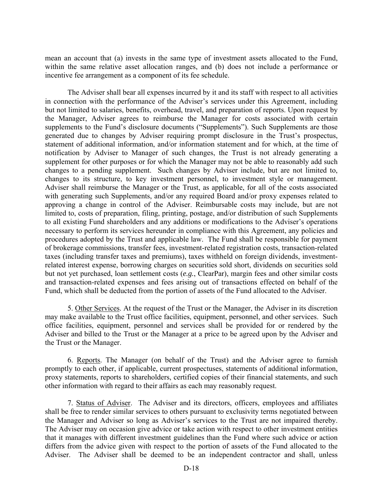mean an account that (a) invests in the same type of investment assets allocated to the Fund, within the same relative asset allocation ranges, and (b) does not include a performance or incentive fee arrangement as a component of its fee schedule.

 The Adviser shall bear all expenses incurred by it and its staff with respect to all activities in connection with the performance of the Adviser's services under this Agreement, including but not limited to salaries, benefits, overhead, travel, and preparation of reports. Upon request by the Manager, Adviser agrees to reimburse the Manager for costs associated with certain supplements to the Fund's disclosure documents ("Supplements"). Such Supplements are those generated due to changes by Adviser requiring prompt disclosure in the Trust's prospectus, statement of additional information, and/or information statement and for which, at the time of notification by Adviser to Manager of such changes, the Trust is not already generating a supplement for other purposes or for which the Manager may not be able to reasonably add such changes to a pending supplement. Such changes by Adviser include, but are not limited to, changes to its structure, to key investment personnel, to investment style or management. Adviser shall reimburse the Manager or the Trust, as applicable, for all of the costs associated with generating such Supplements, and/or any required Board and/or proxy expenses related to approving a change in control of the Adviser. Reimbursable costs may include, but are not limited to, costs of preparation, filing, printing, postage, and/or distribution of such Supplements to all existing Fund shareholders and any additions or modifications to the Adviser's operations necessary to perform its services hereunder in compliance with this Agreement, any policies and procedures adopted by the Trust and applicable law. The Fund shall be responsible for payment of brokerage commissions, transfer fees, investment-related registration costs, transaction-related taxes (including transfer taxes and premiums), taxes withheld on foreign dividends, investmentrelated interest expense, borrowing charges on securities sold short, dividends on securities sold but not yet purchased, loan settlement costs (*e.g.*, ClearPar), margin fees and other similar costs and transaction-related expenses and fees arising out of transactions effected on behalf of the Fund, which shall be deducted from the portion of assets of the Fund allocated to the Adviser.

 5. Other Services. At the request of the Trust or the Manager, the Adviser in its discretion may make available to the Trust office facilities, equipment, personnel, and other services. Such office facilities, equipment, personnel and services shall be provided for or rendered by the Adviser and billed to the Trust or the Manager at a price to be agreed upon by the Adviser and the Trust or the Manager.

 6. Reports. The Manager (on behalf of the Trust) and the Adviser agree to furnish promptly to each other, if applicable, current prospectuses, statements of additional information, proxy statements, reports to shareholders, certified copies of their financial statements, and such other information with regard to their affairs as each may reasonably request.

 7. Status of Adviser. The Adviser and its directors, officers, employees and affiliates shall be free to render similar services to others pursuant to exclusivity terms negotiated between the Manager and Adviser so long as Adviser's services to the Trust are not impaired thereby. The Adviser may on occasion give advice or take action with respect to other investment entities that it manages with different investment guidelines than the Fund where such advice or action differs from the advice given with respect to the portion of assets of the Fund allocated to the Adviser. The Adviser shall be deemed to be an independent contractor and shall, unless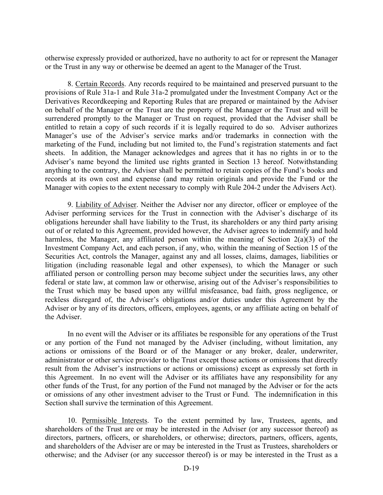otherwise expressly provided or authorized, have no authority to act for or represent the Manager or the Trust in any way or otherwise be deemed an agent to the Manager of the Trust.

 8. Certain Records. Any records required to be maintained and preserved pursuant to the provisions of Rule 31a-1 and Rule 31a-2 promulgated under the Investment Company Act or the Derivatives Recordkeeping and Reporting Rules that are prepared or maintained by the Adviser on behalf of the Manager or the Trust are the property of the Manager or the Trust and will be surrendered promptly to the Manager or Trust on request, provided that the Adviser shall be entitled to retain a copy of such records if it is legally required to do so. Adviser authorizes Manager's use of the Adviser's service marks and/or trademarks in connection with the marketing of the Fund, including but not limited to, the Fund's registration statements and fact sheets. In addition, the Manager acknowledges and agrees that it has no rights in or to the Adviser's name beyond the limited use rights granted in Section 13 hereof. Notwithstanding anything to the contrary, the Adviser shall be permitted to retain copies of the Fund's books and records at its own cost and expense (and may retain originals and provide the Fund or the Manager with copies to the extent necessary to comply with Rule 204-2 under the Advisers Act).

 9. Liability of Adviser. Neither the Adviser nor any director, officer or employee of the Adviser performing services for the Trust in connection with the Adviser's discharge of its obligations hereunder shall have liability to the Trust, its shareholders or any third party arising out of or related to this Agreement, provided however, the Adviser agrees to indemnify and hold harmless, the Manager, any affiliated person within the meaning of Section 2(a)(3) of the Investment Company Act, and each person, if any, who, within the meaning of Section 15 of the Securities Act, controls the Manager, against any and all losses, claims, damages, liabilities or litigation (including reasonable legal and other expenses), to which the Manager or such affiliated person or controlling person may become subject under the securities laws, any other federal or state law, at common law or otherwise, arising out of the Adviser's responsibilities to the Trust which may be based upon any willful misfeasance, bad faith, gross negligence, or reckless disregard of, the Adviser's obligations and/or duties under this Agreement by the Adviser or by any of its directors, officers, employees, agents, or any affiliate acting on behalf of the Adviser.

In no event will the Adviser or its affiliates be responsible for any operations of the Trust or any portion of the Fund not managed by the Adviser (including, without limitation, any actions or omissions of the Board or of the Manager or any broker, dealer, underwriter, administrator or other service provider to the Trust except those actions or omissions that directly result from the Adviser's instructions or actions or omissions) except as expressly set forth in this Agreement. In no event will the Adviser or its affiliates have any responsibility for any other funds of the Trust, for any portion of the Fund not managed by the Adviser or for the acts or omissions of any other investment adviser to the Trust or Fund. The indemnification in this Section shall survive the termination of this Agreement.

 10. Permissible Interests. To the extent permitted by law, Trustees, agents, and shareholders of the Trust are or may be interested in the Adviser (or any successor thereof) as directors, partners, officers, or shareholders, or otherwise; directors, partners, officers, agents, and shareholders of the Adviser are or may be interested in the Trust as Trustees, shareholders or otherwise; and the Adviser (or any successor thereof) is or may be interested in the Trust as a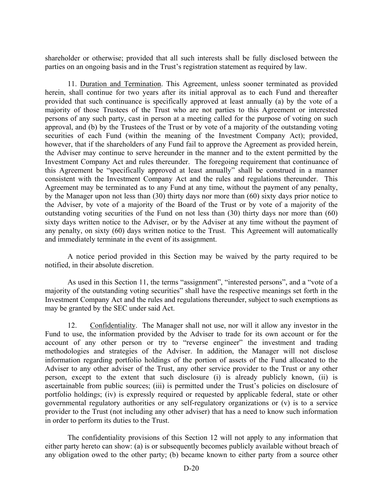shareholder or otherwise; provided that all such interests shall be fully disclosed between the parties on an ongoing basis and in the Trust's registration statement as required by law.

 11. Duration and Termination. This Agreement, unless sooner terminated as provided herein, shall continue for two years after its initial approval as to each Fund and thereafter provided that such continuance is specifically approved at least annually (a) by the vote of a majority of those Trustees of the Trust who are not parties to this Agreement or interested persons of any such party, cast in person at a meeting called for the purpose of voting on such approval, and (b) by the Trustees of the Trust or by vote of a majority of the outstanding voting securities of each Fund (within the meaning of the Investment Company Act); provided, however, that if the shareholders of any Fund fail to approve the Agreement as provided herein, the Adviser may continue to serve hereunder in the manner and to the extent permitted by the Investment Company Act and rules thereunder. The foregoing requirement that continuance of this Agreement be "specifically approved at least annually" shall be construed in a manner consistent with the Investment Company Act and the rules and regulations thereunder. This Agreement may be terminated as to any Fund at any time, without the payment of any penalty, by the Manager upon not less than (30) thirty days nor more than (60) sixty days prior notice to the Adviser, by vote of a majority of the Board of the Trust or by vote of a majority of the outstanding voting securities of the Fund on not less than (30) thirty days nor more than (60) sixty days written notice to the Adviser, or by the Adviser at any time without the payment of any penalty, on sixty (60) days written notice to the Trust. This Agreement will automatically and immediately terminate in the event of its assignment.

 A notice period provided in this Section may be waived by the party required to be notified, in their absolute discretion.

 As used in this Section 11, the terms "assignment", "interested persons", and a "vote of a majority of the outstanding voting securities" shall have the respective meanings set forth in the Investment Company Act and the rules and regulations thereunder, subject to such exemptions as may be granted by the SEC under said Act.

 12. Confidentiality. The Manager shall not use, nor will it allow any investor in the Fund to use, the information provided by the Adviser to trade for its own account or for the account of any other person or try to "reverse engineer" the investment and trading methodologies and strategies of the Adviser. In addition, the Manager will not disclose information regarding portfolio holdings of the portion of assets of the Fund allocated to the Adviser to any other adviser of the Trust, any other service provider to the Trust or any other person, except to the extent that such disclosure (i) is already publicly known, (ii) is ascertainable from public sources; (iii) is permitted under the Trust's policies on disclosure of portfolio holdings; (iv) is expressly required or requested by applicable federal, state or other governmental regulatory authorities or any self-regulatory organizations or (v) is to a service provider to the Trust (not including any other adviser) that has a need to know such information in order to perform its duties to the Trust.

 The confidentiality provisions of this Section 12 will not apply to any information that either party hereto can show: (a) is or subsequently becomes publicly available without breach of any obligation owed to the other party; (b) became known to either party from a source other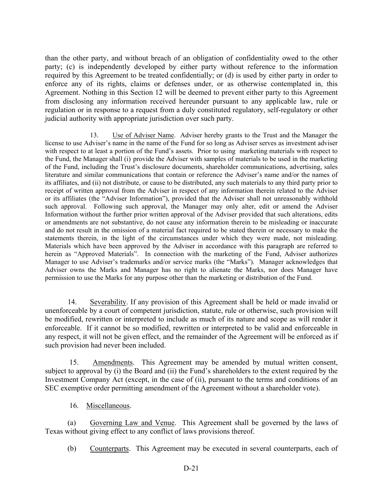than the other party, and without breach of an obligation of confidentiality owed to the other party; (c) is independently developed by either party without reference to the information required by this Agreement to be treated confidentially; or (d) is used by either party in order to enforce any of its rights, claims or defenses under, or as otherwise contemplated in, this Agreement. Nothing in this Section 12 will be deemed to prevent either party to this Agreement from disclosing any information received hereunder pursuant to any applicable law, rule or regulation or in response to a request from a duly constituted regulatory, self-regulatory or other judicial authority with appropriate jurisdiction over such party.

13. Use of Adviser Name. Adviser hereby grants to the Trust and the Manager the license to use Adviser's name in the name of the Fund for so long as Adviser serves as investment adviser with respect to at least a portion of the Fund's assets. Prior to using marketing materials with respect to the Fund, the Manager shall (i) provide the Adviser with samples of materials to be used in the marketing of the Fund, including the Trust's disclosure documents, shareholder communications, advertising, sales literature and similar communications that contain or reference the Adviser's name and/or the names of its affiliates, and (ii) not distribute, or cause to be distributed, any such materials to any third party prior to receipt of written approval from the Adviser in respect of any information therein related to the Adviser or its affiliates (the "Adviser Information"), provided that the Adviser shall not unreasonably withhold such approval. Following such approval, the Manager may only alter, edit or amend the Adviser Information without the further prior written approval of the Adviser provided that such alterations, edits or amendments are not substantive, do not cause any information therein to be misleading or inaccurate and do not result in the omission of a material fact required to be stated therein or necessary to make the statements therein, in the light of the circumstances under which they were made, not misleading. Materials which have been approved by the Adviser in accordance with this paragraph are referred to herein as "Approved Materials". In connection with the marketing of the Fund, Adviser authorizes Manager to use Adviser's trademarks and/or service marks (the "Marks"). Manager acknowledges that Adviser owns the Marks and Manager has no right to alienate the Marks, nor does Manager have permission to use the Marks for any purpose other than the marketing or distribution of the Fund.

 14. Severability. If any provision of this Agreement shall be held or made invalid or unenforceable by a court of competent jurisdiction, statute, rule or otherwise, such provision will be modified, rewritten or interpreted to include as much of its nature and scope as will render it enforceable. If it cannot be so modified, rewritten or interpreted to be valid and enforceable in any respect, it will not be given effect, and the remainder of the Agreement will be enforced as if such provision had never been included.

 15. Amendments. This Agreement may be amended by mutual written consent, subject to approval by (i) the Board and (ii) the Fund's shareholders to the extent required by the Investment Company Act (except, in the case of (ii), pursuant to the terms and conditions of an SEC exemptive order permitting amendment of the Agreement without a shareholder vote).

16. Miscellaneous.

(a) Governing Law and Venue. This Agreement shall be governed by the laws of Texas without giving effect to any conflict of laws provisions thereof.

(b) Counterparts. This Agreement may be executed in several counterparts, each of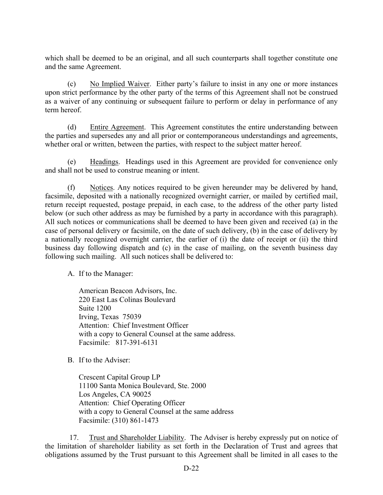which shall be deemed to be an original, and all such counterparts shall together constitute one and the same Agreement.

(c) No Implied Waiver. Either party's failure to insist in any one or more instances upon strict performance by the other party of the terms of this Agreement shall not be construed as a waiver of any continuing or subsequent failure to perform or delay in performance of any term hereof.

(d) Entire Agreement. This Agreement constitutes the entire understanding between the parties and supersedes any and all prior or contemporaneous understandings and agreements, whether oral or written, between the parties, with respect to the subject matter hereof.

(e) Headings. Headings used in this Agreement are provided for convenience only and shall not be used to construe meaning or intent.

(f) Notices. Any notices required to be given hereunder may be delivered by hand, facsimile, deposited with a nationally recognized overnight carrier, or mailed by certified mail, return receipt requested, postage prepaid, in each case, to the address of the other party listed below (or such other address as may be furnished by a party in accordance with this paragraph). All such notices or communications shall be deemed to have been given and received (a) in the case of personal delivery or facsimile, on the date of such delivery, (b) in the case of delivery by a nationally recognized overnight carrier, the earlier of (i) the date of receipt or (ii) the third business day following dispatch and (c) in the case of mailing, on the seventh business day following such mailing. All such notices shall be delivered to:

A. If to the Manager:

American Beacon Advisors, Inc. 220 East Las Colinas Boulevard Suite 1200 Irving, Texas 75039 Attention: Chief Investment Officer with a copy to General Counsel at the same address. Facsimile: 817-391-6131

B. If to the Adviser:

Crescent Capital Group LP 11100 Santa Monica Boulevard, Ste. 2000 Los Angeles, CA 90025 Attention: Chief Operating Officer with a copy to General Counsel at the same address Facsimile: (310) 861-1473

 17. Trust and Shareholder Liability. The Adviser is hereby expressly put on notice of the limitation of shareholder liability as set forth in the Declaration of Trust and agrees that obligations assumed by the Trust pursuant to this Agreement shall be limited in all cases to the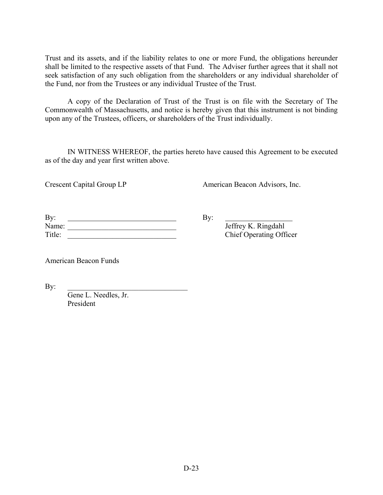Trust and its assets, and if the liability relates to one or more Fund, the obligations hereunder shall be limited to the respective assets of that Fund. The Adviser further agrees that it shall not seek satisfaction of any such obligation from the shareholders or any individual shareholder of the Fund, nor from the Trustees or any individual Trustee of the Trust.

 A copy of the Declaration of Trust of the Trust is on file with the Secretary of The Commonwealth of Massachusetts, and notice is hereby given that this instrument is not binding upon any of the Trustees, officers, or shareholders of the Trust individually.

 IN WITNESS WHEREOF, the parties hereto have caused this Agreement to be executed as of the day and year first written above.

Crescent Capital Group LP American Beacon Advisors, Inc.

| By:    |  |
|--------|--|
| Name:  |  |
| Title: |  |

Jeffrey K. Ringdahl Chief Operating Officer

American Beacon Funds

By:  $\Box$ 

 Gene L. Needles, Jr. President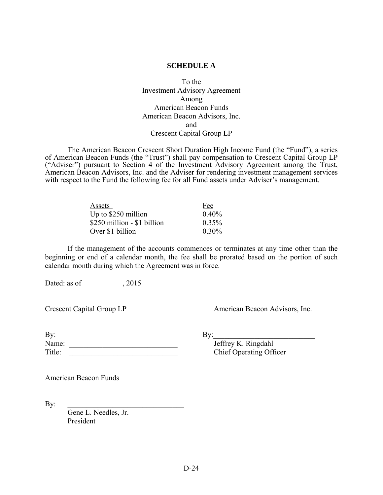### **SCHEDULE A**

To the Investment Advisory Agreement Among American Beacon Funds American Beacon Advisors, Inc. and Crescent Capital Group LP

The American Beacon Crescent Short Duration High Income Fund (the "Fund"), a series of American Beacon Funds (the "Trust") shall pay compensation to Crescent Capital Group LP ("Adviser") pursuant to Section 4 of the Investment Advisory Agreement among the Trust, American Beacon Advisors, Inc. and the Adviser for rendering investment management services with respect to the Fund the following fee for all Fund assets under Adviser's management.

| Assets                      | Fee      |
|-----------------------------|----------|
| Up to $$250$ million        | 0.40%    |
| \$250 million - \$1 billion | $0.35\%$ |
| Over \$1 billion            | $0.30\%$ |

 If the management of the accounts commences or terminates at any time other than the beginning or end of a calendar month, the fee shall be prorated based on the portion of such calendar month during which the Agreement was in force.

Dated: as of  $, 2015$ 

Crescent Capital Group LP American Beacon Advisors, Inc.

| By:    |         |
|--------|---------|
| Name:  | Jeffrey |
| Title: | Chief O |

Jeffrey K. Ringdahl Chief Operating Officer

American Beacon Funds

By:  $\qquad \qquad$ 

 Gene L. Needles, Jr. President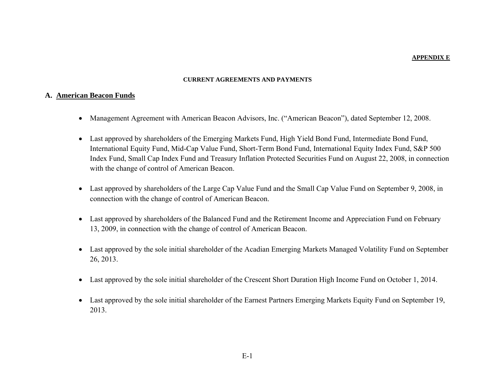#### **APPENDIX E**

#### **CURRENT AGREEMENTS AND PAYMENTS**

#### **A. American Beacon Funds**

- Management Agreement with American Beacon Advisors, Inc. ("American Beacon"), dated September 12, 2008.
- Last approved by shareholders of the Emerging Markets Fund, High Yield Bond Fund, Intermediate Bond Fund, International Equity Fund, Mid-Cap Value Fund, Short-Term Bond Fund, International Equity Index Fund, S&P 500 Index Fund, Small Cap Index Fund and Treasury Inflation Protected Securities Fund on August 22, 2008, in connection with the change of control of American Beacon.
- Last approved by shareholders of the Large Cap Value Fund and the Small Cap Value Fund on September 9, 2008, in connection with the change of control of American Beacon.
- Last approved by shareholders of the Balanced Fund and the Retirement Income and Appreciation Fund on February 13, 2009, in connection with the change of control of American Beacon.
- Last approved by the sole initial shareholder of the Acadian Emerging Markets Managed Volatility Fund on September 26, 2013.
- Last approved by the sole initial shareholder of the Crescent Short Duration High Income Fund on October 1, 2014.
- Last approved by the sole initial shareholder of the Earnest Partners Emerging Markets Equity Fund on September 19, 2013.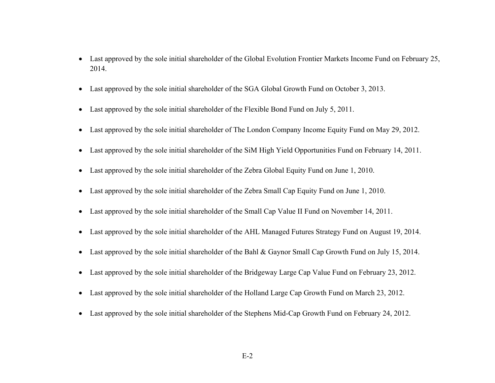- Last approved by the sole initial shareholder of the Global Evolution Frontier Markets Income Fund on February 25, 2014.
- Last approved by the sole initial shareholder of the SGA Global Growth Fund on October 3, 2013.
- Last approved by the sole initial shareholder of the Flexible Bond Fund on July 5, 2011.
- Last approved by the sole initial shareholder of The London Company Income Equity Fund on May 29, 2012.
- Last approved by the sole initial shareholder of the SiM High Yield Opportunities Fund on February 14, 2011.
- Last approved by the sole initial shareholder of the Zebra Global Equity Fund on June 1, 2010.
- Last approved by the sole initial shareholder of the Zebra Small Cap Equity Fund on June 1, 2010.
- Last approved by the sole initial shareholder of the Small Cap Value II Fund on November 14, 2011.
- Last approved by the sole initial shareholder of the AHL Managed Futures Strategy Fund on August 19, 2014.
- Last approved by the sole initial shareholder of the Bahl & Gaynor Small Cap Growth Fund on July 15, 2014.
- Last approved by the sole initial shareholder of the Bridgeway Large Cap Value Fund on February 23, 2012.
- Last approved by the sole initial shareholder of the Holland Large Cap Growth Fund on March 23, 2012.
- Last approved by the sole initial shareholder of the Stephens Mid-Cap Growth Fund on February 24, 2012.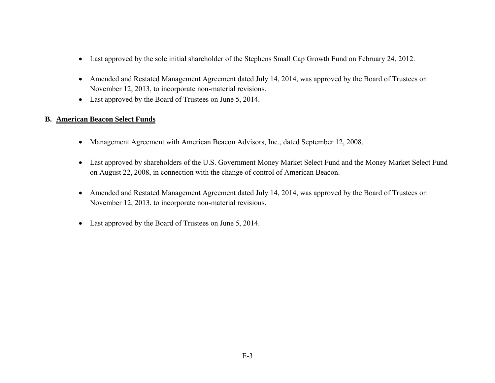- Last approved by the sole initial shareholder of the Stephens Small Cap Growth Fund on February 24, 2012.
- Amended and Restated Management Agreement dated July 14, 2014, was approved by the Board of Trustees on November 12, 2013, to incorporate non-material revisions.
- Last approved by the Board of Trustees on June 5, 2014.

# **B. American Beacon Select Funds**

- Management Agreement with American Beacon Advisors, Inc., dated September 12, 2008.
- Last approved by shareholders of the U.S. Government Money Market Select Fund and the Money Market Select Fund on August 22, 2008, in connection with the change of control of American Beacon.
- $\bullet$  Amended and Restated Management Agreement dated July 14, 2014, was approved by the Board of Trustees on November 12, 2013, to incorporate non-material revisions.
- Last approved by the Board of Trustees on June 5, 2014.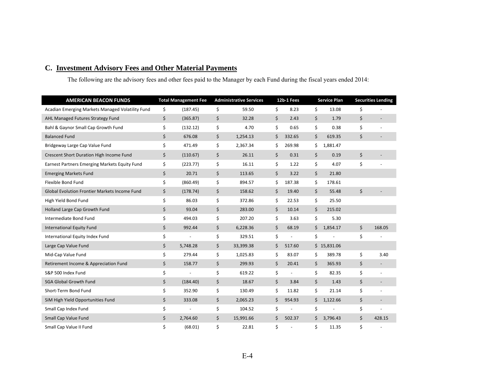# **C. Investment Advisory Fees and Other Material Payments**

The following are the advisory fees and other fees paid to the Manager by each Fund during the fiscal years ended 2014:

| <b>AMERICAN BEACON FUNDS</b>                         | <b>Total Management Fee</b>    | <b>Administrative Services</b> | 12b-1 Fees           |    | <b>Service Plan</b> | <b>Securities Lending</b>      |
|------------------------------------------------------|--------------------------------|--------------------------------|----------------------|----|---------------------|--------------------------------|
| Acadian Emerging Markets Managed Volatility Fund     | \$<br>(187.45)                 | \$<br>59.50                    | \$<br>8.23           | \$ | 13.08               | \$                             |
| AHL Managed Futures Strategy Fund                    | \$<br>(365.87)                 | \$<br>32.28                    | \$<br>2.43           | \$ | 1.79                | \$                             |
| Bahl & Gaynor Small Cap Growth Fund                  | \$<br>(132.12)                 | \$<br>4.70                     | \$<br>0.65           | \$ | 0.38                | \$                             |
| <b>Balanced Fund</b>                                 | \$<br>676.08                   | \$<br>1,254.13                 | \$<br>332.65         | \$ | 619.35              | \$                             |
| Bridgeway Large Cap Value Fund                       | \$<br>471.49                   | \$<br>2,367.34                 | \$<br>269.98         | \$ | 1,881.47            |                                |
| Crescent Short Duration High Income Fund             | \$<br>(110.67)                 | \$<br>26.11                    | \$<br>0.31           | \$ | 0.19                | \$                             |
| Earnest Partners Emerging Markets Equity Fund        | \$<br>(223.77)                 | \$<br>16.11                    | \$<br>1.22           | \$ | 4.07                | \$                             |
| <b>Emerging Markets Fund</b>                         | \$<br>20.71                    | \$<br>113.65                   | \$<br>3.22           | \$ | 21.80               |                                |
| Flexible Bond Fund                                   | \$<br>(860.49)                 | \$<br>894.57                   | \$<br>187.38         | \$ | 178.61              |                                |
| <b>Global Evolution Frontier Markets Income Fund</b> | \$<br>(178.74)                 | \$<br>158.62                   | \$<br>19.40          | \$ | 55.48               | \$                             |
| High Yield Bond Fund                                 | \$<br>86.03                    | \$<br>372.86                   | \$<br>22.53          | \$ | 25.50               |                                |
| Holland Large Cap Growth Fund                        | \$<br>93.04                    | \$<br>283.00                   | \$<br>10.14          | \$ | 215.02              |                                |
| Intermediate Bond Fund                               | \$<br>494.03                   | \$<br>207.20                   | \$<br>3.63           | \$ | 5.30                |                                |
| <b>International Equity Fund</b>                     | \$<br>992.44                   | \$<br>6,228.36                 | \$<br>68.19          | \$ | 1,854.17            | \$<br>168.05                   |
| International Equity Index Fund                      | \$                             | \$<br>329.51                   | \$                   | \$ |                     | \$                             |
| Large Cap Value Fund                                 | \$<br>5,748.28                 | \$<br>33,399.38                | \$<br>517.60         |    | \$15,831.06         |                                |
| Mid-Cap Value Fund                                   | \$<br>279.44                   | \$<br>1,025.83                 | \$<br>83.07          | \$ | 389.78              | \$<br>3.40                     |
| Retirement Income & Appreciation Fund                | \$<br>158.77                   | \$<br>299.93                   | \$<br>20.41          | \$ | 365.93              | \$<br>$\overline{\phantom{a}}$ |
| S&P 500 Index Fund                                   | \$<br>$\overline{\phantom{a}}$ | \$<br>619.22                   | \$<br>$\blacksquare$ | \$ | 82.35               | \$<br>÷,                       |
| <b>SGA Global Growth Fund</b>                        | \$<br>(184.40)                 | \$<br>18.67                    | \$<br>3.84           | \$ | 1.43                | \$<br>$\overline{a}$           |
| Short-Term Bond Fund                                 | \$<br>352.90                   | \$<br>130.49                   | \$<br>11.82          | \$ | 21.14               | \$                             |
| SiM High Yield Opportunities Fund                    | \$<br>333.08                   | \$<br>2,065.23                 | \$<br>954.93         | \$ | 1,122.66            | \$                             |
| Small Cap Index Fund                                 | \$                             | \$<br>104.52                   | \$                   | \$ |                     | \$                             |
| Small Cap Value Fund                                 | \$<br>2,764.60                 | \$<br>15,991.66                | \$<br>502.37         | \$ | 3,796.43            | \$<br>428.15                   |
| Small Cap Value II Fund                              | \$<br>(68.01)                  | \$<br>22.81                    | \$                   | Ś  | 11.35               | \$                             |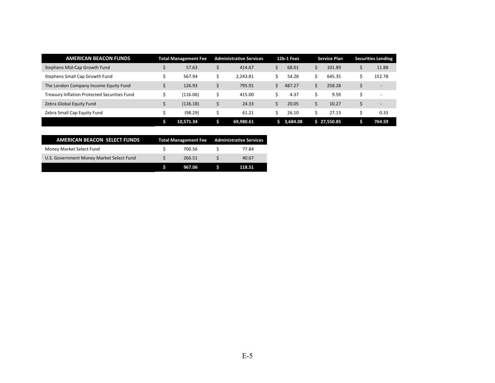| <b>AMERICAN BEACON FUNDS</b>                 | <b>Total Management Fee</b> |   | <b>Administrative Services</b> | 12b-1 Fees | <b>Service Plan</b> |   | <b>Securities Lending</b> |
|----------------------------------------------|-----------------------------|---|--------------------------------|------------|---------------------|---|---------------------------|
| Stephens Mid-Cap Growth Fund                 | 57.63                       |   | 414.67                         | 68.01      | 101.89              |   | 11.88                     |
| Stephens Small Cap Growth Fund               | 567.94                      | Ć | 2.243.81                       | 54.28      | 645.35              |   | 152.78                    |
| The London Company Income Equity Fund        | 126.93                      |   | 795.91                         | 487.27     | 258.28              |   | $\overline{\phantom{a}}$  |
| Treasury Inflation Protected Securities Fund | (116.06)                    |   | 415.00                         | 4.37       | 9.59                |   | $\overline{\phantom{a}}$  |
| Zebra Global Equity Fund                     | (126.18)                    |   | 24.33                          | 20.05      | 10.27               | Ś | $\overline{a}$            |
| Zebra Small Cap Equity Fund                  | (98.29)                     |   | 61.21                          | 26.10      | 27.13               |   | 0.33                      |
|                                              | 10,571.34                   | S | 69,980.61                      | \$3,684.08 | \$27,550.85         |   | 764.59                    |

| AMERICAN BEACON SELECT FUNDS             |        | Total Management Fee Administrative Services |
|------------------------------------------|--------|----------------------------------------------|
| Money Market Select Fund                 | 700.56 | 77.84                                        |
| U.S. Government Money Market Select Fund | 266.51 | 40.67                                        |
|                                          | 967.06 | 118.51                                       |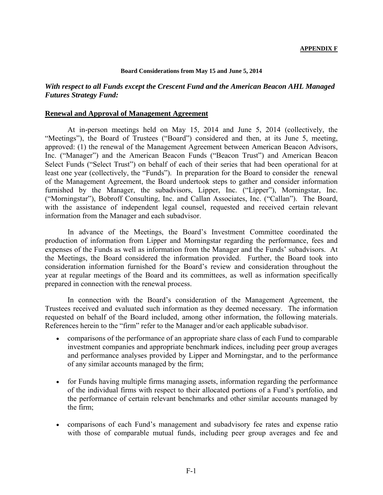#### **Board Considerations from May 15 and June 5, 2014**

### *With respect to all Funds except the Crescent Fund and the American Beacon AHL Managed Futures Strategy Fund:*

#### **Renewal and Approval of Management Agreement**

At in-person meetings held on May 15, 2014 and June 5, 2014 (collectively, the "Meetings"), the Board of Trustees ("Board") considered and then, at its June 5, meeting, approved: (1) the renewal of the Management Agreement between American Beacon Advisors, Inc. ("Manager") and the American Beacon Funds ("Beacon Trust") and American Beacon Select Funds ("Select Trust") on behalf of each of their series that had been operational for at least one year (collectively, the "Funds"). In preparation for the Board to consider the renewal of the Management Agreement, the Board undertook steps to gather and consider information furnished by the Manager, the subadvisors, Lipper, Inc. ("Lipper"), Morningstar, Inc. ("Morningstar"), Bobroff Consulting, Inc. and Callan Associates, Inc. ("Callan"). The Board, with the assistance of independent legal counsel, requested and received certain relevant information from the Manager and each subadvisor.

In advance of the Meetings, the Board's Investment Committee coordinated the production of information from Lipper and Morningstar regarding the performance, fees and expenses of the Funds as well as information from the Manager and the Funds' subadvisors. At the Meetings, the Board considered the information provided. Further, the Board took into consideration information furnished for the Board's review and consideration throughout the year at regular meetings of the Board and its committees, as well as information specifically prepared in connection with the renewal process.

In connection with the Board's consideration of the Management Agreement, the Trustees received and evaluated such information as they deemed necessary. The information requested on behalf of the Board included, among other information, the following materials. References herein to the "firm" refer to the Manager and/or each applicable subadvisor.

- comparisons of the performance of an appropriate share class of each Fund to comparable investment companies and appropriate benchmark indices, including peer group averages and performance analyses provided by Lipper and Morningstar, and to the performance of any similar accounts managed by the firm;
- for Funds having multiple firms managing assets, information regarding the performance of the individual firms with respect to their allocated portions of a Fund's portfolio, and the performance of certain relevant benchmarks and other similar accounts managed by the firm;
- comparisons of each Fund's management and subadvisory fee rates and expense ratio with those of comparable mutual funds, including peer group averages and fee and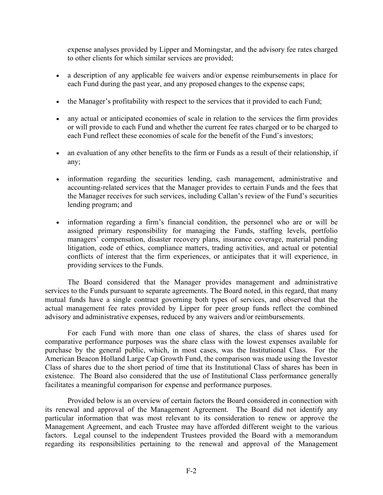expense analyses provided by Lipper and Morningstar, and the advisory fee rates charged to other clients for which similar services are provided;

- a description of any applicable fee waivers and/or expense reimbursements in place for each Fund during the past year, and any proposed changes to the expense caps;
- the Manager's profitability with respect to the services that it provided to each Fund;
- any actual or anticipated economies of scale in relation to the services the firm provides or will provide to each Fund and whether the current fee rates charged or to be charged to each Fund reflect these economies of scale for the benefit of the Fund's investors;
- an evaluation of any other benefits to the firm or Funds as a result of their relationship, if any;
- information regarding the securities lending, cash management, administrative and accounting-related services that the Manager provides to certain Funds and the fees that the Manager receives for such services, including Callan's review of the Fund's securities lending program; and
- information regarding a firm's financial condition, the personnel who are or will be assigned primary responsibility for managing the Funds, staffing levels, portfolio managers' compensation, disaster recovery plans, insurance coverage, material pending litigation, code of ethics, compliance matters, trading activities, and actual or potential conflicts of interest that the firm experiences, or anticipates that it will experience, in providing services to the Funds.

The Board considered that the Manager provides management and administrative services to the Funds pursuant to separate agreements. The Board noted, in this regard, that many mutual funds have a single contract governing both types of services, and observed that the actual management fee rates provided by Lipper for peer group funds reflect the combined advisory and administrative expenses, reduced by any waivers and/or reimbursements.

For each Fund with more than one class of shares, the class of shares used for comparative performance purposes was the share class with the lowest expenses available for purchase by the general public, which, in most cases, was the Institutional Class. For the American Beacon Holland Large Cap Growth Fund, the comparison was made using the Investor Class of shares due to the short period of time that its Institutional Class of shares has been in existence. The Board also considered that the use of Institutional Class performance generally facilitates a meaningful comparison for expense and performance purposes.

Provided below is an overview of certain factors the Board considered in connection with its renewal and approval of the Management Agreement. The Board did not identify any particular information that was most relevant to its consideration to renew or approve the Management Agreement, and each Trustee may have afforded different weight to the various factors. Legal counsel to the independent Trustees provided the Board with a memorandum regarding its responsibilities pertaining to the renewal and approval of the Management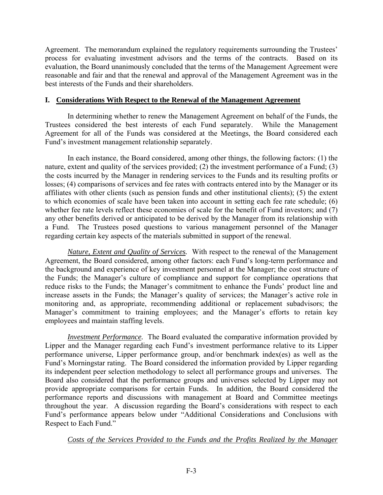Agreement. The memorandum explained the regulatory requirements surrounding the Trustees' process for evaluating investment advisors and the terms of the contracts. Based on its evaluation, the Board unanimously concluded that the terms of the Management Agreement were reasonable and fair and that the renewal and approval of the Management Agreement was in the best interests of the Funds and their shareholders.

## **I. Considerations With Respect to the Renewal of the Management Agreement**

 In determining whether to renew the Management Agreement on behalf of the Funds, the Trustees considered the best interests of each Fund separately. While the Management Agreement for all of the Funds was considered at the Meetings, the Board considered each Fund's investment management relationship separately.

 In each instance, the Board considered, among other things, the following factors: (1) the nature, extent and quality of the services provided; (2) the investment performance of a Fund; (3) the costs incurred by the Manager in rendering services to the Funds and its resulting profits or losses; (4) comparisons of services and fee rates with contracts entered into by the Manager or its affiliates with other clients (such as pension funds and other institutional clients); (5) the extent to which economies of scale have been taken into account in setting each fee rate schedule; (6) whether fee rate levels reflect these economies of scale for the benefit of Fund investors; and (7) any other benefits derived or anticipated to be derived by the Manager from its relationship with a Fund. The Trustees posed questions to various management personnel of the Manager regarding certain key aspects of the materials submitted in support of the renewal.

 *Nature, Extent and Quality of Services.* With respect to the renewal of the Management Agreement, the Board considered, among other factors: each Fund's long-term performance and the background and experience of key investment personnel at the Manager; the cost structure of the Funds; the Manager's culture of compliance and support for compliance operations that reduce risks to the Funds; the Manager's commitment to enhance the Funds' product line and increase assets in the Funds; the Manager's quality of services; the Manager's active role in monitoring and, as appropriate, recommending additional or replacement subadvisors; the Manager's commitment to training employees; and the Manager's efforts to retain key employees and maintain staffing levels.

*Investment Performance.* The Board evaluated the comparative information provided by Lipper and the Manager regarding each Fund's investment performance relative to its Lipper performance universe, Lipper performance group, and/or benchmark index(es) as well as the Fund's Morningstar rating. The Board considered the information provided by Lipper regarding its independent peer selection methodology to select all performance groups and universes. The Board also considered that the performance groups and universes selected by Lipper may not provide appropriate comparisons for certain Funds. In addition, the Board considered the performance reports and discussions with management at Board and Committee meetings throughout the year. A discussion regarding the Board's considerations with respect to each Fund's performance appears below under "Additional Considerations and Conclusions with Respect to Each Fund."

 *Costs of the Services Provided to the Funds and the Profits Realized by the Manager*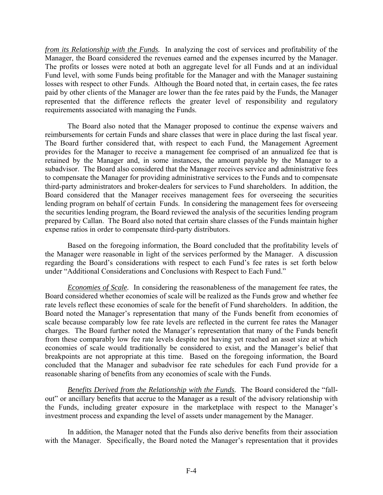*from its Relationship with the Funds.* In analyzing the cost of services and profitability of the Manager, the Board considered the revenues earned and the expenses incurred by the Manager. The profits or losses were noted at both an aggregate level for all Funds and at an individual Fund level, with some Funds being profitable for the Manager and with the Manager sustaining losses with respect to other Funds. Although the Board noted that, in certain cases, the fee rates paid by other clients of the Manager are lower than the fee rates paid by the Funds, the Manager represented that the difference reflects the greater level of responsibility and regulatory requirements associated with managing the Funds.

 The Board also noted that the Manager proposed to continue the expense waivers and reimbursements for certain Funds and share classes that were in place during the last fiscal year. The Board further considered that, with respect to each Fund, the Management Agreement provides for the Manager to receive a management fee comprised of an annualized fee that is retained by the Manager and, in some instances, the amount payable by the Manager to a subadvisor. The Board also considered that the Manager receives service and administrative fees to compensate the Manager for providing administrative services to the Funds and to compensate third-party administrators and broker-dealers for services to Fund shareholders. In addition, the Board considered that the Manager receives management fees for overseeing the securities lending program on behalf of certain Funds. In considering the management fees for overseeing the securities lending program, the Board reviewed the analysis of the securities lending program prepared by Callan. The Board also noted that certain share classes of the Funds maintain higher expense ratios in order to compensate third-party distributors.

 Based on the foregoing information, the Board concluded that the profitability levels of the Manager were reasonable in light of the services performed by the Manager. A discussion regarding the Board's considerations with respect to each Fund's fee rates is set forth below under "Additional Considerations and Conclusions with Respect to Each Fund."

 *Economies of Scale.* In considering the reasonableness of the management fee rates, the Board considered whether economies of scale will be realized as the Funds grow and whether fee rate levels reflect these economies of scale for the benefit of Fund shareholders. In addition, the Board noted the Manager's representation that many of the Funds benefit from economies of scale because comparably low fee rate levels are reflected in the current fee rates the Manager charges. The Board further noted the Manager's representation that many of the Funds benefit from these comparably low fee rate levels despite not having yet reached an asset size at which economies of scale would traditionally be considered to exist, and the Manager's belief that breakpoints are not appropriate at this time. Based on the foregoing information, the Board concluded that the Manager and subadvisor fee rate schedules for each Fund provide for a reasonable sharing of benefits from any economies of scale with the Funds.

 *Benefits Derived from the Relationship with the Funds.* The Board considered the "fallout" or ancillary benefits that accrue to the Manager as a result of the advisory relationship with the Funds, including greater exposure in the marketplace with respect to the Manager's investment process and expanding the level of assets under management by the Manager.

 In addition, the Manager noted that the Funds also derive benefits from their association with the Manager. Specifically, the Board noted the Manager's representation that it provides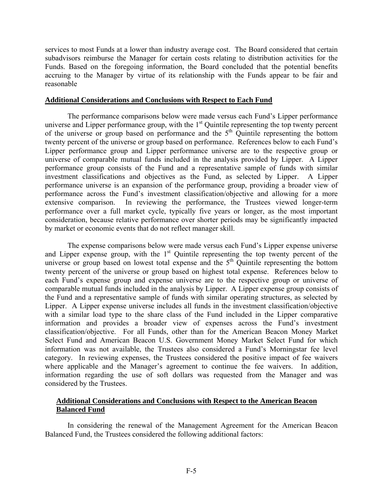services to most Funds at a lower than industry average cost. The Board considered that certain subadvisors reimburse the Manager for certain costs relating to distribution activities for the Funds. Based on the foregoing information, the Board concluded that the potential benefits accruing to the Manager by virtue of its relationship with the Funds appear to be fair and reasonable

#### **Additional Considerations and Conclusions with Respect to Each Fund**

 The performance comparisons below were made versus each Fund's Lipper performance universe and Lipper performance group, with the 1<sup>st</sup> Quintile representing the top twenty percent of the universe or group based on performance and the  $5<sup>th</sup>$  Quintile representing the bottom twenty percent of the universe or group based on performance. References below to each Fund's Lipper performance group and Lipper performance universe are to the respective group or universe of comparable mutual funds included in the analysis provided by Lipper. A Lipper performance group consists of the Fund and a representative sample of funds with similar investment classifications and objectives as the Fund, as selected by Lipper. A Lipper performance universe is an expansion of the performance group, providing a broader view of performance across the Fund's investment classification/objective and allowing for a more extensive comparison. In reviewing the performance, the Trustees viewed longer-term performance over a full market cycle, typically five years or longer, as the most important consideration, because relative performance over shorter periods may be significantly impacted by market or economic events that do not reflect manager skill.

 The expense comparisons below were made versus each Fund's Lipper expense universe and Lipper expense group, with the  $1<sup>st</sup>$  Quintile representing the top twenty percent of the universe or group based on lowest total expense and the  $5<sup>th</sup>$  Quintile representing the bottom twenty percent of the universe or group based on highest total expense. References below to each Fund's expense group and expense universe are to the respective group or universe of comparable mutual funds included in the analysis by Lipper. A Lipper expense group consists of the Fund and a representative sample of funds with similar operating structures, as selected by Lipper. A Lipper expense universe includes all funds in the investment classification/objective with a similar load type to the share class of the Fund included in the Lipper comparative information and provides a broader view of expenses across the Fund's investment classification/objective. For all Funds, other than for the American Beacon Money Market Select Fund and American Beacon U.S. Government Money Market Select Fund for which information was not available, the Trustees also considered a Fund's Morningstar fee level category. In reviewing expenses, the Trustees considered the positive impact of fee waivers where applicable and the Manager's agreement to continue the fee waivers. In addition, information regarding the use of soft dollars was requested from the Manager and was considered by the Trustees.

## **Additional Considerations and Conclusions with Respect to the American Beacon Balanced Fund**

 In considering the renewal of the Management Agreement for the American Beacon Balanced Fund, the Trustees considered the following additional factors: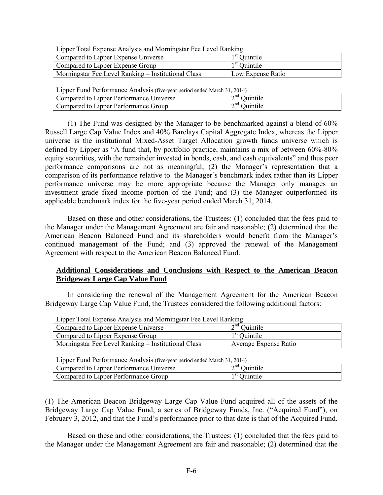Lipper Total Expense Analysis and Morningstar Fee Level Ranking

| Compared to Lipper Expense Universe                 | $1st$ Quintile    |
|-----------------------------------------------------|-------------------|
| Compared to Lipper Expense Group                    | $1st$ Ouintile    |
| Morningstar Fee Level Ranking – Institutional Class | Low Expense Ratio |

Lipper Fund Performance Analysis (five-year period ended March 31, 2014)

| Compared to Lipper Performance Universe           | $\sim$ nd $\sim$<br>Juintile |  |  |  |  |  |  |
|---------------------------------------------------|------------------------------|--|--|--|--|--|--|
| $\sim$ nd<br>Compared to Lipper Performance Group | Juintile                     |  |  |  |  |  |  |

(1) The Fund was designed by the Manager to be benchmarked against a blend of 60% Russell Large Cap Value Index and 40% Barclays Capital Aggregate Index, whereas the Lipper universe is the institutional Mixed-Asset Target Allocation growth funds universe which is defined by Lipper as "A fund that, by portfolio practice, maintains a mix of between 60%-80% equity securities, with the remainder invested in bonds, cash, and cash equivalents" and thus peer performance comparisons are not as meaningful; (2) the Manager's representation that a comparison of its performance relative to the Manager's benchmark index rather than its Lipper performance universe may be more appropriate because the Manager only manages an investment grade fixed income portion of the Fund; and (3) the Manager outperformed its applicable benchmark index for the five-year period ended March 31, 2014.

 Based on these and other considerations, the Trustees: (1) concluded that the fees paid to the Manager under the Management Agreement are fair and reasonable; (2) determined that the American Beacon Balanced Fund and its shareholders would benefit from the Manager's continued management of the Fund; and (3) approved the renewal of the Management Agreement with respect to the American Beacon Balanced Fund.

## **Additional Considerations and Conclusions with Respect to the American Beacon Bridgeway Large Cap Value Fund**

 In considering the renewal of the Management Agreement for the American Beacon Bridgeway Large Cap Value Fund, the Trustees considered the following additional factors:

| $\mathbf{L}_{\text{L}}$                                    |                       |
|------------------------------------------------------------|-----------------------|
| Compared to Lipper Expense Universe                        | $2nd$ Quintile        |
| Compared to Lipper Expense Group                           | $1st$ Ouintile        |
| <b>Morningstar Fee Level Ranking – Institutional Class</b> | Average Expense Ratio |
|                                                            |                       |

Lipper Total Expense Analysis and Morningstar Fee Level Ranking

Lipper Fund Performance Analysis (five-year period ended March 31, 2014)

| $Lip$ por T and T criterinance T mary sis (five-year period ended material, 2014) |                          |  |  |  |  |
|-----------------------------------------------------------------------------------|--------------------------|--|--|--|--|
| Compared to Lipper Performance Universe                                           | $2nd$ Ouintile           |  |  |  |  |
| Compared to Lipper Performance Group                                              | <sup>1 st</sup> Ouintile |  |  |  |  |

(1) The American Beacon Bridgeway Large Cap Value Fund acquired all of the assets of the Bridgeway Large Cap Value Fund, a series of Bridgeway Funds, Inc. ("Acquired Fund"), on February 3, 2012, and that the Fund's performance prior to that date is that of the Acquired Fund.

 Based on these and other considerations, the Trustees: (1) concluded that the fees paid to the Manager under the Management Agreement are fair and reasonable; (2) determined that the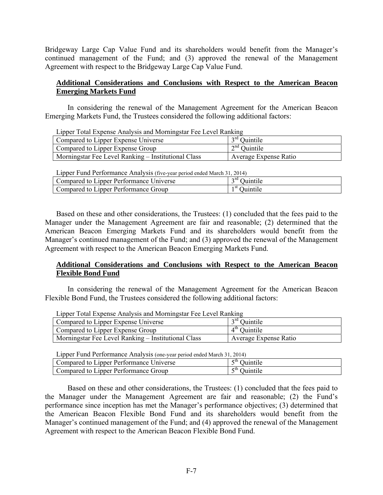Bridgeway Large Cap Value Fund and its shareholders would benefit from the Manager's continued management of the Fund; and (3) approved the renewal of the Management Agreement with respect to the Bridgeway Large Cap Value Fund.

## **Additional Considerations and Conclusions with Respect to the American Beacon Emerging Markets Fund**

 In considering the renewal of the Management Agreement for the American Beacon Emerging Markets Fund, the Trustees considered the following additional factors:

|  | Lipper Total Expense Analysis and Morningstar Fee Level Ranking |  |
|--|-----------------------------------------------------------------|--|
|  |                                                                 |  |

| Compared to Lipper Expense Universe                 | $3rd$ Ouintile        |
|-----------------------------------------------------|-----------------------|
| Compared to Lipper Expense Group                    | $2nd$ Ouintile        |
| Morningstar Fee Level Ranking – Institutional Class | Average Expense Ratio |

Lipper Fund Performance Analysis (five-year period ended March 31, 2014)

| Compared to Lipper Performance Universe | <sup>3rd</sup> Ouintile |
|-----------------------------------------|-------------------------|
| Compared to Lipper Performance Group    | $1st$ Ouintile          |

Based on these and other considerations, the Trustees: (1) concluded that the fees paid to the Manager under the Management Agreement are fair and reasonable; (2) determined that the American Beacon Emerging Markets Fund and its shareholders would benefit from the Manager's continued management of the Fund; and (3) approved the renewal of the Management Agreement with respect to the American Beacon Emerging Markets Fund.

## **Additional Considerations and Conclusions with Respect to the American Beacon Flexible Bond Fund**

 In considering the renewal of the Management Agreement for the American Beacon Flexible Bond Fund, the Trustees considered the following additional factors:

| Lipper Total Lapense Analysis and Morningstal Fee Level Kanking |                       |  |  |  |
|-----------------------------------------------------------------|-----------------------|--|--|--|
| Compared to Lipper Expense Universe                             | $3rd$ Ouintile        |  |  |  |
| Compared to Lipper Expense Group                                | $4th$ Ouintile        |  |  |  |
| Morningstar Fee Level Ranking – Institutional Class             | Average Expense Ratio |  |  |  |

Lipper Total Expense Analysis and Morningstar Fee Level Ranking

Lipper Fund Performance Analysis (one-year period ended March 31, 2014)

| <u>LIBBU T MIN I VITOHIMIIVU TIIMI POLO TOID VÕII BUHOU OINOU MAIVIL 21. LÕI 17</u> |                   |  |  |  |
|-------------------------------------------------------------------------------------|-------------------|--|--|--|
| Compared to Lipper Performance Universe                                             | rth.<br>Juintile  |  |  |  |
| Compared to Lipper Performance Group                                                | $-th$<br>Juintile |  |  |  |

 Based on these and other considerations, the Trustees: (1) concluded that the fees paid to the Manager under the Management Agreement are fair and reasonable; (2) the Fund's performance since inception has met the Manager's performance objectives; (3) determined that the American Beacon Flexible Bond Fund and its shareholders would benefit from the Manager's continued management of the Fund; and (4) approved the renewal of the Management Agreement with respect to the American Beacon Flexible Bond Fund.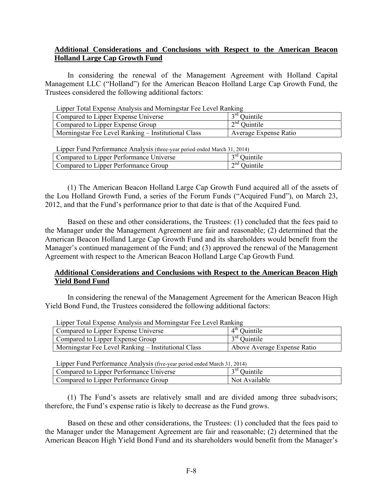## **Additional Considerations and Conclusions with Respect to the American Beacon Holland Large Cap Growth Fund**

 In considering the renewal of the Management Agreement with Holland Capital Management LLC ("Holland") for the American Beacon Holland Large Cap Growth Fund, the Trustees considered the following additional factors:

| Lipper Total Expense Analysis and Morningstar Fee Level Ranking |                       |  |  |  |
|-----------------------------------------------------------------|-----------------------|--|--|--|
| Compared to Lipper Expense Universe                             | $3rd$ Ouintile        |  |  |  |
| $2nd$ Ouintile<br>Compared to Lipper Expense Group              |                       |  |  |  |
| Morningstar Fee Level Ranking – Institutional Class             | Average Expense Ratio |  |  |  |

Lipper Total Expense Analysis and Morningstar Fee Level Ranking

| Lipper Fund Performance Analysis (three-year period ended March 31, 2014) |  |  |  |  |  |  |  |  |  |
|---------------------------------------------------------------------------|--|--|--|--|--|--|--|--|--|
|---------------------------------------------------------------------------|--|--|--|--|--|--|--|--|--|

| Lipper 1 and 1 criterinance 7 mary 313 (unce-year period chaca march 31, 2014) |                               |  |  |  |
|--------------------------------------------------------------------------------|-------------------------------|--|--|--|
| Compared to Lipper Performance Universe                                        | <sup>2rd</sup> Ouintile       |  |  |  |
| Compared to Lipper Performance Group                                           | $\gamma^{\text{nd}}$ Ouintile |  |  |  |

(1) The American Beacon Holland Large Cap Growth Fund acquired all of the assets of the Lou Holland Growth Fund, a series of the Forum Funds ("Acquired Fund"), on March 23, 2012, and that the Fund's performance prior to that date is that of the Acquired Fund.

 Based on these and other considerations, the Trustees: (1) concluded that the fees paid to the Manager under the Management Agreement are fair and reasonable; (2) determined that the American Beacon Holland Large Cap Growth Fund and its shareholders would benefit from the Manager's continued management of the Fund; and (3) approved the renewal of the Management Agreement with respect to the American Beacon Holland Large Cap Growth Fund.

## **Additional Considerations and Conclusions with Respect to the American Beacon High Yield Bond Fund**

 In considering the renewal of the Management Agreement for the American Beacon High Yield Bond Fund, the Trustees considered the following additional factors:

| Lipper Total Experise Analysis and Morningstal Fee Level Nativility |                             |  |  |  |
|---------------------------------------------------------------------|-----------------------------|--|--|--|
| Compared to Lipper Expense Universe                                 | $4th$ Quintile              |  |  |  |
| Compared to Lipper Expense Group                                    | $3rd$ Ouintile              |  |  |  |
| Morningstar Fee Level Ranking – Institutional Class                 | Above Average Expense Ratio |  |  |  |

Lipper Total Expense Analysis and Morningstar Fee Level Ranking

Lipper Fund Performance Analysis (five-year period ended March 31, 2014)

| English T and T encountered than you (not you pended there in the sixteen in |                    |  |  |  |
|------------------------------------------------------------------------------|--------------------|--|--|--|
| Compared to Lipper Performance Universe                                      | $\gamma$ rd $\cap$ |  |  |  |
| Compared to Lipper Performance Group                                         | Not Available      |  |  |  |

(1) The Fund's assets are relatively small and are divided among three subadvisors; therefore, the Fund's expense ratio is likely to decrease as the Fund grows.

 Based on these and other considerations, the Trustees: (1) concluded that the fees paid to the Manager under the Management Agreement are fair and reasonable; (2) determined that the American Beacon High Yield Bond Fund and its shareholders would benefit from the Manager's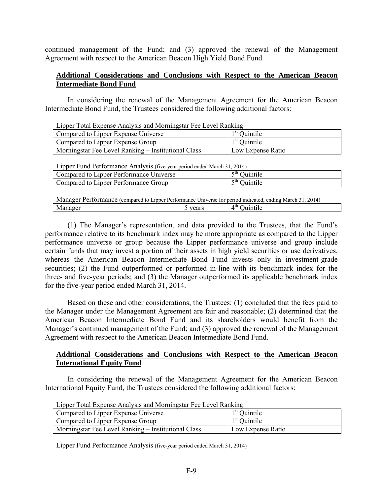continued management of the Fund; and (3) approved the renewal of the Management Agreement with respect to the American Beacon High Yield Bond Fund.

## **Additional Considerations and Conclusions with Respect to the American Beacon Intermediate Bond Fund**

 In considering the renewal of the Management Agreement for the American Beacon Intermediate Bond Fund, the Trustees considered the following additional factors:

|  |  |  | Lipper Total Expense Analysis and Morningstar Fee Level Ranking |  |
|--|--|--|-----------------------------------------------------------------|--|
|  |  |  |                                                                 |  |

| Compared to Lipper Expense Universe                 | $1st$ Quintile    |
|-----------------------------------------------------|-------------------|
| Compared to Lipper Expense Group                    | $1st$ Ouintile    |
| Morningstar Fee Level Ranking – Institutional Class | Low Expense Ratio |

| Lipper Fund Performance Analysis (five-year period ended March 31, 2014) |                |
|--------------------------------------------------------------------------|----------------|
| Compared to Lipper Performance Universe                                  | $5th$ Quintile |
| Compared to Lipper Performance Group                                     | $5th$ Ouintile |

| Manager Performance (compared to Lipper Performance Universe for period indicated, ending March 31, 2014) |       |                |
|-----------------------------------------------------------------------------------------------------------|-------|----------------|
| Manager                                                                                                   | vears | $4th$ Ouintile |

(1) The Manager's representation, and data provided to the Trustees, that the Fund's performance relative to its benchmark index may be more appropriate as compared to the Lipper performance universe or group because the Lipper performance universe and group include certain funds that may invest a portion of their assets in high yield securities or use derivatives, whereas the American Beacon Intermediate Bond Fund invests only in investment-grade securities; (2) the Fund outperformed or performed in-line with its benchmark index for the three- and five-year periods; and (3) the Manager outperformed its applicable benchmark index for the five-year period ended March 31, 2014.

 Based on these and other considerations, the Trustees: (1) concluded that the fees paid to the Manager under the Management Agreement are fair and reasonable; (2) determined that the American Beacon Intermediate Bond Fund and its shareholders would benefit from the Manager's continued management of the Fund; and (3) approved the renewal of the Management Agreement with respect to the American Beacon Intermediate Bond Fund.

## **Additional Considerations and Conclusions with Respect to the American Beacon International Equity Fund**

 In considering the renewal of the Management Agreement for the American Beacon International Equity Fund, the Trustees considered the following additional factors:

| Compared to Lipper Expense Universe                 | $1st$ Quintile    |
|-----------------------------------------------------|-------------------|
| Compared to Lipper Expense Group                    | $1st$ Quintile    |
| Morningstar Fee Level Ranking – Institutional Class | Low Expense Ratio |

Lipper Total Expense Analysis and Morningstar Fee Level Ranking

Lipper Fund Performance Analysis (five-year period ended March 31, 2014)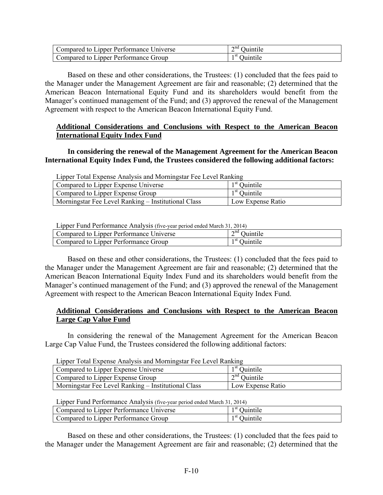| Compared to Lipper Performance Universe | $2nd$ Quintile           |
|-----------------------------------------|--------------------------|
| Compared to Lipper Performance Group    | <sup>1 st</sup> Quintile |

 Based on these and other considerations, the Trustees: (1) concluded that the fees paid to the Manager under the Management Agreement are fair and reasonable; (2) determined that the American Beacon International Equity Fund and its shareholders would benefit from the Manager's continued management of the Fund; and (3) approved the renewal of the Management Agreement with respect to the American Beacon International Equity Fund.

## **Additional Considerations and Conclusions with Respect to the American Beacon International Equity Index Fund**

 **In considering the renewal of the Management Agreement for the American Beacon International Equity Index Fund, the Trustees considered the following additional factors:** 

| Lipper Total Expense Analysis and Morningstar Fee Level Ranking |                   |  |
|-----------------------------------------------------------------|-------------------|--|
| Compared to Lipper Expense Universe                             | $1st$ Quintile    |  |
| Compared to Lipper Expense Group                                | $1st$ Ouintile    |  |
| Morningstar Fee Level Ranking – Institutional Class             | Low Expense Ratio |  |

Lipper Fund Performance Analysis (five-year period ended March 31, 2014)

| English T and T entermance Than (bib (five your period chaca march 51, 2011) |                       |  |
|------------------------------------------------------------------------------|-----------------------|--|
| Compared to Lipper Performance Universe                                      | $\sim$ nd<br>Juintile |  |
| Compared to Lipper Performance Group                                         | Juintile              |  |

 Based on these and other considerations, the Trustees: (1) concluded that the fees paid to the Manager under the Management Agreement are fair and reasonable; (2) determined that the American Beacon International Equity Index Fund and its shareholders would benefit from the Manager's continued management of the Fund; and (3) approved the renewal of the Management Agreement with respect to the American Beacon International Equity Index Fund.

## **Additional Considerations and Conclusions with Respect to the American Beacon Large Cap Value Fund**

 In considering the renewal of the Management Agreement for the American Beacon Large Cap Value Fund, the Trustees considered the following additional factors:

| Lipper Total Expense Analysis and Morningstal Fee Level Ranking |                   |  |
|-----------------------------------------------------------------|-------------------|--|
| Compared to Lipper Expense Universe                             | $1st$ Ouintile    |  |
| Compared to Lipper Expense Group                                | $2nd$ Ouintile    |  |
| Morningstar Fee Level Ranking – Institutional Class             | Low Expense Ratio |  |

Lipper Total Expense Analysis and Morningstar Fee Level Ranking

Lipper Fund Performance Analysis (five-year period ended March 31, 2014)

| Compared to Lipper Performance Universe | Ouintile                 |
|-----------------------------------------|--------------------------|
| Compared to Lipper Performance Group    | <sup>1 st</sup> Ouintile |

 Based on these and other considerations, the Trustees: (1) concluded that the fees paid to the Manager under the Management Agreement are fair and reasonable; (2) determined that the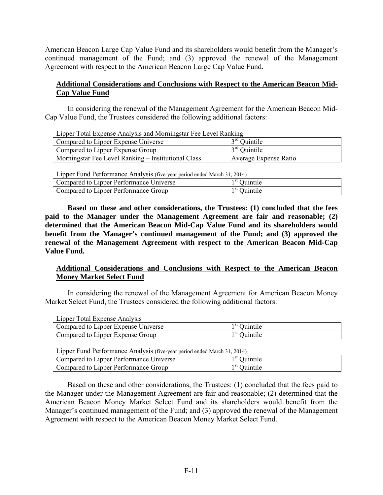American Beacon Large Cap Value Fund and its shareholders would benefit from the Manager's continued management of the Fund; and (3) approved the renewal of the Management Agreement with respect to the American Beacon Large Cap Value Fund.

## **Additional Considerations and Conclusions with Respect to the American Beacon Mid-Cap Value Fund**

In considering the renewal of the Management Agreement for the American Beacon Mid-Cap Value Fund, the Trustees considered the following additional factors:

| Explore Total Expense Amarysis and Mormingstal Tee Ecver Rainting |                       |  |
|-------------------------------------------------------------------|-----------------------|--|
| Compared to Lipper Expense Universe                               | $3rd$ Ouintile        |  |
| Compared to Lipper Expense Group                                  | $3rd$ Ouintile        |  |
| Morningstar Fee Level Ranking – Institutional Class               | Average Expense Ratio |  |

Lipper Total Expense Analysis and Morningstar Fee Level Ranking

Lipper Fund Performance Analysis (five-year period ended March 31, 2014)

| Compared to Lipper Performance Universe | $1st$ Ouintile |
|-----------------------------------------|----------------|
| Compared to Lipper Performance Group    | $1st$ Ouintile |

 **Based on these and other considerations, the Trustees: (1) concluded that the fees paid to the Manager under the Management Agreement are fair and reasonable; (2) determined that the American Beacon Mid-Cap Value Fund and its shareholders would benefit from the Manager's continued management of the Fund; and (3) approved the renewal of the Management Agreement with respect to the American Beacon Mid-Cap Value Fund.** 

## **Additional Considerations and Conclusions with Respect to the American Beacon Money Market Select Fund**

In considering the renewal of the Management Agreement for American Beacon Money Market Select Fund, the Trustees considered the following additional factors:

|  | Lipper Total Expense Analysis |  |
|--|-------------------------------|--|
|  |                               |  |

| Compared to Lipper Expense Universe | ⋅ SU<br>Juintile         |
|-------------------------------------|--------------------------|
| Compared to Lipper Expense Group    | <sup>1 st</sup> Ouintile |

Lipper Fund Performance Analysis (five-year period ended March 31, 2014)

| Universe<br>anner<br>. Pertormance '<br>`omnared_<br>tΩ | 5l  |
|---------------------------------------------------------|-----|
| Performance Group<br>`omnared_<br><i>anner</i><br>tΩ    | -SU |

Based on these and other considerations, the Trustees: (1) concluded that the fees paid to the Manager under the Management Agreement are fair and reasonable; (2) determined that the American Beacon Money Market Select Fund and its shareholders would benefit from the Manager's continued management of the Fund; and (3) approved the renewal of the Management Agreement with respect to the American Beacon Money Market Select Fund.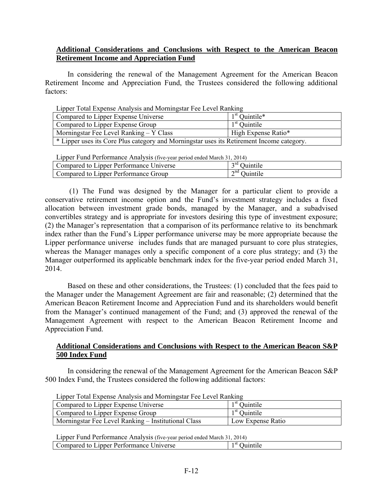## **Additional Considerations and Conclusions with Respect to the American Beacon Retirement Income and Appreciation Fund**

 In considering the renewal of the Management Agreement for the American Beacon Retirement Income and Appreciation Fund, the Trustees considered the following additional factors:

| Lipper Total Expense Analysis and Morningstar Fee Level Ranking                           |                     |  |
|-------------------------------------------------------------------------------------------|---------------------|--|
| Compared to Lipper Expense Universe                                                       | $1st$ Quintile*     |  |
| Compared to Lipper Expense Group                                                          | $1st$ Quintile      |  |
| Morningstar Fee Level Ranking – Y Class                                                   | High Expense Ratio* |  |
| * Lipper uses its Core Plus category and Morningstar uses its Retirement Income category. |                     |  |

Lipper Total Expense Analysis and Morningstar Fee Level Ranking

Lipper Fund Performance Analysis (five-year period ended March 31, 2014)

| Englished The Contribution of the contribution of the control of the contribution of the contribution of the c |                                       |  |
|----------------------------------------------------------------------------------------------------------------|---------------------------------------|--|
| Compared to Lipper Performance Universe                                                                        | $\gamma$ rd $\sim$<br>Juintile        |  |
| Compared to Lipper Performance Group                                                                           | $\cap^{\text{nd}} \cap$<br>. Juintile |  |

 (1) The Fund was designed by the Manager for a particular client to provide a conservative retirement income option and the Fund's investment strategy includes a fixed allocation between investment grade bonds, managed by the Manager, and a subadvised convertibles strategy and is appropriate for investors desiring this type of investment exposure; (2) the Manager's representation that a comparison of its performance relative to its benchmark index rather than the Fund's Lipper performance universe may be more appropriate because the Lipper performance universe includes funds that are managed pursuant to core plus strategies, whereas the Manager manages only a specific component of a core plus strategy; and (3) the Manager outperformed its applicable benchmark index for the five-year period ended March 31, 2014.

 Based on these and other considerations, the Trustees: (1) concluded that the fees paid to the Manager under the Management Agreement are fair and reasonable; (2) determined that the American Beacon Retirement Income and Appreciation Fund and its shareholders would benefit from the Manager's continued management of the Fund; and (3) approved the renewal of the Management Agreement with respect to the American Beacon Retirement Income and Appreciation Fund.

### **Additional Considerations and Conclusions with Respect to the American Beacon S&P 500 Index Fund**

In considering the renewal of the Management Agreement for the American Beacon S&P 500 Index Fund, the Trustees considered the following additional factors:

| Eipper Tomi Eapense Thim you and mommigour Tee Ee (or Kunking |                   |
|---------------------------------------------------------------|-------------------|
| Compared to Lipper Expense Universe                           | $1st$ Ouintile    |
| Compared to Lipper Expense Group                              | $1st$ Ouintile    |
| Morningstar Fee Level Ranking – Institutional Class           | Low Expense Ratio |

Lipper Total Expense Analysis and Morningstar Fee Level Ranking

Lipper Fund Performance Analysis (five-year period ended March 31, 2014)

| - -<br>ı SI<br>.<br>$\sim$ mass $\sim$ mass $\sim$<br>$\mathbf{1}$ |                                                                 |  |
|--------------------------------------------------------------------|-----------------------------------------------------------------|--|
| .<br>______<br>$\sim$ $\sim$ $\sim$ $\sim$ $\sim$ $\sim$ $\sim$    | <i>anner</i><br>Jniverse<br>tΩ<br>red<br>Performance,<br>ompar. |  |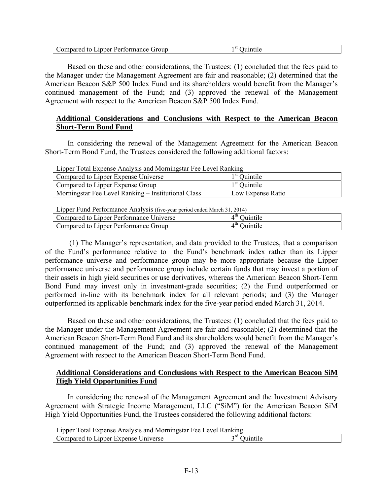| 5l<br>Lipper Performance Group<br>Compared<br>to 1 | Juintile |
|----------------------------------------------------|----------|
|----------------------------------------------------|----------|

Based on these and other considerations, the Trustees: (1) concluded that the fees paid to the Manager under the Management Agreement are fair and reasonable; (2) determined that the American Beacon S&P 500 Index Fund and its shareholders would benefit from the Manager's continued management of the Fund; and (3) approved the renewal of the Management Agreement with respect to the American Beacon S&P 500 Index Fund.

## **Additional Considerations and Conclusions with Respect to the American Beacon Short-Term Bond Fund**

In considering the renewal of the Management Agreement for the American Beacon Short-Term Bond Fund, the Trustees considered the following additional factors:

| Eipper Total Expense Aniarysis and Morningstar Fee Ecver Kanking |                   |
|------------------------------------------------------------------|-------------------|
| Compared to Lipper Expense Universe                              | $1st$ Ouintile    |
| Compared to Lipper Expense Group                                 | $1st$ Ouintile    |
| Morningstar Fee Level Ranking – Institutional Class              | Low Expense Ratio |

Lipper Total Expense Analysis and Morningstar Fee Level Ranking

Lipper Fund Performance Analysis (five-year period ended March 31, 2014)

| Universe<br>Compared to Lipper Performance G | 4 th |
|----------------------------------------------|------|
| Compared to Lipper Performance Group         | 4 th |

 (1) The Manager's representation, and data provided to the Trustees, that a comparison of the Fund's performance relative to the Fund's benchmark index rather than its Lipper performance universe and performance group may be more appropriate because the Lipper performance universe and performance group include certain funds that may invest a portion of their assets in high yield securities or use derivatives, whereas the American Beacon Short-Term Bond Fund may invest only in investment-grade securities; (2) the Fund outperformed or performed in-line with its benchmark index for all relevant periods; and (3) the Manager outperformed its applicable benchmark index for the five-year period ended March 31, 2014.

Based on these and other considerations, the Trustees: (1) concluded that the fees paid to the Manager under the Management Agreement are fair and reasonable; (2) determined that the American Beacon Short-Term Bond Fund and its shareholders would benefit from the Manager's continued management of the Fund; and (3) approved the renewal of the Management Agreement with respect to the American Beacon Short-Term Bond Fund.

## **Additional Considerations and Conclusions with Respect to the American Beacon SiM High Yield Opportunities Fund**

 In considering the renewal of the Management Agreement and the Investment Advisory Agreement with Strategic Income Management, LLC ("SiM") for the American Beacon SiM High Yield Opportunities Fund, the Trustees considered the following additional factors:

Lipper Total Expense Analysis and Morningstar Fee Level Ranking

| Eipper Touri Enpense Thin (515 and Monthlippur Tee Ee (61 Kunking |                  |
|-------------------------------------------------------------------|------------------|
| Linner Exnense<br>Iniverse<br>:ompared to                         | $\mathcal{L}$ rd |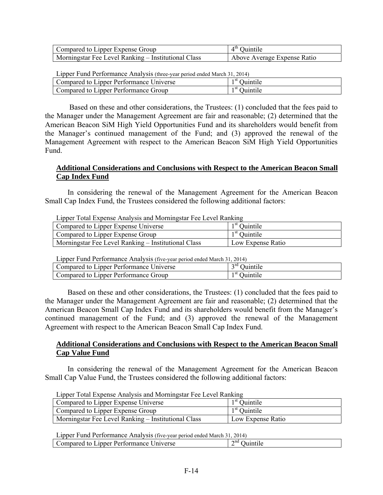| Compared to Lipper Expense Group                    | $4th$ Ouintile              |
|-----------------------------------------------------|-----------------------------|
| Morningstar Fee Level Ranking – Institutional Class | Above Average Expense Ratio |

| Lipper Fund Performance Analysis (three-year period ended March 31, 2014) |                                                     |
|---------------------------------------------------------------------------|-----------------------------------------------------|
|                                                                           | $\frac{1}{1}$ 1 st $\sim$ $\cdot$ $\cdot$ $\cdot$ 1 |

| Compared to Lipper Performance Universe | ı SU<br>Juintile |
|-----------------------------------------|------------------|
| Compared to Lipper Performance Group    | 1 SU<br>Juintile |

 Based on these and other considerations, the Trustees: (1) concluded that the fees paid to the Manager under the Management Agreement are fair and reasonable; (2) determined that the American Beacon SiM High Yield Opportunities Fund and its shareholders would benefit from the Manager's continued management of the Fund; and (3) approved the renewal of the Management Agreement with respect to the American Beacon SiM High Yield Opportunities Fund.

## **Additional Considerations and Conclusions with Respect to the American Beacon Small Cap Index Fund**

 In considering the renewal of the Management Agreement for the American Beacon Small Cap Index Fund, the Trustees considered the following additional factors:

| Lipper Total Expense Analysis and Morningstar Fee Level Ranking |                   |
|-----------------------------------------------------------------|-------------------|
| Compared to Lipper Expense Universe                             | $1st$ Ouintile    |
| Compared to Lipper Expense Group                                | $1st$ Ouintile    |
| Morningstar Fee Level Ranking – Institutional Class             | Low Expense Ratio |

Lipper Total Expense Analysis and Morningstar Fee Level Ranking

Lipper Fund Performance Analysis (five-year period ended March 31, 2014)

| Compared to Lipper Performance Universe | ord              |
|-----------------------------------------|------------------|
| Compared to Lipper Performance Group    | ı st<br>Juintile |

 Based on these and other considerations, the Trustees: (1) concluded that the fees paid to the Manager under the Management Agreement are fair and reasonable; (2) determined that the American Beacon Small Cap Index Fund and its shareholders would benefit from the Manager's continued management of the Fund; and (3) approved the renewal of the Management Agreement with respect to the American Beacon Small Cap Index Fund.

## **Additional Considerations and Conclusions with Respect to the American Beacon Small Cap Value Fund**

 In considering the renewal of the Management Agreement for the American Beacon Small Cap Value Fund, the Trustees considered the following additional factors:

| Compared to Lipper Expense Universe                 | $1st$ Ouintile    |
|-----------------------------------------------------|-------------------|
| Compared to Lipper Expense Group                    | $1st$ Ouintile    |
| Morningstar Fee Level Ranking – Institutional Class | Low Expense Ratio |

Lipper Total Expense Analysis and Morningstar Fee Level Ranking

Lipper Fund Performance Analysis (five-year period ended March 31, 2014)

| Jniverse<br>Performance<br>unner.<br>ompared<br>to | $\sim$ nd |
|----------------------------------------------------|-----------|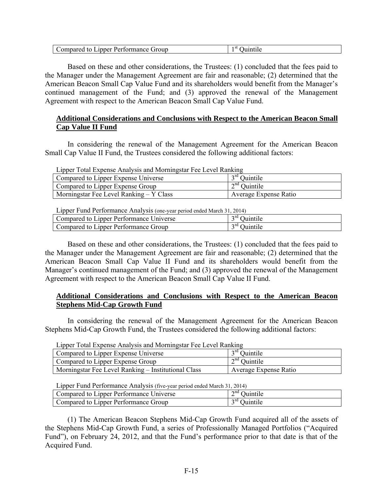| Compared                      | -51             |
|-------------------------------|-----------------|
| d to Lipper Performance Group | <b>Juintile</b> |

 Based on these and other considerations, the Trustees: (1) concluded that the fees paid to the Manager under the Management Agreement are fair and reasonable; (2) determined that the American Beacon Small Cap Value Fund and its shareholders would benefit from the Manager's continued management of the Fund; and (3) approved the renewal of the Management Agreement with respect to the American Beacon Small Cap Value Fund.

## **Additional Considerations and Conclusions with Respect to the American Beacon Small Cap Value II Fund**

In considering the renewal of the Management Agreement for the American Beacon Small Cap Value II Fund, the Trustees considered the following additional factors:

| Lipper Total Expense Analysis and Morningstar Fee Level Ranking |                       |
|-----------------------------------------------------------------|-----------------------|
| Compared to Lipper Expense Universe                             | $3rd$ Ouintile        |
| Compared to Lipper Expense Group                                | $2nd$ Ouintile        |
| Morningstar Fee Level Ranking – Y Class                         | Average Expense Ratio |

Lipper Total Expense Analysis and Morningstar Fee Level Ranking

Lipper Fund Performance Analysis (one-year period ended March 31, 2014)

| Explorer with a contemplation of the sold follow four period ended match 21, 2011 |                 |
|-----------------------------------------------------------------------------------|-----------------|
| Compared to Lipper Performance Universe                                           | ord<br>Juintile |
| Compared to Lipper Performance Group                                              | Juintile        |

 Based on these and other considerations, the Trustees: (1) concluded that the fees paid to the Manager under the Management Agreement are fair and reasonable; (2) determined that the American Beacon Small Cap Value II Fund and its shareholders would benefit from the Manager's continued management of the Fund; and (3) approved the renewal of the Management Agreement with respect to the American Beacon Small Cap Value II Fund.

## **Additional Considerations and Conclusions with Respect to the American Beacon Stephens Mid-Cap Growth Fund**

 In considering the renewal of the Management Agreement for the American Beacon Stephens Mid-Cap Growth Fund, the Trustees considered the following additional factors:

| Lipper Total Expense Analysis and Morningstar Fee Level Ranking |                       |
|-----------------------------------------------------------------|-----------------------|
| Compared to Lipper Expense Universe                             | $3rd$ Ouintile        |
| Compared to Lipper Expense Group                                | $2nd$ Ouintile        |
| Morningstar Fee Level Ranking – Institutional Class             | Average Expense Ratio |

 $L_{\text{L}}$   $\mathbf{F}$   $\mathbf{F}$   $\mathbf{F}$   $\mathbf{F}$   $\mathbf{F}$   $\mathbf{F}$   $\mathbf{F}$   $\mathbf{F}$   $\mathbf{F}$   $\mathbf{F}$   $\mathbf{F}$   $\mathbf{F}$   $\mathbf{F}$   $\mathbf{F}$   $\mathbf{F}$   $\mathbf{F}$   $\mathbf{F}$   $\mathbf{F}$   $\mathbf{F}$   $\mathbf{F}$   $\mathbf{F}$   $\mathbf{F}$   $\mathbf{F}$   $\mathbf$ 

Lipper Fund Performance Analysis (five-year period ended March 31, 2014)

| Universe<br>Compared to Lipper Performance U | $\sim$ nd<br>$\cdot$ .<br>untile |
|----------------------------------------------|----------------------------------|
| Compared to Lipper Performance G.            | $\gamma$ rd                      |
| . iroun                                      | Juintile.                        |

(1) The American Beacon Stephens Mid-Cap Growth Fund acquired all of the assets of the Stephens Mid-Cap Growth Fund, a series of Professionally Managed Portfolios ("Acquired Fund"), on February 24, 2012, and that the Fund's performance prior to that date is that of the Acquired Fund.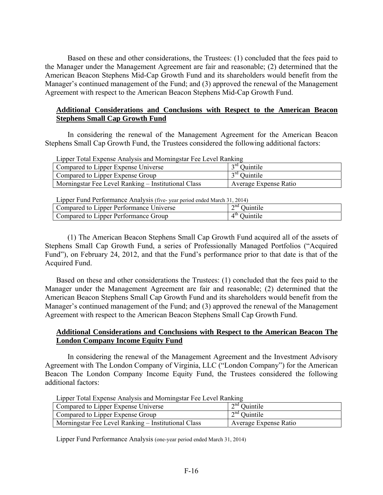Based on these and other considerations, the Trustees: (1) concluded that the fees paid to the Manager under the Management Agreement are fair and reasonable; (2) determined that the American Beacon Stephens Mid-Cap Growth Fund and its shareholders would benefit from the Manager's continued management of the Fund; and (3) approved the renewal of the Management Agreement with respect to the American Beacon Stephens Mid-Cap Growth Fund.

## **Additional Considerations and Conclusions with Respect to the American Beacon Stephens Small Cap Growth Fund**

 In considering the renewal of the Management Agreement for the American Beacon Stephens Small Cap Growth Fund, the Trustees considered the following additional factors:

| Lipper Total Expense Analysis and Morningstar Fee Level Ranking |                       |  |
|-----------------------------------------------------------------|-----------------------|--|
| Compared to Lipper Expense Universe                             | $3rd$ Quintile        |  |
| Compared to Lipper Expense Group                                | $3rd$ Quintile        |  |
| Morningstar Fee Level Ranking – Institutional Class             | Average Expense Ratio |  |

| Lipper Fund Performance Analysis (five-year period ended March 31, 2014) |                |
|--------------------------------------------------------------------------|----------------|
| Compared to Lipper Performance Universe                                  | $2nd$ Quintile |
| Compared to Lipper Performance Group                                     | $4th$ Ouintile |

(1) The American Beacon Stephens Small Cap Growth Fund acquired all of the assets of Stephens Small Cap Growth Fund, a series of Professionally Managed Portfolios ("Acquired Fund"), on February 24, 2012, and that the Fund's performance prior to that date is that of the Acquired Fund.

Based on these and other considerations the Trustees: (1) concluded that the fees paid to the Manager under the Management Agreement are fair and reasonable; (2) determined that the American Beacon Stephens Small Cap Growth Fund and its shareholders would benefit from the Manager's continued management of the Fund; and (3) approved the renewal of the Management Agreement with respect to the American Beacon Stephens Small Cap Growth Fund.

### **Additional Considerations and Conclusions with Respect to the American Beacon The London Company Income Equity Fund**

 In considering the renewal of the Management Agreement and the Investment Advisory Agreement with The London Company of Virginia, LLC ("London Company") for the American Beacon The London Company Income Equity Fund, the Trustees considered the following additional factors:

| Compared to Lipper Expense Universe                 | $2nd$ Quintile        |
|-----------------------------------------------------|-----------------------|
| Compared to Lipper Expense Group                    | $2nd$ Quintile        |
| Morningstar Fee Level Ranking – Institutional Class | Average Expense Ratio |

Lipper Fund Performance Analysis (one-year period ended March 31, 2014)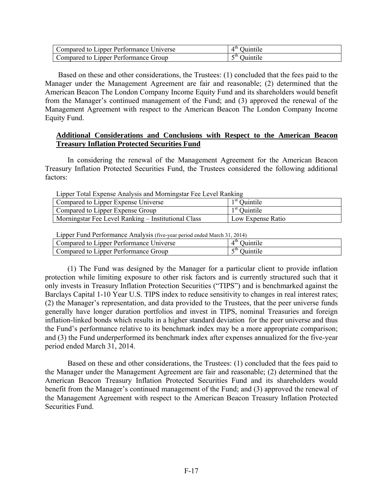| Compared to Lipper Performance Universe | $4th$ Quintile |
|-----------------------------------------|----------------|
| Compared to Lipper Performance Group    | $5th$ Ouintile |

 Based on these and other considerations, the Trustees: (1) concluded that the fees paid to the Manager under the Management Agreement are fair and reasonable; (2) determined that the American Beacon The London Company Income Equity Fund and its shareholders would benefit from the Manager's continued management of the Fund; and (3) approved the renewal of the Management Agreement with respect to the American Beacon The London Company Income Equity Fund.

### **Additional Considerations and Conclusions with Respect to the American Beacon Treasury Inflation Protected Securities Fund**

 In considering the renewal of the Management Agreement for the American Beacon Treasury Inflation Protected Securities Fund, the Trustees considered the following additional factors:

| Lipper Total Expense Analysis and Morningstar Fee Level Ranking |                   |
|-----------------------------------------------------------------|-------------------|
| Compared to Lipper Expense Universe                             | $1st$ Ouintile    |
| Compared to Lipper Expense Group                                | $1st$ Ouintile    |
| Morningstar Fee Level Ranking – Institutional Class             | Low Expense Ratio |
|                                                                 |                   |

Lipper Total Expense Analysis and Morningstar Fee Level Ranking

|  | Lipper Fund Performance Analysis (five-year period ended March 31, 2014) |
|--|--------------------------------------------------------------------------|
|--|--------------------------------------------------------------------------|

| English T and T entermance Than (bib (five your period chaca march 51, 2011) |                  |
|------------------------------------------------------------------------------|------------------|
| Compared to Lipper Performance Universe                                      | 4 U.<br>Juintile |
| Compared to Lipper Performance Group                                         | -th<br>Juintile  |

(1) The Fund was designed by the Manager for a particular client to provide inflation protection while limiting exposure to other risk factors and is currently structured such that it only invests in Treasury Inflation Protection Securities ("TIPS") and is benchmarked against the Barclays Capital 1-10 Year U.S. TIPS index to reduce sensitivity to changes in real interest rates; (2) the Manager's representation, and data provided to the Trustees, that the peer universe funds generally have longer duration portfolios and invest in TIPS, nominal Treasuries and foreign inflation-linked bonds which results in a higher standard deviation for the peer universe and thus the Fund's performance relative to its benchmark index may be a more appropriate comparison; and (3) the Fund underperformed its benchmark index after expenses annualized for the five-year period ended March 31, 2014.

 Based on these and other considerations, the Trustees: (1) concluded that the fees paid to the Manager under the Management Agreement are fair and reasonable; (2) determined that the American Beacon Treasury Inflation Protected Securities Fund and its shareholders would benefit from the Manager's continued management of the Fund; and (3) approved the renewal of the Management Agreement with respect to the American Beacon Treasury Inflation Protected Securities Fund.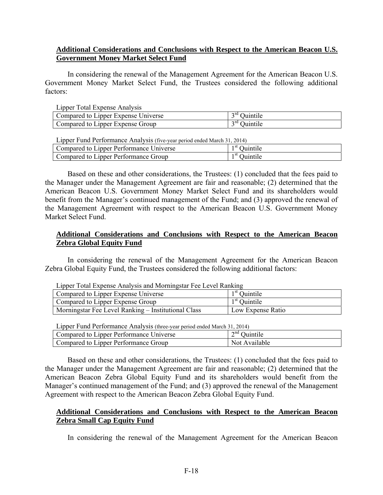## **Additional Considerations and Conclusions with Respect to the American Beacon U.S. Government Money Market Select Fund**

 In considering the renewal of the Management Agreement for the American Beacon U.S. Government Money Market Select Fund, the Trustees considered the following additional factors:

| Lipper Total Expense Analysis       |                |
|-------------------------------------|----------------|
| Compared to Lipper Expense Universe | $3rd$ Ouintile |
| Compared to Lipper Expense Group    | $3rd$ Ouintile |

Lipper Fund Performance Analysis (five-year period ended March 31, 2014)

| Eipper I and I errormance I mary shown't your period ended march 31, 201 i |                                      |
|----------------------------------------------------------------------------|--------------------------------------|
| Compared to Lipper Performance Universe                                    | 1 SU $\curvearrowright$<br>Juintile  |
| Compared to Lipper Performance Group                                       | $\rightarrow$ <sup>st</sup> Ouintile |

Based on these and other considerations, the Trustees: (1) concluded that the fees paid to the Manager under the Management Agreement are fair and reasonable; (2) determined that the American Beacon U.S. Government Money Market Select Fund and its shareholders would benefit from the Manager's continued management of the Fund; and (3) approved the renewal of the Management Agreement with respect to the American Beacon U.S. Government Money Market Select Fund.

## **Additional Considerations and Conclusions with Respect to the American Beacon Zebra Global Equity Fund**

 In considering the renewal of the Management Agreement for the American Beacon Zebra Global Equity Fund, the Trustees considered the following additional factors:

| Lipper Total Expense Analysis and Moningstal Fee Level Kanking |                   |
|----------------------------------------------------------------|-------------------|
| Compared to Lipper Expense Universe                            | $1st$ Quintile    |
| Compared to Lipper Expense Group                               | $1st$ Ouintile    |
| Morningstar Fee Level Ranking – Institutional Class            | Low Expense Ratio |

| Lipper Total Expense Analysis and Morningstar Fee Level Ranking |
|-----------------------------------------------------------------|
|-----------------------------------------------------------------|

Lipper Fund Performance Analysis (three-year period ended March 31, 2014) Compared to Lipper Performance Universe  $2<sup>nd</sup>$  Quintile Compared to Lipper Performance Group Not Available

 Based on these and other considerations, the Trustees: (1) concluded that the fees paid to the Manager under the Management Agreement are fair and reasonable; (2) determined that the American Beacon Zebra Global Equity Fund and its shareholders would benefit from the Manager's continued management of the Fund; and (3) approved the renewal of the Management Agreement with respect to the American Beacon Zebra Global Equity Fund.

## **Additional Considerations and Conclusions with Respect to the American Beacon Zebra Small Cap Equity Fund**

In considering the renewal of the Management Agreement for the American Beacon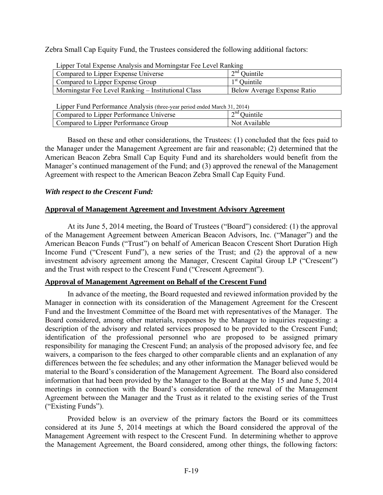Zebra Small Cap Equity Fund, the Trustees considered the following additional factors:

| Lipper Total Expense Analysis and Morningstal Fee Level Nativing |                             |
|------------------------------------------------------------------|-----------------------------|
| Compared to Lipper Expense Universe                              | $2nd$ Quintile              |
| Compared to Lipper Expense Group                                 | $1st$ Quintile              |
| Morningstar Fee Level Ranking – Institutional Class              | Below Average Expense Ratio |
|                                                                  |                             |

Lipper Total Expense Analysis and Morningstar Fee Level Ranking

Lipper Fund Performance Analysis (three-year period ended March 31, 2014)

| .                                       |                                       |
|-----------------------------------------|---------------------------------------|
| Compared to Lipper Performance Universe | $\cap^{\text{nd}}$ $\cap$<br>Juintile |
| Compared to Lipper Performance Group    | Not Available                         |
|                                         |                                       |

 Based on these and other considerations, the Trustees: (1) concluded that the fees paid to the Manager under the Management Agreement are fair and reasonable; (2) determined that the American Beacon Zebra Small Cap Equity Fund and its shareholders would benefit from the Manager's continued management of the Fund; and (3) approved the renewal of the Management Agreement with respect to the American Beacon Zebra Small Cap Equity Fund.

## *With respect to the Crescent Fund:*

# **Approval of Management Agreement and Investment Advisory Agreement**

At its June 5, 2014 meeting, the Board of Trustees ("Board") considered: (1) the approval of the Management Agreement between American Beacon Advisors, Inc. ("Manager") and the American Beacon Funds ("Trust") on behalf of American Beacon Crescent Short Duration High Income Fund ("Crescent Fund"), a new series of the Trust; and (2) the approval of a new investment advisory agreement among the Manager, Crescent Capital Group LP ("Crescent") and the Trust with respect to the Crescent Fund ("Crescent Agreement").

## **Approval of Management Agreement on Behalf of the Crescent Fund**

In advance of the meeting, the Board requested and reviewed information provided by the Manager in connection with its consideration of the Management Agreement for the Crescent Fund and the Investment Committee of the Board met with representatives of the Manager. The Board considered, among other materials, responses by the Manager to inquiries requesting: a description of the advisory and related services proposed to be provided to the Crescent Fund; identification of the professional personnel who are proposed to be assigned primary responsibility for managing the Crescent Fund; an analysis of the proposed advisory fee, and fee waivers, a comparison to the fees charged to other comparable clients and an explanation of any differences between the fee schedules; and any other information the Manager believed would be material to the Board's consideration of the Management Agreement. The Board also considered information that had been provided by the Manager to the Board at the May 15 and June 5, 2014 meetings in connection with the Board's consideration of the renewal of the Management Agreement between the Manager and the Trust as it related to the existing series of the Trust ("Existing Funds").

Provided below is an overview of the primary factors the Board or its committees considered at its June 5, 2014 meetings at which the Board considered the approval of the Management Agreement with respect to the Crescent Fund. In determining whether to approve the Management Agreement, the Board considered, among other things, the following factors: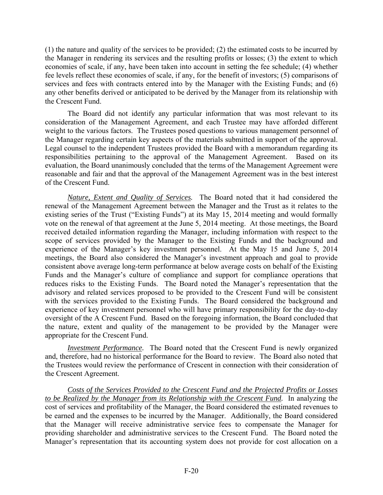(1) the nature and quality of the services to be provided; (2) the estimated costs to be incurred by the Manager in rendering its services and the resulting profits or losses; (3) the extent to which economies of scale, if any, have been taken into account in setting the fee schedule; (4) whether fee levels reflect these economies of scale, if any, for the benefit of investors; (5) comparisons of services and fees with contracts entered into by the Manager with the Existing Funds; and (6) any other benefits derived or anticipated to be derived by the Manager from its relationship with the Crescent Fund.

The Board did not identify any particular information that was most relevant to its consideration of the Management Agreement, and each Trustee may have afforded different weight to the various factors. The Trustees posed questions to various management personnel of the Manager regarding certain key aspects of the materials submitted in support of the approval. Legal counsel to the independent Trustees provided the Board with a memorandum regarding its responsibilities pertaining to the approval of the Management Agreement. Based on its evaluation, the Board unanimously concluded that the terms of the Management Agreement were reasonable and fair and that the approval of the Management Agreement was in the best interest of the Crescent Fund.

*Nature, Extent and Quality of Services.* The Board noted that it had considered the renewal of the Management Agreement between the Manager and the Trust as it relates to the existing series of the Trust ("Existing Funds") at its May 15, 2014 meeting and would formally vote on the renewal of that agreement at the June 5, 2014 meeting. At those meetings, the Board received detailed information regarding the Manager, including information with respect to the scope of services provided by the Manager to the Existing Funds and the background and experience of the Manager's key investment personnel. At the May 15 and June 5, 2014 meetings, the Board also considered the Manager's investment approach and goal to provide consistent above average long-term performance at below average costs on behalf of the Existing Funds and the Manager's culture of compliance and support for compliance operations that reduces risks to the Existing Funds. The Board noted the Manager's representation that the advisory and related services proposed to be provided to the Crescent Fund will be consistent with the services provided to the Existing Funds. The Board considered the background and experience of key investment personnel who will have primary responsibility for the day-to-day oversight of the A Crescent Fund. Based on the foregoing information, the Board concluded that the nature, extent and quality of the management to be provided by the Manager were appropriate for the Crescent Fund.

*Investment Performance.* The Board noted that the Crescent Fund is newly organized and, therefore, had no historical performance for the Board to review. The Board also noted that the Trustees would review the performance of Crescent in connection with their consideration of the Crescent Agreement.

*Costs of the Services Provided to the Crescent Fund and the Projected Profits or Losses to be Realized by the Manager from its Relationship with the Crescent Fund.* In analyzing the cost of services and profitability of the Manager, the Board considered the estimated revenues to be earned and the expenses to be incurred by the Manager. Additionally, the Board considered that the Manager will receive administrative service fees to compensate the Manager for providing shareholder and administrative services to the Crescent Fund. The Board noted the Manager's representation that its accounting system does not provide for cost allocation on a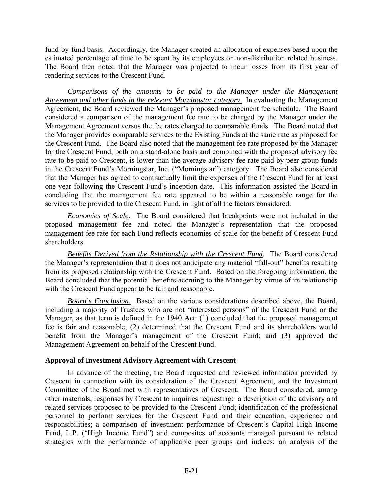fund-by-fund basis. Accordingly, the Manager created an allocation of expenses based upon the estimated percentage of time to be spent by its employees on non-distribution related business. The Board then noted that the Manager was projected to incur losses from its first year of rendering services to the Crescent Fund.

*Comparisons of the amounts to be paid to the Manager under the Management Agreement and other funds in the relevant Morningstar category*. In evaluating the Management Agreement, the Board reviewed the Manager's proposed management fee schedule. The Board considered a comparison of the management fee rate to be charged by the Manager under the Management Agreement versus the fee rates charged to comparable funds. The Board noted that the Manager provides comparable services to the Existing Funds at the same rate as proposed for the Crescent Fund. The Board also noted that the management fee rate proposed by the Manager for the Crescent Fund, both on a stand-alone basis and combined with the proposed advisory fee rate to be paid to Crescent, is lower than the average advisory fee rate paid by peer group funds in the Crescent Fund's Morningstar, Inc. ("Morningstar") category. The Board also considered that the Manager has agreed to contractually limit the expenses of the Crescent Fund for at least one year following the Crescent Fund's inception date. This information assisted the Board in concluding that the management fee rate appeared to be within a reasonable range for the services to be provided to the Crescent Fund, in light of all the factors considered.

*Economies of Scale.* The Board considered that breakpoints were not included in the proposed management fee and noted the Manager's representation that the proposed management fee rate for each Fund reflects economies of scale for the benefit of Crescent Fund shareholders.

*Benefits Derived from the Relationship with the Crescent Fund.* The Board considered the Manager's representation that it does not anticipate any material "fall-out" benefits resulting from its proposed relationship with the Crescent Fund. Based on the foregoing information, the Board concluded that the potential benefits accruing to the Manager by virtue of its relationship with the Crescent Fund appear to be fair and reasonable.

*Board's Conclusion*. Based on the various considerations described above, the Board, including a majority of Trustees who are not "interested persons" of the Crescent Fund or the Manager, as that term is defined in the 1940 Act: (1) concluded that the proposed management fee is fair and reasonable; (2) determined that the Crescent Fund and its shareholders would benefit from the Manager's management of the Crescent Fund; and (3) approved the Management Agreement on behalf of the Crescent Fund.

# **Approval of Investment Advisory Agreement with Crescent**

In advance of the meeting, the Board requested and reviewed information provided by Crescent in connection with its consideration of the Crescent Agreement, and the Investment Committee of the Board met with representatives of Crescent. The Board considered, among other materials, responses by Crescent to inquiries requesting: a description of the advisory and related services proposed to be provided to the Crescent Fund; identification of the professional personnel to perform services for the Crescent Fund and their education, experience and responsibilities; a comparison of investment performance of Crescent's Capital High Income Fund, L.P. ("High Income Fund") and composites of accounts managed pursuant to related strategies with the performance of applicable peer groups and indices; an analysis of the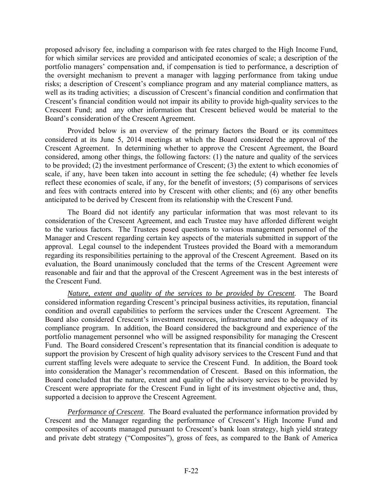proposed advisory fee, including a comparison with fee rates charged to the High Income Fund, for which similar services are provided and anticipated economies of scale; a description of the portfolio managers' compensation and, if compensation is tied to performance, a description of the oversight mechanism to prevent a manager with lagging performance from taking undue risks; a description of Crescent's compliance program and any material compliance matters, as well as its trading activities; a discussion of Crescent's financial condition and confirmation that Crescent's financial condition would not impair its ability to provide high-quality services to the Crescent Fund; and any other information that Crescent believed would be material to the Board's consideration of the Crescent Agreement.

Provided below is an overview of the primary factors the Board or its committees considered at its June 5, 2014 meetings at which the Board considered the approval of the Crescent Agreement. In determining whether to approve the Crescent Agreement, the Board considered, among other things, the following factors: (1) the nature and quality of the services to be provided; (2) the investment performance of Crescent; (3) the extent to which economies of scale, if any, have been taken into account in setting the fee schedule; (4) whether fee levels reflect these economies of scale, if any, for the benefit of investors; (5) comparisons of services and fees with contracts entered into by Crescent with other clients; and (6) any other benefits anticipated to be derived by Crescent from its relationship with the Crescent Fund.

The Board did not identify any particular information that was most relevant to its consideration of the Crescent Agreement, and each Trustee may have afforded different weight to the various factors. The Trustees posed questions to various management personnel of the Manager and Crescent regarding certain key aspects of the materials submitted in support of the approval. Legal counsel to the independent Trustees provided the Board with a memorandum regarding its responsibilities pertaining to the approval of the Crescent Agreement. Based on its evaluation, the Board unanimously concluded that the terms of the Crescent Agreement were reasonable and fair and that the approval of the Crescent Agreement was in the best interests of the Crescent Fund.

 *Nature, extent and quality of the services to be provided by Crescent.* The Board considered information regarding Crescent's principal business activities, its reputation, financial condition and overall capabilities to perform the services under the Crescent Agreement. The Board also considered Crescent's investment resources, infrastructure and the adequacy of its compliance program. In addition, the Board considered the background and experience of the portfolio management personnel who will be assigned responsibility for managing the Crescent Fund. The Board considered Crescent's representation that its financial condition is adequate to support the provision by Crescent of high quality advisory services to the Crescent Fund and that current staffing levels were adequate to service the Crescent Fund. In addition, the Board took into consideration the Manager's recommendation of Crescent. Based on this information, the Board concluded that the nature, extent and quality of the advisory services to be provided by Crescent were appropriate for the Crescent Fund in light of its investment objective and, thus, supported a decision to approve the Crescent Agreement.

*Performance of Crescent*. The Board evaluated the performance information provided by Crescent and the Manager regarding the performance of Crescent's High Income Fund and composites of accounts managed pursuant to Crescent's bank loan strategy, high yield strategy and private debt strategy ("Composites"), gross of fees, as compared to the Bank of America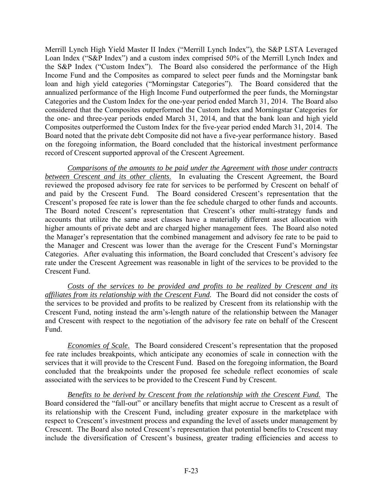Merrill Lynch High Yield Master II Index ("Merrill Lynch Index"), the S&P LSTA Leveraged Loan Index ("S&P Index") and a custom index comprised 50% of the Merrill Lynch Index and the S&P Index ("Custom Index"). The Board also considered the performance of the High Income Fund and the Composites as compared to select peer funds and the Morningstar bank loan and high yield categories ("Morningstar Categories"). The Board considered that the annualized performance of the High Income Fund outperformed the peer funds, the Morningstar Categories and the Custom Index for the one-year period ended March 31, 2014. The Board also considered that the Composites outperformed the Custom Index and Morningstar Categories for the one- and three-year periods ended March 31, 2014, and that the bank loan and high yield Composites outperformed the Custom Index for the five-year period ended March 31, 2014. The Board noted that the private debt Composite did not have a five-year performance history. Based on the foregoing information, the Board concluded that the historical investment performance record of Crescent supported approval of the Crescent Agreement.

*Comparisons of the amounts to be paid under the Agreement with those under contracts between Crescent and its other clients*. In evaluating the Crescent Agreement, the Board reviewed the proposed advisory fee rate for services to be performed by Crescent on behalf of and paid by the Crescent Fund. The Board considered Crescent's representation that the Crescent's proposed fee rate is lower than the fee schedule charged to other funds and accounts. The Board noted Crescent's representation that Crescent's other multi-strategy funds and accounts that utilize the same asset classes have a materially different asset allocation with higher amounts of private debt and are charged higher management fees. The Board also noted the Manager's representation that the combined management and advisory fee rate to be paid to the Manager and Crescent was lower than the average for the Crescent Fund's Morningstar Categories. After evaluating this information, the Board concluded that Crescent's advisory fee rate under the Crescent Agreement was reasonable in light of the services to be provided to the Crescent Fund.

*Costs of the services to be provided and profits to be realized by Crescent and its affiliates from its relationship with the Crescent Fund.* The Board did not consider the costs of the services to be provided and profits to be realized by Crescent from its relationship with the Crescent Fund, noting instead the arm's-length nature of the relationship between the Manager and Crescent with respect to the negotiation of the advisory fee rate on behalf of the Crescent Fund.

*Economies of Scale*. The Board considered Crescent's representation that the proposed fee rate includes breakpoints, which anticipate any economies of scale in connection with the services that it will provide to the Crescent Fund. Based on the foregoing information, the Board concluded that the breakpoints under the proposed fee schedule reflect economies of scale associated with the services to be provided to the Crescent Fund by Crescent.

*Benefits to be derived by Crescent from the relationship with the Crescent Fund.* The Board considered the "fall-out" or ancillary benefits that might accrue to Crescent as a result of its relationship with the Crescent Fund, including greater exposure in the marketplace with respect to Crescent's investment process and expanding the level of assets under management by Crescent. The Board also noted Crescent's representation that potential benefits to Crescent may include the diversification of Crescent's business, greater trading efficiencies and access to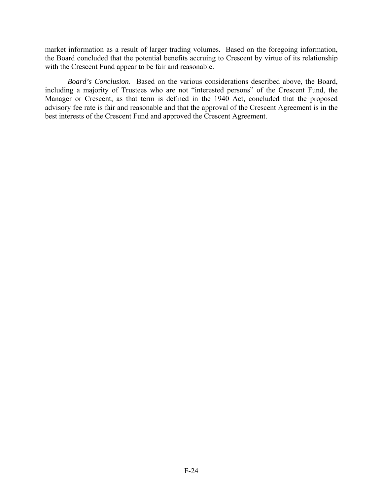market information as a result of larger trading volumes. Based on the foregoing information, the Board concluded that the potential benefits accruing to Crescent by virtue of its relationship with the Crescent Fund appear to be fair and reasonable.

 *Board's Conclusion*. Based on the various considerations described above, the Board, including a majority of Trustees who are not "interested persons" of the Crescent Fund, the Manager or Crescent, as that term is defined in the 1940 Act, concluded that the proposed advisory fee rate is fair and reasonable and that the approval of the Crescent Agreement is in the best interests of the Crescent Fund and approved the Crescent Agreement.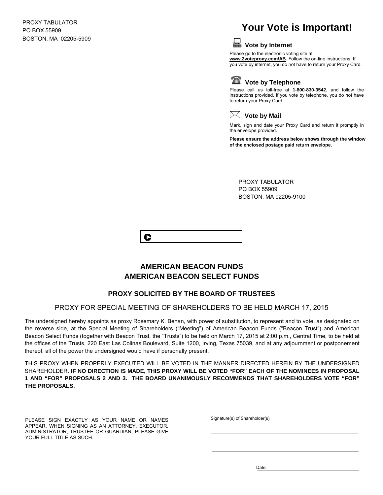PROXY TABULATOR PO BOX 55909 BOSTON, MA 02205-5909

# **Your Vote is Important!**



**Vote by Internet**

Please go to the electronic voting site at **www.2voteproxy.com/AB**. Follow the on-line instructions. If you vote by internet, you do not have to return your Proxy Card.



**Vote by Telephone**

Please call us toll-free at **1-800-830-3542**, and follow the instructions provided. If you vote by telephone, you do not have to return your Proxy Card.



Mark, sign and date your Proxy Card and return it promptly in the envelope provided.

**Please ensure the address below shows through the window of the enclosed postage paid return envelope.**

PROXY TABULATOR PO BOX 55909 BOSTON, MA 02205-9100



# **AMERICAN BEACON FUNDS AMERICAN BEACON SELECT FUNDS**

# **PROXY SOLICITED BY THE BOARD OF TRUSTEES**

#### PROXY FOR SPECIAL MEETING OF SHAREHOLDERS TO BE HELD MARCH 17, 2015

The undersigned hereby appoints as proxy Rosemary K. Behan, with power of substitution, to represent and to vote, as designated on the reverse side, at the Special Meeting of Shareholders ("Meeting") of American Beacon Funds ("Beacon Trust") and American Beacon Select Funds (together with Beacon Trust, the "Trusts") to be held on March 17, 2015 at 2:00 p.m., Central Time, to be held at the offices of the Trusts, 220 East Las Colinas Boulevard, Suite 1200, Irving, Texas 75039, and at any adjournment or postponement thereof, all of the power the undersigned would have if personally present.

THIS PROXY WHEN PROPERLY EXECUTED WILL BE VOTED IN THE MANNER DIRECTED HEREIN BY THE UNDERSIGNED SHAREHOLDER. **IF NO DIRECTION IS MADE, THIS PROXY WILL BE VOTED "FOR" EACH OF THE NOMINEES IN PROPOSAL 1 AND "FOR" PROPOSALS 2 AND 3. THE BOARD UNANIMOUSLY RECOMMENDS THAT SHAREHOLDERS VOTE "FOR" THE PROPOSALS.**

PLEASE SIGN EXACTLY AS YOUR NAME OR NAMES APPEAR. WHEN SIGNING AS AN ATTORNEY, EXECUTOR, ADMINISTRATOR, TRUSTEE OR GUARDIAN, PLEASE GIVE YOUR FULL TITLE AS SUCH.

Signature(s) of Shareholder(s)